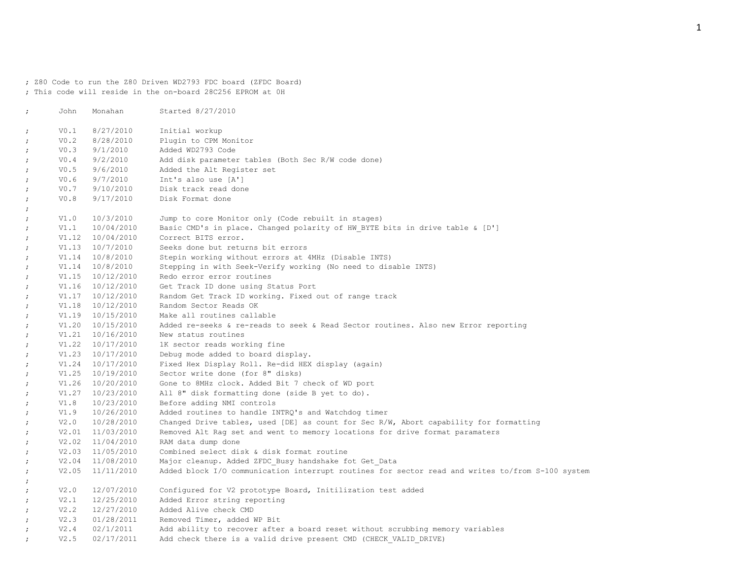; Z80 Code to run the Z80 Driven WD2793 FDC board (ZFDC Board) ; This code will reside in the on-board 28C256 EPROM at 0H

| $\ddot{ }$ | John | Monahan              | Started 8/27/2010                                                                                |
|------------|------|----------------------|--------------------------------------------------------------------------------------------------|
| $\ddot{ }$ | V0.1 | 8/27/2010            | Initial workup                                                                                   |
| $\ddot{ }$ | V0.2 | 8/28/2010            | Plugin to CPM Monitor                                                                            |
| $\ddot{ }$ | V0.3 | 9/1/2010             | Added WD2793 Code                                                                                |
| $\ddot{ }$ | V0.4 | 9/2/2010             | Add disk parameter tables (Both Sec R/W code done)                                               |
| $\ddot{ }$ | V0.5 | 9/6/2010             | Added the Alt Register set                                                                       |
| $\ddot{ }$ | V0.6 | 9/7/2010             | Int's also use [A']                                                                              |
| $\ddot{ }$ |      | V0.7 9/10/2010       | Disk track read done                                                                             |
| $\cdot$    | V0.8 | 9/17/2010            | Disk Format done                                                                                 |
| $\ddot{ }$ |      |                      |                                                                                                  |
| $\ddot{ }$ | V1.0 | 10/3/2010            | Jump to core Monitor only (Code rebuilt in stages)                                               |
| $\cdot$    | V1.1 | 10/04/2010           | Basic CMD's in place. Changed polarity of HW BYTE bits in drive table & [D']                     |
| $\ddot{ }$ |      | V1.12 10/04/2010     | Correct BITS error.                                                                              |
| $\ddot{ }$ |      | V1.13 10/7/2010      | Seeks done but returns bit errors                                                                |
| $\ddot{ }$ |      | V1.14 10/8/2010      | Stepin working without errors at 4MHz (Disable INTS)                                             |
| $\ddot{ }$ |      | V1.14 10/8/2010      | Stepping in with Seek-Verify working (No need to disable INTS)                                   |
| $\ddot{ }$ |      | $V1.15 \t10/12/2010$ | Redo error error routines                                                                        |
| $\ddot{ }$ |      | V1.16 10/12/2010     | Get Track ID done using Status Port                                                              |
| $\ddot{ }$ |      | V1.17 10/12/2010     | Random Get Track ID working. Fixed out of range track                                            |
| $\ddot{ }$ |      | V1.18 10/12/2010     | Random Sector Reads OK                                                                           |
| $\ddot{ }$ |      | $V1.19$ $10/15/2010$ | Make all routines callable                                                                       |
| $\cdot$    |      | V1.20 10/15/2010     | Added re-seeks & re-reads to seek & Read Sector routines. Also new Error reporting               |
| $\ddot{ }$ |      | $V1.21 \t10/16/2010$ | New status routines                                                                              |
| $\cdot$    |      | V1.22 10/17/2010     | 1K sector reads working fine                                                                     |
| $\ddot{ }$ |      | V1.23 10/17/2010     | Debug mode added to board display.                                                               |
| $\ddot{ }$ |      | V1.24 10/17/2010     | Fixed Hex Display Roll. Re-did HEX display (again)                                               |
| $\ddot{ }$ |      | V1.25 10/19/2010     | Sector write done (for 8" disks)                                                                 |
| $\cdot$    |      | V1.26 10/20/2010     | Gone to 8MHz clock. Added Bit 7 check of WD port                                                 |
| $\ddot{ }$ |      | V1.27 10/23/2010     | All 8" disk formatting done (side B yet to do).                                                  |
| $\cdot$    | V1.8 | 10/23/2010           | Before adding NMI controls                                                                       |
| $\ddot{ }$ | V1.9 | 10/26/2010           | Added routines to handle INTRQ's and Watchdog timer                                              |
| $\ddot{ }$ | V2.0 | 10/28/2010           | Changed Drive tables, used [DE] as count for Sec R/W, Abort capability for formatting            |
| $\cdot$    |      | V2.01 11/03/2010     | Removed Alt Rag set and went to memory locations for drive format paramaters                     |
| $\ddot{ }$ |      | V2.02 11/04/2010     | RAM data dump done                                                                               |
| $\ddot{ }$ |      | V2.03 11/05/2010     | Combined select disk & disk format routine                                                       |
| $\ddot{ }$ |      | V2.04 11/08/2010     | Major cleanup. Added ZFDC Busy handshake fot Get Data                                            |
| $\ddot{ }$ |      | $V2.05$ $11/11/2010$ | Added block I/O communication interrupt routines for sector read and writes to/from S-100 system |
| $\ddot{ }$ |      |                      |                                                                                                  |
| $\ddot{ }$ | V2.0 | 12/07/2010           | Configured for V2 prototype Board, Initilization test added                                      |
| $\ddot{ }$ | V2.1 | 12/25/2010           | Added Error string reporting                                                                     |
| $\ddot{ }$ | V2.2 | 12/27/2010           | Added Alive check CMD                                                                            |
| $\ddot{ }$ | V2.3 | 01/28/2011           | Removed Timer, added WP Bit                                                                      |
| $\ddot{ }$ | V2.4 | 02/1/2011            | Add ability to recover after a board reset without scrubbing memory variables                    |
| $\cdot$    | V2.5 | 02/17/2011           | Add check there is a valid drive present CMD (CHECK VALID DRIVE)                                 |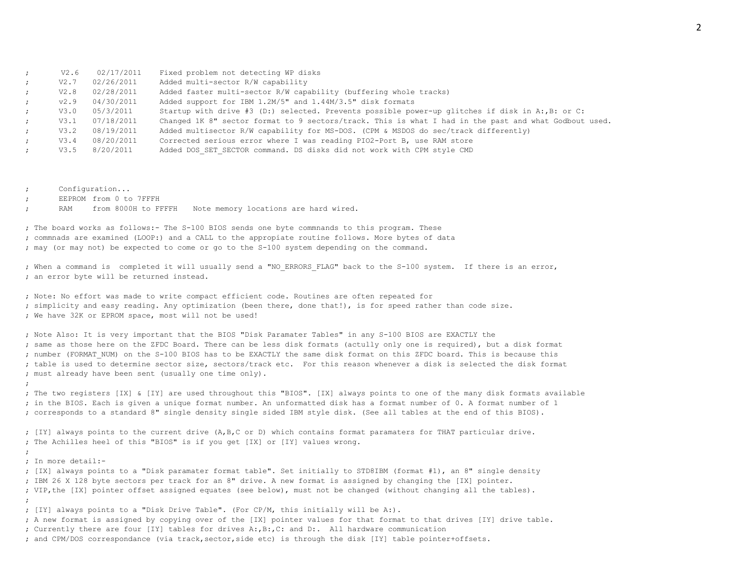|                      | V2.6 | 02/17/2011 | Fixed problem not detecting WP disks                                                                  |
|----------------------|------|------------|-------------------------------------------------------------------------------------------------------|
| $\cdot$ :            | V2.7 | 02/26/2011 | Added multi-sector R/W capability                                                                     |
| $\ddot{i}$           | V2.8 | 02/28/2011 | Added faster multi-sector R/W capability (buffering whole tracks)                                     |
| $\ddot{\phantom{0}}$ | v2.9 | 04/30/2011 | Added support for IBM 1.2M/5" and 1.44M/3.5" disk formats                                             |
| $\mathcal{L}$        | V3.0 | 05/3/2011  | Startup with drive #3 (D:) selected. Prevents possible power-up qlitches if disk in A:, B: or C:      |
| $\cdot$ :            | V3.1 | 07/18/2011 | Changed 1K 8" sector format to 9 sectors/track. This is what I had in the past and what Godbout used. |
| $\mathcal{L}$        | V3.2 | 08/19/2011 | Added multisector R/W capability for MS-DOS. (CPM & MSDOS do sec/track differently)                   |
| $\mathcal{L}$        | V3.4 | 08/20/2011 | Corrected serious error where I was reading PIO2-Port B, use RAM store                                |
| $\cdot$ :            | V3.5 | 8/20/2011  | Added DOS SET SECTOR command. DS disks did not work with CPM style CMD                                |
|                      |      |            |                                                                                                       |

; Configuration...

EEPROM from 0 to 7FFFH

RAM from 8000H to FFFFH Note memory locations are hard wired.

; The board works as follows:- The S-100 BIOS sends one byte commnands to this program. These ; commnads are examined (LOOP:) and a CALL to the appropiate routine follows. More bytes of data ; may (or may not) be expected to come or go to the S-100 system depending on the command.

; When a command is completed it will usually send a "NO ERRORS FLAG" back to the S-100 system. If there is an error, ; an error byte will be returned instead.

; Note: No effort was made to write compact efficient code. Routines are often repeated for ; simplicity and easy reading. Any optimization (been there, done that!), is for speed rather than code size. ; We have 32K or EPROM space, most will not be used!

; Note Also: It is very important that the BIOS "Disk Paramater Tables" in any S-100 BIOS are EXACTLY the ; same as those here on the ZFDC Board. There can be less disk formats (actully only one is required), but a disk format ; number (FORMAT\_NUM) on the S-100 BIOS has to be EXACTLY the same disk format on this ZFDC board. This is because this ; table is used to determine sector size, sectors/track etc. For this reason whenever a disk is selected the disk format ; must already have been sent (usually one time only).

; The two registers [IX] & [IY] are used throughout this "BIOS". [IX] always points to one of the many disk formats available ; in the BIOS. Each is given a unique format number. An unformatted disk has a format number of 0. A format number of 1 ; corresponds to a standard 8" single density single sided IBM style disk. (See all tables at the end of this BIOS).

; [IY] always points to the current drive (A,B,C or D) which contains format paramaters for THAT particular drive. ; The Achilles heel of this "BIOS" is if you get [IX] or [IY] values wrong.

; In more detail:-

;

;

; [IX] always points to a "Disk paramater format table". Set initially to STD8IBM (format #1), an 8" single density ; IBM 26 X 128 byte sectors per track for an 8" drive. A new format is assigned by changing the [IX] pointer. ; VIP,the [IX] pointer offset assigned equates (see below), must not be changed (without changing all the tables). ; ; [IY] always points to a "Disk Drive Table". (For CP/M, this initially will be A:). ; A new format is assigned by copying over of the [IX] pointer values for that format to that drives [IY] drive table. ; Currently there are four [IY] tables for drives A:,B:,C: and D:. All hardware communication

; and CPM/DOS correspondance (via track,sector,side etc) is through the disk [IY] table pointer+offsets.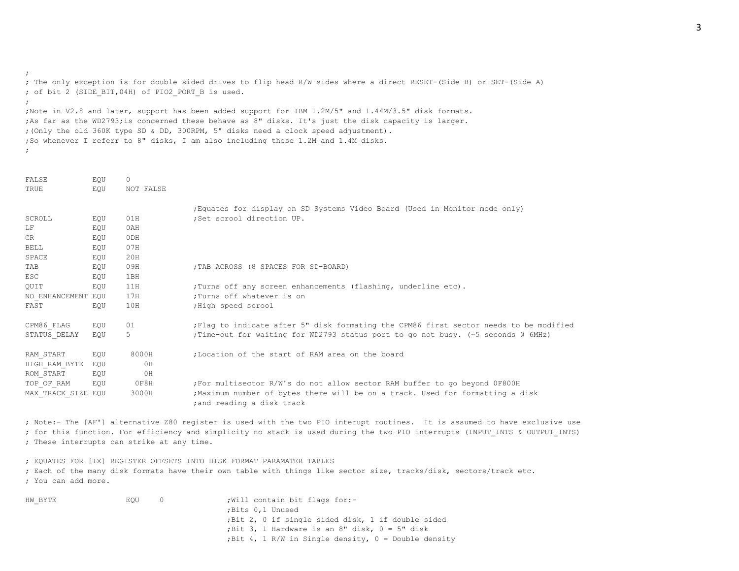; The only exception is for double sided drives to flip head R/W sides where a direct RESET-(Side B) or SET-(Side A) ; of bit 2 (SIDE\_BIT,04H) of PIO2\_PORT\_B is used. ; ;Note in V2.8 and later, support has been added support for IBM 1.2M/5" and 1.44M/3.5" disk formats. ;As far as the WD2793;is concerned these behave as 8" disks. It's just the disk capacity is larger. ;(Only the old 360K type SD & DD, 300RPM, 5" disks need a clock speed adjustment). ;So whenever I referr to 8" disks, I am also including these 1.2M and 1.4M disks.

;

;

| FALSE              | EOU | 0               |                                                                                                              |
|--------------------|-----|-----------------|--------------------------------------------------------------------------------------------------------------|
| TRUE               | EOU | NOT FALSE       |                                                                                                              |
|                    |     |                 | ; Equates for display on SD Systems Video Board (Used in Monitor mode only)                                  |
| SCROLL             | EOU | 01H             | :Set scrool direction UP.                                                                                    |
| LF                 | EQU | 0AH             |                                                                                                              |
| CR.                | EOU | 0 <sub>DH</sub> |                                                                                                              |
| BELL               | EOU | 07H             |                                                                                                              |
| SPACE              | EOU | 20H             |                                                                                                              |
| TAB                | EQU | 09H             | ; TAB ACROSS (8 SPACES FOR SD-BOARD)                                                                         |
| ESC                | EOU | 1BH             |                                                                                                              |
| QUIT               | EQU | 11H             | ; Turns off any screen enhancements (flashing, underline etc).                                               |
| NO ENHANCEMENT EQU |     | 17H             | :Turns off whatever is on                                                                                    |
| FAST               | EOU | 10H             | ; High speed scrool                                                                                          |
| CPM86 FLAG         | EOU | 01              | Flag to indicate after 5" disk formating the CPM86 first sector needs to be modified                         |
| STATUS DELAY       | EOU | 5               | ; Time-out for waiting for WD2793 status port to go not busy. (~5 seconds @ 6MHz)                            |
| RAM START          | EOU | 8000H           | :Location of the start of RAM area on the board                                                              |
| HIGH RAM BYTE      | EOU | 0H              |                                                                                                              |
| ROM START          | EQU | 0H              |                                                                                                              |
| TOP OF RAM         | EOU | OF8H            | For multisector R/W's do not allow sector RAM buffer to go beyond OF800H                                     |
| MAX TRACK SIZE EQU |     | 3000H           | ; Maximum number of bytes there will be on a track. Used for formatting a disk<br>; and reading a disk track |
|                    |     |                 |                                                                                                              |

; Note:- The [AF'] alternative Z80 register is used with the two PIO interupt routines. It is assumed to have exclusive use ; for this function. For efficiency and simplicity no stack is used during the two PIO interrupts (INPUT\_INTS & OUTPUT\_INTS) ; These interrupts can strike at any time.

; EQUATES FOR [IX] REGISTER OFFSETS INTO DISK FORMAT PARAMATER TABLES ; Each of the many disk formats have their own table with things like sector size, tracks/disk, sectors/track etc. ; You can add more.

| HW BYTE | EOU | ; Will contain bit flags for:-                         |
|---------|-----|--------------------------------------------------------|
|         |     | ; Bits 0,1 Unused                                      |
|         |     | ; Bit 2, 0 if single sided disk, 1 if double sided     |
|         |     | ; Bit 3, 1 Hardware is an 8" disk, $0 = 5$ " disk      |
|         |     | ; Bit 4, 1 R/W in Single density, $0 =$ Double density |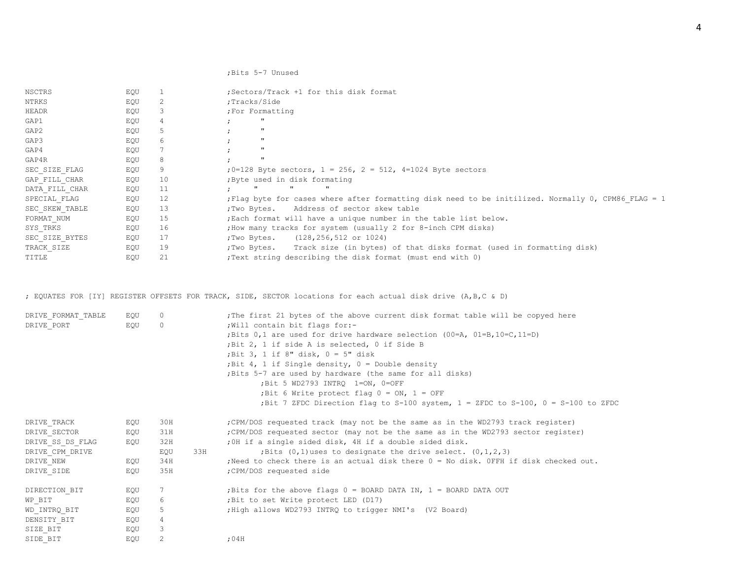### ;Bits 5-7 Unused

| NSCTRS         | EQU |    | Sectors/Track +1 for this disk format                                                             |
|----------------|-----|----|---------------------------------------------------------------------------------------------------|
| NTRKS          | EQU | 2  | ;Tracks/Side                                                                                      |
| HEADR          | EQU | 3  | ; For Formatting                                                                                  |
| GAP1           | EQU |    | $\mathbf{H}$                                                                                      |
| GAP2           | EQU | 5. | $^{\rm{II}}$                                                                                      |
| GAP3           | EQU | 6  | $\mathbf{u}$                                                                                      |
| GAP4           | EQU |    | $^{\rm{II}}$                                                                                      |
| GAP4R          | EQU | 8  | $\mathbf{u}$                                                                                      |
| SEC SIZE FLAG  | EQU | 9. | ;0=128 Byte sectors, $1 = 256$ , $2 = 512$ , 4=1024 Byte sectors                                  |
| GAP FILL CHAR  | EQU | 10 | ; Byte used in disk formating                                                                     |
| DATA FILL CHAR | EQU | 11 | $\mathbf{H}$<br>$\mathbf{H}$<br>$\mathbf{H}$                                                      |
| SPECIAL FLAG   | EQU | 12 | Flaq byte for cases where after formatting disk need to be initilized. Normally 0, CPM86 FLAG = 1 |
| SEC SKEW TABLE | EQU | 13 | ; Two Bytes. Address of sector skew table                                                         |
| FORMAT NUM     | EQU | 15 | ; Each format will have a unique number in the table list below.                                  |
| SYS TRKS       | EQU | 16 | ; How many tracks for system (usually 2 for 8-inch CPM disks)                                     |
| SEC SIZE BYTES | EQU | 17 | $(128, 256, 512 \text{ or } 1024)$<br>;Two Bytes.                                                 |
| TRACK SIZE     | EQU | 19 | ; Two Bytes. Track size (in bytes) of that disks format (used in formatting disk)                 |
| TITLE          | EQU | 21 | ; Text string describing the disk format (must end with 0)                                        |

; EQUATES FOR [IY] REGISTER OFFSETS FOR TRACK, SIDE, SECTOR locations for each actual disk drive (A,B,C & D)

| DRIVE FORMAT TABLE | EOU | $\Omega$ |     | ; The first 21 bytes of the above current disk format table will be copyed here        |
|--------------------|-----|----------|-----|----------------------------------------------------------------------------------------|
| DRIVE PORT         | EQU | $\circ$  |     | ; Will contain bit flags for:-                                                         |
|                    |     |          |     | ; Bits 0,1 are used for drive hardware selection $(00=A, 01=B, 10=C, 11=D)$            |
|                    |     |          |     | ; Bit 2, 1 if side A is selected, 0 if Side B                                          |
|                    |     |          |     | ; Bit 3, 1 if 8" disk, $0 = 5$ " disk                                                  |
|                    |     |          |     | ; Bit 4, 1 if Single density, $0 =$ Double density                                     |
|                    |     |          |     | Bits 5-7 are used by hardware (the same for all disks)                                 |
|                    |     |          |     | ; Bit 5 WD2793 INTRO 1=ON, 0=OFF                                                       |
|                    |     |          |     | ; Bit 6 Write protect flag $0 = ON$ , $1 = OFF$                                        |
|                    |     |          |     | ;Bit 7 ZFDC Direction flag to S-100 system, $1 =$ ZFDC to S-100, 0 = S-100 to ZFDC     |
| DRIVE TRACK        | EOU | 30H      |     | ; CPM/DOS requested track (may not be the same as in the WD2793 track register)        |
| DRIVE SECTOR       | EQU | 31H      |     | ; CPM/DOS requested sector (may not be the same as in the WD2793 sector register)      |
| DRIVE SS DS FLAG   | EQU | 32H      |     | ; OH if a single sided disk, 4H if a double sided disk.                                |
| DRIVE CPM DRIVE    |     | EQU      | 33H | ; Bits $(0,1)$ uses to designate the drive select. $(0,1,2,3)$                         |
| DRIVE NEW          | EQU | 34H      |     | ; Need to check there is an actual disk there $0 = No$ disk. OFFH if disk checked out. |
| DRIVE SIDE         | EQU | 35H      |     | ; CPM/DOS requested side                                                               |
| DIRECTION BIT      | EQU | 7        |     | ; Bits for the above flags $0 =$ BOARD DATA IN, $1 =$ BOARD DATA OUT                   |
| WP BIT             | EQU | 6        |     | ; Bit to set Write protect LED (D17)                                                   |
| WD INTRQ BIT       | EQU | 5        |     | ; High allows WD2793 INTRQ to trigger NMI's (V2 Board)                                 |
| DENSITY BIT        | EQU | 4        |     |                                                                                        |
| SIZE BIT           | EQU | 3        |     |                                                                                        |
| SIDE BIT           | EQU | 2        |     | :04H                                                                                   |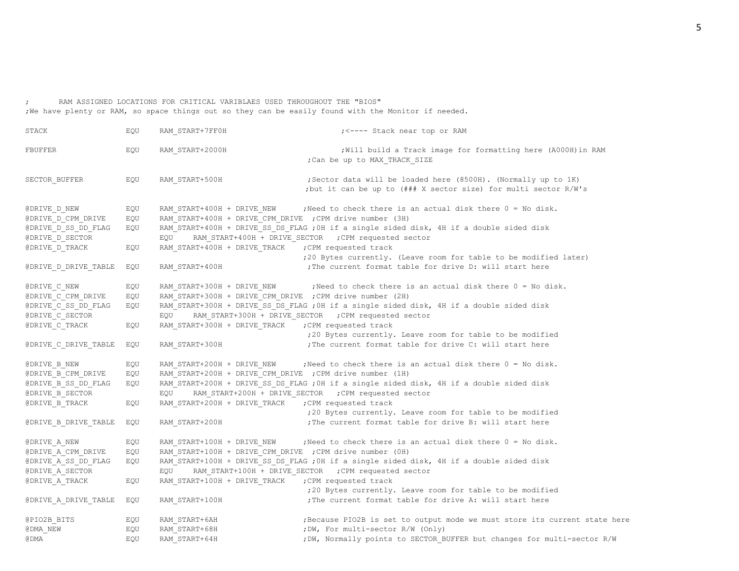; RAM ASSIGNED LOCATIONS FOR CRITICAL VARIBLAES USED THROUGHOUT THE "BIOS" ;We have plenty or RAM, so space things out so they can be easily found with the Monitor if needed.

| STACK                                  | EQU | RAM START+7FF0H                                          | ; <---- Stack near top or RAM                                                                                                                    |
|----------------------------------------|-----|----------------------------------------------------------|--------------------------------------------------------------------------------------------------------------------------------------------------|
| FBUFFER                                | EQU | RAM START+2000H                                          | ; Will build a Track image for formatting here (A000H) in RAM<br>; Can be up to MAX TRACK SIZE                                                   |
| SECTOR_BUFFER                          | EQU | RAM_START+500H                                           | ; Sector data will be loaded here (8500H). (Normally up to 1K)<br>; but it can be up to (### X sector size) for multi sector R/W's               |
| @DRIVE D NEW                           | EQU | RAM START+400H + DRIVE NEW                               | ; Need to check there is an actual disk there 0 = No disk.                                                                                       |
| @DRIVE D CPM DRIVE                     | EQU | RAM_START+400H + DRIVE_CPM_DRIVE ; CPM drive number (3H) |                                                                                                                                                  |
| @DRIVE D SS DD FLAG<br>@DRIVE D SECTOR | EQU | EQU                                                      | RAM START+400H + DRIVE SS DS FLAG ; OH if a single sided disk, 4H if a double sided disk<br>RAM START+400H + DRIVE SECTOR ; CPM requested sector |
| @DRIVE D TRACK                         | EQU | RAM START+400H + DRIVE TRACK                             | ; CPM requested track                                                                                                                            |
|                                        |     |                                                          | ;20 Bytes currently. (Leave room for table to be modified later)                                                                                 |
| $@{\tt DRIVE\_D\_DRIVE\_TABLE}$        | EQU | RAM START+400H                                           | ; The current format table for drive D: will start here                                                                                          |
| @DRIVE C NEW                           | EQU | RAM START+300H + DRIVE NEW                               | ; Need to check there is an actual disk there $0 = No$ disk.                                                                                     |
| @DRIVE C CPM DRIVE                     | EQU | RAM_START+300H + DRIVE_CPM_DRIVE ; CPM drive number (2H) |                                                                                                                                                  |
| @DRIVE C SS DD FLAG                    | EQU |                                                          | RAM START+300H + DRIVE SS DS FLAG ; OH if a single sided disk, 4H if a double sided disk                                                         |
| @DRIVE C SECTOR                        |     | EQU                                                      | RAM START+300H + DRIVE SECTOR ; CPM requested sector                                                                                             |
| @DRIVE C TRACK                         | EQU | RAM START+300H + DRIVE TRACK                             | ; CPM requested track                                                                                                                            |
|                                        |     |                                                          | ;20 Bytes currently. Leave room for table to be modified                                                                                         |
| @DRIVE C DRIVE TABLE                   | EQU | RAM START+300H                                           | ; The current format table for drive C: will start here                                                                                          |
| @DRIVE B NEW                           | EQU |                                                          | RAM START+200H + DRIVE NEW ; Need to check there is an actual disk there $0 = No$ disk.                                                          |
| @DRIVE B CPM DRIVE                     | EQU | RAM START+200H + DRIVE CPM DRIVE ; CPM drive number (1H) |                                                                                                                                                  |
| @DRIVE B SS DD FLAG<br>@DRIVE B SECTOR | EOU | EQU                                                      | RAM START+200H + DRIVE SS DS FLAG ; OH if a single sided disk, 4H if a double sided disk<br>RAM START+200H + DRIVE SECTOR ; CPM requested sector |
| @DRIVE B TRACK                         | EQU | RAM START+200H + DRIVE TRACK                             | ; CPM requested track                                                                                                                            |
|                                        |     |                                                          | ;20 Bytes currently. Leave room for table to be modified                                                                                         |
| @DRIVE B DRIVE TABLE                   | EQU | RAM START+200H                                           | ; The current format table for drive B: will start here                                                                                          |
| @DRIVE A NEW                           | EQU | RAM START+100H + DRIVE NEW                               | ; Need to check there is an actual disk there 0 = No disk.                                                                                       |
| @DRIVE A CPM DRIVE                     | EQU | RAM_START+100H + DRIVE_CPM_DRIVE ; CPM drive number (OH) |                                                                                                                                                  |
| @DRIVE A SS DD FLAG                    | EQU |                                                          | RAM_START+100H + DRIVE_SS_DS_FLAG ; OH if a single sided disk, 4H if a double sided disk                                                         |
| @DRIVE A SECTOR                        |     | EQU                                                      | RAM START+100H + DRIVE SECTOR ; CPM requested sector                                                                                             |
| @DRIVE A TRACK                         | EQU | RAM START+100H + DRIVE TRACK                             | ; CPM requested track                                                                                                                            |
|                                        |     |                                                          | ;20 Bytes currently. Leave room for table to be modified                                                                                         |
| $@{\tt DRIVE\_A\_DRIVE\_TABLE}$        | EQU | RAM_START+100H                                           | ; The current format table for drive A: will start here                                                                                          |
| @PIO2B BITS                            | EQU | RAM START+6AH                                            | ; Because PIO2B is set to output mode we must store its current state here                                                                       |
| @DMA NEW                               | EQU | RAM_START+68H                                            | ; DW, For multi-sector R/W (Only)                                                                                                                |
| @ DMA                                  | EQU | RAM START+64H                                            | ; DW, Normally points to SECTOR BUFFER but changes for multi-sector R/W                                                                          |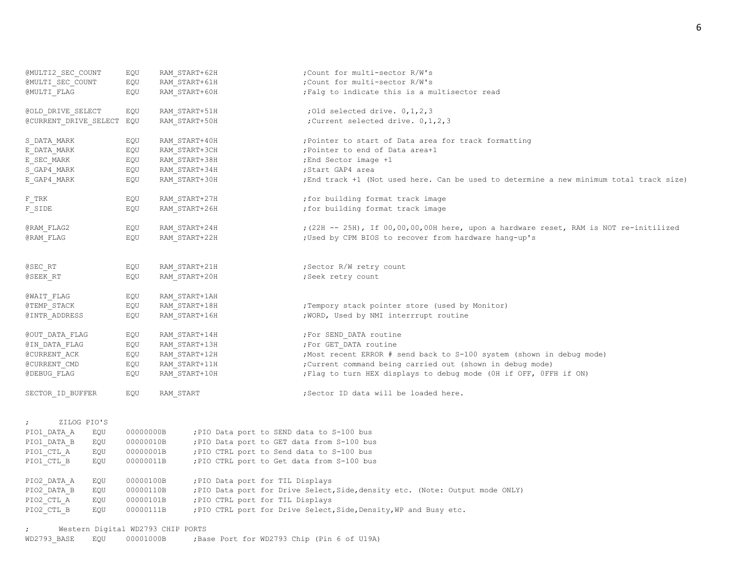| @MULTI2 SEC COUNT                               | EQU       | RAM START+62H | ; Count for multi-sector R/W's                                                          |
|-------------------------------------------------|-----------|---------------|-----------------------------------------------------------------------------------------|
| @MULTI SEC COUNT                                | EQU       | RAM START+61H | ; Count for multi-sector R/W's                                                          |
| @MULTI FLAG                                     | EQU       | RAM START+60H | ; Falg to indicate this is a multisector read                                           |
|                                                 |           |               |                                                                                         |
| @OLD DRIVE SELECT                               | EQU       | RAM START+51H | ; Old selected drive. $0, 1, 2, 3$                                                      |
| @CURRENT_DRIVE_SELECT EQU                       |           | RAM START+50H | ; Current selected drive. 0, 1, 2, 3                                                    |
| S DATA MARK                                     | EQU       | RAM START+40H | ; Pointer to start of Data area for track formatting                                    |
| E DATA MARK                                     | EQU       | RAM START+3CH | ; Pointer to end of Data area+1                                                         |
| E_SEC_MARK                                      | EQU       | RAM START+38H | ; End Sector image +1                                                                   |
| S GAP4 MARK                                     | EQU       | RAM START+34H | ;Start GAP4 area                                                                        |
| E GAP4 MARK                                     | EQU       | RAM START+30H | ; End track +1 (Not used here. Can be used to determine a new minimum total track size) |
| F TRK                                           | EQU       | RAM START+27H | ; for building format track image                                                       |
| F_SIDE                                          | EQU       | RAM START+26H | ; for building format track image                                                       |
| @RAM FLAG2                                      | EQU       | RAM START+24H | ; (22H -- 25H), If 00,00,00,00H here, upon a hardware reset, RAM is NOT re-initilized   |
| @RAM FLAG                                       | EQU       | RAM_START+22H | ; Used by CPM BIOS to recover from hardware hang-up's                                   |
|                                                 |           |               |                                                                                         |
| @SEC RT                                         | EQU       | RAM START+21H | ; Sector R/W retry count                                                                |
| @SEEK RT                                        | EQU       | RAM START+20H | ; Seek retry count                                                                      |
| @WAIT FLAG                                      | EQU       | RAM START+1AH |                                                                                         |
| @TEMP STACK                                     | EQU       | RAM START+18H | ; Tempory stack pointer store (used by Monitor)                                         |
| @INTR ADDRESS                                   | EQU       | RAM START+16H | ; WORD, Used by NMI interrrupt routine                                                  |
| @OUT DATA FLAG                                  | EQU       | RAM START+14H | ; For SEND DATA routine                                                                 |
| @IN DATA FLAG                                   | EQU       | RAM_START+13H | ; For GET DATA routine                                                                  |
| @CURRENT ACK                                    | EQU       | RAM START+12H | ; Most recent ERROR # send back to S-100 system (shown in debug mode)                   |
| @CURRENT CMD                                    | EQU       | RAM START+11H | ; Current command being carried out (shown in debug mode)                               |
| @DEBUG FLAG                                     | EQU       | RAM START+10H | ; Flag to turn HEX displays to debug mode (OH if OFF, OFFH if ON)                       |
| SECTOR ID BUFFER                                | EQU       | RAM START     | ;Sector ID data will be loaded here.                                                    |
|                                                 |           |               |                                                                                         |
| ZILOG PIO'S<br>$\ddot{ }$                       |           |               |                                                                                         |
| PIO1 DATA A<br>EQU                              | 00000000B |               | ; PIO Data port to SEND data to S-100 bus                                               |
| PIO1 DATA B<br>EQU                              | 00000010B |               | ; PIO Data port to GET data from S-100 bus                                              |
| PIO1 CTL A<br>EQU                               | 00000001B |               | ; PIO CTRL port to Send data to S-100 bus                                               |
| PIO1 CTL B<br>EQU                               | 00000011B |               | ; PIO CTRL port to Get data from S-100 bus                                              |
| PIO2_DATA_A<br>EQU                              | 00000100B |               | ; PIO Data port for TIL Displays                                                        |
| PIO2 DATA B<br>EQU                              | 00000110B |               | ; PIO Data port for Drive Select, Side, density etc. (Note: Output mode ONLY)           |
| PIO2 CTL A<br>EQU                               | 00000101B |               | ; PIO CTRL port for TIL Displays                                                        |
| PIO2 CTL B<br>EQU                               | 00000111B |               | ; PIO CTRL port for Drive Select, Side, Density, WP and Busy etc.                       |
| Western Digital WD2793 CHIP PORTS<br>$\ddot{ }$ |           |               |                                                                                         |
| WD2793 BASE<br>EQU                              | 00001000B |               | ; Base Port for WD2793 Chip (Pin 6 of U19A)                                             |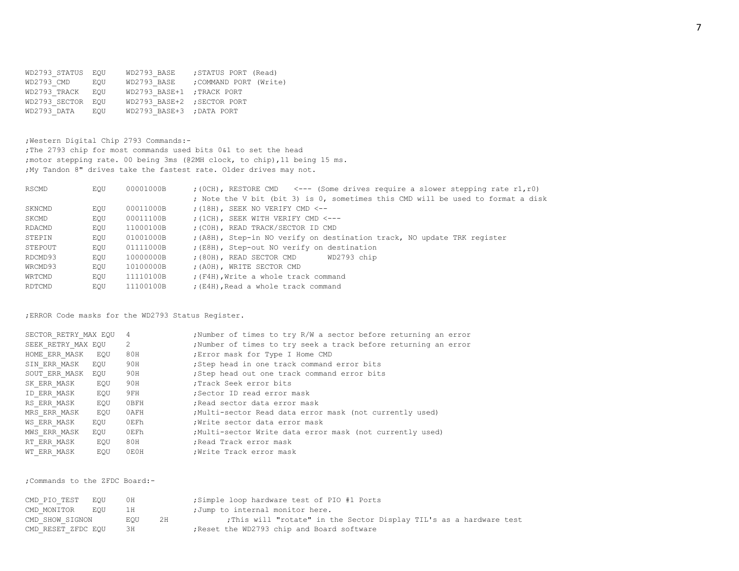WD2793 STATUS EQU WD2793 BASE ; STATUS PORT (Read) WD2793 CMD EQU WD2793 BASE ;COMMAND PORT (Write) WD2793\_TRACK EQU WD2793\_BASE+1 ;TRACK PORT WD2793 SECTOR EQU WD2793 BASE+2 ;SECTOR PORT WD2793\_DATA EQU WD2793\_BASE+3 ;DATA PORT

;Western Digital Chip 2793 Commands:- ;The 2793 chip for most commands used bits 0&1 to set the head ;motor stepping rate. 00 being 3ms (@2MH clock, to chip),11 being 15 ms. ;My Tandon 8" drives take the fastest rate. Older drives may not.

| RSCMD   | EOU | 00001000B | $(0CH)$ , RESTORE CMD $\leq -5$ (Some drives require a slower stepping rate r1, r0) |
|---------|-----|-----------|-------------------------------------------------------------------------------------|
|         |     |           | ; Note the V bit (bit 3) is 0, sometimes this CMD will be used to format a disk     |
| SKNCMD  | EOU | 00011000B | $(18H)$ , SEEK NO VERIFY CMD <--                                                    |
| SKCMD   | EOU | 00011100B | $(1CH)$ , SEEK WITH VERIFY CMD <---                                                 |
| RDACMD  | EOU | 11000100B | ; (COH), READ TRACK/SECTOR ID CMD                                                   |
| STEPIN  | EOU | 01001000B | ; (A8H), Step-in NO verify on destination track, NO update TRK register             |
| STEPOUT | EOU | 01111000B | ; (E8H), Step-out NO verify on destination                                          |
| RDCMD93 | EOU | 10000000B | ; (80H), READ SECTOR CMD<br>WD2793 chip                                             |
| WRCMD93 | EOU | 10100000B | ; (AOH), WRITE SECTOR CMD                                                           |
| WRTCMD  | EOU | 11110100B | ; (F4H), Write a whole track command                                                |
| RDTCMD  | EOU | 11100100B | ; (E4H), Read a whole track command                                                 |

;ERROR Code masks for the WD2793 Status Register.

| SECTOR RETRY MAX EQU |     | 4             | ; Number of times to try R/W a sector before returning an error |
|----------------------|-----|---------------|-----------------------------------------------------------------|
| SEEK RETRY MAX EOU   |     | $\mathcal{L}$ | ; Number of times to try seek a track before returning an error |
| HOME ERR MASK        | EOU | 80H           | ; Error mask for Type I Home CMD                                |
| SIN ERR MASK         | EOU | 90H           | Step head in one track command error bits                       |
| SOUT ERR MASK EOU    |     | 90H           | Step head out one track command error bits                      |
| SK ERR MASK          | EOU | 90H           | :Track Seek error bits                                          |
| ID ERR MASK          | EOU | 9FH           | :Sector ID read error mask                                      |
| RS ERR MASK          | EOU | OBFH          | Read sector data error mask                                     |
| MRS ERR MASK         | EOU | 0AFH          | Multi-sector Read data error mask (not currently used)          |
| WS ERR MASK          | EOU | 0EFh          | : Write sector data error mask                                  |
| MWS ERR MASK         | EOU | OEFh          | ;Multi-sector Write data error mask (not currently used)        |
| RT ERR MASK          | EOU | 80H           | ; Read Track error mask                                         |
| WT ERR MASK          | EOU | OEOH          | Write Track error mask,                                         |

;Commands to the ZFDC Board:-

| CMD PIO TEST EOU   | 0H        |     | Simple loop hardware test of PIO #1 Ports;                          |
|--------------------|-----------|-----|---------------------------------------------------------------------|
| CMD MONITOR        | EOU<br>1H |     | ; Jump to internal monitor here.                                    |
| CMD SHOW SIGNON    | EOU       | 2.H | ; This will "rotate" in the Sector Display TIL's as a hardware test |
| CMD RESET ZFDC EQU | ЗН        |     | ; Reset the WD2793 chip and Board software                          |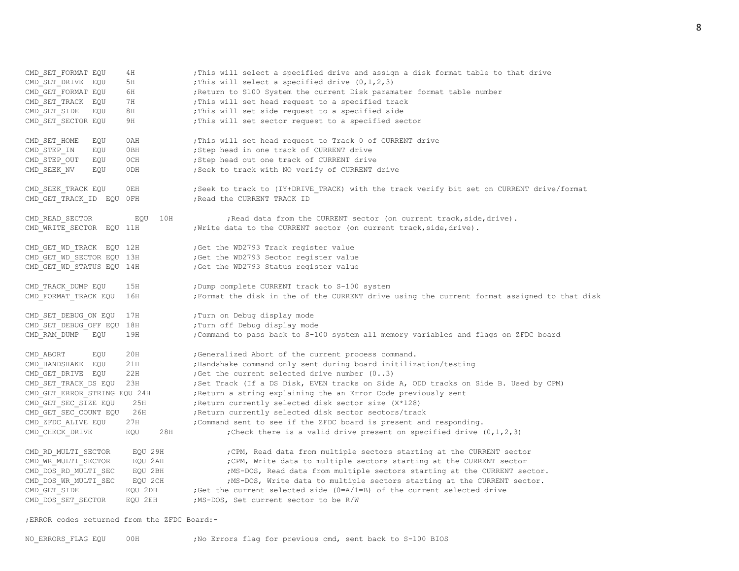8

| CMD SET FORMAT EQU           | 4H         | ; This will select a specified drive and assign a disk format table to that drive            |
|------------------------------|------------|----------------------------------------------------------------------------------------------|
| CMD SET DRIVE<br>EQU         | 5H         | ; This will select a specified drive $(0,1,2,3)$                                             |
| CMD GET FORMAT EQU           | 6H         | ; Return to S100 System the current Disk paramater format table number                       |
| CMD SET TRACK EQU            | 7H         | ; This will set head request to a specified track                                            |
| CMD SET SIDE<br>EQU          | 8H         | ; This will set side request to a specified side                                             |
| CMD SET SECTOR EQU           | 9H         | ; This will set sector request to a specified sector                                         |
| CMD SET HOME<br>EQU          | 0AH        | ; This will set head request to Track 0 of CURRENT drive                                     |
| CMD STEP IN<br>EQU           | 0BH        | ; Step head in one track of CURRENT drive                                                    |
| EQU<br>CMD STEP OUT          | 0CH        | ; Step head out one track of CURRENT drive                                                   |
| EQU<br>CMD SEEK NV           | 0DH        | ; Seek to track with NO verify of CURRENT drive                                              |
|                              |            |                                                                                              |
| CMD SEEK TRACK EQU           | 0EH        | ; Seek to track to (IY+DRIVE TRACK) with the track verify bit set on CURRENT drive/format    |
| CMD GET TRACK ID EQU OFH     |            | ; Read the CURRENT TRACK ID                                                                  |
| CMD READ SECTOR              | 10H<br>EQU | ; Read data from the CURRENT sector (on current track, side, drive).                         |
| CMD WRITE SECTOR EQU 11H     |            | ; Write data to the CURRENT sector (on current track, side, drive).                          |
| CMD GET WD TRACK EQU 12H     |            | ; Get the WD2793 Track register value                                                        |
| CMD_GET_WD_SECTOR EQU 13H    |            | ;Get the WD2793 Sector register value                                                        |
| CMD GET WD STATUS EQU 14H    |            | ;Get the WD2793 Status register value                                                        |
| CMD TRACK DUMP EQU           | 15H        | ; Dump complete CURRENT track to S-100 system                                                |
| CMD FORMAT TRACK EQU         | 16H        | ; Format the disk in the of the CURRENT drive using the current format assigned to that disk |
|                              |            |                                                                                              |
| CMD SET DEBUG ON EQU         | 17H        | ; Turn on Debug display mode                                                                 |
| CMD SET DEBUG OFF EQU 18H    |            | ; Turn off Debug display mode                                                                |
| CMD RAM DUMP<br>EQU          | 19H        | ; Command to pass back to S-100 system all memory variables and flags on ZFDC board          |
| CMD ABORT<br>EQU             | 20H        | ;Generalized Abort of the current process command.                                           |
| CMD HANDSHAKE EQU            | 21H        | ; Handshake command only sent during board initilization/testing                             |
| CMD GET DRIVE EQU            | 22H        | ; Get the current selected drive number (03)                                                 |
| CMD SET TRACK DS EQU         | 23H        | ; Set Track (If a DS Disk, EVEN tracks on Side A, ODD tracks on Side B. Used by CPM)         |
| CMD GET ERROR STRING EQU 24H |            | ; Return a string explaining the an Error Code previously sent                               |
| CMD GET SEC SIZE EQU         | 25H        | ; Return currently selected disk sector size (X*128)                                         |
| CMD GET SEC COUNT EQU        | 26H        | ; Return currently selected disk sector sectors/track                                        |
| CMD ZFDC ALIVE EQU           | 27H        | ; Command sent to see if the ZFDC board is present and responding.                           |
| CMD_CHECK_DRIVE              | EQU<br>28H | ; Check there is a valid drive present on specified drive $(0, 1, 2, 3)$                     |
| CMD RD MULTI SECTOR          | EQU 29H    | ; CPM, Read data from multiple sectors starting at the CURRENT sector                        |
| CMD WR MULTI SECTOR          | EQU 2AH    | ; CPM, Write data to multiple sectors starting at the CURRENT sector                         |
| CMD DOS RD MULTI SEC         | EQU 2BH    | ; MS-DOS, Read data from multiple sectors starting at the CURRENT sector.                    |
| CMD DOS WR MULTI SEC         | EQU 2CH    | ; MS-DOS, Write data to multiple sectors starting at the CURRENT sector.                     |
| CMD GET SIDE                 | EQU 2DH    | ; Get the current selected side $(0=A/1=B)$ of the current selected drive                    |
| CMD DOS SET SECTOR           | EQU 2EH    | ;MS-DOS, Set current sector to be R/W                                                        |
|                              |            |                                                                                              |

;ERROR codes returned from the ZFDC Board:-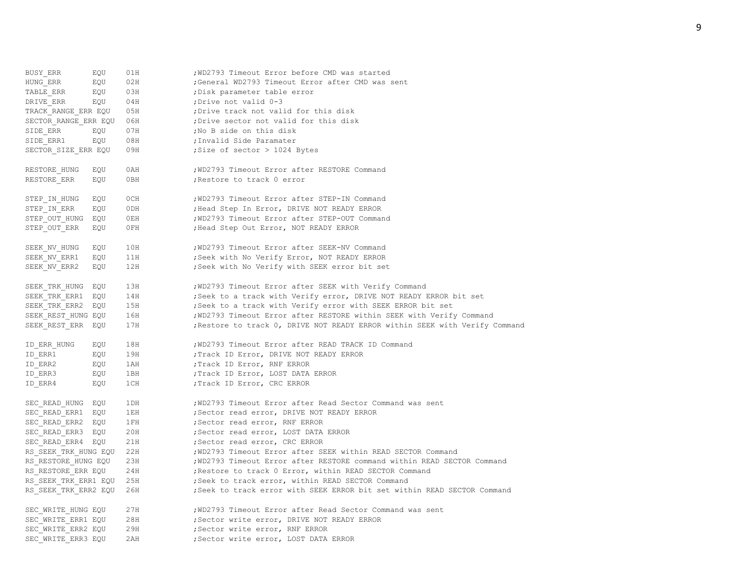| BUSY ERR             | EQU | 01H | ; WD2793 Timeout Error before CMD was started                               |
|----------------------|-----|-----|-----------------------------------------------------------------------------|
| HUNG ERR             | EQU | 02H | ;General WD2793 Timeout Error after CMD was sent                            |
| TABLE ERR            | EQU | 03H | ; Disk parameter table error                                                |
| DRIVE ERR            | EQU | 04H | ; Drive not valid 0-3                                                       |
| TRACK RANGE ERR EQU  |     | 05H | ; Drive track not valid for this disk                                       |
| SECTOR RANGE ERR EQU |     | 06H | ; Drive sector not valid for this disk                                      |
| SIDE ERR             | EQU | 07H | ; No B side on this disk                                                    |
| SIDE ERR1            | EQU | 08H | ; Invalid Side Paramater                                                    |
| SECTOR_SIZE_ERR EQU  |     | 09H | ; Size of sector > 1024 Bytes                                               |
|                      |     |     |                                                                             |
| RESTORE_HUNG         | EQU | 0AH | ; WD2793 Timeout Error after RESTORE Command                                |
| RESTORE_ERR          | EQU | 0BH | ; Restore to track 0 error                                                  |
|                      |     |     |                                                                             |
| STEP IN HUNG         | EQU | 0CH | ; WD2793 Timeout Error after STEP-IN Command                                |
| STEP IN ERR          | EQU | 0DH | ; Head Step In Error, DRIVE NOT READY ERROR                                 |
| STEP OUT HUNG        | EQU | OEH | ; WD2793 Timeout Error after STEP-OUT Command                               |
| STEP OUT ERR         | EQU | OFH | ; Head Step Out Error, NOT READY ERROR                                      |
|                      |     |     |                                                                             |
| SEEK NV HUNG         | EQU | 10H | ; WD2793 Timeout Error after SEEK-NV Command                                |
| SEEK_NV_ERR1         | EQU | 11H | ; Seek with No Verify Error, NOT READY ERROR                                |
| SEEK NV ERR2         | EQU | 12H | ; Seek with No Verify with SEEK error bit set                               |
|                      |     |     |                                                                             |
| SEEK_TRK_HUNG        | EQU | 13H | ; WD2793 Timeout Error after SEEK with Verify Command                       |
| SEEK TRK ERR1        | EQU | 14H | ; Seek to a track with Verify error, DRIVE NOT READY ERROR bit set          |
| SEEK TRK ERR2        | EQU | 15H | ; Seek to a track with Verify error with SEEK ERROR bit set                 |
| SEEK REST HUNG EQU   |     | 16H | ; WD2793 Timeout Error after RESTORE within SEEK with Verify Command        |
| SEEK REST ERR        | EQU | 17H | ; Restore to track 0, DRIVE NOT READY ERROR within SEEK with Verify Command |
|                      |     |     |                                                                             |
| ID ERR HUNG          | EQU | 18H | ; WD2793 Timeout Error after READ TRACK ID Command                          |
| ID ERR1              | EQU | 19H | ; Track ID Error, DRIVE NOT READY ERROR                                     |
| ID ERR2              | EQU | 1AH | ; Track ID Error, RNF ERROR                                                 |
| ID ERR3              | EQU | 1BH | ; Track ID Error, LOST DATA ERROR                                           |
| ID ERR4              | EQU | 1CH | ; Track ID Error, CRC ERROR                                                 |
|                      |     |     |                                                                             |
| SEC READ HUNG        | EQU | 1DH | ; WD2793 Timeout Error after Read Sector Command was sent                   |
| SEC READ ERR1        | EQU | 1EH | ; Sector read error, DRIVE NOT READY ERROR                                  |
| SEC READ ERR2        | EQU | 1FH | ; Sector read error, RNF ERROR                                              |
| SEC READ ERR3 EQU    |     | 20H | ; Sector read error, LOST DATA ERROR                                        |
| SEC READ ERR4 EQU    |     | 21H | ; Sector read error, CRC ERROR                                              |
| RS SEEK TRK HUNG EQU |     | 22H | ; WD2793 Timeout Error after SEEK within READ SECTOR Command                |
| RS RESTORE HUNG EQU  |     | 23H | ; WD2793 Timeout Error after RESTORE command within READ SECTOR Command     |
| RS RESTORE ERR EQU   |     | 24H | ; Restore to track 0 Error, within READ SECTOR Command                      |
| RS SEEK TRK ERR1 EQU |     | 25H | ; Seek to track error, within READ SECTOR Command                           |
| RS_SEEK_TRK_ERR2 EQU |     | 26H | ; Seek to track error with SEEK ERROR bit set within READ SECTOR Command    |
|                      |     |     |                                                                             |
| SEC WRITE HUNG EQU   |     | 27H | ; WD2793 Timeout Error after Read Sector Command was sent                   |
| SEC WRITE ERR1 EQU   |     | 28H | ; Sector write error, DRIVE NOT READY ERROR                                 |
| SEC WRITE ERR2 EQU   |     | 29H | ; Sector write error, RNF ERROR                                             |
| SEC WRITE ERR3 EQU   |     | 2AH | ; Sector write error, LOST DATA ERROR                                       |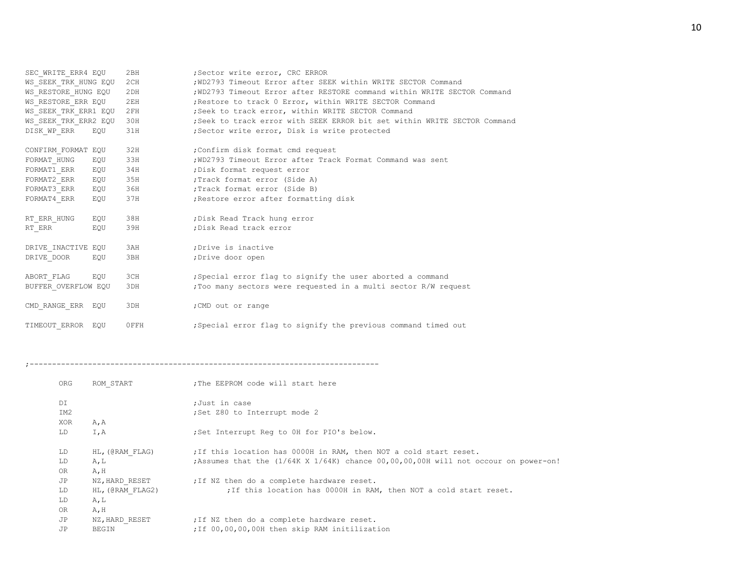| SEC WRITE ERR4 EQU          |     | 2BH  | ;Sector write error, CRC ERROR                                            |  |  |  |  |
|-----------------------------|-----|------|---------------------------------------------------------------------------|--|--|--|--|
| WS SEEK TRK HUNG EQU<br>2CH |     |      | ; WD2793 Timeout Error after SEEK within WRITE SECTOR Command             |  |  |  |  |
| WS RESTORE HUNG EQU         |     | 2DH  | ; WD2793 Timeout Error after RESTORE command within WRITE SECTOR Command  |  |  |  |  |
| WS RESTORE ERR EQU          |     | 2EH  | ; Restore to track 0 Error, within WRITE SECTOR Command                   |  |  |  |  |
| WS SEEK TRK ERR1 EQU        |     | 2FH  | ; Seek to track error, within WRITE SECTOR Command                        |  |  |  |  |
| WS SEEK TRK ERR2 EQU        |     | 30H  | ; Seek to track error with SEEK ERROR bit set within WRITE SECTOR Command |  |  |  |  |
| DISK WP ERR                 | EQU | 31H  | ;Sector write error, Disk is write protected                              |  |  |  |  |
| CONFIRM FORMAT EQU          |     | 32H  | :Confirm disk format cmd request                                          |  |  |  |  |
| FORMAT HUNG                 | EQU | 33H  | ; WD2793 Timeout Error after Track Format Command was sent                |  |  |  |  |
| FORMAT1 ERR                 | EQU | 34H  | ; Disk format request error                                               |  |  |  |  |
| FORMAT2 ERR                 | EQU | 35H  | ; Track format error (Side A)                                             |  |  |  |  |
| FORMAT3 ERR                 | EQU | 36H  | ; Track format error (Side B)                                             |  |  |  |  |
| FORMAT4 ERR                 | EQU | 37H  | ; Restore error after formatting disk                                     |  |  |  |  |
| RT ERR HUNG                 | EQU | 38H  | ; Disk Read Track hung error                                              |  |  |  |  |
| RT ERR                      | EQU | 39H  | ; Disk Read track error                                                   |  |  |  |  |
| DRIVE INACTIVE EQU          |     | 3AH  | ; Drive is inactive                                                       |  |  |  |  |
| DRIVE DOOR                  | EQU | 3BH  | ;Drive door open                                                          |  |  |  |  |
| ABORT FLAG                  | EOU | 3CH  | Special error flag to signify the user aborted a command                  |  |  |  |  |
| BUFFER OVERFLOW EQU         |     | 3DH  | ; Too many sectors were requested in a multi sector R/W request           |  |  |  |  |
| CMD RANGE ERR EQU           |     | 3DH  | ; CMD out or range                                                        |  |  |  |  |
| TIMEOUT ERROR EOU           |     | OFFH | ; Special error flag to signify the previous command timed out            |  |  |  |  |

;------------------------------------------------------------------------------

| ORG | ROM START        | : The EEPROM code will start here                                                            |
|-----|------------------|----------------------------------------------------------------------------------------------|
| DI  |                  | ;Just in case                                                                                |
| IM2 |                  | ;Set Z80 to Interrupt mode 2                                                                 |
| XOR | A, A             |                                                                                              |
| LD  | I,A              | ;Set Interrupt Req to OH for PIO's below.                                                    |
|     |                  |                                                                                              |
| LD  | HL, (@RAM FLAG)  | ; If this location has 0000H in RAM, then NOT a cold start reset.                            |
| LD  | A, L             | ; Assumes that the $(1/64K \times 1/64K)$ chance $00,00,00,00H$ will not occour on power-on! |
| 0R  | A, H             |                                                                                              |
| JP  | NZ, HARD RESET   | ; If NZ then do a complete hardware reset.                                                   |
| LD  | HL, (@RAM FLAG2) | ; If this location has 0000H in RAM, then NOT a cold start reset.                            |
| LD  | A, L             |                                                                                              |
| OR  | A, H             |                                                                                              |
| JP  | NZ, HARD RESET   | ; If NZ then do a complete hardware reset.                                                   |
| JP  | BEGIN            | ; If 00,00,00,00H then skip RAM initilization                                                |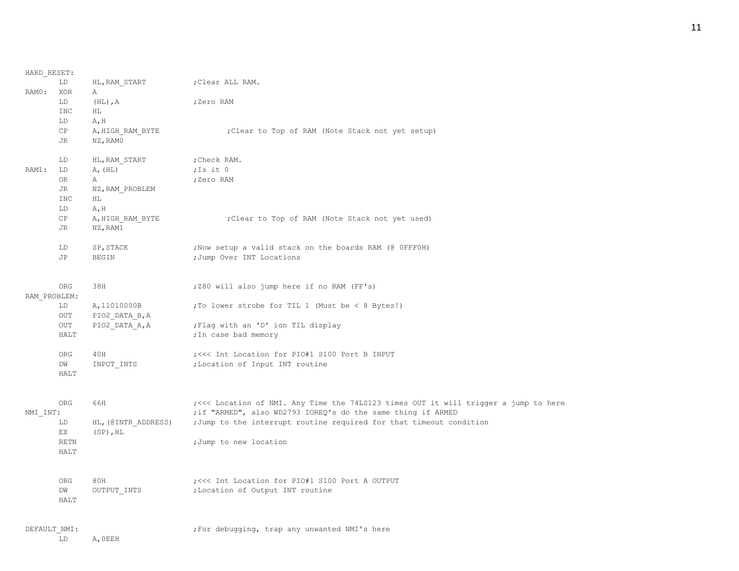| HARD RESET:  |                        |                     |                                                                                      |
|--------------|------------------------|---------------------|--------------------------------------------------------------------------------------|
|              | LD                     | HL, RAM START       | ;Clear ALL RAM.                                                                      |
| RAMO:        | XOR                    | Α                   |                                                                                      |
|              | LD                     | $(HL)$ , A          | ;Zero RAM                                                                            |
|              | INC                    | ΗL                  |                                                                                      |
|              | LD                     | A, H                |                                                                                      |
|              | $\mathbb{C}\mathbb{P}$ | A, HIGH RAM BYTE    | ; Clear to Top of RAM (Note Stack not yet setup)                                     |
|              | JR.                    | NZ, RAMO            |                                                                                      |
|              | LD                     | HL, RAM START       | ; Check RAM.                                                                         |
| RAM1:        | LD                     | A, (HL)             | ; Is it $0$                                                                          |
|              | 0R                     | Α                   | ;Zero RAM                                                                            |
|              | <b>JR</b>              | NZ, RAM PROBLEM     |                                                                                      |
|              | <b>INC</b>             | HL                  |                                                                                      |
|              | LD                     | A, H                |                                                                                      |
|              | $\mathbb{C}\mathbb{P}$ | A, HIGH RAM BYTE    | ; Clear to Top of RAM (Note Stack not yet used)                                      |
|              | JR.                    | NZ, RAM1            |                                                                                      |
|              | LD                     | SP, STACK           | ; Now setup a valid stack on the boards RAM (@ OFFFOH)                               |
|              | JP                     | BEGIN               | ; Jump Over INT Locations                                                            |
|              |                        |                     |                                                                                      |
|              | ORG                    | 38H                 | ; Z80 will also jump here if no RAM (FF's)                                           |
| RAM PROBLEM: |                        |                     |                                                                                      |
|              | LD                     | A, 11010000B        | ; To lower strobe for TIL 1 (Must be $< 8$ Bytes!)                                   |
|              | <b>OUT</b>             | PIO2 DATA B, A      |                                                                                      |
|              | $_{\mathrm{OUT}}$      | PIO2 DATA A, A      | ; Flag with an 'D' ion TIL display                                                   |
|              | <b>HALT</b>            |                     | ; In case bad memory                                                                 |
|              |                        |                     |                                                                                      |
|              | ORG                    | 40H                 | ; <<< Int Location for PIO#1 S100 Port B INPUT                                       |
|              | DW                     | INPUT INTS          | ; Location of Input INT routine                                                      |
|              | <b>HALT</b>            |                     |                                                                                      |
|              |                        |                     |                                                                                      |
|              | ORG                    | 66H                 | ; <<< Location of NMI. Any Time the 74LS123 times OUT it will trigger a jump to here |
| NMI INT:     |                        |                     | ; if "ARMED", also WD2793 IOREQ's do the same thing if ARMED                         |
|              | LD                     | HL, (@INTR_ADDRESS) | ;Jump to the interrupt routine required for that timeout condition                   |
|              | EX                     | $(SP)$ , HL         |                                                                                      |
|              | <b>RETN</b>            |                     | ;Jump to new location                                                                |
|              | <b>HALT</b>            |                     |                                                                                      |
|              |                        |                     |                                                                                      |
|              | ORG                    | 80H                 | ; <<< Int Location for PIO#1 S100 Port A OUTPUT                                      |
|              | DW                     | OUTPUT INTS         | ; Location of Output INT routine                                                     |
|              | <b>HALT</b>            |                     |                                                                                      |
| DEFAULT NMI: |                        |                     | ; For debugging, trap any unwanted NMI's here                                        |
|              | LD                     | A, OEEH             |                                                                                      |
|              |                        |                     |                                                                                      |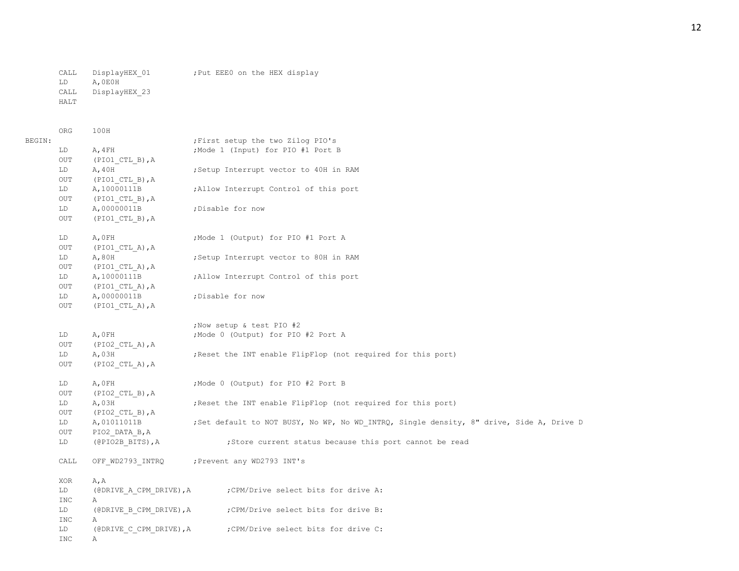LD A,0E0H CALL DisplayHEX\_23 HALT

ORG 100H

| BEGIN: |            |                                 | ; First setup the two Zilog PIO's                                                        |
|--------|------------|---------------------------------|------------------------------------------------------------------------------------------|
|        | LD         | A, 4FH                          | ; Mode 1 (Input) for PIO #1 Port B                                                       |
|        | OUT        | (PIO1 CTL B), A                 |                                                                                          |
|        | LD         | A, 40H                          | Setup Interrupt vector to 40H in RAM                                                     |
|        | OUT        | $(PIO1_CTL_B)$ , A              |                                                                                          |
|        | LD         | A, 10000111B                    | ; Allow Interrupt Control of this port                                                   |
|        | OUT        | (PIO1 CTL B), A                 |                                                                                          |
|        | LD         | A,00000011B                     | ; Disable for now                                                                        |
|        | OUT        | (PIO1 CTL B), A                 |                                                                                          |
|        | LD         | A, OFH                          | ; Mode 1 (Output) for PIO #1 Port A                                                      |
|        | OUT        | $(PIO1$ CTL A), A               |                                                                                          |
|        | LD         | A,80H                           | ;Setup Interrupt vector to 80H in RAM                                                    |
|        | OUT        | $(PIO1_CTL_A)$ , A              |                                                                                          |
|        | LD         | A, 10000111B                    | ; Allow Interrupt Control of this port                                                   |
|        | OUT        | (PIO1 CTL A), A                 |                                                                                          |
|        | LD         | A,00000011B                     | ;Disable for now                                                                         |
|        | OUT        | $(PIO1 CTL A)$ , A              |                                                                                          |
|        |            |                                 | ; Now setup & test PIO #2                                                                |
|        | LD         | A, OFH                          | ; Mode 0 (Output) for PIO #2 Port A                                                      |
|        | OUT        | $(PIO2$ CTL A), A               |                                                                                          |
|        | LD         | A,03H                           | ; Reset the INT enable FlipFlop (not required for this port)                             |
|        | OUT        | $(PIO2$ CTL A), A               |                                                                                          |
|        | LD         | A, OFH                          | ; Mode 0 (Output) for PIO #2 Port B                                                      |
|        | OUT        | $(PIO2$ CTL B), A               |                                                                                          |
|        | LD         | A,03H                           | ; Reset the INT enable FlipFlop (not required for this port)                             |
|        | OUT        | $( \texttt{PIO2\_CTL\_B} )$ , A |                                                                                          |
|        | LD         | A, 01011011B                    | ; Set default to NOT BUSY, No WP, No WD INTRQ, Single density, 8" drive, Side A, Drive D |
|        | OUT        | PIO2 DATA B, A                  |                                                                                          |
|        | LD         | (@PIO2B BITS), A                | ;Store current status because this port cannot be read                                   |
|        | CALL       | OFF WD2793 INTRQ                | ; Prevent any WD2793 INT's                                                               |
|        | XOR        | A, A                            |                                                                                          |
|        | LD         |                                 | (@DRIVE A CPM DRIVE), A ; CPM/Drive select bits for drive A:                             |
|        | <b>INC</b> | Α                               |                                                                                          |
|        | LD         | (@DRIVE B CPM DRIVE), A         | CPM/Drive select bits for drive B:                                                       |
|        | INC        | Α                               |                                                                                          |
|        | LD         | (@DRIVE C CPM DRIVE), A         | ; CPM/Drive select bits for drive C:                                                     |
|        | <b>INC</b> | Α                               |                                                                                          |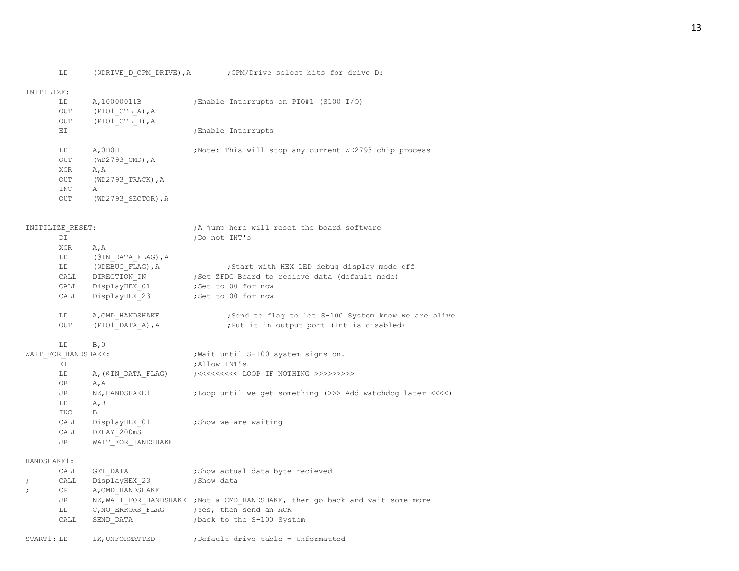### INITILIZE:

| LD         | A, 10000011B       | Enable Interrupts on PIO#1 (S100 I/O);                 |
|------------|--------------------|--------------------------------------------------------|
| <b>OUT</b> | $(PIO1$ CTL A), A  |                                                        |
| <b>OUT</b> | $(PIO1 CTL B)$ , A |                                                        |
| EI         |                    | ;Enable Interrupts                                     |
| LD         | A, ODOH            | ; Note: This will stop any current WD2793 chip process |
| OUT        | (WD2793 CMD), A    |                                                        |
| <b>XOR</b> | A, A               |                                                        |
| OUT        | (WD2793 TRACK), A  |                                                        |
| INC.       | Α                  |                                                        |
| OUT        | (WD2793 SECTOR), A |                                                        |
|            |                    |                                                        |

## INITILIZE RESET:  $A_j$  jump here will reset the board software

| DT         |                    | ;Do not INT's                                      |
|------------|--------------------|----------------------------------------------------|
| <b>XOR</b> | A, A               |                                                    |
| LD         | (@IN DATA FLAG), A |                                                    |
| LD.        | (@DEBUG FLAG), A   | ; Start with HEX LED debug display mode off        |
| CALL       | DIRECTION IN       | ; Set ZFDC Board to recieve data (default mode)    |
| CALL       | DisplayHEX 01      | ;Set to 00 for now                                 |
| CALL       | DisplayHEX 23      | :Set to 00 for now                                 |
| LD.        | A, CMD HANDSHAKE   | Send to flag to let S-100 System know we are alive |
| OUT        | (PIO1 DATA A), A   | ; Put it in output port (Int is disabled)          |
|            |                    |                                                    |

## $LD$   $B, 0$

| WAIT FOR HANDSHAKE: |                    | ; Wait until S-100 system signs on.                                 |  |  |  |  |  |  |
|---------------------|--------------------|---------------------------------------------------------------------|--|--|--|--|--|--|
| ET.                 |                    | ; Allow INT's                                                       |  |  |  |  |  |  |
| LD                  | A, (@IN DATA FLAG) |                                                                     |  |  |  |  |  |  |
| <b>OR</b>           | A, A               |                                                                     |  |  |  |  |  |  |
| JR                  | NZ, HANDSHAKE1     | ;Loop until we get something $(\gg)$ Add watchdog later $\ll\ll\ll$ |  |  |  |  |  |  |
| LD                  | A, B               |                                                                     |  |  |  |  |  |  |
| <b>INC</b>          | В                  |                                                                     |  |  |  |  |  |  |
| CALL                | DisplayHEX 01      | ; Show we are waiting                                               |  |  |  |  |  |  |
| CALL                | DELAY 200mS        |                                                                     |  |  |  |  |  |  |
| JR.                 | WAIT FOR HANDSHAKE |                                                                     |  |  |  |  |  |  |

#### HANDSHAKE1:

|            | CALL | GET DATA         | ; Show actual data byte recieved                                              |
|------------|------|------------------|-------------------------------------------------------------------------------|
| $\cdot$ .  | CALL | DisplayHEX 23    | ;Show data                                                                    |
| $\ddot{i}$ | CP.  | A, CMD HANDSHAKE |                                                                               |
|            | JR   |                  | NZ, WAIT FOR HANDSHAKE ; Not a CMD HANDSHAKE, ther go back and wait some more |
|            | LD   | C,NO ERRORS FLAG | ;Yes, then send an ACK                                                        |
|            | CALL | SEND DATA        | back to the S-100 System;                                                     |
|            |      |                  |                                                                               |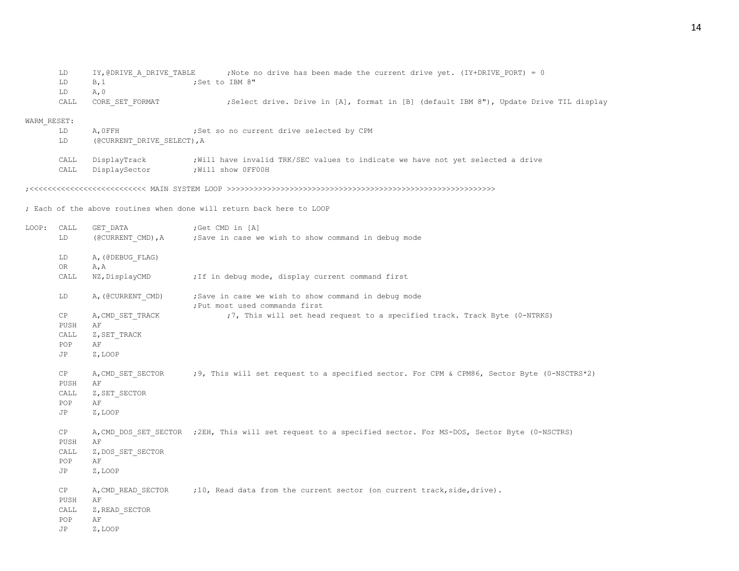| LD.          |                                                                            |                                                        |                |                   |  |                                           |  |  |                                                                                                                                                             |                                                                                        |
|--------------|----------------------------------------------------------------------------|--------------------------------------------------------|----------------|-------------------|--|-------------------------------------------|--|--|-------------------------------------------------------------------------------------------------------------------------------------------------------------|----------------------------------------------------------------------------------------|
| LD           |                                                                            |                                                        |                |                   |  |                                           |  |  |                                                                                                                                                             |                                                                                        |
| LD.          |                                                                            |                                                        |                |                   |  |                                           |  |  |                                                                                                                                                             |                                                                                        |
| CALL         |                                                                            |                                                        |                |                   |  |                                           |  |  |                                                                                                                                                             |                                                                                        |
| WARM RESET:  |                                                                            |                                                        |                |                   |  |                                           |  |  |                                                                                                                                                             |                                                                                        |
| LD           |                                                                            |                                                        |                |                   |  |                                           |  |  |                                                                                                                                                             |                                                                                        |
| LD.          |                                                                            |                                                        |                |                   |  |                                           |  |  |                                                                                                                                                             |                                                                                        |
| CALL<br>CALL |                                                                            |                                                        |                |                   |  |                                           |  |  |                                                                                                                                                             |                                                                                        |
|              | B, 1<br>A, 0<br>CORE SET FORMAT<br>A.OFFH<br>DisplayTrack<br>DisplaySector | IY, @DRIVE A DRIVE TABLE<br>(@CURRENT DRIVE SELECT), A | :Set to IBM 8" | :Will show OFFOOH |  | ; Set so no current drive selected by CPM |  |  | ; Note no drive has been made the current drive yet. (IY+DRIVE PORT) = 0<br>; Will have invalid TRK/SEC values to indicate we have not yet selected a drive | ; Select drive. Drive in [A], format in [B] (default IBM 8"), Update Drive TIL display |

;<<<<<<<<<<<<<<<<<<<<<<<<<< MAIN SYSTEM LOOP >>>>>>>>>>>>>>>>>>>>>>>>>>>>>>>>>>>>>>>>>>>>>>>>>>>>>>>>>>>>

; Each of the above routines when done will return back here to LOOP

| LOOP: | CALL       | GET DATA          | Get CMD in [A]                                                                                               |
|-------|------------|-------------------|--------------------------------------------------------------------------------------------------------------|
|       | LD         |                   | (@CURRENT CMD), A ; Save in case we wish to show command in debug mode                                       |
|       | LD         | A, (@DEBUG_FLAG)  |                                                                                                              |
|       | OR         | A, A              |                                                                                                              |
|       | CALL       | NZ, DisplayCMD    | ; If in debug mode, display current command first                                                            |
|       | LD         | A, (@CURRENT CMD) | ;Save in case we wish to show command in debug mode<br>; Put most used commands first                        |
|       | CP         | A, CMD SET TRACK  | ;7, This will set head request to a specified track. Track Byte (0-NTRKS)                                    |
|       | PUSH       | AF                |                                                                                                              |
|       | CALL       | Z, SET TRACK      |                                                                                                              |
|       | POP        | AF                |                                                                                                              |
|       | JP         | Z, LOOP           |                                                                                                              |
|       | CP         |                   | A, CMD SET SECTOR ;9, This will set request to a specified sector. For CPM & CPM86, Sector Byte (0-NSCTRS*2) |
|       | PUSH       | AF                |                                                                                                              |
|       | CALL       | Z, SET SECTOR     |                                                                                                              |
|       | POP        | AF                |                                                                                                              |
|       | JP         | Z, LOOP           |                                                                                                              |
|       | CP<br>PUSH | AF                | A, CMD DOS SET SECTOR ; 2EH, This will set request to a specified sector. For MS-DOS, Sector Byte (0-NSCTRS) |
|       | CALL       | Z, DOS SET SECTOR |                                                                                                              |
|       | POP        | AF                |                                                                                                              |
|       | JP         | Z, LOOP           |                                                                                                              |
|       | CP         |                   | A, CMD READ SECTOR ;10, Read data from the current sector (on current track, side, drive).                   |
|       | PUSH       | AF                |                                                                                                              |
|       | CALL       | Z, READ SECTOR    |                                                                                                              |
|       | POP        | AF                |                                                                                                              |
|       | JP         | Z, LOOP           |                                                                                                              |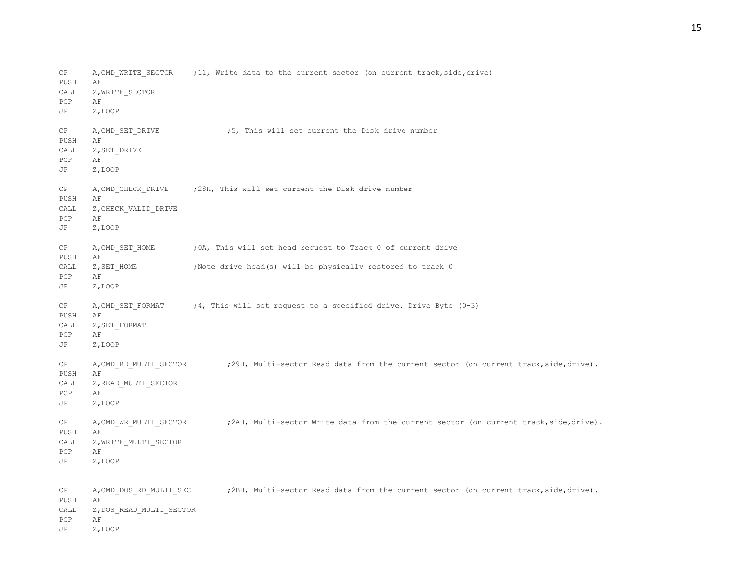CP A, CMD WRITE SECTOR ; 11, Write data to the current sector (on current track, side, drive) PUSH AF CALL Z, WRITE SECTOR POP AF JP Z,LOOP CP A, CMD SET DRIVE :5, This will set current the Disk drive number PUSH AF CALL Z, SET DRIVE POP AF JP Z,LOOP CP A, CMD CHECK DRIVE ; 28H, This will set current the Disk drive number PUSH AF CALL Z, CHECK VALID DRIVE POP AF JP Z,LOOP CP A, CMD SET HOME ; 0A, This will set head request to Track 0 of current drive PUSH AF CALL  $Z$ , SET HOME ;Note drive head(s) will be physically restored to track 0 POP AF JP Z,LOOP CP  $A$ , CMD SET FORMAT ; 4, This will set request to a specified drive. Drive Byte (0-3) PUSH AF CALL Z, SET\_FORMAT POP AF JP Z,LOOP CP A, CMD\_RD\_MULTI\_SECTOR ;29H, Multi-sector Read data from the current sector (on current track,side,drive). PUSH AF CALL Z, READ MULTI SECTOR POP AF JP Z,LOOP CP A, CMD WR MULTI SECTOR ; 2AH, Multi-sector Write data from the current sector (on current track, side, drive). PUSH AF CALL Z, WRITE MULTI SECTOR POP AF JP Z,LOOP CP A, CMD DOS RD MULTI SEC ;2BH, Multi-sector Read data from the current sector (on current track,side,drive). PUSH AF CALL Z, DOS\_READ\_MULTI\_SECTOR POP AF JP Z,LOOP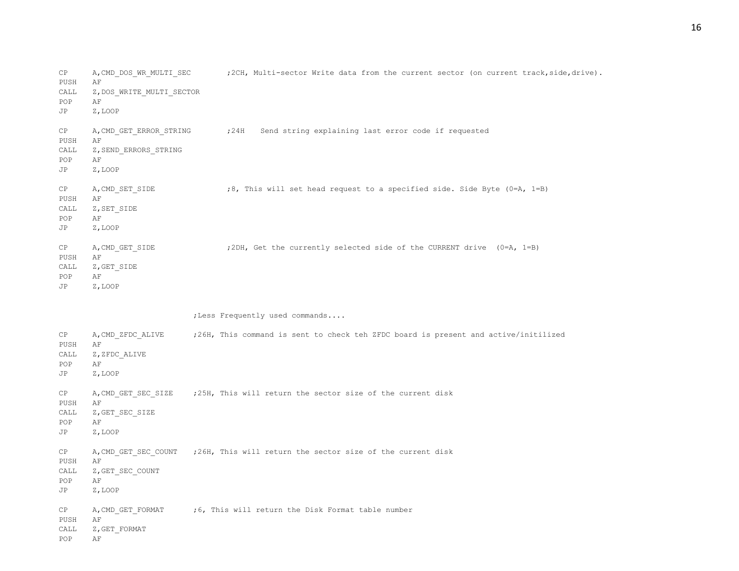CP A, CMD DOS WR\_MULTI\_SEC ;2CH, Multi-sector Write data from the current sector (on current track,side,drive). PUSH AF CALL Z, DOS WRITE MULTI SECTOR POP AF JP Z,LOOP CP A, CMD GET ERROR STRING : 24H Send string explaining last error code if requested PUSH AF CALL Z, SEND ERRORS STRING POP AF JP Z,LOOP CP A, CMD SET SIDE ;8, This will set head request to a specified side. Side Byte (0=A, 1=B) PUSH AF CALL Z, SET SIDE POP AF JP Z,LOOP CP A, CMD GET SIDE ;2DH, Get the currently selected side of the CURRENT drive (0=A, 1=B) PUSH AF CALL Z, GET SIDE POP AF JP Z,LOOP ;Less Frequently used commands.... CP A,CMD\_ZFDC\_ALIVE ;26H, This command is sent to check teh ZFDC board is present and active/initilized PUSH AF CALL Z, ZFDC ALIVE POP AF JP Z,LOOP CP A, CMD GET SEC SIZE ;25H, This will return the sector size of the current disk PUSH AF CALL Z, GET SEC SIZE POP AF JP Z,LOOP CP A, CMD GET SEC COUNT ;26H, This will return the sector size of the current disk PUSH AF CALL Z, GET SEC COUNT POP AF JP Z,LOOP CP  $A$ , CMD GET FORMAT ; 6, This will return the Disk Format table number PUSH AF CALL Z, GET FORMAT POP AF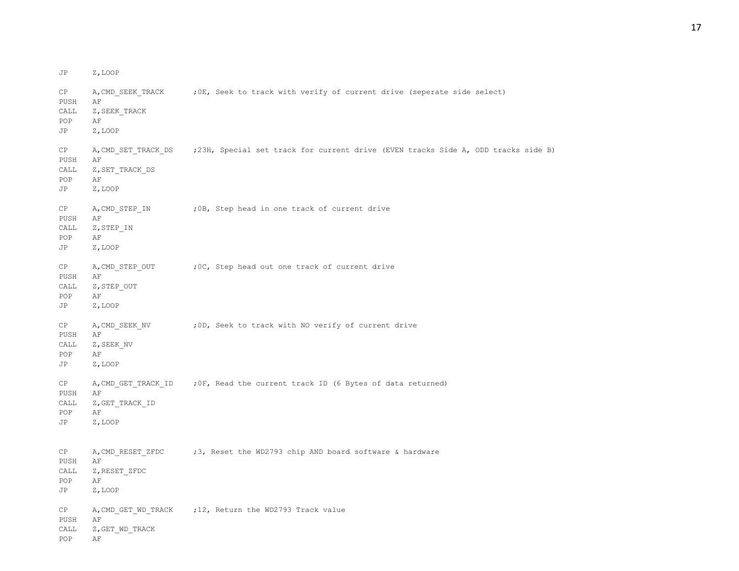CP A, CMD SEEK TRACK ;0E, Seek to track with verify of current drive (seperate side select) PUSH AF CALL Z, SEEK TRACK POP AF JP Z,LOOP CP A, CMD SET TRACK DS ; 23H, Special set track for current drive (EVEN tracks Side A, ODD tracks side B) PUSH AF CALL Z, SET TRACK DS POP AF JP Z,LOOP CP A, CMD STEP IN ; 0B, Step head in one track of current drive PUSH AF CALL Z, STEP IN POP AF JP Z,LOOP CP A, CMD STEP OUT ; OC, Step head out one track of current drive PUSH AF CALL Z, STEP OUT POP AF JP Z,LOOP CP A, CMD SEEK NV : 0D, Seek to track with NO verify of current drive PUSH AF CALL Z, SEEK NV POP AF JP Z,LOOP CP A, CMD GET TRACK ID ; OF, Read the current track ID (6 Bytes of data returned) PUSH AF CALL Z, GET TRACK ID POP AF JP Z,LOOP CP A, CMD RESET ZFDC ;3, Reset the WD2793 chip AND board software & hardware PUSH AF CALL Z, RESET ZFDC POP AF JP Z,LOOP CP A, CMD GET WD TRACK ;12, Return the WD2793 Track value PUSH AF CALL Z, GET WD TRACK POP AF

JP Z,LOOP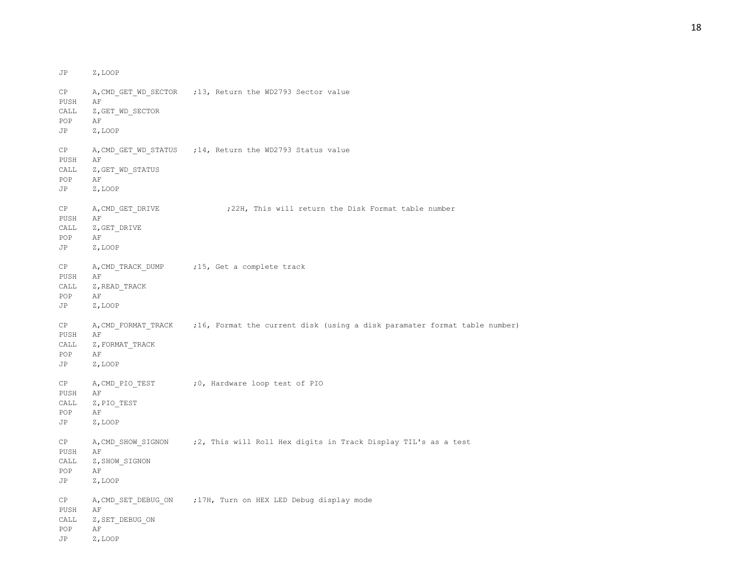JP Z,LOOP CP A, CMD GET WD SECTOR ;13, Return the WD2793 Sector value PUSH AF CALL Z, GET WD SECTOR POP AF JP Z,LOOP CP A, CMD GET WD STATUS ; 14, Return the WD2793 Status value PUSH AF CALL Z, GET WD STATUS POP AF JP Z,LOOP CP A, CMD GET DRIVE : 22H, This will return the Disk Format table number PUSH AF CALL Z, GET DRIVE POP AF JP Z,LOOP CP A, CMD TRACK DUMP ;15, Get a complete track PUSH AF CALL Z, READ TRACK POP AF JP Z,LOOP CP A, CMD\_FORMAT\_TRACK ;16, Format the current disk (using a disk paramater format table number) PUSH AF CALL Z, FORMAT\_TRACK POP AF JP Z,LOOP CP A, CMD PIO TEST ;0, Hardware loop test of PIO PUSH AF CALL Z, PIO TEST POP AF JP Z,LOOP CP A,CMD\_SHOW\_SIGNON ;2, This will Roll Hex digits in Track Display TIL's as a test PUSH AF CALL Z, SHOW SIGNON POP AF JP Z,LOOP CP A, CMD SET DEBUG ON ; 17H, Turn on HEX LED Debug display mode PUSH AF CALL Z, SET DEBUG ON POP AF JP Z,LOOP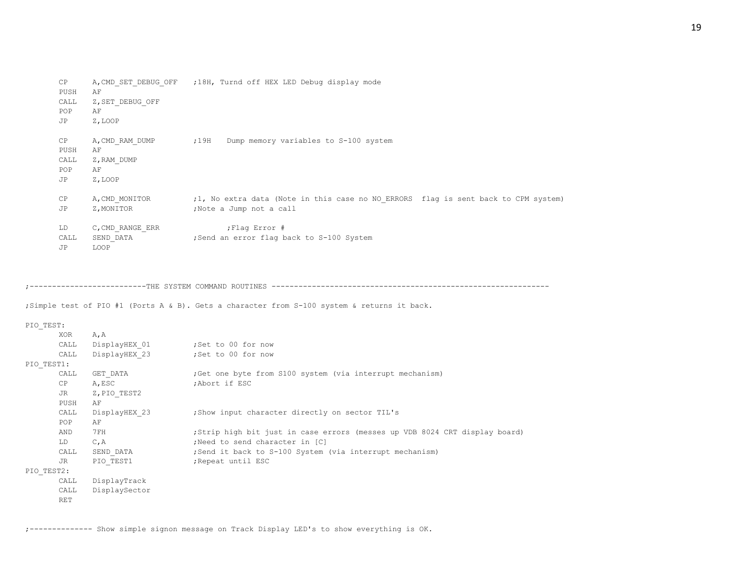| CP<br>PUSH<br>CALL<br>POP<br>JP | A, CMD SET DEBUG OFF<br>AF<br>Z, SET DEBUG OFF<br>ΑF<br>Z, LOOP | ;18H, Turnd off HEX LED Debug display mode                                                                    |
|---------------------------------|-----------------------------------------------------------------|---------------------------------------------------------------------------------------------------------------|
| CP<br>PUSH<br>CALL<br>POP<br>JP | A, CMD RAM DUMP<br>AF<br>Z, RAM DUMP<br>AF<br>Z, LOOP           | ;19H<br>Dump memory variables to S-100 system                                                                 |
| CP<br>JP                        | A, CMD MONITOR<br>Z, MONITOR                                    | ;1, No extra data (Note in this case no NO ERRORS flag is sent back to CPM system)<br>;Note a Jump not a call |
| LD<br>CALL<br>JP                | C, CMD RANGE ERR<br>SEND DATA<br>LOOP                           | ; Flag Error #<br>;Send an error flag back to S-100 System                                                    |

;--------------------------THE SYSTEM COMMAND ROUTINES --------------------------------------------------------------

;Simple test of PIO #1 (Ports A & B). Gets a character from S-100 system & returns it back.

## PIO\_TEST:

|            | XOR        | A, A          |                                                                             |
|------------|------------|---------------|-----------------------------------------------------------------------------|
|            | CALL       | DisplayHEX 01 | ;Set to 00 for now                                                          |
|            | CALL       | DisplayHEX 23 | ;Set to 00 for now                                                          |
| PIO TEST1: |            |               |                                                                             |
|            | CALL       | GET DATA      | Get one byte from S100 system (via interrupt mechanism)                     |
|            | CP         | A, ESC        | ;Abort if ESC                                                               |
|            | JR         | Z, PIO TEST2  |                                                                             |
|            | PUSH       | AF            |                                                                             |
|            | CALL       | DisplayHEX 23 | ; Show input character directly on sector TIL's                             |
|            | POP        | AF            |                                                                             |
|            | AND        | 7 F H         | ; Strip high bit just in case errors (messes up VDB 8024 CRT display board) |
|            | LD         | C, A          | ; Need to send character in [C]                                             |
|            | CALL       | SEND DATA     | ; Send it back to S-100 System (via interrupt mechanism)                    |
|            | JR         | PIO TEST1     | ; Repeat until ESC                                                          |
| PIO TEST2: |            |               |                                                                             |
|            | CALL       | DisplayTrack  |                                                                             |
|            | CALL       | DisplaySector |                                                                             |
|            | <b>RET</b> |               |                                                                             |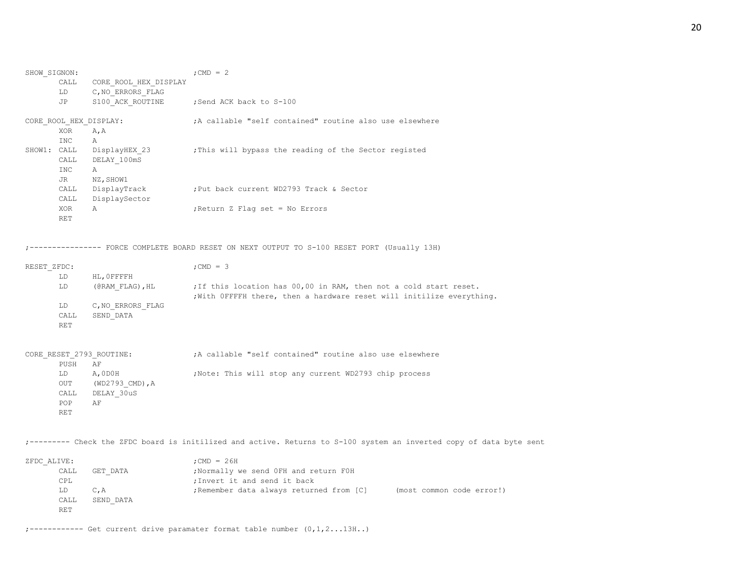| SHOW SIGNON: |            |                          | ; CMD = $2$                                                                                                                                |
|--------------|------------|--------------------------|--------------------------------------------------------------------------------------------------------------------------------------------|
|              | CALL       | CORE ROOL HEX DISPLAY    |                                                                                                                                            |
|              | LD         | C, NO ERRORS FLAG        |                                                                                                                                            |
|              | JP         |                          | S100 ACK ROUTINE ; Send ACK back to S-100                                                                                                  |
|              |            | CORE_ROOL_HEX_DISPLAY:   | ;A callable "self contained" routine also use elsewhere                                                                                    |
|              | XOR        | A, A                     |                                                                                                                                            |
|              | <b>INC</b> | Α                        |                                                                                                                                            |
| SHOW1: CALL  |            | DisplayHEX 23            | This will bypass the reading of the Sector registed,                                                                                       |
|              | CALL       | DELAY 100mS              |                                                                                                                                            |
|              | INC        | Α                        |                                                                                                                                            |
|              | JR         | NZ, SHOW1                |                                                                                                                                            |
|              | CALL       | DisplayTrack             | ;Put back current WD2793 Track & Sector                                                                                                    |
|              | CALL       | DisplaySector            |                                                                                                                                            |
|              | XOR        | Α                        | ; Return Z Flag set = No Errors                                                                                                            |
|              | RET        |                          |                                                                                                                                            |
|              |            |                          | --------- FORCE COMPLETE BOARD RESET ON NEXT OUTPUT TO S-100 RESET PORT (Usually 13H)                                                      |
| RESET ZFDC:  |            |                          | $;$ CMD = 3                                                                                                                                |
|              | LD         | HL, OFFFFH               |                                                                                                                                            |
|              | LD         | (@RAM FLAG),HL           | ; If this location has 00,00 in RAM, then not a cold start reset.<br>; With OFFFFH there, then a hardware reset will initilize everything. |
|              | LD         | C, NO ERRORS FLAG        |                                                                                                                                            |
|              | CALL       | SEND DATA                |                                                                                                                                            |
|              | RET        |                          |                                                                                                                                            |
|              |            | CORE RESET 2793 ROUTINE: | ;A callable "self contained" routine also use elsewhere                                                                                    |
|              | PUSH       | AF                       |                                                                                                                                            |
|              | LD         | A, ODOH                  | ; Note: This will stop any current WD2793 chip process                                                                                     |
|              | OUT        | (WD2793_CMD), A          |                                                                                                                                            |
|              |            | CALL DELAY 30uS          |                                                                                                                                            |
|              | POP        | ΑF                       |                                                                                                                                            |
|              | RET        |                          |                                                                                                                                            |
|              |            |                          | ;-------- Check the ZFDC board is initilized and active. Returns to S-100 system an inverted copy of data                                  |
| ZFDC ALIVE:  |            |                          | ; CMD = $26H$                                                                                                                              |
|              |            | $C$ mm nama              | Annal Optical said sections point                                                                                                          |

| CALL | GET DATA  | ; Normally we send OFH and return FOH    |                           |
|------|-----------|------------------------------------------|---------------------------|
| CPL  |           | : Invert it and send it back             |                           |
| LD.  | $C$ . A   | ; Remember data always returned from [C] | (most common code error!) |
| CALL | SEND DATA |                                          |                           |
| RET  |           |                                          |                           |

data byte sent

;------------ Get current drive paramater format table number (0,1,2...13H..)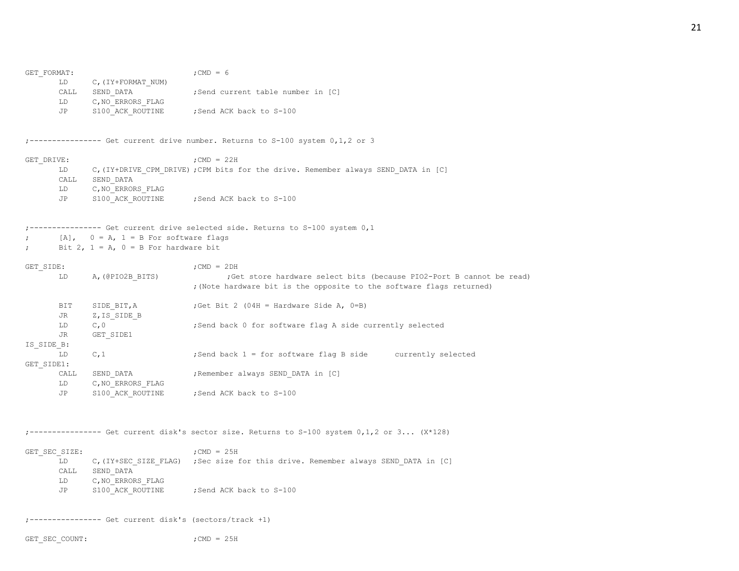| GET FORMAT:    |               |                                              | ; CMD = $6$                                                                                    |
|----------------|---------------|----------------------------------------------|------------------------------------------------------------------------------------------------|
|                | LD            | C, (IY+FORMAT NUM)                           |                                                                                                |
|                |               | CALL SEND DATA                               | ;Send current table number in [C]                                                              |
|                | LD            | C, NO ERRORS FLAG                            |                                                                                                |
|                | JP            |                                              | S100 ACK ROUTINE ; Send ACK back to S-100                                                      |
|                |               |                                              | -------------- Get current drive number. Returns to S-100 system 0,1,2 or 3                    |
| GET DRIVE:     |               |                                              | ; CMD = $22H$                                                                                  |
|                | LD            |                                              | C, (IY+DRIVE CPM DRIVE) ; CPM bits for the drive. Remember always SEND DATA in [C]             |
|                | CALL          | SEND DATA                                    |                                                                                                |
|                | LD            | C, NO ERRORS FLAG                            |                                                                                                |
|                | JP            |                                              | S100 ACK ROUTINE ; Send ACK back to S-100                                                      |
|                |               |                                              | ------------- Get current drive selected side. Returns to S-100 system 0,1                     |
|                |               | $[A]$ , $0 = A$ , $1 = B$ For software flags |                                                                                                |
| $\ddot{ }$     |               | Bit 2, $1 = A$ , $0 = B$ For hardware bit    |                                                                                                |
| GET SIDE:      |               |                                              | $;$ CMD = 2DH                                                                                  |
|                | LD            | A, (@PIO2B_BITS)                             | ; Get store hardware select bits (because PIO2-Port B cannot be read)                          |
|                |               |                                              | ; (Note hardware bit is the opposite to the software flags returned)                           |
|                | BIT           | SIDE BIT, A                                  | ; Get Bit 2 (04H = Hardware Side A, 0=B)                                                       |
|                | JR            | Z, IS SIDE B                                 |                                                                                                |
|                | LD            | C, 0                                         | ;Send back 0 for software flag A side currently selected                                       |
|                | JR            | GET SIDE1                                    |                                                                                                |
| IS SIDE B:     |               |                                              |                                                                                                |
| GET SIDE1:     | LD            | C, 1                                         | ; Send back 1 = for software flag B side currently selected                                    |
|                | CALL          | SEND_DATA                                    | ;Remember always SEND DATA in [C]                                                              |
|                | LD            | C, NO ERRORS FLAG                            |                                                                                                |
|                | JP            | S100 ACK ROUTINE                             | Send ACK back to S-100;                                                                        |
|                |               |                                              |                                                                                                |
|                |               |                                              | ------------- Get current disk's sector size. Returns to $S-100$ system $0,1,2$ or $3$ (X*128) |
|                | GET SEC SIZE: |                                              | ; CMD = $25H$                                                                                  |
|                |               |                                              | LD C, (IY+SEC SIZE FLAG) ; Sec size for this drive. Remember always SEND DATA in [C]           |
|                |               | CALL SEND DATA                               |                                                                                                |
|                |               | LD C, NO ERRORS FLAG                         |                                                                                                |
|                | JP            |                                              | S100 ACK ROUTINE ; Send ACK back to S-100                                                      |
|                |               |                                              |                                                                                                |
|                |               |                                              |                                                                                                |
| GET SEC COUNT: |               |                                              | ; CMD = $25H$                                                                                  |

# 21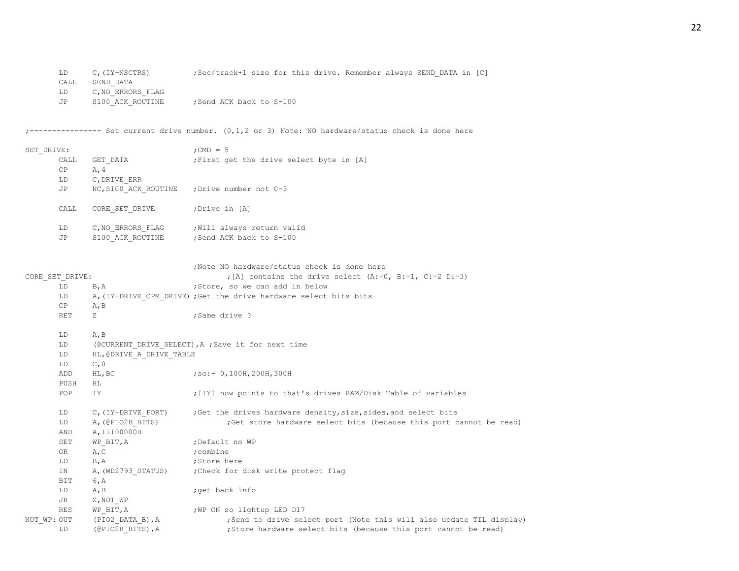| LD   | C, (IY+NSCTRS)    | ;Sec/track+1 size for this drive. Remember always SEND DATA in [C] |  |
|------|-------------------|--------------------------------------------------------------------|--|
| CALL | SEND DATA         |                                                                    |  |
| LD   | C, NO ERRORS FLAG |                                                                    |  |
| JP   | S100 ACK ROUTINE  | Send ACK back to S-100:                                            |  |

;---------------- Set current drive number. (0,1,2 or 3) Note: NO hardware/status check is done here

| SET DRIVE:  |                 |                                      | ; CMD = $5$                                                                                                                             |
|-------------|-----------------|--------------------------------------|-----------------------------------------------------------------------------------------------------------------------------------------|
|             | CALL            | GET DATA                             | ; First get the drive select byte in [A]                                                                                                |
|             | CP              | A, 4                                 |                                                                                                                                         |
|             | LD              | C, DRIVE ERR                         |                                                                                                                                         |
|             | JP              | NC, S100 ACK ROUTINE                 | ; Drive number not 0-3                                                                                                                  |
|             | CALL            | CORE SET DRIVE                       | ;Drive in [A]                                                                                                                           |
|             | LD              | C, NO ERRORS FLAG                    | ; Will always return valid                                                                                                              |
|             | JP              | S100 ACK ROUTINE                     | ; Send ACK back to S-100                                                                                                                |
|             |                 |                                      | ;Note NO hardware/status check is done here                                                                                             |
|             | CORE SET DRIVE: |                                      | ; [A] contains the drive select (A:=0, B:=1, C:=2 D:=3)                                                                                 |
|             | LD              | B, A                                 | ;Store, so we can add in below                                                                                                          |
|             | LD              |                                      | A, (IY+DRIVE CPM DRIVE) ; Get the drive hardware select bits bits                                                                       |
|             | CP              | A, B                                 |                                                                                                                                         |
|             | RET             | Ζ                                    | ; Same drive ?                                                                                                                          |
|             | LD              | A, B                                 |                                                                                                                                         |
|             | LD              |                                      | (@CURRENT DRIVE SELECT), A ; Save it for next time                                                                                      |
|             | LD              | HL, @DRIVE_A_DRIVE_TABLE             |                                                                                                                                         |
|             | LD              | C, 0                                 |                                                                                                                                         |
|             | ADD             | HL, BC                               | ; so: - 0, 100H, 200H, 300H                                                                                                             |
|             | PUSH            | ΗL                                   |                                                                                                                                         |
|             | POP             | IY                                   | ; [IY] now points to that's drives RAM/Disk Table of variables                                                                          |
|             | LD              | C, (IY+DRIVE PORT)                   | ; Get the drives hardware density, size, sides, and select bits                                                                         |
|             | LD              | A, (@PIO2B BITS)                     | ; Get store hardware select bits (because this port cannot be read)                                                                     |
|             | AND             | A, 11100000B                         |                                                                                                                                         |
|             | SET             | WP BIT, A                            | ; Default no WP                                                                                                                         |
|             | OR              | A, C                                 | ; combine                                                                                                                               |
|             | LD              | B, A                                 | ;Store here                                                                                                                             |
|             | ΙN              | A, (WD2793_STATUS)                   | ; Check for disk write protect flag                                                                                                     |
|             | BIT             | 6, A                                 |                                                                                                                                         |
|             | LD              | A, B                                 | ;get back info                                                                                                                          |
|             | JR              | Z, NOT WP                            |                                                                                                                                         |
|             | RES             | WP BIT, A                            | WP ON so lightup LED D17                                                                                                                |
| NOT WP: OUT | LD              | (PIO2 DATA B), A<br>(@PIO2B_BITS), A | ; Send to drive select port (Note this will also update TIL display)<br>; Store hardware select bits (because this port cannot be read) |
|             |                 |                                      |                                                                                                                                         |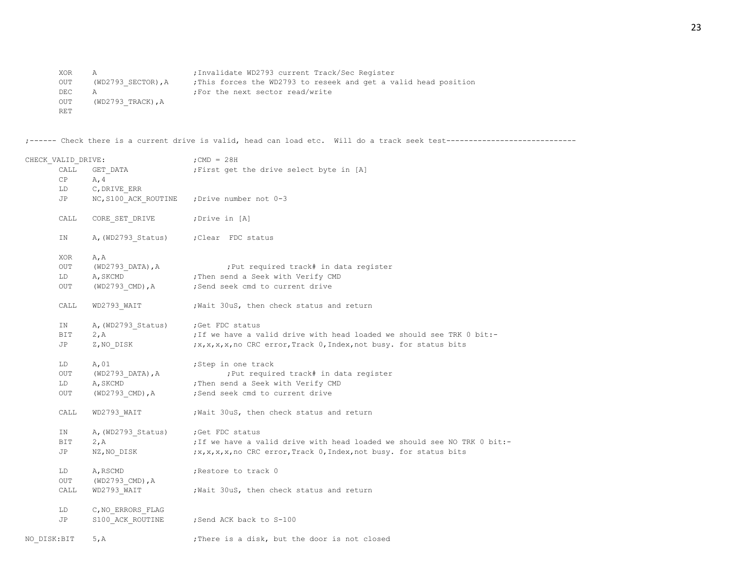XOR A ;Invalidate WD2793 current Track/Sec Register OUT (WD2793 SECTOR),A ;This forces the WD2793 to reseek and get a valid head position DEC A ;For the next sector read/write OUT (WD2793\_TRACK), A RET

;------ Check there is a current drive is valid, head can load etc. Will do a track seek test-----------------------------

| CHECK_VALID_DRIVE: |                                       | $;$ CMD = 28H                                                                                                                                                                                                                                                              |  |  |
|--------------------|---------------------------------------|----------------------------------------------------------------------------------------------------------------------------------------------------------------------------------------------------------------------------------------------------------------------------|--|--|
| CALL               | GET DATA                              | First get the drive select byte in [A]                                                                                                                                                                                                                                     |  |  |
| CP                 | A, 4                                  |                                                                                                                                                                                                                                                                            |  |  |
|                    | LD C, DRIVE_ERR                       |                                                                                                                                                                                                                                                                            |  |  |
| <b>JP</b>          |                                       | NC, S100 ACK ROUTINE ; Drive number not 0-3                                                                                                                                                                                                                                |  |  |
| CALL               | CORE SET DRIVE ; Drive in [A]         |                                                                                                                                                                                                                                                                            |  |  |
| ΙN                 | A, (WD2793_Status) ; Clear FDC status |                                                                                                                                                                                                                                                                            |  |  |
| XOR                | A, A                                  |                                                                                                                                                                                                                                                                            |  |  |
| OUT                |                                       | ; Put required track# in data register                                                                                                                                                                                                                                     |  |  |
| LD                 |                                       | (WD2793_DATA), A (Put required track# in da<br>A, SKCMD (7) Then send a Seek with Verify CMD                                                                                                                                                                               |  |  |
| OUT                |                                       | (WD2793_CMD), A ; Send seek cmd to current drive                                                                                                                                                                                                                           |  |  |
| CALL               |                                       | WD2793 WAIT ; Wait 30uS, then check status and return                                                                                                                                                                                                                      |  |  |
| IN                 | A, (WD2793_Status) ; Get FDC status   |                                                                                                                                                                                                                                                                            |  |  |
| BIT                | 2, A                                  | . If we have a valid drive with head loaded we should see TRK 0 bit:-                                                                                                                                                                                                      |  |  |
| JP                 |                                       | Z, NO DISK ; x, x, x, x, x, x, no CRC error, Track 0, Index, not busy. for status bits                                                                                                                                                                                     |  |  |
| LD                 | A, 01                                 | ;Step in one track                                                                                                                                                                                                                                                         |  |  |
| OUT                |                                       | ; Put required track# in data register                                                                                                                                                                                                                                     |  |  |
| LD                 |                                       |                                                                                                                                                                                                                                                                            |  |  |
| OUT                | (WD2793_CMD), A                       | A, SKCMD<br>A, SKCMD<br>A, SKCMD<br>A, SKCMD<br>A, SKCMD<br>A, SKCMD<br>A, SKCMD<br>A, SKCMD<br>A, SKCMD<br>A, SKCMD<br>A, SKCMD<br>A, SKCMD<br>A, SKCMD<br>A, SKCMD<br>A, SKCMD<br>A, SKCMD<br>A, SKCMD<br>A, SKCMD<br>A, SKCMD<br>A, SKCMD<br>A, SKCMD<br>A, SKCMD<br>A, |  |  |
| CALL               |                                       | WD2793 WAIT ; Wait 30uS, then check status and return                                                                                                                                                                                                                      |  |  |
| IN                 | A, (WD2793_Status) ; Get FDC status   |                                                                                                                                                                                                                                                                            |  |  |
| BIT                | 2, A                                  | ; If we have a valid drive with head loaded we should see NO TRK 0 bit:-                                                                                                                                                                                                   |  |  |
| JP                 |                                       | NZ, NO DISK ;x, x, x, x, x, x, no CRC error, Track 0, Index, not busy. for status bits                                                                                                                                                                                     |  |  |
| LD                 | A, RSCMD                              | ;Restore to track 0                                                                                                                                                                                                                                                        |  |  |
| OUT                | (WD2793 CMD),A                        |                                                                                                                                                                                                                                                                            |  |  |
| CALL               | WD2793_WAIT                           | ; Wait 30uS, then check status and return                                                                                                                                                                                                                                  |  |  |
| LD                 | C, NO ERRORS FLAG                     |                                                                                                                                                                                                                                                                            |  |  |
| JP                 | S100 ACK ROUTINE                      | Send ACK back to S-100;                                                                                                                                                                                                                                                    |  |  |
| NO DISK: BIT       | 5, A                                  | ; There is a disk, but the door is not closed                                                                                                                                                                                                                              |  |  |

23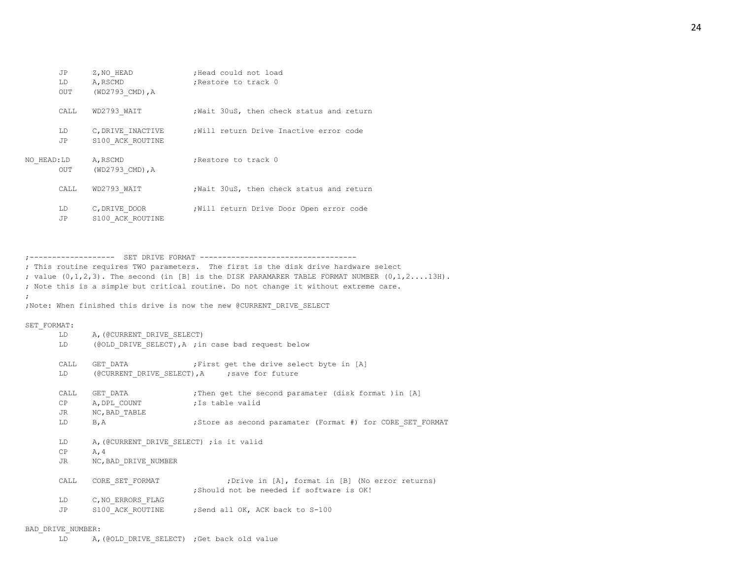|            | JP<br>LD.  | Z, NO HEAD<br>A, RSCMD                | ;Head could not load<br>; Restore to track 0 |
|------------|------------|---------------------------------------|----------------------------------------------|
|            | <b>OUT</b> | (WD2793 CMD), A                       |                                              |
|            | CALL.      | WD2793 WAIT                           | Wait 30uS, then check status and return      |
|            | LD<br>JP.  | C, DRIVE INACTIVE<br>S100 ACK ROUTINE | Will return Drive Inactive error code        |
| NO HEAD:LD | OUT        | A, RSCMD<br>(WD2793 CMD), A           | Restore to track 0                           |
|            | CALL.      | WD2793 WAIT                           | Wait 30uS, then check status and return      |
|            | LD<br>JP   | C, DRIVE DOOR<br>S100 ACK ROUTINE     | Will return Drive Door Open error code       |

;------------------- SET DRIVE FORMAT ----------------------------------- ; This routine requires TWO parameters. The first is the disk drive hardware select ; value (0,1,2,3). The second (in [B] is the DISK PARAMARER TABLE FORMAT NUMBER (0,1,2....13H). ; Note this is a simple but critical routine. Do not change it without extreme care. ;

;Note: When finished this drive is now the new @CURRENT\_DRIVE\_SELECT

#### SET\_FORMAT:

| LD.<br>LD              | A, (@CURRENT DRIVE SELECT)                                               | (@OLD DRIVE SELECT), A ; in case bad request below                                                               |
|------------------------|--------------------------------------------------------------------------|------------------------------------------------------------------------------------------------------------------|
| CALL<br>LD             |                                                                          | GET DATA <b>First</b> get the drive select byte in [A]<br>(@CURRENT DRIVE SELECT), A ; save for future           |
| CALL<br>CP<br>JR<br>LD | GET DATA<br>A, DPL COUNT Fistable valid<br>NC, BAD TABLE<br>B, A         | Then get the second paramater (disk format )in [A]<br>; Store as second paramater (Format #) for CORE SET FORMAT |
| LD.<br>CP<br>JR        | A, (@CURRENT DRIVE SELECT) ; is it valid<br>A, 4<br>NC, BAD DRIVE NUMBER |                                                                                                                  |
| CALL                   | CORE SET FORMAT                                                          | ; Drive in [A], format in [B] (No error returns)<br>; Should not be needed if software is OK!                    |
| LD<br>JP               | C, NO ERRORS FLAG                                                        | S100 ACK ROUTINE ; Send all OK, ACK back to S-100                                                                |

#### BAD\_DRIVE\_NUMBER:

LD A,(@OLD\_DRIVE\_SELECT) ;Get back old value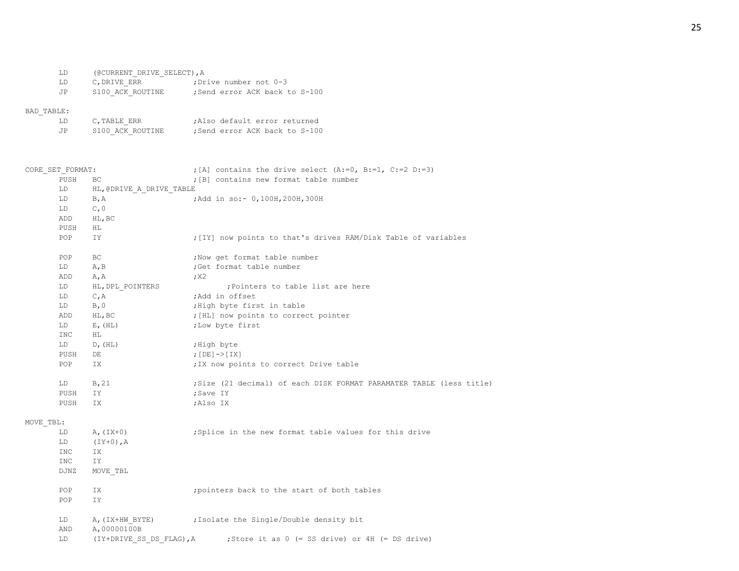| LD  | (@CURRENT DRIVE SELECT), A |                              |
|-----|----------------------------|------------------------------|
| LD  | C.DRIVE ERR                | :Drive number not 0-3:       |
| .JP | S100 ACK ROUTINE           | Send error ACK back to S-100 |

# BAD\_TABLE:

| LD. | C.TABLE ERR      | :Also default error returned |
|-----|------------------|------------------------------|
| .JP | S100 ACK ROUTINE | Send error ACK back to S-100 |

| CORE SET FORMAT:  |                                | ; [A] contains the drive select (A:=0, B:=1, C:=2 D:=3)                    |
|-------------------|--------------------------------|----------------------------------------------------------------------------|
| PUSH              | BC                             | ; [B] contains new format table number                                     |
| LD                | HL, @DRIVE A DRIVE TABLE       |                                                                            |
| LD                | B, A                           | ; Add in so: - 0, 100H, 200H, 300H                                         |
| LD                | C, 0                           |                                                                            |
| ADD               | HL, BC                         |                                                                            |
| PUSH              | HL                             |                                                                            |
| POP               | IΥ                             | ; [IY] now points to that's drives RAM/Disk Table of variables             |
| POP               | ВC                             | ; Now get format table number                                              |
| LD                | A, B                           | ;Get format table number                                                   |
| ADD               | A, A                           | ; X2                                                                       |
| LD                | HL, DPL POINTERS               | ; Pointers to table list are here                                          |
| LD                | C, A                           | ;Add in offset                                                             |
| LD                | B, 0                           | ; High byte first in table                                                 |
| ADD               | HL, BC                         | ; [HL] now points to correct pointer                                       |
| LD                | $E$ , $(HL)$                   | ; Low byte first                                                           |
| INC               | HL.                            |                                                                            |
| LD<br>PUSH<br>POP | D, (HL)                        | ;High byte                                                                 |
|                   | DE                             | ; $[DE]$ -> $[IX]$                                                         |
|                   | IX.                            | ; IX now points to correct Drive table                                     |
| LD                | B, 21                          | ; Size (21 decimal) of each DISK FORMAT PARAMATER TABLE (less title)       |
| PUSH              | IΥ                             | ;Save IY                                                                   |
| PUSH              | IΧ                             | ;Also IX                                                                   |
| MOVE TBL:         |                                |                                                                            |
| LD                | $A, (IX+0)$                    | ;Splice in the new format table values for this drive                      |
| LD                | $(IY+0)$ , A                   |                                                                            |
| INC               | ΙX                             |                                                                            |
| INC               | IY                             |                                                                            |
| DJNZ              | MOVE TBL                       |                                                                            |
| POP               | IX                             | ; pointers back to the start of both tables                                |
| POP               | IY                             |                                                                            |
| LD<br>AND         | A, (IX+HW BYTE)<br>A,00000100B | ; Isolate the Single/Double density bit                                    |
| LD                |                                | (IY+DRIVE SS DS FLAG), A ; Store it as $0$ (= SS drive) or 4H (= DS drive) |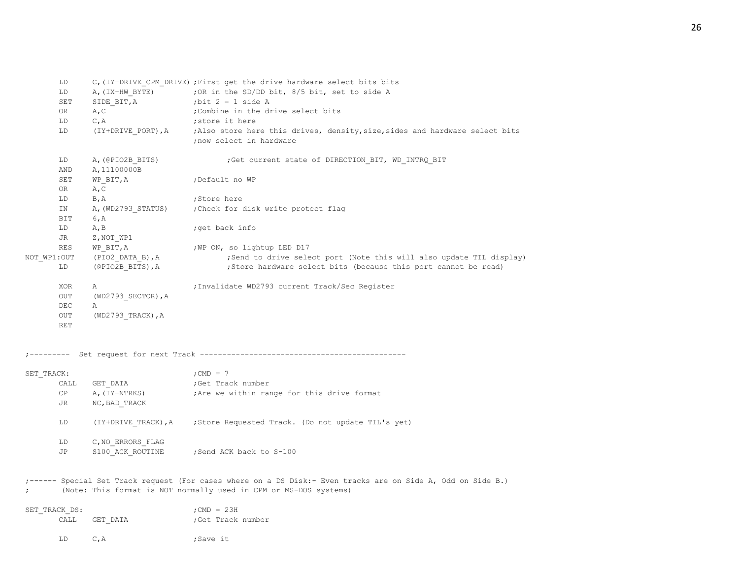|               | LD                |                                  | C, (IY+DRIVE CPM DRIVE) ; First get the drive hardware select bits bits                                                     |
|---------------|-------------------|----------------------------------|-----------------------------------------------------------------------------------------------------------------------------|
|               | LD                |                                  | A, (IX+HW_BYTE) ; OR in the SD/DD bit, 8/5 bit, set to side A                                                               |
|               | SET               | SIDE BIT, A                      | ; bit $2 = 1$ side A                                                                                                        |
|               | OR                | A, C                             | Combine in the drive select bits                                                                                            |
|               | LD                | C, A                             | ; store it here                                                                                                             |
|               | LD                |                                  | (IY+DRIVE PORT), A ; Also store here this drives, density, size, sides and hardware select bits<br>; now select in hardware |
|               | LD<br>AND         | A, (@PIO2B BITS)<br>A, 11100000B | ; Get current state of DIRECTION_BIT, WD_INTRQ_BIT                                                                          |
|               | SET<br>OR         | WP BIT, A<br>A, C                | ;Default no WP                                                                                                              |
|               | LD                | B, A                             | ;Store here                                                                                                                 |
|               | ΙN<br>BIT         | A, (WD2793 STATUS)               | Check for disk write protect flag                                                                                           |
|               | LD                | 6, A<br>A, B                     |                                                                                                                             |
|               | JR                | Z,NOT WP1                        | ;get back info                                                                                                              |
|               | RES               | WP BIT, A                        | ; WP ON, so lightup LED D17                                                                                                 |
| NOT WP1:OUT   |                   | (PIO2 DATA B),A                  | ; Send to drive select port (Note this will also update TIL display)                                                        |
|               | LD                | (@PIO2B BITS), A                 | ; Store hardware select bits (because this port cannot be read)                                                             |
|               | XOR               | Α                                | ; Invalidate WD2793 current Track/Sec Register                                                                              |
|               | OUT               | $(WD2793$ SECTOR), A             |                                                                                                                             |
|               | DEC               | Α                                |                                                                                                                             |
|               | OUT<br><b>RET</b> | $(WD2793 TRACK)$ , A             |                                                                                                                             |
|               |                   |                                  |                                                                                                                             |
| SET TRACK:    |                   |                                  | ; CMD $= 7$                                                                                                                 |
|               | CALL              | GET DATA                         | ;Get Track number                                                                                                           |
|               | CP                | A, (IY+NTRKS)                    | ; Are we within range for this drive format                                                                                 |
|               | JR                | NC, BAD TRACK                    |                                                                                                                             |
|               | LD                |                                  | (IY+DRIVE TRACK), A ; Store Requested Track. (Do not update TIL's yet)                                                      |
|               | LD                | C, NO ERRORS FLAG                |                                                                                                                             |
|               | JP                | S100 ACK ROUTINE                 | Send ACK back to S-100                                                                                                      |
|               |                   |                                  | ;------ Special Set Track request (For cases where on a DS Disk:- Even tracks are on Side A, Odd on Side B.)                |
|               |                   |                                  | (Note: This format is NOT normally used in CPM or MS-DOS systems)                                                           |
| SET TRACK DS: |                   |                                  | ; CMD = $23H$                                                                                                               |
|               | CALL              | GET DATA                         | ;Get Track number                                                                                                           |
|               | LD                | C, A                             | ;Save it                                                                                                                    |

26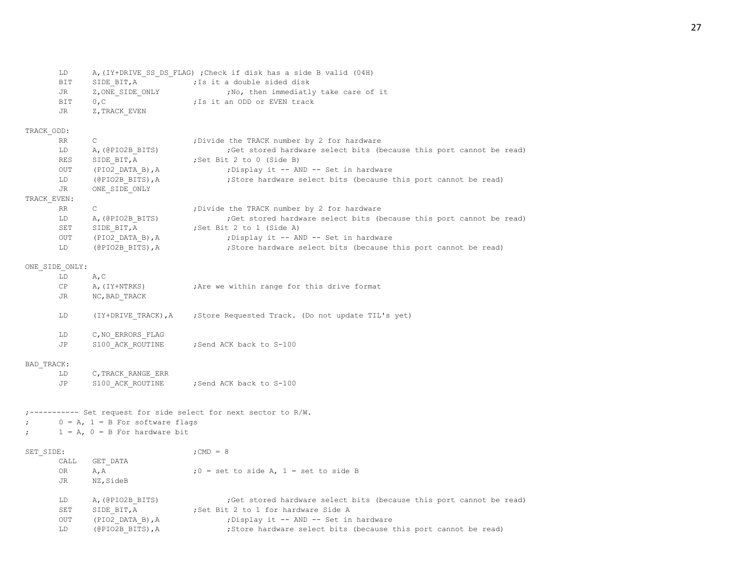| LD. | A, (IY+DRIVE SS DS FLAG) ; Check if disk has a side B valid (04H) |  |
|-----|-------------------------------------------------------------------|--|
| BIT | :Is it a double sided disk<br>SIDE BIT, A                         |  |
| JR  | ; No, then immediatly take care of it<br>Z, ONE SIDE ONLY         |  |
| BIT | :Is it an ODD or EVEN track<br>0.C.                               |  |
| JR  | Z, TRACK EVEN                                                     |  |

# TRACK\_ODD:

| RR.         |                    | ; Divide the TRACK number by 2 for hardware                          |
|-------------|--------------------|----------------------------------------------------------------------|
| LD          | A, (@PIO2B BITS)   | ; Get stored hardware select bits (because this port cannot be read) |
| <b>RES</b>  | SIDE BIT, A        | ; Set Bit 2 to 0 (Side B)                                            |
| OUT         | $(PIO2$ DATA B), A | ; Display it -- AND -- Set in hardware                               |
| LD          | (@PIO2B BITS), A   | ; Store hardware select bits (because this port cannot be read)      |
| JR.         | ONE SIDE ONLY      |                                                                      |
| TRACK EVEN: |                    |                                                                      |
| RR.         | C.                 | ; Divide the TRACK number by 2 for hardware                          |
| LD          | A, (@PIO2B BITS)   | ; Get stored hardware select bits (because this port cannot be read) |
| SET         | SIDE BIT, A        | Set Bit 2 to 1 (Side A)                                              |
| OUT         | (PIO2 DATA B), A   | ; Display it -- AND -- Set in hardware                               |
| LD.         | (@PIO2B BITS), A   | ; Store hardware select bits (because this port cannot be read)      |

## ONE\_SIDE\_ONLY:

| LD  | A.C                 |                                                    |
|-----|---------------------|----------------------------------------------------|
| CP  | A, (IY+NTRKS)       | ; Are we within range for this drive format        |
| JR. | NC, BAD TRACK       |                                                    |
| LD  | (IY+DRIVE TRACK), A | ; Store Requested Track. (Do not update TIL's yet) |
| LD  | C, NO ERRORS FLAG   |                                                    |
| JP  | S100 ACK ROUTINE    | :Send ACK back to S-100                            |

# BAD\_TRACK:

| LD  | C.TRACK RANGE ERR |                         |
|-----|-------------------|-------------------------|
| .TP | S100 ACK ROUTINE  | Send ACK back to S-100: |

# ;----------- Set request for side select for next sector to R/W.

- ;  $0 = A$ ,  $1 = B$  For software flags
- $; \t1 = A, 0 = B$  For hardware bit

| SET SIDE: |      |                    | $:$ CMD = 8                                                          |
|-----------|------|--------------------|----------------------------------------------------------------------|
|           | CALL | GET DATA           |                                                                      |
|           | 0R   | A, A               | $:0 =$ set to side A, $1 =$ set to side B                            |
|           | JR   | NZ, SideB          |                                                                      |
|           | LD   | A, (@PIO2B BITS)   | ; Get stored hardware select bits (because this port cannot be read) |
|           | SET  | SIDE BIT, A        | Set Bit 2 to 1 for hardware Side A                                   |
|           | OUT  | $(PIO2$ DATA B), A | : Display it -- AND -- Set in hardware                               |
|           | LD   | (@PIO2B BITS), A   | ; Store hardware select bits (because this port cannot be read)      |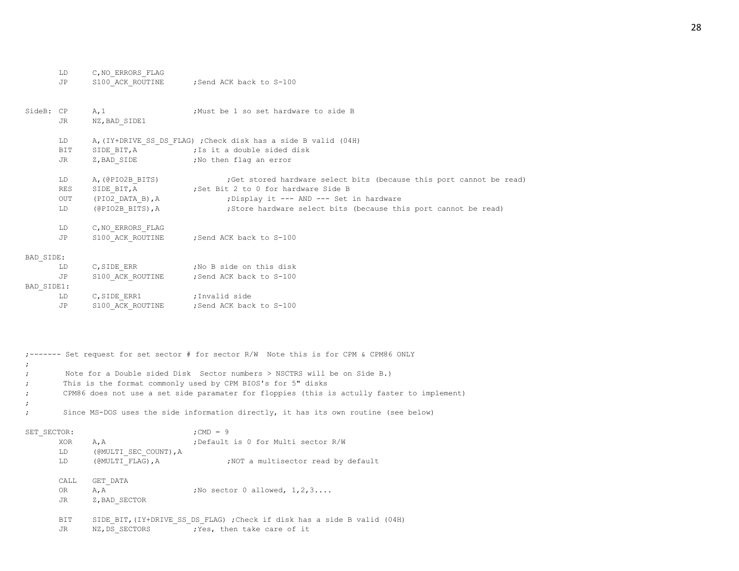|             | LD<br>JP               | C, NO ERRORS FLAG<br>S100 ACK ROUTINE                                                                 | Send ACK back to S-100;                                                                                                                                                                                                                                                                                                         |
|-------------|------------------------|-------------------------------------------------------------------------------------------------------|---------------------------------------------------------------------------------------------------------------------------------------------------------------------------------------------------------------------------------------------------------------------------------------------------------------------------------|
| SideB: CP   | JR                     | A, 1<br>NZ, BAD SIDE1                                                                                 | ;Must be 1 so set hardware to side B                                                                                                                                                                                                                                                                                            |
|             | LD<br>BIT<br>JR        |                                                                                                       | A, (IY+DRIVE SS DS FLAG) ; Check disk has a side B valid (04H)<br>SIDE BIT, A (7) 7 7 5 it a double sided disk<br>Z, BAD SIDE : No then flag an error                                                                                                                                                                           |
|             | LD<br>RES<br>OUT<br>LD | A, (@PIO2B BITS)<br>SIDE_BIT, A<br>$( \verb"PIO2_DATA_B)$ , A<br>$(\texttt{@PIO2B} \texttt{BITS}),$ A | ; Get stored hardware select bits (because this port cannot be read)<br>Set Bit 2 to 0 for hardware Side B<br>; Display it --- AND --- Set in hardware<br>; Store hardware select bits (because this port cannot be read)                                                                                                       |
|             | LD<br>JP               | C, NO ERRORS FLAG<br>S100 ACK ROUTINE                                                                 | ;Send ACK back to S-100                                                                                                                                                                                                                                                                                                         |
| BAD SIDE:   |                        |                                                                                                       |                                                                                                                                                                                                                                                                                                                                 |
|             | LD                     |                                                                                                       | $C,$ SIDE_ERR $\qquad \qquad$ ; No B side on this disk                                                                                                                                                                                                                                                                          |
|             | JP                     |                                                                                                       | S100 ACK ROUTINE ; Send ACK back to S-100                                                                                                                                                                                                                                                                                       |
| BAD SIDE1:  |                        |                                                                                                       |                                                                                                                                                                                                                                                                                                                                 |
|             | LD                     | C, SIDE ERR1                                                                                          | ;Invalid side                                                                                                                                                                                                                                                                                                                   |
|             | JP                     |                                                                                                       | S100 ACK ROUTINE ; Send ACK back to S-100                                                                                                                                                                                                                                                                                       |
| $\ddot{ }$  |                        |                                                                                                       | ;------- Set request for set sector # for sector R/W Note this is for CPM & CPM86 ONLY<br>Note for a Double sided Disk Sector numbers > NSCTRS will be on Side B.)<br>This is the format commonly used by CPM BIOS's for 5" disks<br>CPM86 does not use a set side paramater for floppies (this is actully faster to implement) |
|             |                        |                                                                                                       |                                                                                                                                                                                                                                                                                                                                 |
| $\ddot{ }$  |                        |                                                                                                       | Since MS-DOS uses the side information directly, it has its own routine (see below)                                                                                                                                                                                                                                             |
| SET SECTOR: | XOR<br>LD.<br>LD       | A, A<br>(@MULTI SEC COUNT), A<br>(@MULTI FLAG), A                                                     | ; CMD = $9$<br>; Default is 0 for Multi sector R/W<br>NOT a multisector read by default,                                                                                                                                                                                                                                        |

CALL GET\_DATA OR  $A, A$  ;No sector 0 allowed,  $1, 2, 3...$ JR Z, BAD\_SECTOR

BIT SIDE BIT, (IY+DRIVE SS DS FLAG) ;Check if disk has a side B valid (04H) JR NZ, DS\_SECTORS ; Yes, then take care of it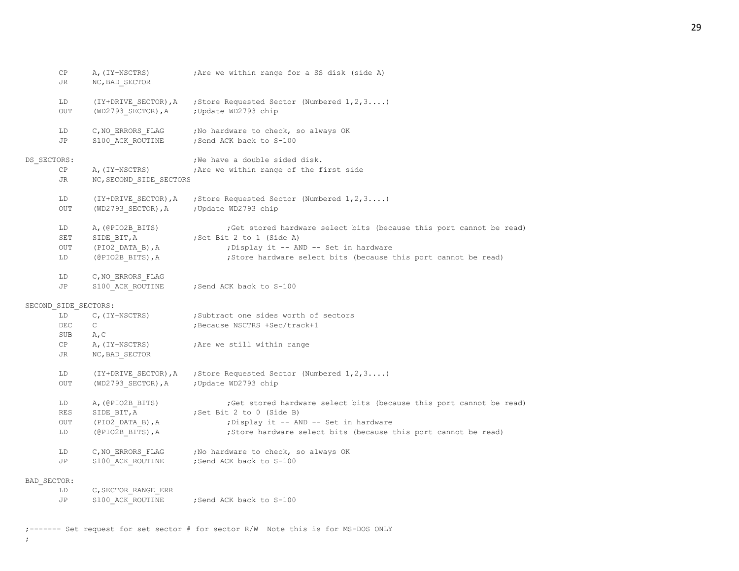29

| CP.<br>JR            | A, (IY+NSCTRS)<br>NC, BAD SECTOR           | ; Are we within range for a SS disk (side A)                         |
|----------------------|--------------------------------------------|----------------------------------------------------------------------|
| LD<br>OUT            | (IY+DRIVE SECTOR), A<br>(WD2793_SECTOR), A | ; Store Requested Sector (Numbered 1, 2, 3)<br>; Update WD2793 chip  |
| LD<br>JP             | C, NO_ERRORS_FLAG<br>S100 ACK ROUTINE      | ; No hardware to check, so always OK<br>; Send ACK back to S-100     |
| DS SECTORS:          |                                            | ;We have a double sided disk.                                        |
| СP                   | A, (IY+NSCTRS)                             | ; Are we within range of the first side                              |
| JR.                  | NC, SECOND SIDE SECTORS                    |                                                                      |
| LD                   | (IY+DRIVE_SECTOR), A                       | ; Store Requested Sector (Numbered 1, 2, 3)                          |
| OUT                  | $(WD2793$ SECTOR), A                       | ; Update WD2793 chip                                                 |
| LD                   | A, (@PIO2B BITS)                           | ;Get stored hardware select bits (because this port cannot be read)  |
| SET                  | SIDE BIT, A                                | ;Set Bit 2 to 1 (Side A)                                             |
| OUT                  | (PIO2 DATA B), A                           | ; Display it -- AND -- Set in hardware                               |
| LD                   | $(\texttt{@PIO2B\_BITS})$ , A              | ; Store hardware select bits (because this port cannot be read)      |
| LD                   | C, NO ERRORS FLAG                          |                                                                      |
| JP                   | S100 ACK ROUTINE                           | ; Send ACK back to S-100                                             |
| SECOND SIDE SECTORS: |                                            |                                                                      |
| LD                   | C, (IY+NSCTRS)                             | ;Subtract one sides worth of sectors                                 |
| DEC                  | $\mathsf{C}$                               | ; Because NSCTRS +Sec/track+1                                        |
| SUB                  | A, C                                       |                                                                      |
| CP                   | A, (IY+NSCTRS)                             | ; Are we still within range                                          |
| JR                   | NC, BAD SECTOR                             |                                                                      |
| LD                   | (IY+DRIVE SECTOR), A                       | ; Store Requested Sector (Numbered 1, 2, 3)                          |
| OUT                  | $(WD2793$ SECTOR), A                       | ; Update WD2793 chip                                                 |
| LD                   | A, (@PIO2B BITS)                           | ; Get stored hardware select bits (because this port cannot be read) |
| RES                  | SIDE BIT, A                                | ;Set Bit 2 to 0 (Side B)                                             |
| OUT                  | (PIO2 DATA B), A                           | ; Display it -- AND -- Set in hardware                               |
| LD                   | $(\texttt{@PIO2B\_BITS})$ , A              | ; Store hardware select bits (because this port cannot be read)      |
| LD                   | C, NO ERRORS FLAG                          | ; No hardware to check, so always OK                                 |
| JP                   | S100 ACK ROUTINE                           | ; Send ACK back to S-100                                             |
| BAD SECTOR:          |                                            |                                                                      |
| LD                   | C, SECTOR RANGE ERR                        |                                                                      |
| JP                   | S100 ACK ROUTINE                           | Send ACK back to S-100                                               |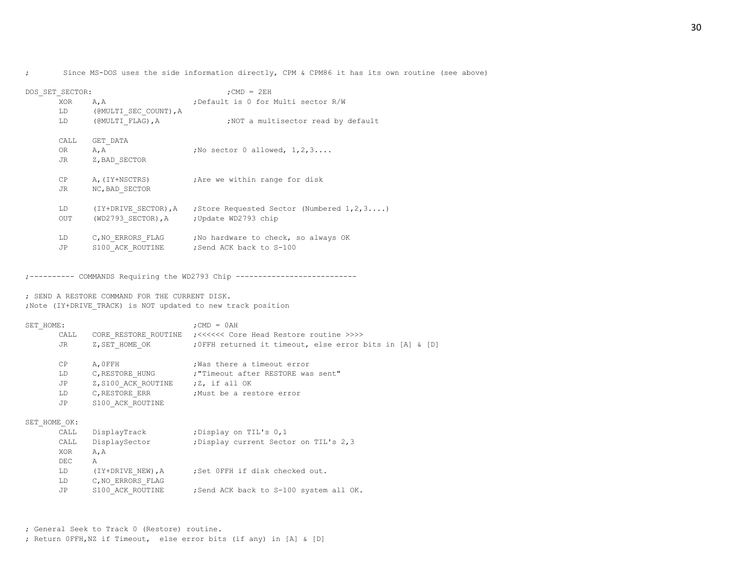; Since MS-DOS uses the side information directly, CPM & CPM86 it has its own routine (see above)

| DOS SET SECTOR: |                                         | $:$ CMD = $2EH$                                                     |  |  |  |
|-----------------|-----------------------------------------|---------------------------------------------------------------------|--|--|--|
| XOR             | A, A                                    | ;Default is 0 for Multi sector R/W                                  |  |  |  |
| LD              | (@MULTI SEC COUNT), A                   |                                                                     |  |  |  |
| LD              | (@MULTI FLAG), A                        | NOT a multisector read by default                                   |  |  |  |
| CALL            | GET DATA                                |                                                                     |  |  |  |
| OR              | A, A                                    | ; No sector $0$ allowed, $1, 2, 3, \ldots$                          |  |  |  |
| JR              | Z, BAD SECTOR                           |                                                                     |  |  |  |
|                 |                                         |                                                                     |  |  |  |
| CP              | A,(IY+NSCTRS)                           | ; Are we within range for disk                                      |  |  |  |
| JR.             | NC, BAD SECTOR                          |                                                                     |  |  |  |
|                 |                                         |                                                                     |  |  |  |
| LD              |                                         | (IY+DRIVE SECTOR), A ; Store Requested Sector (Numbered $1, 2, 3$ ) |  |  |  |
| <b>OUT</b>      | (WD2793 SECTOR), A ; Update WD2793 chip |                                                                     |  |  |  |
|                 |                                         |                                                                     |  |  |  |
| LD.             | C, NO ERRORS FLAG                       | ; No hardware to check, so always OK                                |  |  |  |
| JP              | S100 ACK ROUTINE                        | Send ACK back to S-100                                              |  |  |  |

;---------- COMMANDS Requiring the WD2793 Chip ---------------------------

; SEND A RESTORE COMMAND FOR THE CURRENT DISK. ;Note (IY+DRIVE\_TRACK) is NOT updated to new track position

| SET HOME:    |                                    | $:$ CMD = $0AH$                                                         |  |  |
|--------------|------------------------------------|-------------------------------------------------------------------------|--|--|
| CALL         |                                    | CORE RESTORE ROUTINE (<<<<<< Core Head Restore routine >>>>             |  |  |
| JR           |                                    | Z, SET HOME OK : 0FFH returned it timeout, else error bits in [A] & [D] |  |  |
| CP           | A, OFFH                            | Was there a timeout error                                               |  |  |
| LD.          |                                    | C, RESTORE HUNG : "Timeout after RESTORE was sent"                      |  |  |
| JP           | Z, S100 ACK ROUTINE ; Z, if all OK |                                                                         |  |  |
| LD           |                                    | C, RESTORE ERR :Must be a restore error                                 |  |  |
| JP           | S100 ACK ROUTINE                   |                                                                         |  |  |
| SET HOME OK: |                                    |                                                                         |  |  |
| CALL         | DisplayTrack                       | ;Display on TIL's 0,1                                                   |  |  |
| CALL         | DisplaySector                      | ; Display current Sector on TIL's 2,3                                   |  |  |
| XOR          | A, A                               |                                                                         |  |  |
| DEC          | A                                  |                                                                         |  |  |
| LD           |                                    | (IY+DRIVE NEW), A ; Set OFFH if disk checked out.                       |  |  |
| LD           | C, NO ERRORS FLAG                  |                                                                         |  |  |
| JP.          | S100 ACK ROUTINE                   | ; Send ACK back to S-100 system all OK.                                 |  |  |

; General Seek to Track 0 (Restore) routine. ; Return 0FFH,NZ if Timeout, else error bits (if any) in [A] & [D]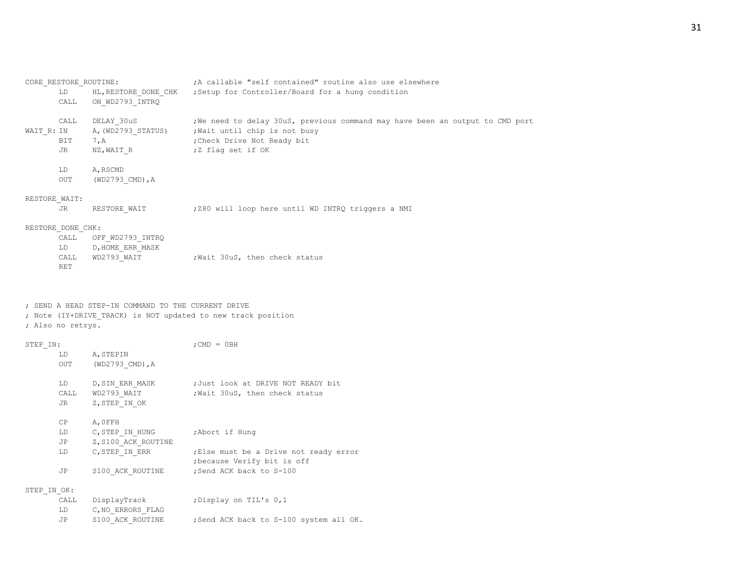| CORE RESTORE ROUTINE: |                      | A callable "self contained" routine also use elsewhere                        |  |  |  |
|-----------------------|----------------------|-------------------------------------------------------------------------------|--|--|--|
| LD                    | HL, RESTORE DONE CHK | ; Setup for Controller/Board for a hung condition                             |  |  |  |
| CALL                  | ON WD2793 INTRO      |                                                                               |  |  |  |
| CALL                  | DELAY 30uS           | ; We need to delay 30uS, previous command may have been an output to CMD port |  |  |  |
| WAIT R: IN            | A, (WD2793 STATUS)   | ; Wait until chip is not busy                                                 |  |  |  |
| BIT                   | 7, A                 | ; Check Drive Not Ready bit                                                   |  |  |  |
| JR                    | NZ, WAIT R           | ;Z flag set if OK                                                             |  |  |  |
|                       |                      |                                                                               |  |  |  |
| LD                    | A, RSCMD             |                                                                               |  |  |  |
| <b>OUT</b>            | $(WD2793$ CMD), A    |                                                                               |  |  |  |
| RESTORE WAIT:         |                      |                                                                               |  |  |  |
| JR                    | RESTORE WAIT         | ; Z80 will loop here until WD INTRQ triggers a NMI                            |  |  |  |
|                       |                      |                                                                               |  |  |  |
|                       | RESTORE DONE CHK:    |                                                                               |  |  |  |

| CALL | OFF WD2793 INTRO |                              |  |  |
|------|------------------|------------------------------|--|--|
| LD   | D, HOME ERR MASK |                              |  |  |
| CALL | WD2793 WAIT      | Wait 30uS, then check status |  |  |
| RET  |                  |                              |  |  |

## ; SEND A HEAD STEP-IN COMMAND TO THE CURRENT DRIVE

; Note (IY+DRIVE\_TRACK) is NOT updated to new track position

## ; Also no retrys.

|     |                                 | $:$ CMD = $0BH$                                    |
|-----|---------------------------------|----------------------------------------------------|
| LD. | A, STEPIN                       |                                                    |
| OUT | $(WD2793$ CMD), A               |                                                    |
| LD  |                                 | ;Just look at DRIVE NOT READY bit                  |
|     |                                 | ; Wait 30uS, then check status                     |
| JR  | Z,STEP IN OK                    |                                                    |
| CP  | A, OFFH                         |                                                    |
| LD  | C, STEP IN HUNG : Abort if Hung |                                                    |
| JP  | Z, S100 ACK ROUTINE             |                                                    |
| LD. | C, STEP IN ERR                  | ; Else must be a Drive not ready error             |
|     |                                 | because Verify bit is off,                         |
| JP  | S100 ACK ROUTINE                | ;Send ACK back to S-100                            |
|     |                                 |                                                    |
|     |                                 | ; Display on TIL's 0,1                             |
| LD  | C, NO ERRORS FLAG               |                                                    |
|     | STEP IN:<br>CALL<br>STEP IN OK: | D,SIN ERR MASK<br>WD2793 WAIT<br>CALL DisplayTrack |

JP S100 ACK ROUTINE ; Send ACK back to S-100 system all OK.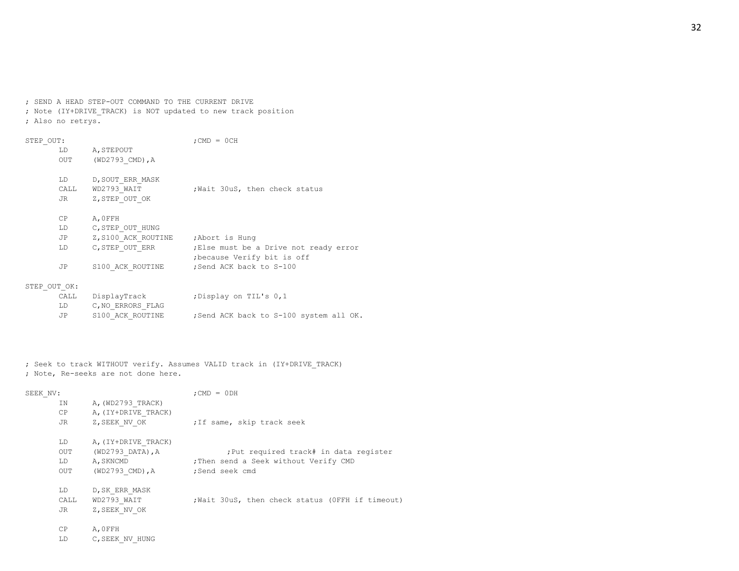; SEND A HEAD STEP-OUT COMMAND TO THE CURRENT DRIVE ; Note (IY+DRIVE\_TRACK) is NOT updated to new track position ; Also no retrys.

| STEP OUT: |              |                                     | $:$ CMD = $0$ CH                                                     |
|-----------|--------------|-------------------------------------|----------------------------------------------------------------------|
|           | LD.          | A, STEPOUT                          |                                                                      |
|           | OUT          | (WD2793 CMD), A                     |                                                                      |
|           | LD           | D, SOUT ERR MASK                    |                                                                      |
|           | CALL         | WD2793 WAIT                         | Wait 30uS, then check status                                         |
|           | JR           | Z, STEP OUT OK                      |                                                                      |
|           | CP           | A, OFFH                             |                                                                      |
|           | LD           | C, STEP OUT HUNG                    |                                                                      |
|           | JP           | Z, S100 ACK ROUTINE ; Abort is Hung |                                                                      |
|           | LD           | C, STEP OUT ERR                     | ; Else must be a Drive not ready error<br>because Verify bit is off, |
|           | JP           | S100 ACK ROUTINE                    | Send ACK back to S-100                                               |
|           | STEP OUT OK: |                                     |                                                                      |
|           | CATJ.        | DisplayTrack                        | :Display on TIL's 0.1                                                |

| CALL | DisplayTrack     | Display on TIL's 0,1;                  |
|------|------------------|----------------------------------------|
| LD.  | C.NO ERRORS FLAG |                                        |
| .JP  | S100 ACK ROUTINE | ;Send ACK back to S-100 system all OK. |

; Seek to track WITHOUT verify. Assumes VALID track in (IY+DRIVE\_TRACK) ; Note, Re-seeks are not done here.

| SEEK NV: |                     | $:$ CMD = $0$ DH                                 |
|----------|---------------------|--------------------------------------------------|
| IN.      | A, (WD2793 TRACK)   |                                                  |
| CP.      | A, (IY+DRIVE TRACK) |                                                  |
| JR       | Z, SEEK NV OK       | ; If same, skip track seek                       |
| LD.      | A, (IY+DRIVE TRACK) |                                                  |
| OUT      | (WD2793 DATA), A    | : Put required track# in data register           |
| LD       | A, SKNCMD           | : Then send a Seek without Verify CMD            |
| OUT      | (WD2793 CMD), A     | ;Send seek cmd                                   |
| LD       | D, SK ERR MASK      |                                                  |
| CALL     | WD2793 WAIT         | ; Wait 30uS, then check status (OFFH if timeout) |
| JR       | Z, SEEK NV OK       |                                                  |
| CP       | A.OFFH              |                                                  |

LD C,SEEK\_NV\_HUNG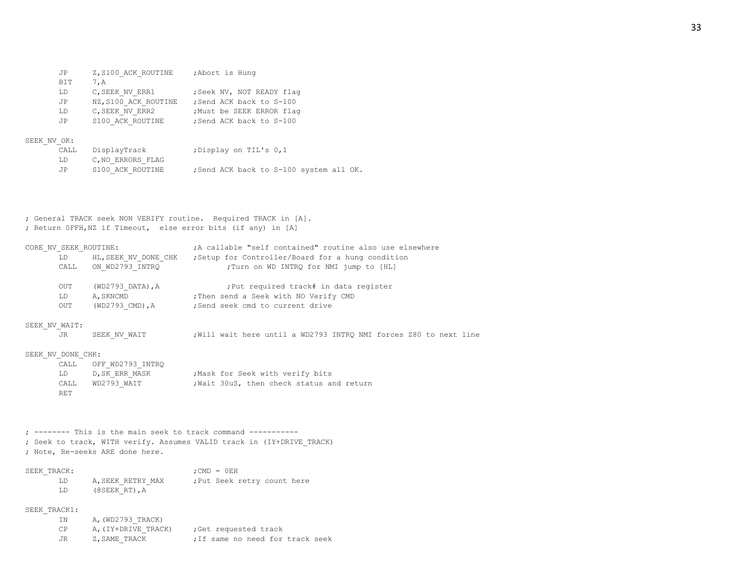| JP  | Z, S100 ACK ROUTINE  | ; Abort is Hung           |
|-----|----------------------|---------------------------|
| BIT | 7.A                  |                           |
| LD  | C, SEEK NV ERR1      | ; Seek NV, NOT READY flag |
| JP  | NZ, S100 ACK ROUTINE | ; Send ACK back to S-100  |
| LD  | C, SEEK NV ERR2      | Must be SEEK ERROR flag   |
| JP  | S100 ACK ROUTINE     | ; Send ACK back to S-100  |

# SEEK\_NV\_OK:

| v un: |                   |                                        |
|-------|-------------------|----------------------------------------|
| CALL  | DisplayTrack      | ;Display on TIL's 0,1                  |
| LD    | C, NO ERRORS FLAG |                                        |
| JP.   | S100 ACK ROUTINE  | ;Send ACK back to S-100 system all OK. |

; General TRACK seek NON VERIFY routine. Required TRACK in [A]. ; Return 0FFH,NZ if Timeout, else error bits (if any) in [A]

| CORE NV SEEK ROUTINE: |                                 | ; A callable "self contained" routine also use elsewhere                  |
|-----------------------|---------------------------------|---------------------------------------------------------------------------|
|                       |                                 | LD HL, SEEK NV DONE CHK ; Setup for Controller/Board for a hung condition |
|                       | CALL ON WD2793 INTRQ            | ; Turn on WD INTRQ for NMI jump to [HL]                                   |
| OUT                   | $(WD2793 \text{ DATA})$ , A     | ; Put required track# in data register                                    |
| LD                    |                                 | A, SKNCMD : Then send a Seek with NO Verify CMD                           |
| OUT                   |                                 | (WD2793 CMD), A ; Send seek cmd to current drive                          |
| SEEK NV WAIT:         |                                 |                                                                           |
| JR.                   | SEEK NV WAIT                    | Will wait here until a WD2793 INTRQ NMI forces Z80 to next line           |
| SEEK NV DONE CHK:     |                                 |                                                                           |
| CALL                  | OFF WD2793 INTRQ                |                                                                           |
| LD                    |                                 | D, SK ERR MASK : Mask for Seek with verify bits                           |
| <b>RET</b>            |                                 | CALL WD2793 WAIT ; Wait 30uS, then check status and return                |
|                       |                                 |                                                                           |
|                       |                                 | $:$ -------- This is the main seek to track command ----------            |
|                       | ; Note, Re-seeks ARE done here. | ; Seek to track, WITH verify. Assumes VALID track in (IY+DRIVE TRACK)     |
|                       |                                 |                                                                           |

| SEEK TRACK: |                                                                                                                                                                                                                                                           | $:$ CMD $=$ 0 EH            |
|-------------|-----------------------------------------------------------------------------------------------------------------------------------------------------------------------------------------------------------------------------------------------------------|-----------------------------|
| T.D.        | A, SEEK RETRY MAX                                                                                                                                                                                                                                         | : Put Seek retry count here |
| T.D.        | $($ ( $\leq$ $\leq$ $\leq$ $\leq$ $\leq$ $\leq$ $\leq$ $\leq$ $\leq$ $\leq$ $\leq$ $\leq$ $\leq$ $\leq$ $\leq$ $\leq$ $\leq$ $\leq$ $\leq$ $\leq$ $\leq$ $\leq$ $\leq$ $\leq$ $\leq$ $\leq$ $\leq$ $\leq$ $\leq$ $\leq$ $\leq$ $\leq$ $\leq$ $\leq$ $\le$ |                             |

# SEEK TRACK1:

| ΙN | A, (WD2793 TRACK)   |                                 |
|----|---------------------|---------------------------------|
| СP | A. (IY+DRIVE TRACK) | Get requested track;            |
| JR | Z.SAME TRACK        | :If same no need for track seek |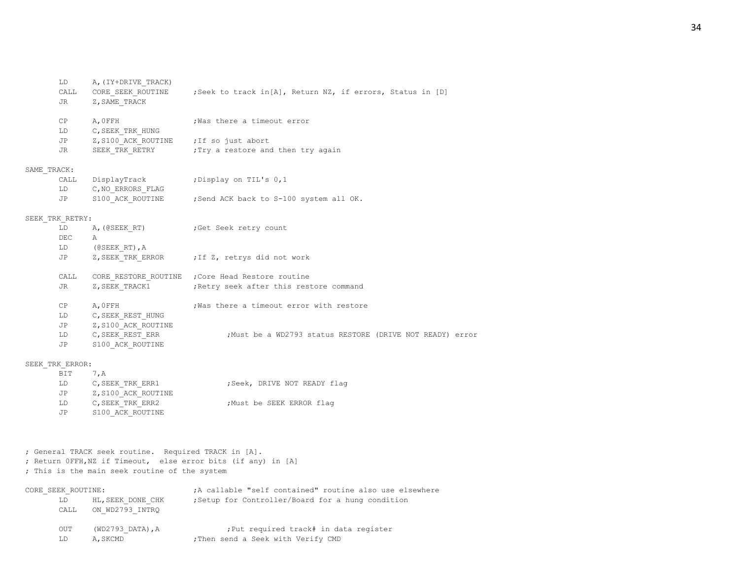|             | LD              | A, (IY+DRIVE TRACK)                       |                                                                                    |
|-------------|-----------------|-------------------------------------------|------------------------------------------------------------------------------------|
|             |                 |                                           | CALL CORE SEEK ROUTINE ; Seek to track in [A], Return NZ, if errors, Status in [D] |
|             | JR              | Z, SAME TRACK                             |                                                                                    |
|             |                 |                                           |                                                                                    |
|             | CP              | A,OFFH                                    | Was there a timeout error                                                          |
|             | LD              | C, SEEK TRK HUNG                          |                                                                                    |
|             |                 | JP Z, S100_ACK_ROUTINE ; If so just abort |                                                                                    |
|             | JR              |                                           |                                                                                    |
| SAME TRACK: |                 |                                           |                                                                                    |
|             | CALL            | DisplayTrack ; Display on TIL's 0,1       |                                                                                    |
|             | LD              | C,NO ERRORS FLAG                          |                                                                                    |
|             | JP              |                                           | S100 ACK ROUTINE ; Send ACK back to S-100 system all OK.                           |
|             | SEEK_TRK_RETRY: |                                           |                                                                                    |
|             | LD              |                                           | A, (@SEEK RT) ; Get Seek retry count                                               |
|             | DEC A           |                                           |                                                                                    |
|             |                 | LD (@SEEK RT), A                          |                                                                                    |
|             | JP              |                                           | Z, SEEK TRK ERROR (7) if Z, retrys did not work                                    |
|             | CALL            |                                           | CORE RESTORE ROUTINE ; Core Head Restore routine                                   |
|             | <b>JR</b>       |                                           | Z, SEEK TRACK1 ; Retry seek after this restore command                             |
|             |                 |                                           |                                                                                    |
|             | CP              | A, OFFH                                   | ; Was there a timeout error with restore                                           |
|             |                 | LD C, SEEK REST HUNG                      |                                                                                    |
|             |                 | JP Z, S100_ACK_ROUTINE                    |                                                                                    |
|             |                 | LD C, SEEK REST ERR                       | ;Must be a WD2793 status RESTORE (DRIVE NOT READY) error                           |
|             | <b>JP</b>       | S100_ACK_ROUTINE                          |                                                                                    |
|             |                 |                                           |                                                                                    |
|             | SEEK TRK ERROR: |                                           |                                                                                    |

| BIT | 7.A                 |                             |
|-----|---------------------|-----------------------------|
| LD  | C, SEEK TRK ERR1    | ;Seek, DRIVE NOT READY flag |
| JP  | Z, S100 ACK ROUTINE |                             |
| LD  | C, SEEK TRK ERR2    | ; Must be SEEK ERROR flag   |
| JP  | S100 ACK ROUTINE    |                             |

; General TRACK seek routine. Required TRACK in [A]. ; Return 0FFH,NZ if Timeout, else error bits (if any) in [A]

; This is the main seek routine of the system

| CORE SEEK ROUTINE: |                                           | A callable "self contained" routine also use elsewhere                       |
|--------------------|-------------------------------------------|------------------------------------------------------------------------------|
| LD                 | HL, SEEK DONE CHK<br>CALL ON WD2793 INTRO | ; Setup for Controller/Board for a hung condition                            |
| OUT<br>LD          | (WD2793 DATA), A<br>A, SKCMD              | ; Put required track# in data register<br>; Then send a Seek with Verify CMD |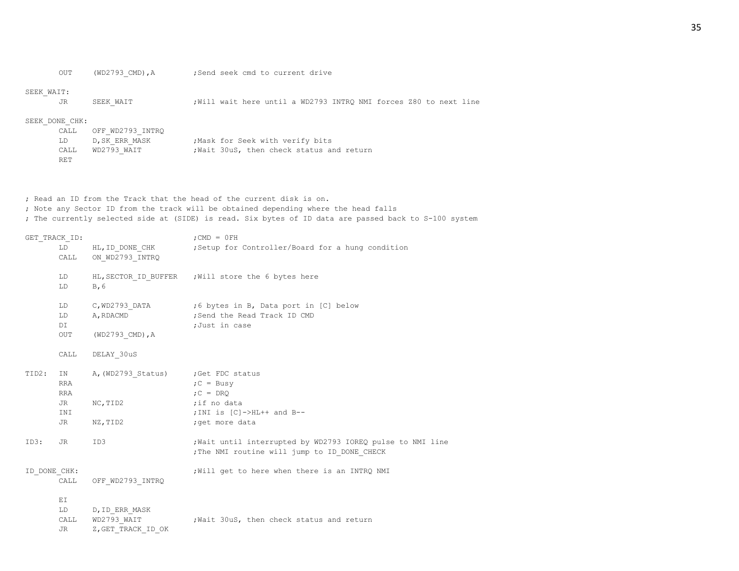OUT (WD2793\_CMD), A ;Send seek cmd to current drive

|  |  |  |  | end seek cmd to current dri |  |
|--|--|--|--|-----------------------------|--|
|--|--|--|--|-----------------------------|--|

#### SEEK\_WAIT:

JR SEEK WAIT ;Will wait here until a WD2793 INTRQ NMI forces Z80 to next line

## SEEK\_DONE\_CHK:

| CALL  | OFF WD2793 INTRO |                                         |
|-------|------------------|-----------------------------------------|
| LD    | D, SK ERR MASK   | ; Mask for Seek with verify bits        |
| CALL. | WD2793 WAIT      | Wait 30uS, then check status and return |
| RET   |                  |                                         |

; Read an ID from the Track that the head of the current disk is on. ; Note any Sector ID from the track will be obtained depending where the head falls ; The currently selected side at (SIDE) is read. Six bytes of ID data are passed back to S-100 system

| GET TRACK ID: | LD                     | HL, ID DONE CHK                                     | $:$ CMD = $0$ FH<br>Setup for Controller/Board for a hung condition                                        |
|---------------|------------------------|-----------------------------------------------------|------------------------------------------------------------------------------------------------------------|
|               |                        | CALL ON WD2793 INTRQ                                |                                                                                                            |
|               | LD<br>LD               | B, 6                                                | HL, SECTOR ID BUFFER ; Will store the 6 bytes here                                                         |
|               | LD<br>DI               | A, RDACMD                                           | LD C, WD2793 DATA ;6 bytes in B, Data port in [C] below<br>;Send the Read Track ID CMD<br>;Just in case    |
|               | OUT                    | $(WD2793$ CMD), A                                   |                                                                                                            |
|               | CALL                   | DELAY 30uS                                          |                                                                                                            |
| TID2:         | <b>RRA</b><br>RRA      | IN A, (WD2793 Status) ; Get FDC status              | $C = BusV$<br>$C = D R Q$                                                                                  |
|               | JR<br>INI              | NC, TID2                                            | ;if no data<br>; INI is $[C]$ ->HL++ and B--                                                               |
|               | JR                     | NZ, TID2                                            | ; get more data                                                                                            |
| ID3:          | JR                     | ID3                                                 | ; Wait until interrupted by WD2793 IOREQ pulse to NMI line<br>; The NMI routine will jump to ID DONE CHECK |
| ID DONE CHK:  | CALL                   | OFF WD2793 INTRQ                                    | ; Will get to here when there is an INTRQ NMI                                                              |
|               | ΕI<br>LD<br>CALL<br>JR | D, ID ERR MASK<br>WD2793 WAIT<br>Z, GET TRACK ID OK | Wait 30uS, then check status and return;                                                                   |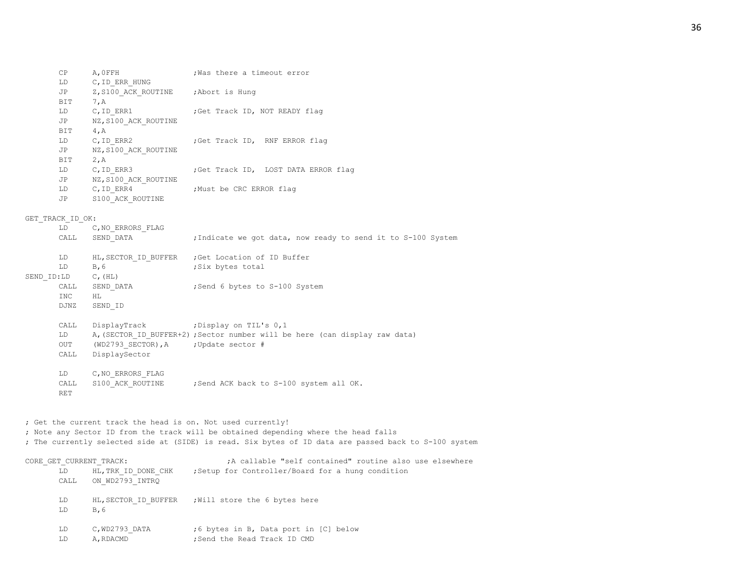| CP  | A.OFFH                              | ; Was there a timeout error         |
|-----|-------------------------------------|-------------------------------------|
| LD  | C, ID ERR HUNG                      |                                     |
| JP  | Z, S100 ACK ROUTINE ; Abort is Hung |                                     |
| BIT | 7, A                                |                                     |
| LD  | C, ID ERR1                          | Get Track ID, NOT READY flag;       |
| JP  | NZ, S100 ACK ROUTINE                |                                     |
| BIT | 4.A                                 |                                     |
| LD  | C, ID ERR2                          | ;Get Track ID, RNF ERROR flag       |
| JP  | NZ, S100 ACK ROUTINE                |                                     |
| BIT | 2, A                                |                                     |
| LD  | C, ID ERR3                          | Get Track ID, LOST DATA ERROR flag; |
| JP  | NZ, S100 ACK ROUTINE                |                                     |
| LD  | C, ID ERR4                          | Must be CRC ERROR flag              |
| JP  | S100 ACK ROUTINE                    |                                     |

## GET TRACK ID OK:

| LD         | C, NO ERRORS FLAG                    |                                                                            |
|------------|--------------------------------------|----------------------------------------------------------------------------|
| CALL       | SEND DATA                            | ; Indicate we got data, now ready to send it to S-100 System               |
| LD         | HL, SECTOR ID BUFFER                 | Get Location of ID Buffer;                                                 |
| LD         | B, 6                                 | ;Six bytes total                                                           |
| SEND ID:LD |                                      |                                                                            |
| CALL       | SEND DATA                            | ; Send 6 bytes to S-100 System                                             |
| INC        | HL.                                  |                                                                            |
| DJNZ       | SEND ID                              |                                                                            |
|            |                                      |                                                                            |
| CALL       | DisplayTrack ; Display on TIL's 0,1  |                                                                            |
| LD —       |                                      | A, (SECTOR ID BUFFER+2); Sector number will be here (can display raw data) |
| OUT        | (WD2793 SECTOR), A ; Update sector # |                                                                            |
| CALL       | DisplaySector                        |                                                                            |
|            |                                      |                                                                            |
| LD         | C, NO ERRORS FLAG                    |                                                                            |
| CALL       | S100 ACK ROUTINE                     | ; Send ACK back to S-100 system all OK.                                    |
| RET        |                                      |                                                                            |
|            |                                      | $C$ , $(HL)$                                                               |

; Get the current track the head is on. Not used currently! ; Note any Sector ID from the track will be obtained depending where the head falls ; The currently selected side at (SIDE) is read. Six bytes of ID data are passed back to S-100 system

| CORE GET CURRENT TRACK:                              | A callable "self contained" routine also use elsewhere                |
|------------------------------------------------------|-----------------------------------------------------------------------|
| HL, TRK ID DONE CHK<br>LD<br>ON WD2793 INTRO<br>CALL | ; Setup for Controller/Board for a hung condition                     |
| LD.<br>HL, SECTOR ID BUFFER<br>B, 6<br>LD            | Will store the 6 bytes here                                           |
| C, WD2793 DATA<br>LD<br>A, RDACMD<br>LD              | ;6 bytes in B, Data port in [C] below<br>; Send the Read Track ID CMD |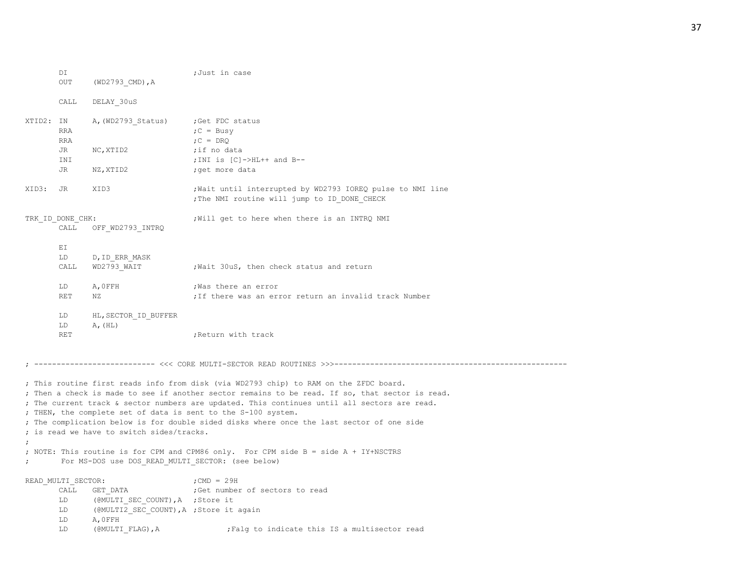|           | DI<br>OUT                | (WD2793 CMD), A                             | ;Just in case                                                                                                                                                                                                                                                                                                                                                                                                                                                                                                                                 |
|-----------|--------------------------|---------------------------------------------|-----------------------------------------------------------------------------------------------------------------------------------------------------------------------------------------------------------------------------------------------------------------------------------------------------------------------------------------------------------------------------------------------------------------------------------------------------------------------------------------------------------------------------------------------|
|           | CALL                     | DELAY 30uS                                  |                                                                                                                                                                                                                                                                                                                                                                                                                                                                                                                                               |
| XTID2: IN | RRA<br>RRA               | A, (WD2793 Status) ; Get FDC status         | $C = BusV$<br>$C = DRO$                                                                                                                                                                                                                                                                                                                                                                                                                                                                                                                       |
|           | JR<br>INI                | NC, XTID2                                   | ;if no data<br>; INI is $[C]$ ->HL++ and B--                                                                                                                                                                                                                                                                                                                                                                                                                                                                                                  |
|           | JR                       | NZ, XTID2                                   | ; get more data                                                                                                                                                                                                                                                                                                                                                                                                                                                                                                                               |
| XID3:     | JR                       | XID3                                        | ; Wait until interrupted by WD2793 IOREQ pulse to NMI line<br>; The NMI routine will jump to ID_DONE_CHECK                                                                                                                                                                                                                                                                                                                                                                                                                                    |
|           | TRK ID DONE CHK:<br>CALL | OFF WD2793 INTRQ                            | ; Will get to here when there is an INTRQ NMI                                                                                                                                                                                                                                                                                                                                                                                                                                                                                                 |
|           | ΕI<br>LD<br>CALL         | D, ID ERR MASK<br>WD2793 WAIT               | Wait 30uS, then check status and return                                                                                                                                                                                                                                                                                                                                                                                                                                                                                                       |
|           | LD<br><b>RET</b>         | A, OFFH<br>NZ                               | Was there an error,<br>; If there was an error return an invalid track Number                                                                                                                                                                                                                                                                                                                                                                                                                                                                 |
|           | LD<br>LD<br>RET          | HL, SECTOR ID BUFFER<br>$\mathbb{A}_r$ (HL) | ; Return with track                                                                                                                                                                                                                                                                                                                                                                                                                                                                                                                           |
|           |                          |                                             | ------------- <<< CORE MULTI-SECTOR READ ROUTINES >>>---------                                                                                                                                                                                                                                                                                                                                                                                                                                                                                |
|           |                          | ; is read we have to switch sides/tracks.   | ; This routine first reads info from disk (via WD2793 chip) to RAM on the ZFDC board.<br>; Then a check is made to see if another sector remains to be read. If so, that sector is read.<br>; The current track & sector numbers are updated. This continues until all sectors are read.<br>; THEN, the complete set of data is sent to the S-100 system.<br>; The complication below is for double sided disks where once the last sector of one side<br>; NOTE: This routine is for CPM and CPM86 only. For CPM side B = side A + IY+NSCTRS |

; For MS-DOS use DOS\_READ\_MULTI\_SECTOR: (see below)

READ\_MULTI\_SECTOR:  $\qquad \qquad ;\text{CMD} = 29\text{H}$ CALL GET\_DATA ;Get number of sectors to read LD (@MULTI\_SEC\_COUNT),A ;Store it LD (@MULTI2 SEC COUNT), A ; Store it again LD A,0FFH LD (@MULTI\_FLAG), A ;Falg to indicate this IS a multisector read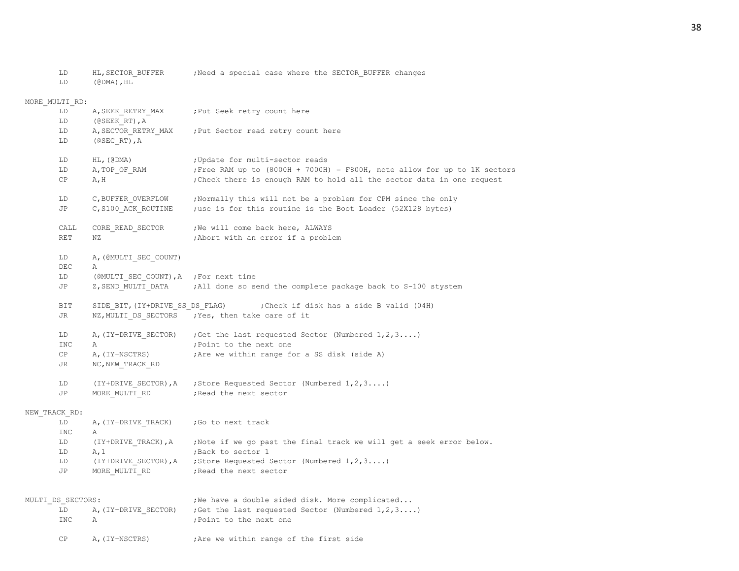LD HL, SECTOR BUFFER ;Need a special case where the SECTOR BUFFER changes

LD (@DMA),HL

MORE\_MULTI\_RD: LD A, SEEK RETRY MAX ; Put Seek retry count here LD (@SEEK\_RT),A LD A, SECTOR RETRY MAX ; Put Sector read retry count here LD (@SEC\_RT),A LD HL, (@DMA) ; Update for multi-sector reads LD A, TOP OF RAM  $;$ Free RAM up to (8000H + 7000H) = F800H, note allow for up to 1K sectors CP A, H ;Check there is enough RAM to hold all the sector data in one request LD C, BUFFER OVERFLOW ;Normally this will not be a problem for CPM since the only JP C, S100 ACK ROUTINE ;use is for this routine is the Boot Loader (52X128 bytes) CALL CORE\_READ\_SECTOR ; We will come back here, ALWAYS RET NZ **interpreterally** abort with an error if a problem LD A, (@MULTI\_SEC\_COUNT) DEC A LD (@MULTI\_SEC\_COUNT), A ; For next time JP z, SEND MULTI DATA ;All done so send the complete package back to S-100 stystem BIT SIDE BIT, (IY+DRIVE SS DS FLAG) ;Check if disk has a side B valid (04H) JR NZ, MULTI DS SECTORS ; Yes, then take care of it LD A, (IY+DRIVE SECTOR) ;Get the last requested Sector (Numbered 1,2,3....) INC A ; Point to the next one CP A, (IY+NSCTRS) ;Are we within range for a SS disk (side A) JR NC, NEW TRACK RD LD (IY+DRIVE SECTOR),A ;Store Requested Sector (Numbered 1,2,3....) JP MORE MULTIRD ;Read the next sector NEW\_TRACK\_RD: LD A, (IY+DRIVE TRACK) ; Go to next track INC A LD (IY+DRIVE TRACK),A ;Note if we go past the final track we will get a seek error below. LD A, 1 ;Back to sector 1 LD (IY+DRIVE SECTOR), A ; Store Requested Sector (Numbered 1,2,3....) JP MORE MULTI RD ; Read the next sector MULTI DS SECTORS:  $;$  ; We have a double sided disk. More complicated... LD A, (IY+DRIVE SECTOR) ;Get the last requested Sector (Numbered  $1,2,3...$ ) INC A ;Point to the next one CP A, (IY+NSCTRS) ;Are we within range of the first side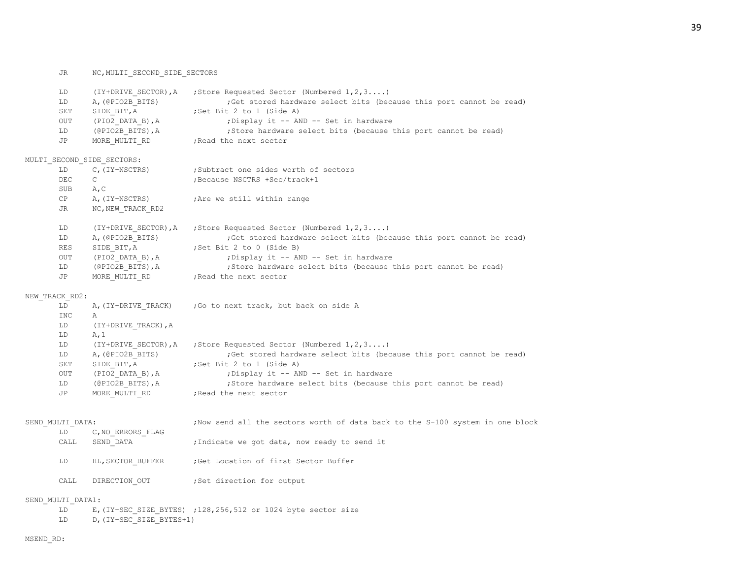|    | LD                | (IY+DRIVE SECTOR), A       | ; Store Requested Sector (Numbered $1, 2, 3$ )                                 |
|----|-------------------|----------------------------|--------------------------------------------------------------------------------|
|    | LD                | A, (@PIO2B BITS)           | ;Get stored hardware select bits (because this port cannot be read)            |
|    | SET               | SIDE BIT, A                | ;Set Bit 2 to 1 (Side A)                                                       |
|    | <b>OUT</b>        | (PIO2 DATA B), A           | ; Display it -- AND -- Set in hardware                                         |
|    | LD                | (@PIO2B_BITS), A           | ;Store hardware select bits (because this port cannot be read)                 |
|    | JP                |                            | MORE MULTI RD ; Read the next sector                                           |
|    |                   | MULTI SECOND SIDE SECTORS: |                                                                                |
|    | LD                | C, (IY+NSCTRS)             | ;Subtract one sides worth of sectors                                           |
|    | DEC               | $\mathsf{C}$               | ; Because NSCTRS +Sec/track+1                                                  |
|    | SUB               | A, C                       |                                                                                |
|    | CP                | A, (IY+NSCTRS)             | ; Are we still within range                                                    |
|    | JR                | NC, NEW TRACK RD2          |                                                                                |
|    | LD                | (IY+DRIVE SECTOR), A       | ; Store Requested Sector (Numbered $1, 2, 3$ )                                 |
|    | LD                | A, (@PIO2B BITS)           | ; Get stored hardware select bits (because this port cannot be read)           |
|    | <b>RES</b>        | SIDE BIT, A                | ;Set Bit 2 to 0 (Side B)                                                       |
|    | <b>OUT</b>        | (PIO2 DATA B), A           | ; Display it -- AND -- Set in hardware                                         |
|    | LD                | (@PIO2B_BITS), A           | ; Store hardware select bits (because this port cannot be read)                |
|    | JP                | MORE MULTI RD              | ; Read the next sector                                                         |
|    | NEW TRACK RD2:    |                            |                                                                                |
|    | LD                | A, (IY+DRIVE TRACK)        | ; Go to next track, but back on side A                                         |
|    | <b>INC</b>        | Α                          |                                                                                |
|    | LD                | (IY+DRIVE TRACK), A        |                                                                                |
|    | LD                | A, 1                       |                                                                                |
|    | LD                | (IY+DRIVE SECTOR), A       | ; Store Requested Sector (Numbered $1, 2, 3$ )                                 |
|    | LD                | A, (@PIO2B BITS)           | ;Get stored hardware select bits (because this port cannot be read)            |
|    | SET               | SIDE BIT, A                | ;Set Bit 2 to 1 (Side A)                                                       |
|    | <b>OUT</b>        | (PIO2 DATA B),A            | ; Display it -- AND -- Set in hardware                                         |
|    | LD                | (@PIO2B BITS),A            | ; Store hardware select bits (because this port cannot be read)                |
|    | JP                | MORE MULTI RD              | ; Read the next sector                                                         |
|    |                   |                            |                                                                                |
|    | SEND MULTI DATA:  |                            | ; Now send all the sectors worth of data back to the S-100 system in one block |
|    | LD                | C, NO ERRORS FLAG          |                                                                                |
|    | CALL              | SEND DATA                  | ; Indicate we got data, now ready to send it                                   |
|    | LD                | HL, SECTOR BUFFER          | Get Location of first Sector Buffer,                                           |
|    | CALL              | DIRECTION OUT              | Set direction for output;                                                      |
|    | SEND MULTI DATA1: |                            |                                                                                |
| LD |                   |                            | E, (IY+SEC SIZE BYTES) ; 128, 256, 512 or 1024 byte sector size                |
|    | LD                | D, (IY+SEC SIZE BYTES+1)   |                                                                                |

39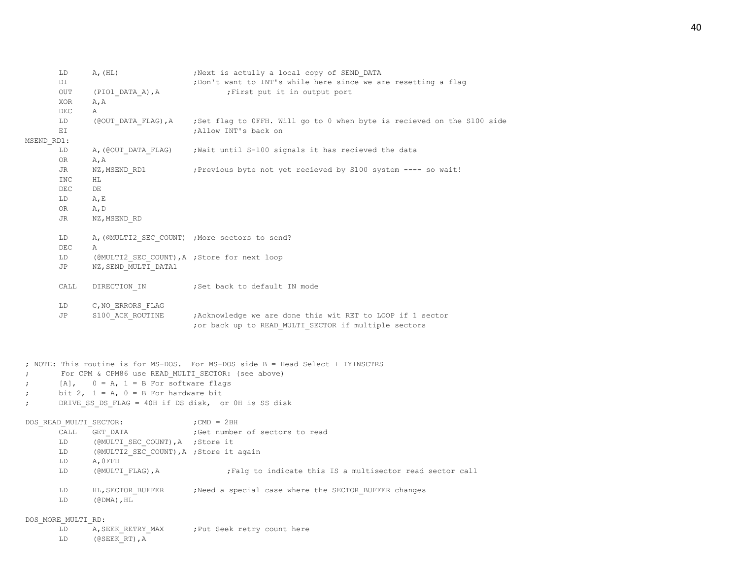| LD                     | A, (HL)                                                                                                                                         | ; Next is actully a local copy of SEND DATA                                                                                            |  |
|------------------------|-------------------------------------------------------------------------------------------------------------------------------------------------|----------------------------------------------------------------------------------------------------------------------------------------|--|
| DI                     |                                                                                                                                                 | ; Don't want to INT's while here since we are resetting a flag                                                                         |  |
| OUT                    | (PIO1 DATA A), A                                                                                                                                | ; First put it in output port                                                                                                          |  |
| XOR                    | A, A                                                                                                                                            |                                                                                                                                        |  |
| DEC                    | Α                                                                                                                                               |                                                                                                                                        |  |
| LD                     | (@OUT DATA FLAG), A                                                                                                                             | ;Set flag to OFFH. Will go to 0 when byte is recieved on the S100 side                                                                 |  |
| ΕI                     |                                                                                                                                                 | ; Allow INT's back on                                                                                                                  |  |
| MSEND RD1:             |                                                                                                                                                 |                                                                                                                                        |  |
| LD                     | A, (COUT DATA FLAG)                                                                                                                             | Wait until S-100 signals it has recieved the data                                                                                      |  |
| OR                     | A, A                                                                                                                                            |                                                                                                                                        |  |
| JR                     | NZ, MSEND RD1                                                                                                                                   | ; Previous byte not yet recieved by S100 system ---- so wait!                                                                          |  |
| <b>INC</b>             | НL                                                                                                                                              |                                                                                                                                        |  |
| DEC                    | DE                                                                                                                                              |                                                                                                                                        |  |
| LD                     | A, E                                                                                                                                            |                                                                                                                                        |  |
| OR                     | A, D                                                                                                                                            |                                                                                                                                        |  |
| JR                     | NZ, MSEND RD                                                                                                                                    |                                                                                                                                        |  |
| LD                     |                                                                                                                                                 | A, (@MULTI2 SEC COUNT) ; More sectors to send?                                                                                         |  |
| $\rm DEC$              | Α                                                                                                                                               |                                                                                                                                        |  |
| LD                     | (@MULTI2 SEC COUNT), A ; Store for next loop                                                                                                    |                                                                                                                                        |  |
| JP                     | NZ, SEND MULTI DATA1                                                                                                                            |                                                                                                                                        |  |
| CALL                   | DIRECTION IN                                                                                                                                    | ;Set back to default IN mode                                                                                                           |  |
| LD                     | C, NO ERRORS FLAG                                                                                                                               |                                                                                                                                        |  |
| JP                     | S100 ACK ROUTINE                                                                                                                                | ; Acknowledge we are done this wit RET to LOOP if 1 sector                                                                             |  |
|                        |                                                                                                                                                 | ; or back up to READ MULTI SECTOR if multiple sectors                                                                                  |  |
| $\ddot{ }$             | For CPM & CPM86 use READ MULTI SECTOR: (see above)<br>$[A]$ , $0 = A$ , $1 = B$ For software flags<br>bit 2, $1 = A$ , $0 = B$ For hardware bit | ; NOTE: This routine is for MS-DOS. For MS-DOS side B = Head Select + IY+NSCTRS<br>DRIVE SS DS FLAG = 40H if DS disk, or 0H is SS disk |  |
| DOS READ MULTI SECTOR: |                                                                                                                                                 | ; CMD $=$ 2BH                                                                                                                          |  |
| CALL                   | GET DATA                                                                                                                                        | ;Get number of sectors to read                                                                                                         |  |
| LD                     | (@MULTI SEC COUNT), A ; Store it                                                                                                                |                                                                                                                                        |  |
| LD                     | (@MULTI2 SEC COUNT), A ; Store it again                                                                                                         |                                                                                                                                        |  |
| LD                     | A, OFFH                                                                                                                                         |                                                                                                                                        |  |
| LD                     | (@MULTI FLAG), A                                                                                                                                | ; Falg to indicate this IS a multisector read sector call                                                                              |  |
| LD                     | HL, SECTOR BUFFER                                                                                                                               | Need a special case where the SECTOR BUFFER changes,                                                                                   |  |
| LD                     | $(\text{\texttt{\#DMA}})$ , $\text{\texttt{HL}}$                                                                                                |                                                                                                                                        |  |
| DOS MORE MULTI RD:     |                                                                                                                                                 |                                                                                                                                        |  |
| LD                     | A, SEEK RETRY MAX                                                                                                                               | ; Put Seek retry count here                                                                                                            |  |
|                        |                                                                                                                                                 |                                                                                                                                        |  |

LD (@SEEK\_RT),A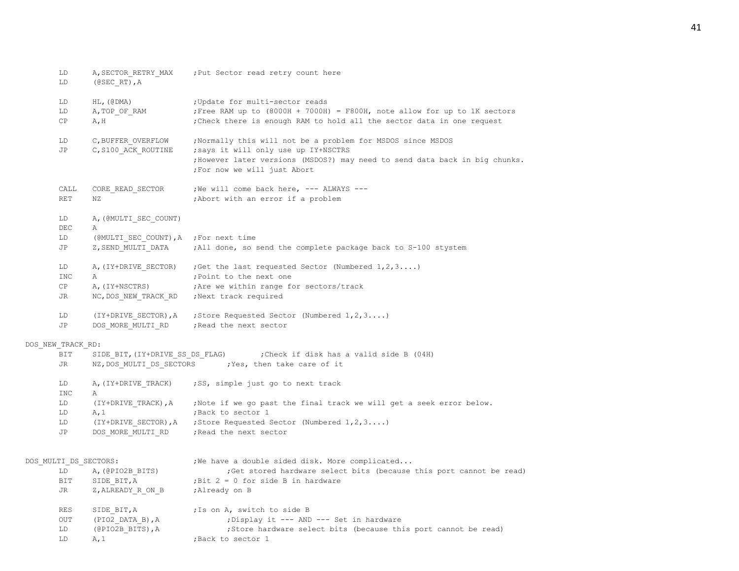| LD<br>LD          | A, SECTOR_RETRY_MAX<br>$(0$ SEC RT), A | ; Put Sector read retry count here                                                                                                                  |
|-------------------|----------------------------------------|-----------------------------------------------------------------------------------------------------------------------------------------------------|
| LD                | $HL$ , $(\theta$ DMA)                  | ; Update for multi-sector reads                                                                                                                     |
| LD                | A, TOP OF RAM                          | Free RAM up to (8000H + 7000H) = F800H, note allow for up to 1K sectors                                                                             |
| СP                | A, H                                   | ; Check there is enough RAM to hold all the sector data in one request                                                                              |
| LD                | C, BUFFER OVERFLOW                     | , Normally this will not be a problem for MSDOS since MSDOS                                                                                         |
| JP                | C, S100 ACK ROUTINE                    | ; says it will only use up IY+NSCTRS<br>; However later versions (MSDOS?) may need to send data back in big chunks.<br>; For now we will just Abort |
| CALL<br>RET       | CORE READ SECTOR<br>ΝZ                 | ; We will come back here, --- ALWAYS ---<br>; Abort with an error if a problem                                                                      |
| LD                | A, (@MULTI SEC COUNT)                  |                                                                                                                                                     |
| DEC               | Α                                      |                                                                                                                                                     |
| LD<br>JP          | (@MULTI SEC COUNT), A ; For next time  | Z, SEND MULTI DATA ; All done, so send the complete package back to S-100 stystem                                                                   |
| LD                |                                        | A, (IY+DRIVE SECTOR) ; Get the last requested Sector (Numbered $1, 2, 3$ )                                                                          |
| <b>INC</b>        | Α                                      | ; Point to the next one                                                                                                                             |
| CP                | A, (IY+NSCTRS)                         | ; Are we within range for sectors/track                                                                                                             |
| JR                |                                        |                                                                                                                                                     |
| LD                |                                        | (IY+DRIVE SECTOR), A ; Store Requested Sector (Numbered $1, 2, 3$ )                                                                                 |
| JP                | DOS MORE MULTI RD                      | ; Read the next sector                                                                                                                              |
| DOS NEW TRACK RD: |                                        |                                                                                                                                                     |
| BIT               |                                        |                                                                                                                                                     |
| JR                |                                        | NZ, DOS_MULTI_DS_SECTORS ; Yes, then take care of it                                                                                                |
| LD<br>INC         | Α                                      | A, (IY+DRIVE TRACK) ; SS, simple just go to next track                                                                                              |
| LD                |                                        | (IY+DRIVE TRACK), A ; Note if we go past the final track we will get a seek error below.                                                            |
| LD                | A, 1                                   | Back to sector 1;                                                                                                                                   |
| LD                |                                        | (IY+DRIVE_SECTOR), A ; Store Requested Sector (Numbered 1, 2, 3)                                                                                    |
| JP                |                                        | DOS MORE MULTI RD ; Read the next sector                                                                                                            |
|                   | DOS MULTI DS SECTORS:                  | ; We have a double sided disk. More complicated                                                                                                     |
| LD                | A, (@PIO2B BITS)                       | ; Get stored hardware select bits (because this port cannot be read)                                                                                |
| BIT               | SIDE BIT, A                            | ; Bit $2 = 0$ for side B in hardware                                                                                                                |
| JR                | Z, ALREADY R ON B                      | ;Already on B                                                                                                                                       |
| RES               | SIDE BIT, A                            | ; Is on A, switch to side B                                                                                                                         |
| OUT               | (PIO2 DATA B), A                       | ; Display it --- AND --- Set in hardware                                                                                                            |
| LD                | (@PIO2B BITS), A                       | ; Store hardware select bits (because this port cannot be read)                                                                                     |
| LD                | A, 1                                   | ; Back to sector 1                                                                                                                                  |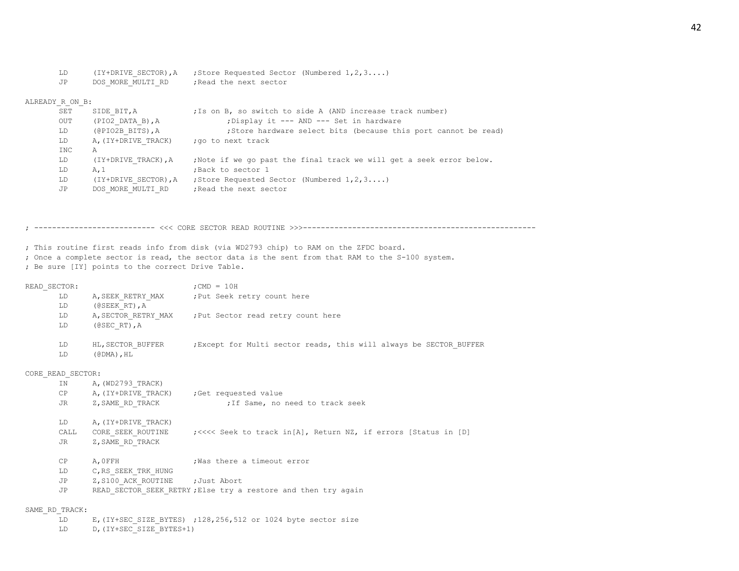| LD  | (IY+DRIVE SECTOR).A | ; Store Requested Sector (Numbered $1, 2, 3, \ldots$ ) |
|-----|---------------------|--------------------------------------------------------|
| .JP | DOS MORE MULTI RD   | Read the next sector.                                  |

## ALREADY\_R\_ON\_B:

| SET        | SIDE BIT, A          | ; Is on B, so switch to side A (AND increase track number)           |
|------------|----------------------|----------------------------------------------------------------------|
| OUT        | $(PIO2$ DATA B), A   | : Display it --- AND --- Set in hardware                             |
| LD         | (@PIO2B BITS), A     | ; Store hardware select bits (because this port cannot be read)      |
| LD         | A, (IY+DRIVE TRACK)  | ;go to next track                                                    |
| <b>INC</b> | A                    |                                                                      |
| LD         | (IY+DRIVE TRACK), A  | , Note if we go past the final track we will get a seek error below. |
| LD         | A.1                  | Back to sector 1                                                     |
| LD         | (IY+DRIVE SECTOR), A | : Store Requested Sector (Numbered $1, 2, 3, \ldots$ )               |
| JP         | DOS MORE MULTI RD    | Read the next sector,                                                |
|            |                      |                                                                      |

; --------------------------- <<< CORE SECTOR READ ROUTINE >>>----------------------------------------------------

; This routine first reads info from disk (via WD2793 chip) to RAM on the ZFDC board.

- ; Once a complete sector is read, the sector data is the sent from that RAM to the S-100 system.
- ; Be sure [IY] points to the correct Drive Table.

| READ SECTOR: |                                                                       | $:$ CMD = 10H                                                      |
|--------------|-----------------------------------------------------------------------|--------------------------------------------------------------------|
| LD           | A, SEEK RETRY MAX                                                     | ; Put Seek retry count here                                        |
| LD.          | $($ @ SEEK RT $)$ , A                                                 |                                                                    |
| LD           | A, SECTOR RETRY MAX                                                   | ; Put Sector read retry count here                                 |
| LD           | $(0$ SEC RT), A                                                       |                                                                    |
| LD.<br>LD    | HL, SECTOR BUFFER<br>$(\text{\texttt{\&}DMA})$ , $\text{\texttt{HL}}$ | ; Except for Multi sector reads, this will always be SECTOR BUFFER |

CORE\_READ\_SECTOR:

| ΙN<br>СP<br>JR       | A, (WD2793 TRACK)<br>A, (IY+DRIVE TRACK)<br>Z, SAME RD TRACK | Get requested value<br>; If Same, no need to track seek                                                   |
|----------------------|--------------------------------------------------------------|-----------------------------------------------------------------------------------------------------------|
| LD<br>CALL<br>JR.    | A, (IY+DRIVE TRACK)<br>CORE SEEK ROUTINE<br>Z, SAME RD TRACK | ; <<<< Seek to track in [A], Return NZ, if errors [Status in [D]                                          |
| CP<br>LD<br>JP<br>JP | A.OFFH<br>C, RS SEEK TRK HUNG<br>Z, S100 ACK ROUTINE         | Was there a timeout error<br>:Just Abort<br>READ SECTOR SEEK RETRY; Else try a restore and then try again |

### SAME\_RD\_TRACK:

LD E, (IY+SEC SIZE BYTES) ;128,256,512 or 1024 byte sector size

LD D, (IY+SEC SIZE BYTES+1)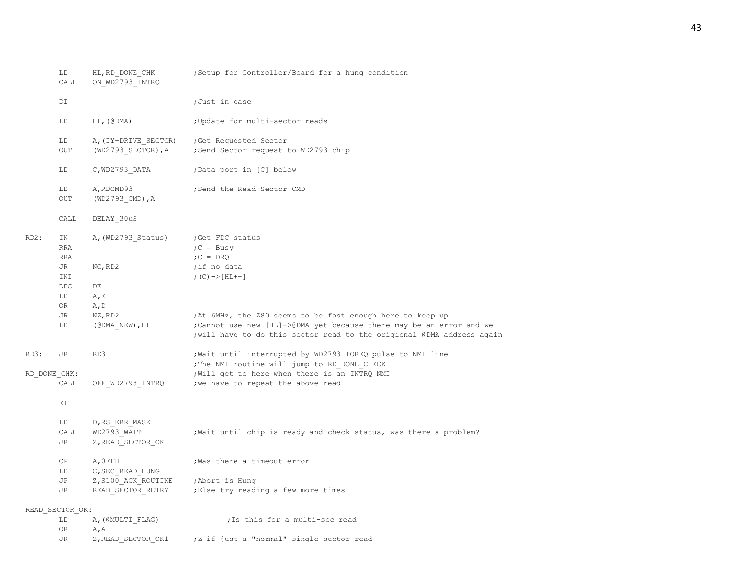|              | LD<br>CALL       | HL, RD DONE CHK<br>ON WD2793 INTRQ | ; Setup for Controller/Board for a hung condition                                                                                              |  |
|--------------|------------------|------------------------------------|------------------------------------------------------------------------------------------------------------------------------------------------|--|
|              | DI               |                                    | ;Just in case                                                                                                                                  |  |
|              | LD               | $HL$ , (@DMA)                      | ; Update for multi-sector reads                                                                                                                |  |
|              | LD               | A, (IY+DRIVE SECTOR)               | ; Get Requested Sector                                                                                                                         |  |
|              | OUT              | $(WD2793$ SECTOR), A               | ; Send Sector request to WD2793 chip                                                                                                           |  |
|              | LD               | $C, WD2793$ DATA                   | ;Data port in [C] below                                                                                                                        |  |
|              | LD<br>OUT        | A, RDCMD93<br>(WD2793 CMD), A      | ; Send the Read Sector CMD                                                                                                                     |  |
|              | CALL             | DELAY 30uS                         |                                                                                                                                                |  |
| $RD2$ :      | IN               | A, (WD2793 Status)                 | ; Get FDC status                                                                                                                               |  |
|              | <b>RRA</b>       |                                    | $C = Busy$                                                                                                                                     |  |
|              | <b>RRA</b><br>JR |                                    | $C = DRQ$                                                                                                                                      |  |
|              | INI              | NC, RD2                            | ;if no data<br>; $(C)$ -> [HL++]                                                                                                               |  |
|              | $\rm DEC$        | DE                                 |                                                                                                                                                |  |
|              | LD               | A, E                               |                                                                                                                                                |  |
|              | OR               | A, D                               |                                                                                                                                                |  |
|              | JR               | NZ, RD2                            | ; At 6MHz, the Z80 seems to be fast enough here to keep up                                                                                     |  |
|              | LD               | $(CDMA NEW)$ , HL                  | ; Cannot use new [HL]->@DMA yet because there may be an error and we<br>; will have to do this sector read to the origional @DMA address again |  |
| RD3:         | JR               | RD3                                | ; Wait until interrupted by WD2793 IOREQ pulse to NMI line<br>; The NMI routine will jump to RD DONE CHECK                                     |  |
| RD DONE CHK: |                  |                                    | ; Will get to here when there is an INTRQ NMI                                                                                                  |  |
|              | CALL             | OFF WD2793 INTRQ                   | ; we have to repeat the above read                                                                                                             |  |
|              | ΕI               |                                    |                                                                                                                                                |  |
|              | LD               | D, RS ERR MASK                     |                                                                                                                                                |  |
|              | CALL             | WD2793 WAIT                        | ; Wait until chip is ready and check status, was there a problem?                                                                              |  |
|              | JR               | Z, READ SECTOR OK                  |                                                                                                                                                |  |
|              | СP               | A, OFFH                            | ; Was there a timeout error                                                                                                                    |  |
|              | LD               | C, SEC READ HUNG                   |                                                                                                                                                |  |
|              | JP               | Z, S100 ACK ROUTINE                | ;Abort is Hung                                                                                                                                 |  |
|              | JR               | READ SECTOR RETRY                  | ; Else try reading a few more times                                                                                                            |  |
|              | READ SECTOR OK:  |                                    |                                                                                                                                                |  |
|              | LD               | A, (@MULTI FLAG)                   | ; Is this for a multi-sec read                                                                                                                 |  |
|              | 0R               | A, A                               |                                                                                                                                                |  |
|              | JR               | Z, READ SECTOR OK1                 | ;Z if just a "normal" single sector read                                                                                                       |  |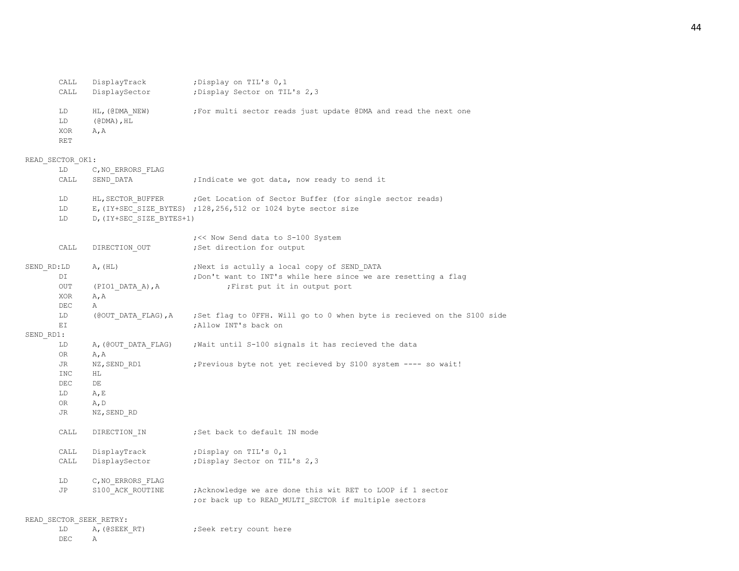|            | CALL<br>CALL           | DisplayTrack<br>DisplaySector                                              | ; Display on TIL's 0,1<br>; Display Sector on TIL's 2,3                                                                 |
|------------|------------------------|----------------------------------------------------------------------------|-------------------------------------------------------------------------------------------------------------------------|
|            | LD<br>LD<br>XOR<br>RET | HL, (@DMA NEW)<br>$(\text{\texttt{\&}DMA})$ , $\text{\texttt{HL}}$<br>A, A | ; For multi sector reads just update @DMA and read the next one                                                         |
|            | READ SECTOR OK1:       |                                                                            |                                                                                                                         |
|            | LD                     | C, NO ERRORS FLAG                                                          |                                                                                                                         |
|            | CALL                   | SEND DATA                                                                  | ; Indicate we got data, now ready to send it                                                                            |
|            | LD<br>LD<br>LD         | HL, SECTOR BUFFER<br>D, (IY+SEC SIZE BYTES+1)                              | Get Location of Sector Buffer (for single sector reads)<br>E, (IY+SEC_SIZE_BYTES) ;128,256,512 or 1024 byte sector size |
|            | CALL                   | DIRECTION OUT                                                              | ; << Now Send data to S-100 System<br>; Set direction for output                                                        |
| SEND RD:LD |                        | A, (HL)                                                                    | ; Next is actully a local copy of SEND DATA                                                                             |
|            | DI                     |                                                                            | ; Don't want to INT's while here since we are resetting a flag                                                          |
|            | OUT                    | (PIO1 DATA A), A                                                           | First put it in output port                                                                                             |
|            | XOR                    | A, A                                                                       |                                                                                                                         |
|            | DEC                    | Α                                                                          |                                                                                                                         |
|            | LD                     | (@OUT DATA FLAG), A                                                        | ;Set flag to OFFH. Will go to 0 when byte is recieved on the S100 side                                                  |
|            | EI                     |                                                                            | ; Allow INT's back on                                                                                                   |
| SEND RD1:  |                        |                                                                            |                                                                                                                         |
|            | LD                     | A, (@OUT DATA FLAG)                                                        | ; Wait until S-100 signals it has recieved the data                                                                     |
|            | 0R                     | A, A                                                                       |                                                                                                                         |
|            | JR                     | NZ, SEND RD1                                                               | ; Previous byte not yet recieved by S100 system ---- so wait!                                                           |
|            | INC                    | ΗL                                                                         |                                                                                                                         |
|            | $\rm DEC$              | DE                                                                         |                                                                                                                         |
|            | LD                     | A, E                                                                       |                                                                                                                         |
|            | ΟR                     | A, D                                                                       |                                                                                                                         |
|            | JR                     | NZ, SEND RD                                                                |                                                                                                                         |
|            | CALL                   | DIRECTION IN                                                               | ;Set back to default IN mode                                                                                            |
|            | CALL                   | DisplayTrack                                                               | ; Display on TIL's 0,1                                                                                                  |
|            | CALL                   | DisplaySector                                                              | ; Display Sector on TIL's 2,3                                                                                           |
|            | LD                     | C, NO ERRORS FLAG                                                          |                                                                                                                         |
|            | JP                     | S100 ACK ROUTINE                                                           | ; Acknowledge we are done this wit RET to LOOP if 1 sector<br>; or back up to READ MULTI SECTOR if multiple sectors     |
|            |                        | READ SECTOR SEEK RETRY:                                                    |                                                                                                                         |
|            | LD                     | A, (@SEEK RT)                                                              | ; Seek retry count here                                                                                                 |
|            | DEC                    | Α                                                                          |                                                                                                                         |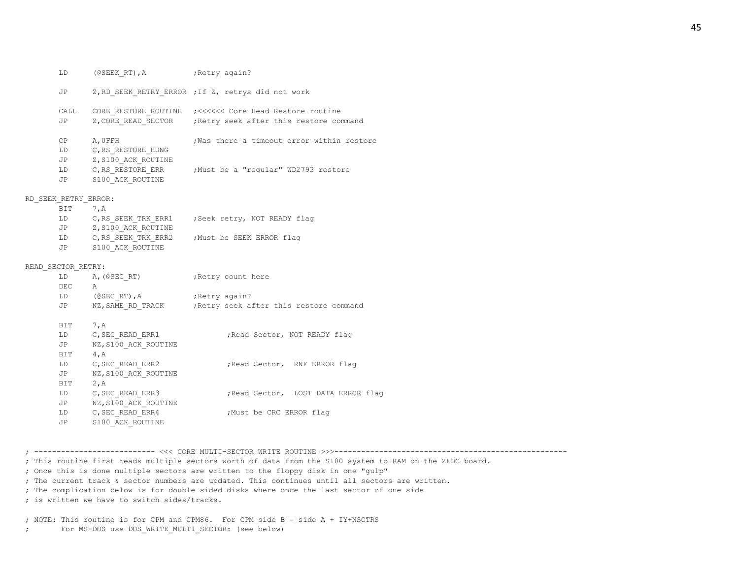|                      | LD (@SEEK RT), A (Retry again?  |                                                              |
|----------------------|---------------------------------|--------------------------------------------------------------|
| JP                   |                                 | Z, RD SEEK RETRY ERROR ; If Z, retrys did not work           |
|                      |                                 | CALL CORE RESTORE ROUTINE ; <<<<<< Core Head Restore routine |
| JP                   |                                 | Z, CORE READ SECTOR ; Retry seek after this restore command  |
| CP                   | A, OFFH                         | Was there a timeout error within restore                     |
| LD                   | C, RS RESTORE HUNG              |                                                              |
| JP                   | Z, S100 ACK ROUTINE             |                                                              |
| LD                   |                                 | C, RS RESTORE ERR ; Must be a "regular" WD2793 restore       |
| JP                   | S100 ACK ROUTINE                |                                                              |
| RD SEEK RETRY ERROR: |                                 |                                                              |
| BIT                  | 7, A                            |                                                              |
| LD                   |                                 | C, RS SEEK TRK ERR1 ; Seek retry, NOT READY flag             |
|                      | JP Z, S100 ACK ROUTINE          |                                                              |
|                      |                                 | LD C, RS SEEK TRK ERR2 ; Must be SEEK ERROR flag             |
|                      | JP S100 ACK ROUTINE             |                                                              |
| READ SECTOR RETRY:   |                                 |                                                              |
| LD                   | A, (@SEC RT) ; Retry count here |                                                              |
| DEC A                |                                 |                                                              |
|                      | LD (@SECRT), A ; Retry again?   |                                                              |
| <b>JP</b>            |                                 | NZ, SAME RD TRACK ; Retry seek after this restore command    |
| <b>BIT</b>           | 7, A                            |                                                              |
| LD                   | C, SEC READ ERR1                | ; Read Sector, NOT READY flag                                |
| JP                   | NZ, S100 ACK ROUTINE            |                                                              |
| <b>BIT</b>           | 4, A                            |                                                              |
|                      | LD C, SEC_READ_ERR2             | ; Read Sector, RNF ERROR flag                                |
| JP                   | NZ, S100 ACK ROUTINE            |                                                              |
| BIT                  | 2, A                            |                                                              |
| LD -                 | C, SEC READ ERR3                | ; Read Sector, LOST DATA ERROR flag                          |
| JP                   | NZ, S100 ACK ROUTINE            |                                                              |
| LD                   | C, SEC READ ERR4                | ; Must be CRC ERROR flag                                     |
|                      |                                 |                                                              |

; --------------------------- <<< CORE MULTI-SECTOR WRITE ROUTINE >>>----------------------------------------------------

; This routine first reads multiple sectors worth of data from the S100 system to RAM on the ZFDC board.

; Once this is done multiple sectors are written to the floppy disk in one "gulp"

; The current track & sector numbers are updated. This continues until all sectors are written.

; The complication below is for double sided disks where once the last sector of one side

; is written we have to switch sides/tracks.

JP S100\_ACK\_ROUTINE

; NOTE: This routine is for CPM and CPM86. For CPM side B = side A + IY+NSCTRS

; For MS-DOS use DOS\_WRITE\_MULTI\_SECTOR: (see below)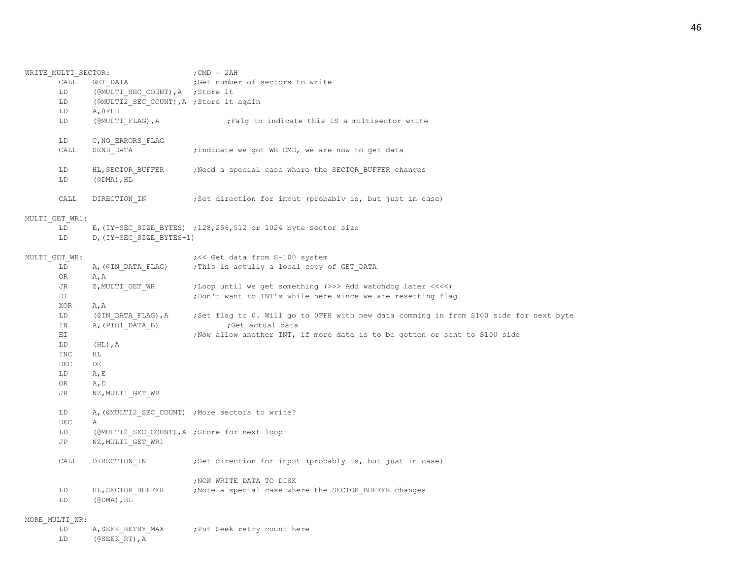| WRITE MULTI SECTOR: |                                                                   | $;$ CMD = 2AH                                                                                             |
|---------------------|-------------------------------------------------------------------|-----------------------------------------------------------------------------------------------------------|
| CALL                | GET DATA                                                          | ;Get number of sectors to write                                                                           |
| LD                  | (@MULTI SEC COUNT), A ; Store it                                  |                                                                                                           |
| LD                  | (@MULTI2 SEC COUNT), A ; Store it again                           |                                                                                                           |
| LD                  | A, OFFH                                                           |                                                                                                           |
| LD                  | (@MULTI FLAG), A                                                  | ; Falg to indicate this IS a multisector write                                                            |
| LD                  | C, NO ERRORS FLAG                                                 |                                                                                                           |
| CALL                | SEND DATA                                                         | ; Indicate we got WR CMD, we are now to get data                                                          |
| LD                  | HL, SECTOR BUFFER                                                 | Need a special case where the SECTOR BUFFER changes,                                                      |
| LD                  | $(\text{\texttt{\#DMA}})$ , $\text{\texttt{HL}}$                  |                                                                                                           |
| CALL                | DIRECTION IN                                                      | ;Set direction for input (probably is, but just in case)                                                  |
| MULTI GET WR1:      |                                                                   |                                                                                                           |
| LD                  |                                                                   | E, (IY+SEC SIZE BYTES) ; 128, 256, 512 or 1024 byte sector size                                           |
| LD                  | D, (IY+SEC SIZE BYTES+1)                                          |                                                                                                           |
| MULTI GET WR:       |                                                                   | ; << Get data from S-100 system                                                                           |
| LD                  | A, (@IN DATA FLAG)                                                | ; This is actully a local copy of GET DATA                                                                |
| OR                  | A, A                                                              |                                                                                                           |
| JR                  | Z, MULTI GET WR                                                   | ;Loop until we get something (>>> Add watchdog later <<<<)                                                |
| DI                  |                                                                   | ; Don't want to INT's while here since we are resetting flag                                              |
| XOR                 | A, A                                                              |                                                                                                           |
| LD<br>ΙN            | (@IN DATA FLAG), A<br>A, (PIO1 DATA B)                            | ;Set flag to 0. Will go to OFFH with new data comming in from S100 side for next byte<br>;Get actual data |
| ΕI                  |                                                                   | ; Now allow another INT, if more data is to be gotten or sent to S100 side                                |
| LD                  | $(HL)$ , A                                                        |                                                                                                           |
| <b>INC</b>          | ΗL                                                                |                                                                                                           |
| <b>DEC</b>          | DE                                                                |                                                                                                           |
| LD                  | A, E                                                              |                                                                                                           |
| OR                  | A, D                                                              |                                                                                                           |
| JR                  | NZ, MULTI GET WR                                                  |                                                                                                           |
|                     |                                                                   |                                                                                                           |
| LD                  |                                                                   | A, (@MULTI2 SEC COUNT) ; More sectors to write?                                                           |
| DEC                 | Α                                                                 |                                                                                                           |
| LD<br>JP            | (@MULTI2 SEC COUNT), A ; Store for next loop<br>NZ, MULTI GET WR1 |                                                                                                           |
|                     |                                                                   |                                                                                                           |
| CALL                | DIRECTION IN                                                      | ; Set direction for input (probably is, but just in case)                                                 |
|                     |                                                                   | ; NOW WRITE DATA TO DISK                                                                                  |
| LD                  | HL, SECTOR_BUFFER                                                 | ; Note a special case where the SECTOR BUFFER changes                                                     |
| LD                  | (@DMA), $HL$                                                      |                                                                                                           |
| MORE MULTI WR:      |                                                                   |                                                                                                           |
| LD                  | A, SEEK RETRY MAX                                                 | ; Put Seek retry count here                                                                               |
| LD                  | $(0SEEK RT)$ , A                                                  |                                                                                                           |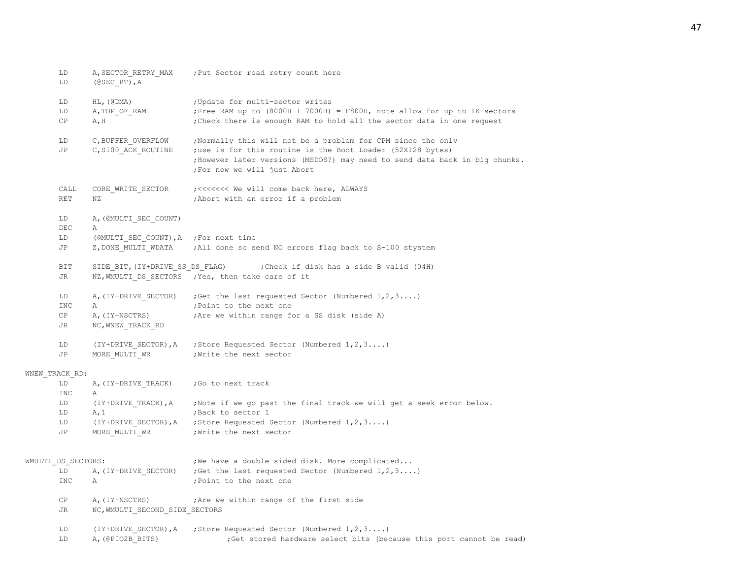| LD<br>LD           | A, SECTOR RETRY MAX<br>$(0$ SEC RT), A                       | ; Put Sector read retry count here                                                                                                                                         |
|--------------------|--------------------------------------------------------------|----------------------------------------------------------------------------------------------------------------------------------------------------------------------------|
| LD                 | $HL$ , ( $\theta$ DMA)                                       | ; Update for multi-sector writes                                                                                                                                           |
| LD                 | A, TOP OF RAM                                                | Free RAM up to (8000H + 7000H) = F800H, note allow for up to 1K sectors                                                                                                    |
| CP                 | A, H                                                         | ; Check there is enough RAM to hold all the sector data in one request                                                                                                     |
| LD                 | C, BUFFER OVERFLOW                                           | ; Normally this will not be a problem for CPM since the only                                                                                                               |
| JP                 | C, S100 ACK ROUTINE                                          | ; use is for this routine is the Boot Loader (52X128 bytes)<br>; However later versions (MSDOS?) may need to send data back in big chunks.<br>; For now we will just Abort |
| CALL<br>RET        | CORE WRITE SECTOR<br>ΝZ                                      | ; <<<<<<<< We will come back here, ALWAYS<br>; Abort with an error if a problem                                                                                            |
| LD                 | A, (@MULTI SEC COUNT)                                        |                                                                                                                                                                            |
| DEC                | Α                                                            |                                                                                                                                                                            |
| LD<br>JP           | (@MULTI_SEC_COUNT), A ; For next time<br>Z, DONE_MULTI_WDATA | ;All done so send NO errors flag back to S-100 stystem                                                                                                                     |
| BIT                | SIDE BIT, (IY+DRIVE SS DS FLAG)                              | ; Check if disk has a side B valid (04H)                                                                                                                                   |
| JR                 |                                                              | NZ, WMULTI DS SECTORS ; Yes, then take care of it                                                                                                                          |
| LD                 | A, (IY+DRIVE SECTOR)                                         | ; Get the last requested Sector (Numbered $1, 2, 3$ )                                                                                                                      |
| <b>INC</b>         | Α                                                            | ; Point to the next one                                                                                                                                                    |
| CP                 | A, (IY+NSCTRS)                                               | ; Are we within range for a SS disk (side A)                                                                                                                               |
| JR                 | NC, WNEW TRACK RD                                            |                                                                                                                                                                            |
| LD                 |                                                              | (IY+DRIVE_SECTOR), A ; Store Requested Sector (Numbered 1, 2, 3)                                                                                                           |
| JP.                | MORE MULTI WR                                                | Write the next sector,                                                                                                                                                     |
| WNEW TRACK RD:     |                                                              |                                                                                                                                                                            |
| LD                 | A, (IY+DRIVE TRACK)                                          | ;Go to next track                                                                                                                                                          |
| <b>INC</b>         | Α                                                            |                                                                                                                                                                            |
| LD                 |                                                              | (IY+DRIVE TRACK), A ; Note if we go past the final track we will get a seek error below.                                                                                   |
| LD                 | A, 1                                                         | ;Back to sector 1                                                                                                                                                          |
| LD                 |                                                              | (IY+DRIVE SECTOR), A ; Store Requested Sector (Numbered 1, 2, 3)                                                                                                           |
| JP                 | MORE MULTI WR                                                | ; Write the next sector                                                                                                                                                    |
| WMULTI DS SECTORS: |                                                              | ; We have a double sided disk. More complicated                                                                                                                            |
| LD                 | A, (IY+DRIVE SECTOR)                                         | ; Get the last requested Sector (Numbered $1, 2, 3$ )                                                                                                                      |
| <b>INC</b>         | Α                                                            | ; Point to the next one                                                                                                                                                    |
| СP                 | A, (IY+NSCTRS)                                               | ; Are we within range of the first side                                                                                                                                    |
| JR                 | NC, WMULTI SECOND SIDE SECTORS                               |                                                                                                                                                                            |
| LD                 | (IY+DRIVE SECTOR), A                                         | ; Store Requested Sector (Numbered $1, 2, 3$ )                                                                                                                             |
| LD                 | A, (@PIO2B BITS)                                             | ;Get stored hardware select bits (because this port cannot be read)                                                                                                        |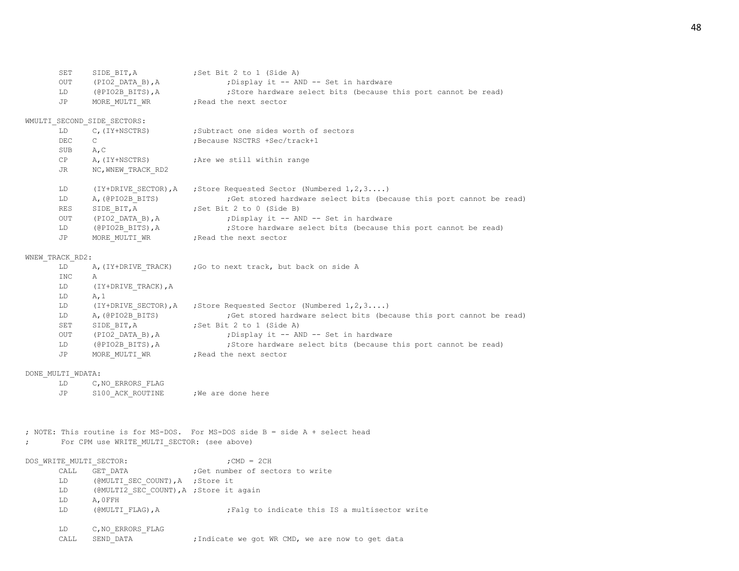|                         | SET<br>OUT        | SIDE BIT, A<br>(PIO2 DATA B), A             | ; Set Bit 2 to 1 (Side A)<br>; Display it -- AND -- Set in hardware                       |
|-------------------------|-------------------|---------------------------------------------|-------------------------------------------------------------------------------------------|
|                         | LD<br>JP          | (@PIO2B BITS), A<br>MORE MULTI WR           | ; Store hardware select bits (because this port cannot be read)<br>; Read the next sector |
|                         |                   | WMULTI SECOND SIDE SECTORS:                 |                                                                                           |
|                         | LD                | C, (IY+NSCTRS)                              | ;Subtract one sides worth of sectors                                                      |
|                         | DEC               | C                                           | ; Because NSCTRS +Sec/track+1                                                             |
|                         | SUB               | A, C                                        |                                                                                           |
|                         | CP                | A, (IY+NSCTRS)                              | ; Are we still within range                                                               |
|                         | JR                | NC, WNEW TRACK RD2                          |                                                                                           |
|                         | LD                | (IY+DRIVE SECTOR), A                        | ; Store Requested Sector (Numbered $1, 2, 3$ )                                            |
|                         | LD                | A, (@PIO2B BITS)                            | ;Get stored hardware select bits (because this port cannot be read)                       |
|                         | RES               | SIDE BIT, A                                 | ;Set Bit 2 to 0 (Side B)                                                                  |
|                         | <b>OUT</b>        | $(PIO2$ DATA B), A                          | ; Display it -- AND -- Set in hardware                                                    |
|                         | LD                | (@PIO2B BITS), A                            | ; Store hardware select bits (because this port cannot be read)                           |
|                         | JP                | MORE MULTI WR                               | ; Read the next sector                                                                    |
|                         | WNEW TRACK RD2:   |                                             |                                                                                           |
|                         | LD                | A, (IY+DRIVE TRACK)                         | Go to next track, but back on side A;                                                     |
|                         | INC               | Α                                           |                                                                                           |
|                         | LD                | (IY+DRIVE TRACK), A                         |                                                                                           |
|                         | LD                | A, 1                                        |                                                                                           |
|                         | LD                | (IY+DRIVE SECTOR), A                        | ; Store Requested Sector (Numbered 1, 2, 3)                                               |
|                         | LD                | A, (@PIO2B BITS)                            | ; Get stored hardware select bits (because this port cannot be read)                      |
|                         | SET               | SIDE BIT, A                                 | ;Set Bit 2 to 1 (Side A)                                                                  |
|                         | <b>OUT</b>        | (PIO2 DATA B), A                            | ; Display it -- AND -- Set in hardware                                                    |
|                         | LD                | $(\texttt{@PIO2B} \texttt{BITS}), A$        | ; Store hardware select bits (because this port cannot be read)                           |
|                         | JP                | MORE MULTI WR                               | ; Read the next sector                                                                    |
|                         | DONE MULTI WDATA: |                                             |                                                                                           |
|                         | LD                | C, NO ERRORS FLAG                           |                                                                                           |
|                         | JP                | S100 ACK ROUTINE                            | ; We are done here                                                                        |
|                         |                   |                                             |                                                                                           |
|                         |                   |                                             | ; NOTE: This routine is for MS-DOS. For MS-DOS side B = side A + select head              |
| $\ddot{ }$              |                   | For CPM use WRITE MULTI SECTOR: (see above) |                                                                                           |
| DOS WRITE MULTI SECTOR: |                   |                                             | ; $CMD = 2CH$                                                                             |
|                         | CALL              | GET DATA                                    | ;Get number of sectors to write                                                           |
|                         | LD                | (@MULTI SEC COUNT), A ; Store it            |                                                                                           |
|                         | LD                | (@MULTI2 SEC COUNT), A ; Store it again     |                                                                                           |
|                         | LD                | A, OFFH                                     |                                                                                           |
|                         | LD                | (@MULTI FLAG), A                            | ; Falg to indicate this IS a multisector write                                            |
|                         | LD                | C, NO ERRORS FLAG                           |                                                                                           |
|                         | CALL              | SEND DATA                                   | ; Indicate we got WR CMD, we are now to get data                                          |
|                         |                   |                                             |                                                                                           |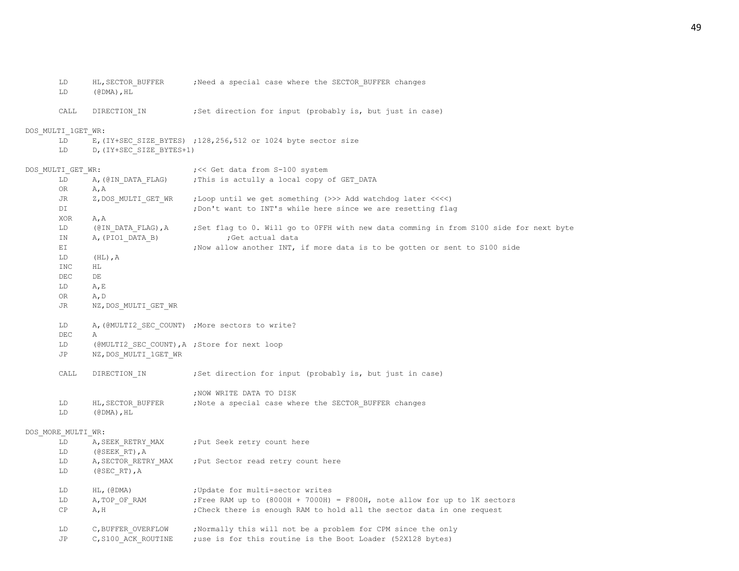LD (@DMA),HL CALL DIRECTION IN ;Set direction for input (probably is, but just in case) DOS\_MULTI\_1GET\_WR: LD E,(IY+SEC SIZE BYTES) ;128,256,512 or 1024 byte sector size LD D, (IY+SEC SIZE BYTES+1) DOS MULTI GET WR:  $\qquad \qquad$  ; << Get data from S-100 system LD A, (@IN\_DATA\_FLAG) ;This is actully a local copy of GET\_DATA OR A,A JR Z, DOS\_MULTI\_GET\_WR ;Loop until we get something (>>> Add watchdog later <<<<) DI ;Don't want to INT's while here since we are resetting flag XOR A,A LD (@IN\_DATA\_FLAG),A ;Set flag to 0. Will go to 0FFH with new data comming in from S100 side for next byte IN A, (PIO1 DATA B) ;Get actual data EI **EI** ;Now allow another INT, if more data is to be gotten or sent to S100 side LD (HL),A INC HL DEC DE LD A,E OR A,D JR NZ,DOS\_MULTI\_GET\_WR LD A, (@MULTI2 SEC COUNT) ;More sectors to write? DEC A LD (@MULTI2 SEC COUNT), A ; Store for next loop JP NZ, DOS MULTI 1GET WR CALL DIRECTION IN ;Set direction for input (probably is, but just in case) ;NOW WRITE DATA TO DISK LD HL, SECTOR BUFFER ;Note a special case where the SECTOR BUFFER changes LD (@DMA),HL DOS\_MORE\_MULTI\_WR: LD A, SEEK RETRY MAX ;Put Seek retry count here LD (@SEEK\_RT),A LD A, SECTOR RETRY MAX ; Put Sector read retry count here LD (@SEC\_RT),A LD HL, (@DMA) ; Update for multi-sector writes LD A, TOP OF RAM ;Free RAM up to (8000H + 7000H) = F800H, note allow for up to 1K sectors CP A, H ;Check there is enough RAM to hold all the sector data in one request LD C, BUFFER OVERFLOW ; Normally this will not be a problem for CPM since the only JP C, S100 ACK ROUTINE ;use is for this routine is the Boot Loader (52X128 bytes)

LD HL, SECTOR BUFFER ;Need a special case where the SECTOR BUFFER changes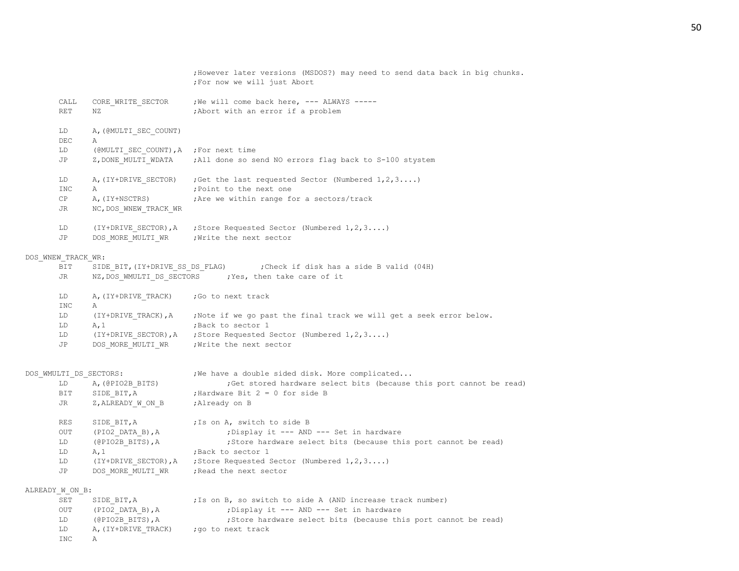|                    |                                       | ; However later versions (MSDOS?) may need to send data back in big chunks.<br>; For now we will just Abort |
|--------------------|---------------------------------------|-------------------------------------------------------------------------------------------------------------|
| CALL               | CORE WRITE SECTOR                     | ; We will come back here, --- ALWAYS -----                                                                  |
| <b>RET</b>         | ΝZ                                    | ; Abort with an error if a problem                                                                          |
| LD                 | A, (@MULTI SEC COUNT)                 |                                                                                                             |
| DEC                | Α                                     |                                                                                                             |
| LD                 | (@MULTI SEC COUNT), A ; For next time |                                                                                                             |
| JP                 | Z, DONE MULTI WDATA                   | ; All done so send NO errors flag back to S-100 stystem                                                     |
| LD                 | A, (IY+DRIVE SECTOR)                  | ; Get the last requested Sector (Numbered $1, 2, 3$ )                                                       |
| <b>INC</b>         | Α                                     | ; Point to the next one                                                                                     |
| CP.                | A, (IY+NSCTRS)                        | ; Are we within range for a sectors/track                                                                   |
| JR                 | NC, DOS WNEW TRACK WR                 |                                                                                                             |
| LD                 | (IY+DRIVE SECTOR), A                  | ; Store Requested Sector (Numbered $1, 2, 3$ )                                                              |
| JP                 | DOS MORE MULTI WR                     | ; Write the next sector                                                                                     |
| DOS WNEW TRACK WR: |                                       |                                                                                                             |
| BIT                | SIDE BIT, (IY+DRIVE SS DS FLAG)       | Check if disk has a side B valid (04H);                                                                     |
| JR                 |                                       | NZ, DOS WMULTI DS SECTORS ; Yes, then take care of it                                                       |
| LD                 | A, (IY+DRIVE TRACK)                   | ;Go to next track                                                                                           |
| <b>INC</b>         | Α                                     |                                                                                                             |
| LD.                | (IY+DRIVE TRACK), A                   | ; Note if we go past the final track we will get a seek error below.                                        |
| LD                 | A, 1                                  | ; Back to sector 1                                                                                          |
| LD.                | (IY+DRIVE SECTOR), A                  | ; Store Requested Sector (Numbered $1, 2, 3$ )                                                              |
| JP                 | DOS MORE MULTI WR                     | ; Write the next sector                                                                                     |
|                    |                                       |                                                                                                             |
|                    | DOS WMULTI DS SECTORS:                | ; We have a double sided disk. More complicated                                                             |
| LD                 | A, (@PIO2B BITS)                      | ; Get stored hardware select bits (because this port cannot be read)                                        |
| BIT                | SIDE BIT, A                           | ; Hardware Bit $2 = 0$ for side B                                                                           |
| JR                 | Z, ALREADY W ON B                     | ;Already on B                                                                                               |
| RES                | SIDE BIT, A                           | ; Is on A, switch to side B                                                                                 |
| <b>OUT</b>         | (PIO2 DATA B), A                      | ; Display it --- AND --- Set in hardware                                                                    |
| LD                 | (@PIO2B BITS), A                      | ;Store hardware select bits (because this port cannot be read)                                              |
| LD                 | A, 1                                  | ; Back to sector 1                                                                                          |
| LD                 | (IY+DRIVE SECTOR), A                  | ; Store Requested Sector (Numbered $1, 2, 3$ )                                                              |
| JP                 | DOS MORE MULTI WR                     | ; Read the next sector                                                                                      |
| ALREADY W ON B:    |                                       |                                                                                                             |
| SET                | SIDE BIT, A                           | ; Is on B, so switch to side A (AND increase track number)                                                  |
| OUT                | (PIO2 DATA B), A                      | ; Display it --- AND --- Set in hardware                                                                    |
| LD                 | $(\texttt{@PIO2B} \texttt{BITS}),$ A  | ; Store hardware select bits (because this port cannot be read)                                             |
| LD                 | A, (IY+DRIVE TRACK)                   | ; go to next track                                                                                          |
| <b>INC</b>         | Α                                     |                                                                                                             |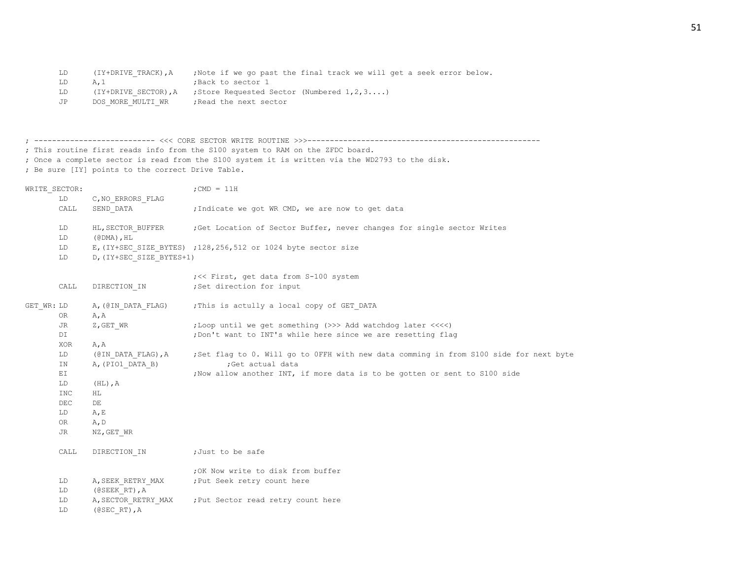| LD  | (IY+DRIVE TRACK), A | ;Note if we go past the final track we will get a seek error below. |
|-----|---------------------|---------------------------------------------------------------------|
| T.D | A. 1                | Back to sector 1:                                                   |
| LD  |                     | $(IY+DRIVE SECTOR), A$ ; Store Requested Sector (Numbered 1, 2, 3)  |
| JP  | DOS MORE MULTI WR   | Read the next sector,                                               |

|                                                   | ; This routine first reads info from the S100 system to RAM on the ZFDC board.                  |  |
|---------------------------------------------------|-------------------------------------------------------------------------------------------------|--|
|                                                   | ; Once a complete sector is read from the S100 system it is written via the WD2793 to the disk. |  |
| ; Be sure [IY] points to the correct Drive Table. |                                                                                                 |  |
|                                                   |                                                                                                 |  |
| WRITE SECTOR:                                     | $:$ CMD = 11H                                                                                   |  |

|            | LD         | C, NO ERRORS FLAG                                |                                                                                          |
|------------|------------|--------------------------------------------------|------------------------------------------------------------------------------------------|
|            | CALL       | SEND DATA                                        | ; Indicate we got WR CMD, we are now to get data                                         |
|            |            |                                                  | HL, SECTOR BUFFER ;Get Location of Sector Buffer, never changes for single sector Writes |
|            | LD         |                                                  |                                                                                          |
|            | LD         | $(\text{\texttt{\&}DMA})$ , $\text{\texttt{HL}}$ |                                                                                          |
|            | LD         |                                                  | E, (IY+SEC SIZE BYTES) ; 128, 256, 512 or 1024 byte sector size                          |
|            | LD         | D, (IY+SEC SIZE BYTES+1)                         |                                                                                          |
|            |            |                                                  | ; << First, get data from S-100 system                                                   |
|            | CALL       | DIRECTION IN                                     | ;Set direction for input                                                                 |
| GET WR: LD |            | A, (@IN DATA FLAG)                               | ; This is actully a local copy of GET DATA                                               |
|            | OR.        | A, A                                             |                                                                                          |
|            | JR         | Z,GET WR                                         | ;Loop until we get something (>>> Add watchdog later <<<<)                               |
|            | DI         |                                                  | ; Don't want to INT's while here since we are resetting flag                             |
|            | XOR        | A, A                                             |                                                                                          |
|            | LD         | (@IN DATA FLAG),A                                | ;Set flag to 0. Will go to OFFH with new data comming in from S100 side for next byte    |
|            | IN         | A, (PIO1 DATA B)                                 | ;Get actual data                                                                         |
|            | EI         |                                                  | ; Now allow another INT, if more data is to be gotten or sent to S100 side               |
|            | LD         | $(HL)$ , A                                       |                                                                                          |
|            | <b>INC</b> | HL                                               |                                                                                          |
|            | DEC        | DE                                               |                                                                                          |
|            | LD         | A, E                                             |                                                                                          |
|            | OR         | A, D                                             |                                                                                          |
|            | JR         | NZ, GET WR                                       |                                                                                          |
|            | CALL       | DIRECTION IN                                     | ;Just to be safe                                                                         |
|            |            |                                                  | ; OK Now write to disk from buffer                                                       |
|            | LD         | A, SEEK RETRY MAX                                | ; Put Seek retry count here                                                              |
|            | LD         | $(0$ SEEK RT $)$ , A                             |                                                                                          |
|            | LD         | A, SECTOR RETRY MAX                              | ; Put Sector read retry count here                                                       |
|            | LD         | $(0$ SEC RT), A                                  |                                                                                          |
|            |            |                                                  |                                                                                          |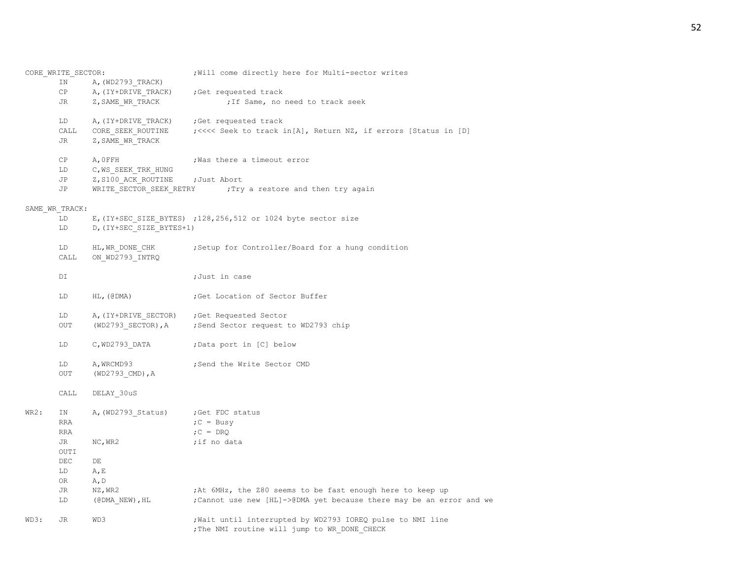|      | CORE WRITE SECTOR: |                          | ; Will come directly here for Multi-sector writes                    |
|------|--------------------|--------------------------|----------------------------------------------------------------------|
|      | IN                 | A, (WD2793 TRACK)        |                                                                      |
|      | CP                 | A, (IY+DRIVE TRACK)      | ;Get requested track                                                 |
|      | JR                 | Z, SAME WR TRACK         | ; If Same, no need to track seek                                     |
|      |                    |                          |                                                                      |
|      | LD                 | A, (IY+DRIVE TRACK)      | Get requested track;                                                 |
|      | CALL               | CORE SEEK ROUTINE        | ;<<<< Seek to track in[A], Return NZ, if errors [Status in [D]       |
|      | JR                 |                          |                                                                      |
|      |                    | Z, SAME WR TRACK         |                                                                      |
|      | CP                 | A, OFFH                  | ; Was there a timeout error                                          |
|      | LD                 | C, WS SEEK TRK HUNG      |                                                                      |
|      | JP                 |                          |                                                                      |
|      |                    | Z, S100 ACK ROUTINE      | ;Just Abort                                                          |
|      | JP                 | WRITE_SECTOR_SEEK_RETRY  | Try a restore and then try again;                                    |
|      |                    |                          |                                                                      |
|      | SAME WR TRACK:     |                          |                                                                      |
|      | LD                 |                          | E, (IY+SEC SIZE BYTES) ; 128, 256, 512 or 1024 byte sector size      |
|      | LD                 | D, (IY+SEC SIZE BYTES+1) |                                                                      |
|      |                    |                          |                                                                      |
|      | LD                 | HL, WR DONE CHK          | ; Setup for Controller/Board for a hung condition                    |
|      | CALL               | ON WD2793 INTRQ          |                                                                      |
|      |                    |                          |                                                                      |
|      | DI                 |                          | ;Just in case                                                        |
|      | LD                 | $HL$ , (@DMA)            | ;Get Location of Sector Buffer                                       |
|      |                    |                          |                                                                      |
|      | LD                 |                          | A, (IY+DRIVE SECTOR) ; Get Requested Sector                          |
|      | OUT                |                          | (WD2793 SECTOR), A ; Send Sector request to WD2793 chip              |
|      |                    |                          |                                                                      |
|      | LD                 | $C, WD2793$ DATA         | ;Data port in [C] below                                              |
|      |                    |                          |                                                                      |
|      | LD                 | A, WRCMD93               | ;Send the Write Sector CMD                                           |
|      | OUT                | (WD2793 CMD), A          |                                                                      |
|      |                    |                          |                                                                      |
|      | CALL               | DELAY 30uS               |                                                                      |
|      |                    |                          |                                                                      |
| WR2: | ΙN                 | A, (WD2793 Status)       | ;Get FDC status                                                      |
|      | RRA                |                          | $C = Busy$                                                           |
|      | <b>RRA</b>         |                          | $C = DRQ$                                                            |
|      |                    |                          |                                                                      |
|      | JR                 | NC, WR2                  | ;if no data                                                          |
|      | OUTI               |                          |                                                                      |
|      | DEC                | DE                       |                                                                      |
|      | LD                 | A, E                     |                                                                      |
|      | OR                 | A, D                     |                                                                      |
|      | JR                 | NZ, WR2                  | ; At 6MHz, the Z80 seems to be fast enough here to keep up           |
|      | LD                 | (@DMA NEW),HL            | ; Cannot use new [HL]->@DMA yet because there may be an error and we |
|      |                    |                          |                                                                      |
| WD3: | JR                 | WD3                      | ; Wait until interrupted by WD2793 IOREQ pulse to NMI line           |
|      |                    |                          | ; The NMI routine will jump to WR DONE CHECK                         |
|      |                    |                          |                                                                      |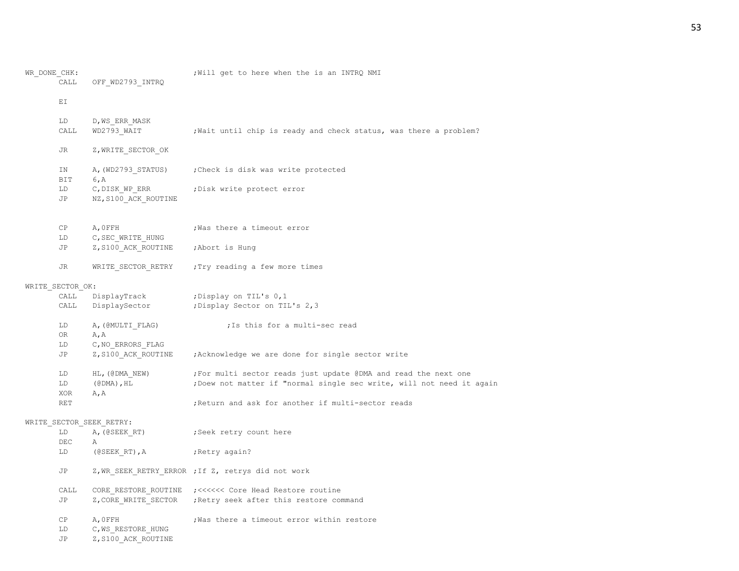| WR DONE CHK: |                  |                                                  | ; Will get to here when the is an INTRQ NMI                           |
|--------------|------------------|--------------------------------------------------|-----------------------------------------------------------------------|
|              | CALL             | OFF WD2793 INTRQ                                 |                                                                       |
|              | ΕI               |                                                  |                                                                       |
|              |                  |                                                  |                                                                       |
|              | LD               | D, WS ERR MASK                                   |                                                                       |
|              | CALL             | WD2793 WAIT                                      | ; Wait until chip is ready and check status, was there a problem?     |
|              | JR               | Z, WRITE SECTOR OK                               |                                                                       |
|              | IN               |                                                  | A, (WD2793 STATUS) ; Check is disk was write protected                |
|              | BIT              | 6, A                                             |                                                                       |
|              | LD               | C, DISK WP ERR                                   | ; Disk write protect error                                            |
|              | JP               | NZ, S100 ACK ROUTINE                             |                                                                       |
|              | СP               |                                                  |                                                                       |
|              | LD               | A, OFFH<br>C, SEC WRITE HUNG                     | ; Was there a timeout error                                           |
|              | JP               | Z, S100 ACK ROUTINE                              | ;Abort is Hung                                                        |
|              |                  |                                                  |                                                                       |
|              | JR               | WRITE SECTOR RETRY                               | ; Try reading a few more times                                        |
|              | WRITE SECTOR OK: |                                                  |                                                                       |
|              | CALL             | DisplayTrack                                     | Display on TIL's 0,1;                                                 |
|              | CALL             |                                                  | DisplaySector ; Display Sector on TIL's 2,3                           |
|              | LD               | A, (@MULTI FLAG)                                 | ; Is this for a multi-sec read                                        |
|              | OR               | A, A                                             |                                                                       |
|              | LD               | C, NO ERRORS FLAG                                |                                                                       |
|              | JP               | Z, S100 ACK ROUTINE                              | ; Acknowledge we are done for single sector write                     |
|              | LD               | HL, (@DMA NEW)                                   | ; For multi sector reads just update @DMA and read the next one       |
|              | LD               | $(\text{\texttt{\#DMA}})$ , $\text{\texttt{HL}}$ | ; Doew not matter if "normal single sec write, will not need it again |
|              | XOR              | A, A                                             |                                                                       |
|              | <b>RET</b>       |                                                  | ; Return and ask for another if multi-sector reads                    |
|              |                  | WRITE SECTOR SEEK RETRY:                         |                                                                       |
|              | LD               | A, (@SEEK RT)                                    | Seek retry count here,                                                |
|              | DEC              | Α                                                |                                                                       |
|              | LD               | (@SEEK RT), $A$                                  | Retry again?                                                          |
|              | JP               |                                                  | Z, WR SEEK RETRY ERROR ; If Z, retrys did not work                    |
|              | CALL             |                                                  |                                                                       |
|              | JP               |                                                  | Z, CORE WRITE SECTOR ; Retry seek after this restore command          |
|              | СP               | A, OFFH                                          | ; Was there a timeout error within restore                            |
|              | LD               | C, WS RESTORE HUNG                               |                                                                       |
|              | JΡ               | Z, S100 ACK ROUTINE                              |                                                                       |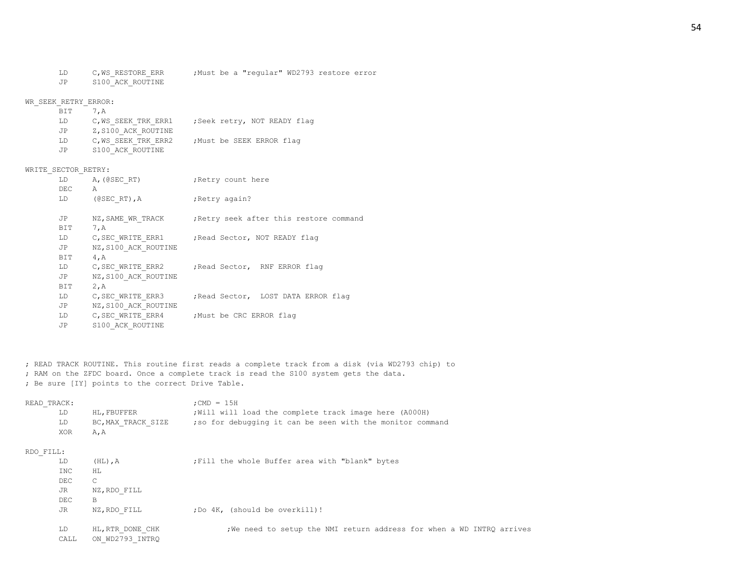- 
- LD C,WS\_RESTORE\_ERR ;Must be a "regular" WD2793 restore error

JP S100\_ACK\_ROUTINE

#### WR\_SEEK\_RETRY\_ERROR:

| BIT 7.A |                     |                             |
|---------|---------------------|-----------------------------|
| LD.     | C, WS SEEK TRK ERR1 | ;Seek retry, NOT READY flag |
| JP      | Z, S100 ACK ROUTINE |                             |
| LD.     | C, WS SEEK TRK ERR2 | ; Must be SEEK ERROR flag   |
| .JP     | S100 ACK ROUTINE    |                             |

#### WRITE SECTOR RETRY:

| LD  | A, (@SEC RT)         | ; Retry count here                              |
|-----|----------------------|-------------------------------------------------|
| DEC | A                    |                                                 |
| LD  | $($ @SECRT), A       | ; Retry again?                                  |
|     |                      |                                                 |
| JP  | NZ, SAME WR TRACK    | Retry seek after this restore command           |
| BIT | 7, A                 |                                                 |
| LD  |                      | C, SEC WRITE ERR1 ; Read Sector, NOT READY flag |
| JP  | NZ, S100 ACK ROUTINE |                                                 |
| BIT | 4, A                 |                                                 |
| LD  |                      | C, SEC WRITE ERR2 ; Read Sector, RNF ERROR flag |
| JP  | NZ, S100 ACK ROUTINE |                                                 |
| BIT | 2, A                 |                                                 |
| LD  | C, SEC WRITE ERR3    | Read Sector, LOST DATA ERROR flag;              |
| JP  | NZ, S100 ACK ROUTINE |                                                 |
| LD  |                      | C, SEC WRITE ERR4 ; Must be CRC ERROR flag      |
| JP  | S100 ACK ROUTINE     |                                                 |

; READ TRACK ROUTINE. This routine first reads a complete track from a disk (via WD2793 chip) to ; RAM on the ZFDC board. Once a complete track is read the S100 system gets the data. ; Be sure [IY] points to the correct Drive Table.

| READ TRACK: |                    | $:$ CMD = 15H                                              |
|-------------|--------------------|------------------------------------------------------------|
| LD          | HL. FBUFFER        | ; Will will load the complete track image here (A000H)     |
| LD          | BC, MAX TRACK SIZE | ; so for debugging it can be seen with the monitor command |
| XOR         | A.A                |                                                            |

## RDO\_FILL:

| LD   | $(HL)$ , $A$     | ; Fill the whole Buffer area with "blank" bytes                       |
|------|------------------|-----------------------------------------------------------------------|
| INC  | ΗL               |                                                                       |
| DEC  | $\mathcal{C}$    |                                                                       |
| JR   | NZ, RDO FILL     |                                                                       |
| DEC  | B                |                                                                       |
| JR   | NZ, RDO FILL     | ; Do 4K, (should be overkill)!                                        |
|      |                  |                                                                       |
| LD   | HL, RTR DONE CHK | ; We need to setup the NMI return address for when a WD INTRQ arrives |
| CALL | ON WD2793 INTRQ  |                                                                       |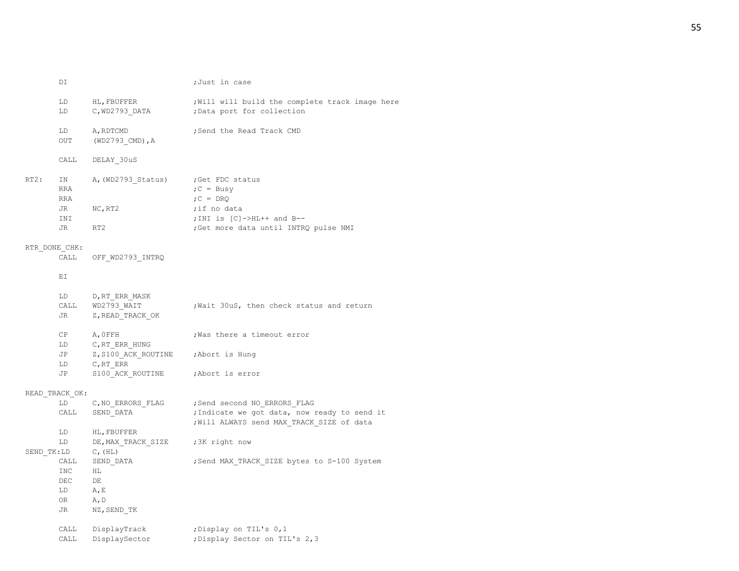|      | DI             |                                     | ;Just in case                                                                             |
|------|----------------|-------------------------------------|-------------------------------------------------------------------------------------------|
|      | LD             | HL, FBUFFER                         | ; Will will build the complete track image here                                           |
|      | LD.            |                                     | C, WD2793 DATA ; Data port for collection                                                 |
|      | LD             | A, RDTCMD                           | ; Send the Read Track CMD                                                                 |
|      | OUT            | $(WD2793$ CMD), A                   |                                                                                           |
|      | CALL           | DELAY 30uS                          |                                                                                           |
| RT2: | IN             | A, (WD2793 Status)                  | ;Get FDC status                                                                           |
|      | RRA            |                                     | $;C = Busv$                                                                               |
|      | RRA            |                                     | $;C = D RQ$                                                                               |
|      | JR             | NC, RT2                             | ;if no data                                                                               |
|      | INI            |                                     | ; INI is $[C]$ ->HL++ and B--                                                             |
|      | JR             | RT2                                 | ; Get more data until INTRQ pulse NMI                                                     |
|      | RTR DONE CHK:  |                                     |                                                                                           |
|      | CALL           | OFF WD2793 INTRQ                    |                                                                                           |
|      | EI             |                                     |                                                                                           |
|      | LD             | D, RT ERR MASK                      |                                                                                           |
|      |                | CALL WD2793_WAIT                    | ; Wait 30uS, then check status and return                                                 |
|      | JR             | Z, READ TRACK OK                    |                                                                                           |
|      | CP             | A, OFFH                             | ; Was there a timeout error                                                               |
|      | LD             | C, RT ERR HUNG                      |                                                                                           |
|      | JP             | Z, S100 ACK ROUTINE ; Abort is Hung |                                                                                           |
|      | LD             | C, RT ERR                           |                                                                                           |
|      | JP             | S100 ACK ROUTINE                    | ;Abort is error                                                                           |
|      | READ TRACK OK: |                                     |                                                                                           |
|      | LD             | C,NO ERRORS FLAG                    | ; Send second NO ERRORS FLAG                                                              |
|      | CALL           | SEND DATA                           | ; Indicate we got data, now ready to send it<br>; Will ALWAYS send MAX TRACK SIZE of data |
|      | LD             | HL, FBUFFER                         |                                                                                           |
|      | LD             | DE, MAX TRACK SIZE                  | ;3K right now                                                                             |
|      | SEND TK:LD     | $C$ , $(HL)$                        |                                                                                           |
|      | CALL           | SEND DATA                           | ; Send MAX TRACK SIZE bytes to S-100 System                                               |
|      | INC            | HL.                                 |                                                                                           |
|      | DEC            | DE                                  |                                                                                           |
|      | LD             | A, E                                |                                                                                           |
|      | OR             | A, D                                |                                                                                           |
|      | JR             | NZ,SEND TK                          |                                                                                           |
|      |                | CALL DisplayTrack                   | ; Display on TIL's 0,1                                                                    |
|      | CALL           | DisplaySector                       | ; Display Sector on TIL's 2,3                                                             |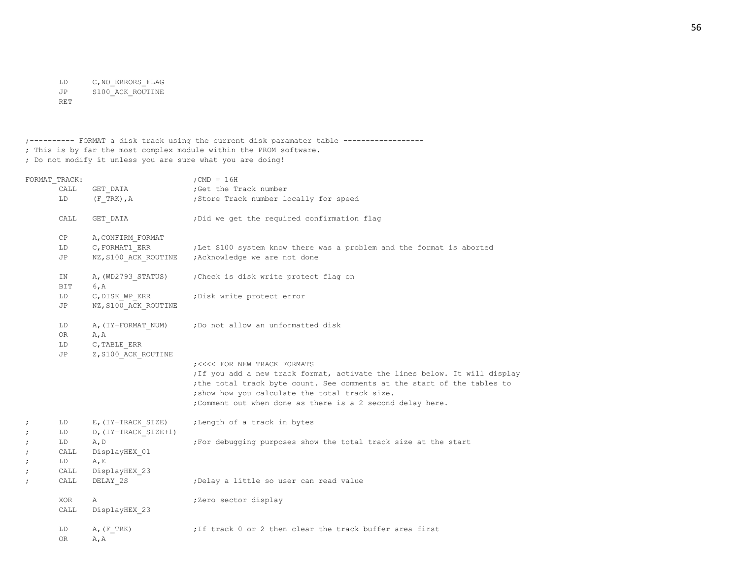LD C,NO\_ERRORS\_FLAG JP S100\_ACK\_ROUTINE RET

;---------- FORMAT a disk track using the current disk paramater table ------------------ ; This is by far the most complex module within the PROM software. ; Do not modify it unless you are sure what you are doing!

|   | FORMAT TRACK:        |                                             | ; CMD = $16H$                                                                                                                                                                                                                                                                                          |
|---|----------------------|---------------------------------------------|--------------------------------------------------------------------------------------------------------------------------------------------------------------------------------------------------------------------------------------------------------------------------------------------------------|
|   | CALL                 |                                             | GET DATA (Get the Track number                                                                                                                                                                                                                                                                         |
|   | LD                   |                                             | (F TRK), A (F TRK), A (F TRA), Store Track number locally for speed                                                                                                                                                                                                                                    |
|   | CALL                 | GET DATA                                    | ; Did we get the required confirmation flag                                                                                                                                                                                                                                                            |
|   | СP                   | A, CONFIRM FORMAT                           |                                                                                                                                                                                                                                                                                                        |
|   | LD                   | C, FORMAT1 ERR                              | ;Let S100 system know there was a problem and the format is aborted                                                                                                                                                                                                                                    |
|   | JP                   |                                             |                                                                                                                                                                                                                                                                                                        |
|   | IN<br>BIT            | A, (WD2793 STATUS)<br>6, A                  | Check is disk write protect flag on                                                                                                                                                                                                                                                                    |
|   | LD<br>JP             | C, DISK WP ERR<br>NZ, S100 ACK ROUTINE      | ; Disk write protect error                                                                                                                                                                                                                                                                             |
|   | LD<br>OR<br>LD<br>JP | A, A<br>C, TABLE ERR<br>Z, S100 ACK ROUTINE | A, (IY+FORMAT NUM) ; Do not allow an unformatted disk                                                                                                                                                                                                                                                  |
|   |                      |                                             | ; <<<< FOR NEW TRACK FORMATS<br>; If you add a new track format, activate the lines below. It will display<br>; the total track byte count. See comments at the start of the tables to<br>; show how you calculate the total track size.<br>; Comment out when done as there is a 2 second delay here. |
|   | LD                   | E, (IY+TRACK SIZE)                          | ; Length of a track in bytes                                                                                                                                                                                                                                                                           |
|   | LD<br>LD             | D, (IY+TRACK SIZE+1)<br>A, D                | ; For debugging purposes show the total track size at the start                                                                                                                                                                                                                                        |
| ; | CALL                 | DisplayHEX 01                               |                                                                                                                                                                                                                                                                                                        |
| ï | LD                   | A, E                                        |                                                                                                                                                                                                                                                                                                        |
| ï | CALL                 | DisplayHEX 23                               |                                                                                                                                                                                                                                                                                                        |
|   | CALL                 | DELAY 2S                                    | ; Delay a little so user can read value                                                                                                                                                                                                                                                                |
|   | XOR<br>CALL          | Α<br>DisplayHEX 23                          | ;Zero sector display                                                                                                                                                                                                                                                                                   |
|   | LD<br>OR             | $A$ , $(F$ TRK)<br>A, A                     | ; If track 0 or 2 then clear the track buffer area first                                                                                                                                                                                                                                               |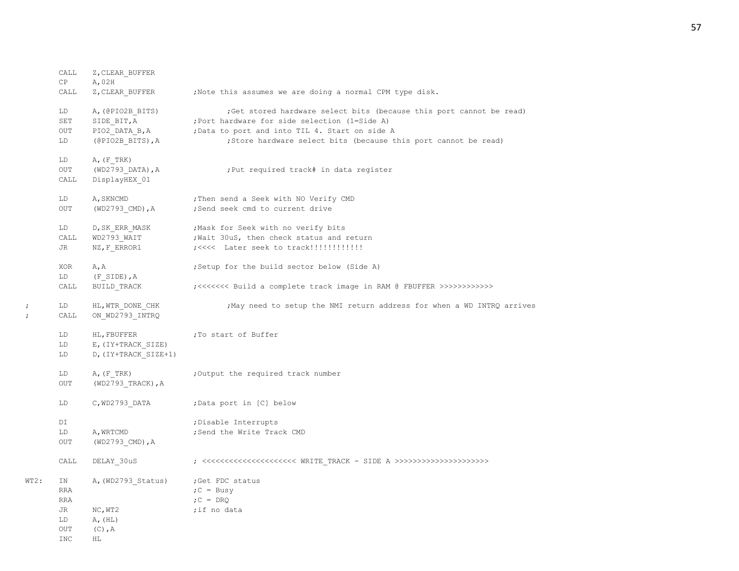|      | CALL<br>CP                          | Z, CLEAR BUFFER<br>A, 02H                                 |                                                                                                                                                                                                                                                            |
|------|-------------------------------------|-----------------------------------------------------------|------------------------------------------------------------------------------------------------------------------------------------------------------------------------------------------------------------------------------------------------------------|
|      | CALL                                | Z, CLEAR BUFFER                                           | ;Note this assumes we are doing a normal CPM type disk.                                                                                                                                                                                                    |
|      | LD<br>SET<br>OUT<br>LD              | A, (@PIO2B BITS)<br>SIDE BIT, A<br>(@PIO2B BITS), A       | ; Get stored hardware select bits (because this port cannot be read)<br>; Port hardware for side selection (1=Side A)<br>PIO2_DATA_B, A ( ) bata to port and into TIL 4. Start on side A<br>;Store hardware select bits (because this port cannot be read) |
|      | LD<br>OUT<br>CALL                   | $A$ , $(F$ TRK)<br>(WD2793 DATA), A<br>DisplayHEX 01      | : Put required track# in data register                                                                                                                                                                                                                     |
|      | LD<br><b>OUT</b>                    | A, SKNCMD<br>$(WD2793$ CMD), A                            | ; Then send a Seek with NO Verify CMD<br>;Send seek cmd to current drive                                                                                                                                                                                   |
|      | LD<br>CALL<br>JR                    | D, SK ERR MASK<br>WD2793 WAIT<br>NZ, F ERROR1             | Mask for Seek with no verify bits<br>; Wait 30uS, then check status and return                                                                                                                                                                             |
|      | XOR                                 | A, A                                                      | ; Setup for the build sector below (Side A)                                                                                                                                                                                                                |
|      | LD<br>CALL                          | (F SIDE), A<br>BUILD TRACK                                | ;<<<<<<< Build a complete track image in RAM @ FBUFFER >>>>>>>>>>>>>                                                                                                                                                                                       |
|      | LD<br>CALL                          | HL, WTR DONE CHK<br>ON WD2793 INTRQ                       | ; May need to setup the NMI return address for when a WD INTRQ arrives                                                                                                                                                                                     |
|      | LD<br>LD<br>LD                      | HL, FBUFFER<br>E, (IY+TRACK SIZE)<br>D, (IY+TRACK SIZE+1) | ;To start of Buffer                                                                                                                                                                                                                                        |
|      | LD<br>OUT                           | $A$ , $(F$ TRK)<br>$(WD2793 TRACK)$ , A                   | ;Output the required track number                                                                                                                                                                                                                          |
|      | LD                                  | C, WD2793 DATA                                            | ;Data port in [C] below                                                                                                                                                                                                                                    |
|      | DI<br>LD<br>OUT                     | A, WRTCMD<br>$(WD2793$ CMD), A                            | ; Disable Interrupts<br>; Send the Write Track CMD                                                                                                                                                                                                         |
|      | CALL                                | DELAY 30uS                                                |                                                                                                                                                                                                                                                            |
| WT2: | ΙN<br><b>RRA</b><br>RRA<br>JR<br>LD | A, (WD2793_Status)<br>NC, WT2<br>A, (HL)                  | ;Get FDC status<br>$C = Busy$<br>$C = DRQ$<br>;if no data                                                                                                                                                                                                  |
|      | OUT<br><b>INC</b>                   | $(C)$ , $A$<br>ΗL                                         |                                                                                                                                                                                                                                                            |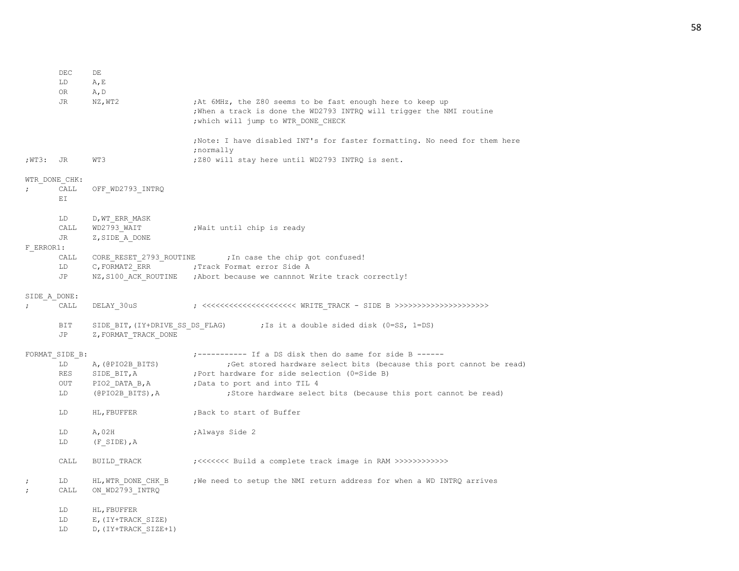58

|                          | LD<br>0R       | A, E<br>A, D                                            |                                                                                                                                                                           |
|--------------------------|----------------|---------------------------------------------------------|---------------------------------------------------------------------------------------------------------------------------------------------------------------------------|
|                          | JR             | NZ, WT2                                                 | ; At 6MHz, the Z80 seems to be fast enough here to keep up<br>; When a track is done the WD2793 INTRQ will trigger the NMI routine<br>; which will jump to WTR DONE CHECK |
|                          |                |                                                         | ; Note: I have disabled INT's for faster formatting. No need for them here<br>;normally                                                                                   |
| ;WT3: JR                 |                | WT3                                                     | ; Z80 will stay here until WD2793 INTRQ is sent.                                                                                                                          |
|                          | WTR DONE CHK:  |                                                         |                                                                                                                                                                           |
|                          | CALL<br>ЕI     | OFF WD2793 INTRQ                                        |                                                                                                                                                                           |
|                          | LD<br>CALL     | D, WT ERR MASK<br>WD2793 WAIT                           | ; Wait until chip is ready                                                                                                                                                |
| F ERROR1:                | JR             | Z, SIDE A DONE                                          |                                                                                                                                                                           |
|                          | CALL           | CORE_RESET_2793_ROUTINE                                 | ; In case the chip got confused!                                                                                                                                          |
|                          | LD<br>JP       | C, FORMAT2 ERR                                          | ; Track Format error Side A<br>NZ, S100 ACK ROUTINE ; Abort because we cannnot Write track correctly!                                                                     |
|                          |                |                                                         |                                                                                                                                                                           |
| SIDE A DONE:             | CALL           | DELAY 30uS                                              |                                                                                                                                                                           |
|                          | BIT<br>JP      | SIDE_BIT, (IY+DRIVE_SS_DS_FLAG)<br>Z, FORMAT TRACK DONE | ; Is it a double sided disk (0=SS, 1=DS)                                                                                                                                  |
|                          | FORMAT SIDE B: |                                                         | ;---------- If a DS disk then do same for side B ------                                                                                                                   |
|                          | LD<br>RES      | A, (@PIO2B_BITS)<br>SIDE BIT, A                         | ; Get stored hardware select bits (because this port cannot be read)<br>; Port hardware for side selection (0=Side B)                                                     |
|                          | OUT            | PIO2_DATA_B, A                                          | ; Data to port and into TIL 4                                                                                                                                             |
|                          | LD             | $(\texttt{@PIO2B} \texttt{BITS}), A$                    | ; Store hardware select bits (because this port cannot be read)                                                                                                           |
|                          | LD             | HL, FBUFFER                                             | ; Back to start of Buffer                                                                                                                                                 |
|                          | LD<br>LD       | A,02H<br>$(F$ SIDE), $A$                                | ; Always Side 2                                                                                                                                                           |
|                          |                |                                                         |                                                                                                                                                                           |
|                          | CALL           | BUILD TRACK                                             |                                                                                                                                                                           |
| $\ddot{ }$<br>$\ddot{ }$ | LD<br>CALL     | HL, WTR DONE CHK B<br>ON WD2793 INTRQ                   | ; We need to setup the NMI return address for when a WD INTRQ arrives                                                                                                     |
|                          | LD             | HL, FBUFFER                                             |                                                                                                                                                                           |
|                          | LD<br>LD       | E, (IY+TRACK SIZE)<br>D, (IY+TRACK SIZE+1)              |                                                                                                                                                                           |

DEC DE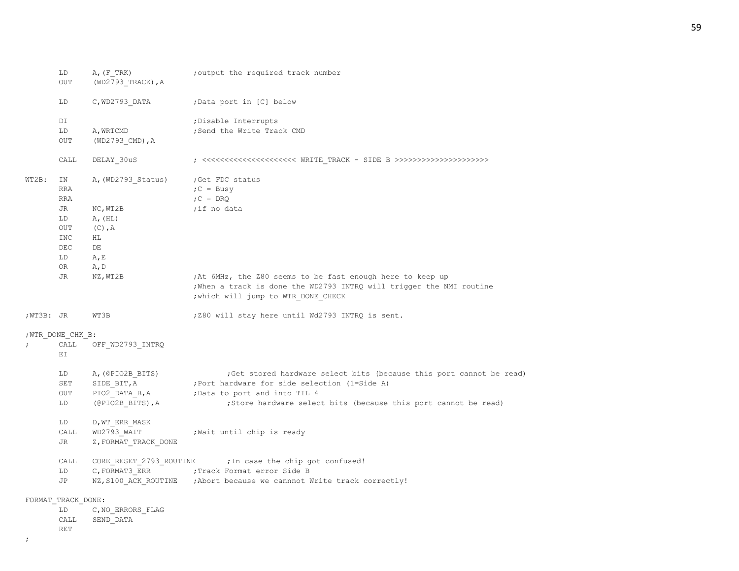|           | LD<br>OUT                      | A, (F, TRK)<br>(WD2793 TRACK), A                      | ; output the required track number                                                                                                                                       |
|-----------|--------------------------------|-------------------------------------------------------|--------------------------------------------------------------------------------------------------------------------------------------------------------------------------|
|           | LD                             | C, WD2793 DATA                                        | ; Data port in [C] below                                                                                                                                                 |
|           | DI                             |                                                       | ; Disable Interrupts                                                                                                                                                     |
|           | LD<br>OUT                      | A, WRTCMD<br>$(WD2793$ CMD), A                        | ;Send the Write Track CMD                                                                                                                                                |
|           | CALL                           | DELAY_30uS                                            |                                                                                                                                                                          |
| WT2B:     | IN<br><b>RRA</b><br><b>RRA</b> | A, (WD2793 Status)                                    | ;Get FDC status<br>$C = Busy$<br>$;C = DRQ$                                                                                                                              |
|           | JR                             | NC, WT2B                                              | ;if no data                                                                                                                                                              |
|           | LD                             | A, (HL)                                               |                                                                                                                                                                          |
|           | OUT<br>INC                     | $(C)$ , A<br>HL.                                      |                                                                                                                                                                          |
|           | <b>DEC</b>                     | DE                                                    |                                                                                                                                                                          |
|           | LD                             | A, E                                                  |                                                                                                                                                                          |
|           | OR                             | A, D                                                  |                                                                                                                                                                          |
|           | JR                             | NZ, WT2B                                              | ;At 6MHz, the Z80 seems to be fast enough here to keep up<br>; When a track is done the WD2793 INTRQ will trigger the NMI routine<br>; which will jump to WTR DONE CHECK |
| ;WT3B: JR |                                | WT3B                                                  | ; Z80 will stay here until Wd2793 INTRQ is sent.                                                                                                                         |
|           | ; WTR DONE CHK B:              |                                                       |                                                                                                                                                                          |
|           | CALL<br>EI.                    | OFF WD2793 INTRQ                                      |                                                                                                                                                                          |
|           | LD<br>SET<br><b>OUT</b>        | A, (@PIO2B BITS)<br>SIDE BIT, A<br>PIO2 DATA B,A      | ; Get stored hardware select bits (because this port cannot be read)<br>; Port hardware for side selection (1=Side A)<br>; Data to port and into TIL 4                   |
|           | LD                             | (@PIO2B BITS), A                                      | ;Store hardware select bits (because this port cannot be read)                                                                                                           |
|           | LD<br>CALL<br>JR               | D, WT ERR MASK<br>WD2793 WAIT<br>Z, FORMAT TRACK DONE | ; Wait until chip is ready                                                                                                                                               |
|           | CALL                           | CORE_RESET_2793_ROUTINE                               | ; In case the chip got confused!                                                                                                                                         |
|           | LD                             | C, FORMAT3 ERR                                        | ; Track Format error Side B                                                                                                                                              |
|           | JP                             |                                                       | NZ, S100 ACK ROUTINE ; Abort because we cannnot Write track correctly!                                                                                                   |
|           | FORMAT TRACK DONE:             |                                                       |                                                                                                                                                                          |
|           | LD                             | C, NO ERRORS FLAG                                     |                                                                                                                                                                          |
|           | CALL                           | SEND DATA                                             |                                                                                                                                                                          |

## RET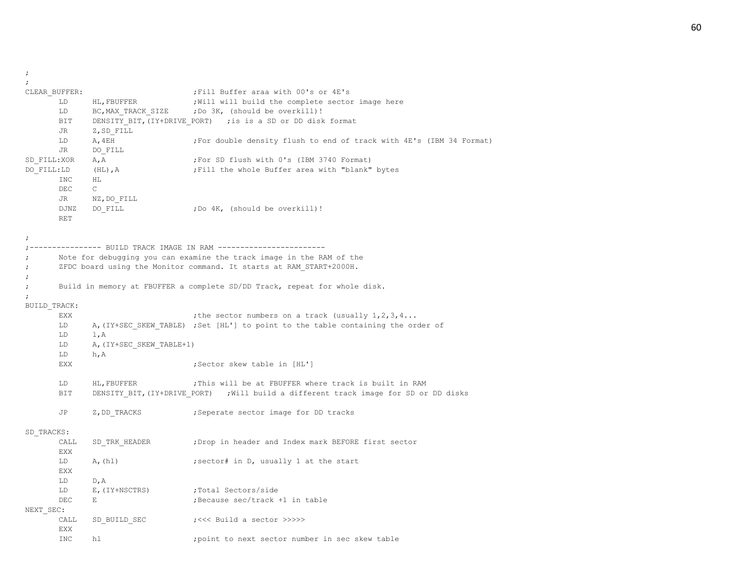$\langle i \rangle$ 

| $\ddot{ }$   |               |                          |                                                                                      |
|--------------|---------------|--------------------------|--------------------------------------------------------------------------------------|
|              | CLEAR BUFFER: |                          | ; Fill Buffer araa with 00's or 4E's                                                 |
|              | LD            | HL, FBUFFER              | ; Will will build the complete sector image here                                     |
|              | LD            | BC, MAX TRACK SIZE       | ;Do 3K, (should be overkill)!                                                        |
|              | BIT           |                          | DENSITY BIT, (IY+DRIVE PORT) ; is is a SD or DD disk format                          |
|              | JR            | Z, SD FILL               |                                                                                      |
|              | LD            | A, 4EH                   | ; For double density flush to end of track with 4E's (IBM 34 Format)                 |
|              | JR            | DO FILL                  |                                                                                      |
| SD FILL:XOR  |               | A, A                     | ;For SD flush with 0's (IBM 3740 Format)                                             |
| DO FILL:LD   |               | $(HL)$ , $A$             | ; Fill the whole Buffer area with "blank" bytes                                      |
|              | INC           | HL                       |                                                                                      |
|              | DEC           | $\mathsf{C}$             |                                                                                      |
|              | JR            | NZ, DO FILL              |                                                                                      |
|              | DJNZ          | DO FILL                  | ;Do 4K, (should be overkill)!                                                        |
|              | RET           |                          |                                                                                      |
|              |               |                          |                                                                                      |
|              |               |                          |                                                                                      |
|              |               |                          | ------------- BUILD TRACK IMAGE IN RAM -------------------                           |
|              |               |                          | Note for debugging you can examine the track image in the RAM of the                 |
| ;            |               |                          | ZFDC board using the Monitor command. It starts at RAM START+2000H.                  |
|              |               |                          |                                                                                      |
| $\ddot{ }$   |               |                          | Build in memory at FBUFFER a complete SD/DD Track, repeat for whole disk.            |
| $\cdot$      |               |                          |                                                                                      |
|              |               |                          |                                                                                      |
| BUILD TRACK: | <b>EXX</b>    |                          |                                                                                      |
|              |               |                          | ; the sector numbers on a track (usually $1, 2, 3, 4$                                |
|              | LD            |                          | A, (IY+SEC SKEW TABLE) ;Set [HL'] to point to the table containing the order of      |
|              | LD            | 1, A                     |                                                                                      |
|              | LD            | A, (IY+SEC SKEW TABLE+1) |                                                                                      |
|              | LD            | h, A                     |                                                                                      |
|              | EXX           |                          | ;Sector skew table in [HL']                                                          |
|              |               |                          |                                                                                      |
|              | LD            | HL, FBUFFER              | ; This will be at FBUFFER where track is built in RAM                                |
|              | BIT           |                          | DENSITY BIT, (IY+DRIVE_PORT) ; Will build a different track image for SD or DD disks |
|              |               |                          |                                                                                      |
|              | JP            | Z, DD TRACKS             | ; Seperate sector image for DD tracks                                                |
|              |               |                          |                                                                                      |
| SD TRACKS:   |               |                          |                                                                                      |
|              | CALL          | SD TRK HEADER            | ; Drop in header and Index mark BEFORE first sector                                  |
|              | <b>EXX</b>    |                          |                                                                                      |
|              | LD            | A, (h1)                  | ; sector# in D, usually 1 at the start                                               |
|              | <b>EXX</b>    |                          |                                                                                      |
|              | LD            | D, A                     |                                                                                      |
|              | LD            | E, (IY+NSCTRS)           | ;Total Sectors/side                                                                  |
|              | DEC           | $\mathbf E$              | Because sec/track +1 in table;                                                       |
| NEXT SEC:    |               |                          |                                                                                      |
|              | CALL          | SD BUILD SEC             | ;<<< Build a sector >>>>>                                                            |
|              | EXX           |                          |                                                                                      |
|              | <b>INC</b>    | hl                       | point to next sector number in sec skew table;                                       |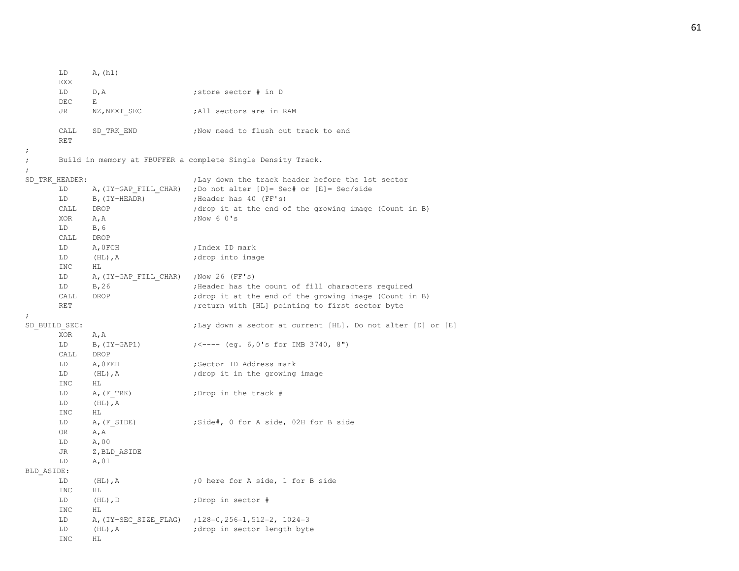```
LD A, (h1)EXX
     LD D, A ; store sector # in D
     DEC E
     JR NZ, NEXT SEC ;All sectors are in RAM
     CALL SD_TRK_END ;Now need to flush out track to end
     RET
;
; Build in memory at FBUFFER a complete Single Density Track.
;
SD_TRK_HEADER: \qquad \qquad ;Lay down the track header before the 1st sector
     LD A,(IY+GAP_FILL_CHAR) ;Do not alter [D]= Sec# or [E]= Sec/side
     LD B, (IY+HEADR) ; Header has 40 (FF's)
     CALL DROP ;drop it at the end of the growing image (Count in B)
     XOR A, A ;Now 6 0's
     LD B,6
     CALL DROP
     LD A, OFCH ;Index ID mark
     LD (HL), A ;drop into image
     INC HL
     LD A, (IY+GAP FILL CHAR) ;Now 26 (FF's)
     LD B, 26 ;Header has the count of fill characters required
     CALL DROP ;drop it at the end of the growing image (Count in B)
     RET interpreteral state of the sector first sector byte \mathbf{r} return with [HL] pointing to first sector byte
;
SD_BUILD_SEC: ; ;Lay down a sector at current [HL]. Do not alter [D] or [E]
     XOR A,A
     LD B,(IY+GAP1) ;<---- (eg. 6,0's for IMB 3740, 8")
     CALL DROP
     LD A, OFEH ; Sector ID Address mark
     LD (HL), A ;drop it in the growing image
     INC HL
     LD A, (F_TRK) ;Drop in the track #
     LD (HL),A
     INC HL
     LD A, (F SIDE) ;Side#, 0 for A side, 02H for B side
     OR A,A
     LD A,00
     JR Z,BLD_ASIDE
     LD A,01
BLD_ASIDE:
     LD (HL), A \qquad \qquad ;0 here for A side, 1 for B side
     INC HL
     LD (HL), D ;Drop in sector #
     INC HL
     LD A,(IY+SEC_SIZE_FLAG) ;128=0,256=1,512=2, 1024=3
     LD (HL), A ;drop in sector length byte
     INC HL
```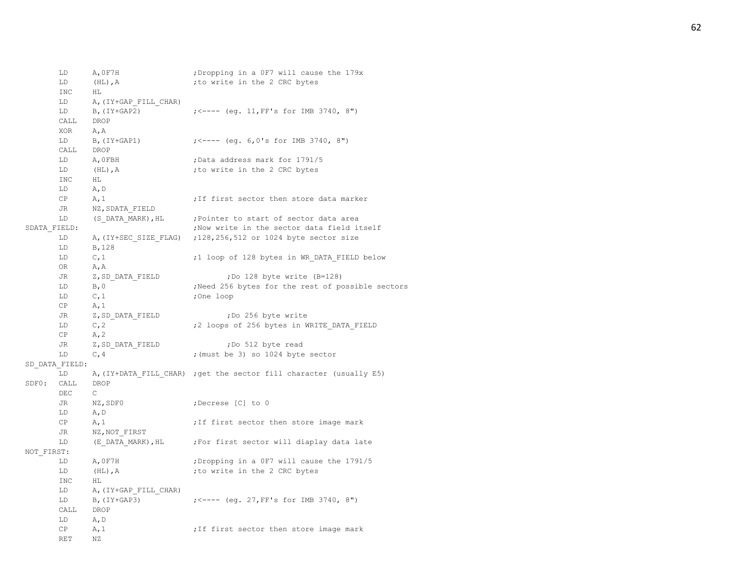|            | LD<br>LD       | A, OF7H<br>$(HL)$ , A       | ; Dropping in a OF7 will cause the 179x<br>; to write in the 2 CRC bytes |
|------------|----------------|-----------------------------|--------------------------------------------------------------------------|
|            | INC<br>LD      | HL<br>A, (IY+GAP FILL CHAR) |                                                                          |
|            | LD<br>CALL     | $B$ , $(IY+GAP2)$<br>DROP   | $\left(5 - - - \right)$ (eq. 11, FF's for IMB 3740, 8")                  |
|            | XOR            | A, A                        |                                                                          |
|            | LD             | B, (IY+GAP1)                | $\left(5 - - - \right)$ (eq. 6,0's for IMB 3740, 8")                     |
|            | CALL           | DROP                        |                                                                          |
|            | LD             | A, OFBH                     | ;Data address mark for 1791/5                                            |
|            | LD             | $(HL)$ , $A$                | ; to write in the 2 CRC bytes                                            |
|            | <b>INC</b>     | HL                          |                                                                          |
|            | LD             | A, D                        |                                                                          |
|            | CP             | A, 1                        | ; If first sector then store data marker                                 |
|            | JR             | NZ, SDATA FIELD             |                                                                          |
|            | LD             | (S DATA MARK), HL           | ; Pointer to start of sector data area                                   |
|            | SDATA FIELD:   |                             | ; Now write in the sector data field itself                              |
|            | LD<br>LD       | B, 128                      | A, (IY+SEC SIZE FLAG) ; 128, 256, 512 or 1024 byte sector size           |
|            | LD             | C, 1                        | ;1 loop of 128 bytes in WR DATA FIELD below                              |
|            | OR             | A, A                        |                                                                          |
|            | JR             | Z, SD DATA FIELD            | ;Do 128 byte write (B=128)                                               |
|            | LD             | B, 0                        | ; Need 256 bytes for the rest of possible sectors                        |
|            | LD             | C, 1                        | ;One loop                                                                |
|            | СP             | A, 1                        |                                                                          |
|            | JR             | Z, SD DATA FIELD            | ;Do 256 byte write                                                       |
|            | LD             | C, 2                        | ;2 loops of 256 bytes in WRITE DATA FIELD                                |
|            | CP             | A, 2                        |                                                                          |
|            | JR             | Z, SD_DATA FIELD            | ;Do 512 byte read                                                        |
|            | LD             | C, 4                        | ; (must be 3) so 1024 byte sector                                        |
|            | SD DATA FIELD: |                             |                                                                          |
|            | LD             |                             | A, (IY+DATA FILL CHAR) ; get the sector fill character (usually E5)      |
| SDF0:      | CALL<br>DEC    | DROP<br>$\mathsf{C}$        |                                                                          |
|            | JR<br>LD       | NZ, SDF0<br>A, D            | ;Decrese [C] to 0                                                        |
|            | CP<br>JR       | A, 1<br>NZ, NOT FIRST       | ; If first sector then store image mark                                  |
|            | LD             | (E DATA MARK),HL            | ; For first sector will diaplay data late                                |
| NOT FIRST: |                |                             |                                                                          |
|            | LD             | A, OF7H                     | ; Dropping in a OF7 will cause the 1791/5                                |
|            | LD             | $(HL)$ , $A$                | ; to write in the 2 CRC bytes                                            |
|            | <b>INC</b>     | ΗL                          |                                                                          |
|            | LD             | A, (IY+GAP FILL CHAR)       |                                                                          |
|            | LD             | $B$ , (IY+GAP3)             | $\left(5 - - - - \right)$ (eq. 27, FF's for IMB 3740, 8")                |
|            | CALL           | DROP                        |                                                                          |
|            | LD             | A, D                        |                                                                          |
|            | СP             | A, 1                        | ; If first sector then store image mark                                  |
|            | <b>RET</b>     | ΝZ                          |                                                                          |
|            |                |                             |                                                                          |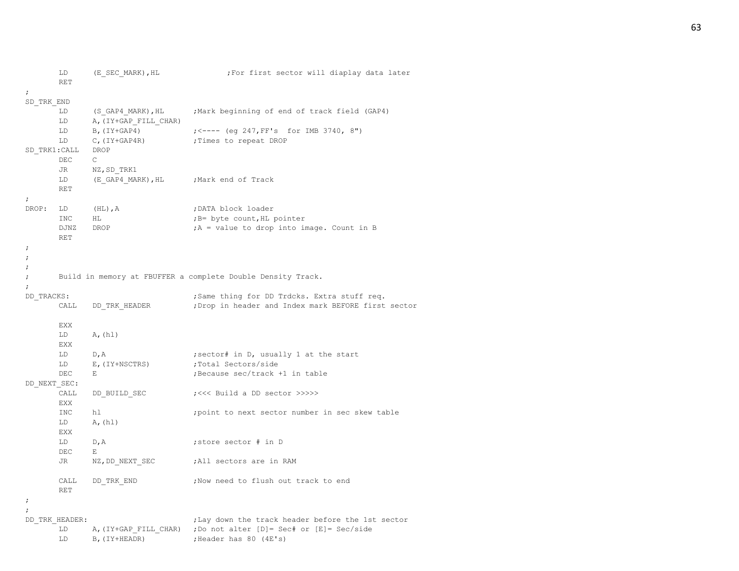```
LD (E_SEC_MARK), HL ;For first sector will diaplay data later
     RET
;
SD_TRK_END
      LD (S_GAP4_MARK),HL ;Mark beginning of end of track field (GAP4)
     LD A, (IY+GAP FILL CHAR)
     LD B,(IY+GAP4) ;<---- (eg 247,FF's for IMB 3740, 8")
      LD C, (IY+GAP4R) ; Times to repeat DROP
SD_TRK1:CALL DROP
      DEC C
     JR NZ, SD TRK1
     LD (E_GAP4_MARK), HL ;Mark end of Track
     RET
;
DROP: LD (HL), A ;DATA block loader
      INC HL ;B= byte count, HL pointer
     DJNZ DROP ;A = value to drop into image. Count in B
     RET
;
;
;
; Build in memory at FBUFFER a complete Double Density Track.
;
DD TRACKS: \qquad \qquad ;Same thing for DD Trdcks. Extra stuff req.
      CALL DD_TRK_HEADER ;Drop in header and Index mark BEFORE first sector
     EXX
     LD A, (h1)EXX
     LD D, A ;sector# in D, usually 1 at the start
     LD E, (IY+NSCTRS) ;Total Sectors/side
      DEC E ;Because sec/track +1 in table
DD_NEXT_SEC:
     CALL DD_BUILD_SEC ;<<< Build a DD_sector >>>>>
     EXX
      INC hl ;point to next sector number in sec skew table
     LD A, (h1)EXX
     LD D, A ; store sector # in D
     DEC E
      JR NZ, DD NEXT SEC ;All sectors are in RAM
     CALL DD_TRK_END ;Now need to flush out track to end
     RET
;
;
DD_TRK_HEADER: \qquad j Lay down the track header before the 1st sector
      LD A, (IY+GAP FILL CHAR) ;Do not alter [D]= Sec# or [E]= Sec/side
     LD B, (IY+HEADR) ;Header has 80 (4E's)
```
### 63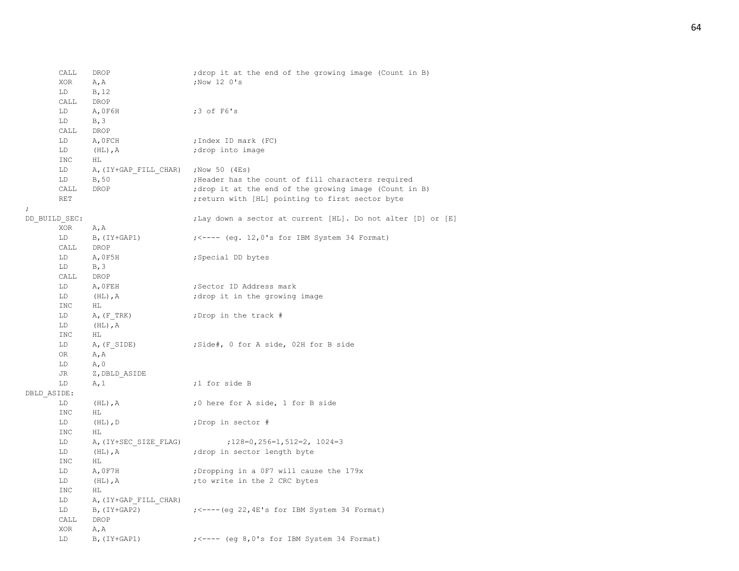```
CALL DROP ;drop it at the end of the growing image (Count in B)
      XOR A, A ;Now 12 0's
      LD B,12
      CALL DROP
      LD A,0F6H ;3 of F6's
      LD B, 3
      CALL DROP
      LD A, OFCH ;Index ID mark (FC)
      LD (HL), A ;drop into image
      INC HL
     LD A, (IY+GAP FILL CHAR) ;Now 50 (4Es)
      LD B,50 ;Header has the count of fill characters required
      CALL DROP ;drop it at the end of the growing image (Count in B)
      RET interpreterally interpretental interpreteral interpreteral interpretental interpretental interpretental interpretental interpretental interpretental interpretental interpretental interpretental interpretental interpre
DD_BUILD_SEC: ; ;Lay down a sector at current [HL]. Do not alter [D] or [E]
      XOR A,A
      LD B, (IY+GAP1) ; <---- (eq. 12,0's for IBM System 34 Format)
      CALL DROP
      LD A, 0F5H ; Special DD bytes
      LD B, 3
      CALL DROP
      LD A, OFEH ; Sector ID Address mark
      LD (HL), A ; drop it in the growing image
      INC HL
      LD A, (F_TRK) ;Drop in the track #
      LD (HL),A
      INC HL
     LD A, (F SIDE) ;Side#, 0 for A side, 02H for B side
      OR A,A
      LD A, 0JR Z, DBLD ASIDE
      LD A, 1 \qquad \qquad , 1 for side B
DBLD_ASIDE:
      LD (HL), A ;0 here for A side, 1 for B side
      INC HL
      LD (HL), D ;Drop in sector #
      TNC HL
      LD A, (IY+SEC SIZE FLAG) ;128=0,256=1,512=2, 1024=3
     LD (HL), A ;drop in sector length byte
      INC HL
      LD A, 0F7H ;Dropping in a 0F7 will cause the 179x
      LD (HL), A \qquad \qquad ; to write in the 2 CRC bytes
      INC HL
      LD A, (IY+GAP FILL CHAR)
      LD B, (IY+GAP2) ; <---- (eq 22, 4E's for IBM System 34 Format)
      CALL DROP
      XOR A,A
      LD B, (IY+GAP1) ; <---- (eq 8,0's for IBM System 34 Format)
```
;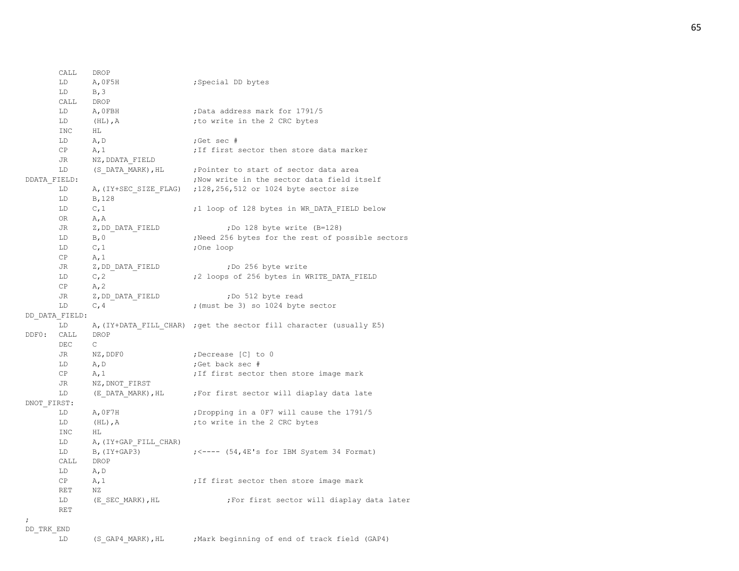CALL DROP LD A, OF5H ; Special DD bytes  $LD$  B, 3 CALL DROP LD A, OFBH ;Data address mark for 1791/5 LD (HL), A  $\qquad \qquad$  ; to write in the 2 CRC bytes INC HL LD A,D ;Get sec # CP A, 1  $\qquad \qquad$  ; If first sector then store data marker JR NZ,DDATA\_FIELD LD (S\_DATA\_MARK), HL ; Pointer to start of sector data area DDATA FIELD:  $\qquad \qquad ;\text{Now write in the sector data field itself}$ LD A, (IY+SEC SIZE FLAG) ;128,256,512 or 1024 byte sector size LD B,128 LD C, 1  $\qquad \qquad$  ;1 loop of 128 bytes in WR DATA FIELD below OR A,A JR Z, DD DATA FIELD ;Do 128 byte write (B=128) LD B, 0 ;Need 256 bytes for the rest of possible sectors LD C, 1 ;One loop  $CP$   $A, 1$ JR Z, DD DATA FIELD ;Do 256 byte write LD C,2  $\qquad$  ;2 loops of 256 bytes in WRITE DATA FIELD CP  $A, 2$ JR Z, DD DATA FIELD ;Do 512 byte read LD C, 4 c. 7  $;$  (must be 3) so 1024 byte sector DD\_DATA\_FIELD: LD A, (IY+DATA FILL CHAR) ; get the sector fill character (usually E5) DDF0: CALL DROP DEC C JR NZ, DDF0 ;Decrease [C] to 0 LD A, D ;Get back sec #  $CP$   $A,1$  ;If first sector then store image mark JR NZ, DNOT\_FIRST LD (E\_DATA\_MARK), HL ;For first sector will diaplay data late DNOT\_FIRST: LD A, OF7H ;Dropping in a OF7 will cause the 1791/5 LD (HL), A  $\qquad \qquad$  ; to write in the 2 CRC bytes TNC HL LD A, (IY+GAP\_FILL\_CHAR) LD B, (IY+GAP3) ; <---- (54, 4E's for IBM System 34 Format) CALL DROP LD A,D CP A, 1 can all the state of the store image mark RET NZ LD (E\_SEC\_MARK), HL ;For first sector will diaplay data later RET ;

# DD\_TRK\_END

LD (S\_GAP4\_MARK),HL ;Mark beginning of end of track field (GAP4)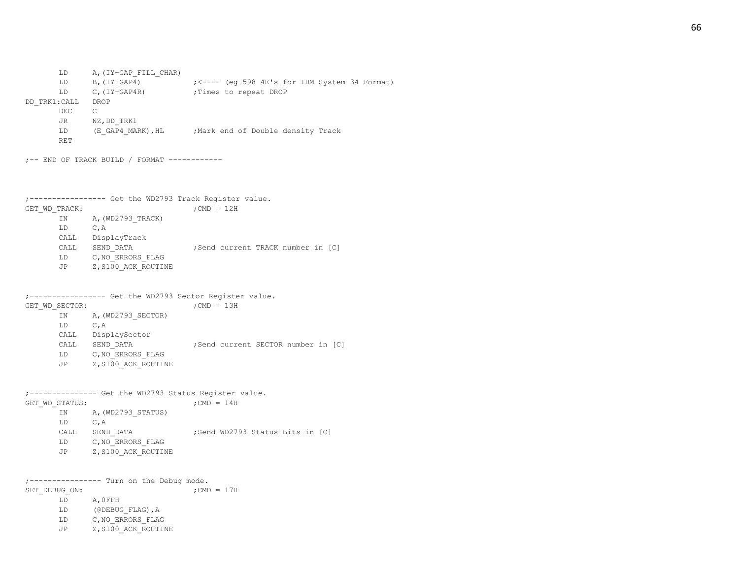LD B,(IY+GAP4) ;<---- (eg 598 4E's for IBM System 34 Format) LD C, (IY+GAP4R) ; Times to repeat DROP DD\_TRK1:CALL DROP DEC C JR NZ, DD\_TRK1 LD (E\_GAP4\_MARK), HL ;Mark end of Double density Track RET ;-- END OF TRACK BUILD / FORMAT ------------ ;----------------- Get the WD2793 Track Register value. GET WD TRACK:  $;$  ;CMD = 12H IN A, (WD2793 TRACK) LD C,A CALL DisplayTrack CALL SEND DATA ;Send current TRACK number in [C] LD C, NO ERRORS FLAG JP Z, S100 ACK ROUTINE ;----------------- Get the WD2793 Sector Register value. GET WD SECTOR:  $;$  ;CMD = 13H IN A, (WD2793 SECTOR) LD C,A CALL DisplaySector CALL SEND DATA ; Send current SECTOR number in [C] LD C, NO ERRORS FLAG JP Z, S100 ACK ROUTINE ;--------------- Get the WD2793 Status Register value. GET WD STATUS:  $;$  ; CMD = 14H IN A, (WD2793 STATUS) LD C,A CALL SEND DATA ;Send WD2793 Status Bits in [C] LD C, NO ERRORS FLAG JP Z, S100 ACK ROUTINE ;---------------- Turn on the Debug mode. SET DEBUG ON:  $;$  ; CMD = 17H LD A,0FFH LD (@DEBUG\_FLAG), A LD C, NO ERRORS FLAG JP Z, S100 ACK ROUTINE

LD A, (IY+GAP FILL CHAR)

66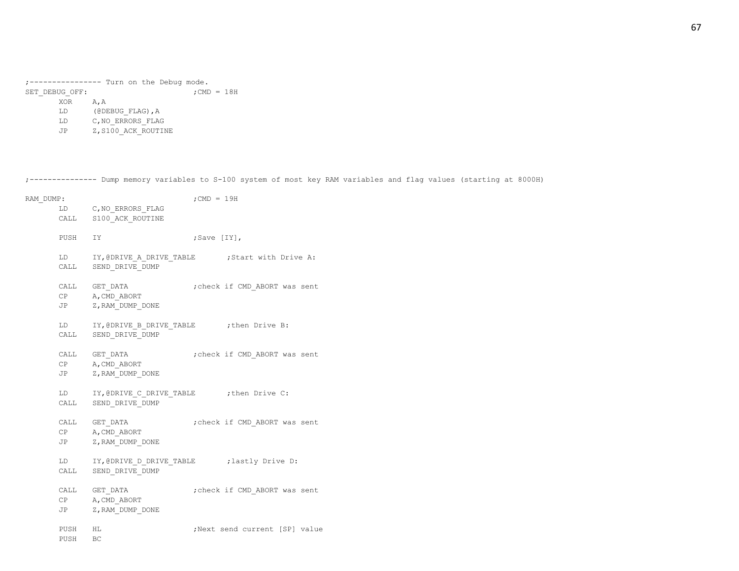;---------------- Turn on the Debug mode. SET\_DEBUG\_OFF:  $\qquad \qquad ;\text{CMD} = 18\text{H}$ XOR A,A LD (@DEBUG\_FLAG),A

- LD C,NO\_ERRORS\_FLAG
- JP Z, S100 ACK ROUTINE

;--------------- Dump memory variables to S-100 system of most key RAM variables and flag values (starting at 8000H)

| RAM DUMP:          |                                                                     | $;$ CMD = 19H                                     |
|--------------------|---------------------------------------------------------------------|---------------------------------------------------|
|                    | LD C, NO ERRORS FLAG                                                |                                                   |
|                    | CALL S100 ACK ROUTINE                                               |                                                   |
| PUSH IY            |                                                                     | ;Save [IY],                                       |
|                    | CALL SEND DRIVE DUMP                                                | LD IY, @DRIVE A DRIVE TABLE : Start with Drive A: |
|                    | CALL GET DATA<br>CP A, CMD ABORT<br>JP Z, RAM DUMP_DONE             | ; check if CMD ABORT was sent                     |
|                    | LD IY, @DRIVE B DRIVE TABLE : then Drive B:<br>CALL SEND DRIVE DUMP |                                                   |
|                    | CALL GET DATA<br>CP A, CMD ABORT<br>JP Z, RAM DUMP DONE             | check if CMD ABORT was sent,                      |
|                    | LD IY, @DRIVE_C_DRIVE_TABLE : then Drive C:<br>CALL SEND DRIVE DUMP |                                                   |
|                    | CALL GET DATA<br>CP A, CMD ABORT<br>JP Z, RAM DUMP DONE             | check if CMD ABORT was sent;                      |
|                    | CALL SEND DRIVE DUMP                                                | LD IY, @DRIVE D DRIVE TABLE : lastly Drive D:     |
|                    | CALL GET_DATA<br>CP A, CMD ABORT<br>JP Z, RAM DUMP DONE             | ; check if CMD ABORT was sent                     |
| PUSH HL<br>PUSH BC |                                                                     | ; Next send current [SP] value                    |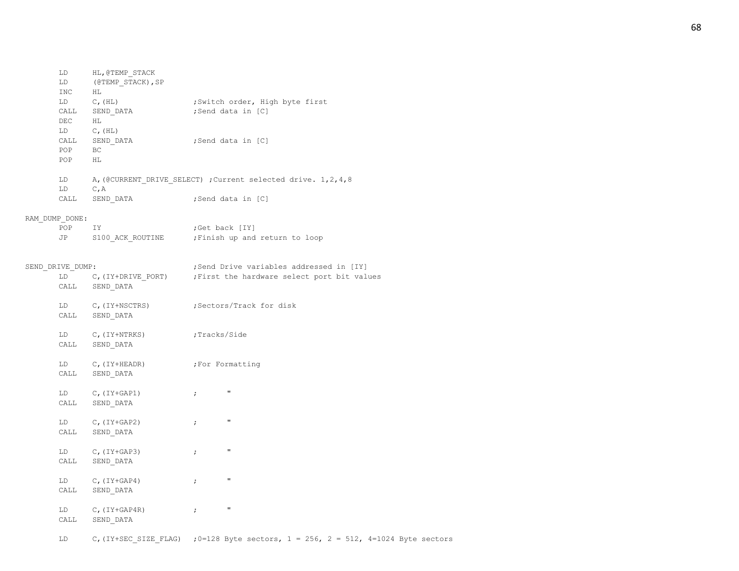| LD                                                                                                                                                                                                                             | HL, @TEMP STACK         |                                                                   |
|--------------------------------------------------------------------------------------------------------------------------------------------------------------------------------------------------------------------------------|-------------------------|-------------------------------------------------------------------|
| LD<br>INC                                                                                                                                                                                                                      | (@TEMP STACK), SP<br>НL |                                                                   |
|                                                                                                                                                                                                                                |                         |                                                                   |
| LD                                                                                                                                                                                                                             | $C$ , $(HL)$            | ;Switch order, High byte first                                    |
| CALL                                                                                                                                                                                                                           | SEND DATA               | ;Send data in [C]                                                 |
| DEC                                                                                                                                                                                                                            | HL                      |                                                                   |
| LD and the set of the set of the set of the set of the set of the set of the set of the set of the set of the set of the set of the set of the set of the set of the set of the set of the set of the set of the set of the se | $C$ , $(HL)$            |                                                                   |
| CALL                                                                                                                                                                                                                           | SEND DATA               | ;Send data in [C]                                                 |
| POP                                                                                                                                                                                                                            | BC.                     |                                                                   |
| POP                                                                                                                                                                                                                            | HL                      |                                                                   |
| LD                                                                                                                                                                                                                             |                         | A, (@CURRENT DRIVE SELECT) ; Current selected drive. 1, 2, 4, 8   |
| LD                                                                                                                                                                                                                             | $C$ , $A$               |                                                                   |
| CALL                                                                                                                                                                                                                           | SEND DATA               | ;Send data in [C]                                                 |
| RAM DUMP DONE:                                                                                                                                                                                                                 |                         |                                                                   |
| POP                                                                                                                                                                                                                            | IY.                     | ;Get back [IY]                                                    |
| JP                                                                                                                                                                                                                             | S100 ACK ROUTINE        | ; Finish up and return to loop                                    |
|                                                                                                                                                                                                                                |                         |                                                                   |
| SEND DRIVE DUMP:                                                                                                                                                                                                               |                         | ;Send Drive variables addressed in [IY]                           |
|                                                                                                                                                                                                                                |                         | LD C, (IY+DRIVE PORT) ; First the hardware select port bit values |
| CALL                                                                                                                                                                                                                           | SEND DATA               |                                                                   |
| LD                                                                                                                                                                                                                             |                         | ;Sectors/Track for disk                                           |
| CALL                                                                                                                                                                                                                           | C,(IY+NSCTRS)           |                                                                   |
|                                                                                                                                                                                                                                | SEND DATA               |                                                                   |
|                                                                                                                                                                                                                                | LD C, (IY+NTRKS)        | ;Tracks/Side                                                      |
|                                                                                                                                                                                                                                | CALL SEND DATA          |                                                                   |
|                                                                                                                                                                                                                                |                         |                                                                   |
| LD                                                                                                                                                                                                                             | $C$ , (IY+HEADR)        | ;For Formatting                                                   |
| CALL                                                                                                                                                                                                                           | SEND DATA               |                                                                   |
| LD                                                                                                                                                                                                                             | $C$ , (IY+GAP1)         | $\mathbf{H}$<br>$\ddot{ }$                                        |
| CALL                                                                                                                                                                                                                           | SEND DATA               |                                                                   |
|                                                                                                                                                                                                                                |                         |                                                                   |
| LD                                                                                                                                                                                                                             | $C$ , (IY+GAP2)         | $\mathbf{H}$<br>$\ddot{ }$                                        |
| CALL                                                                                                                                                                                                                           | SEND DATA               |                                                                   |
| LD                                                                                                                                                                                                                             | C, $(IY+GAP3)$          | $\pmb{\mathsf{H}}$<br>$\ddot{ }$                                  |
| CALL                                                                                                                                                                                                                           | SEND DATA               |                                                                   |
| LD                                                                                                                                                                                                                             | $C$ , (IY+GAP4)         | $\pmb{\mathsf{H}}$<br>$\ddot{ }$                                  |
| CALL                                                                                                                                                                                                                           | SEND DATA               |                                                                   |
|                                                                                                                                                                                                                                |                         |                                                                   |
| LD                                                                                                                                                                                                                             | $C$ , (IY+GAP4R)        | $\pmb{\mathsf{H}}$<br>$\cdot$                                     |
| CALL                                                                                                                                                                                                                           | SEND DATA               |                                                                   |
|                                                                                                                                                                                                                                |                         |                                                                   |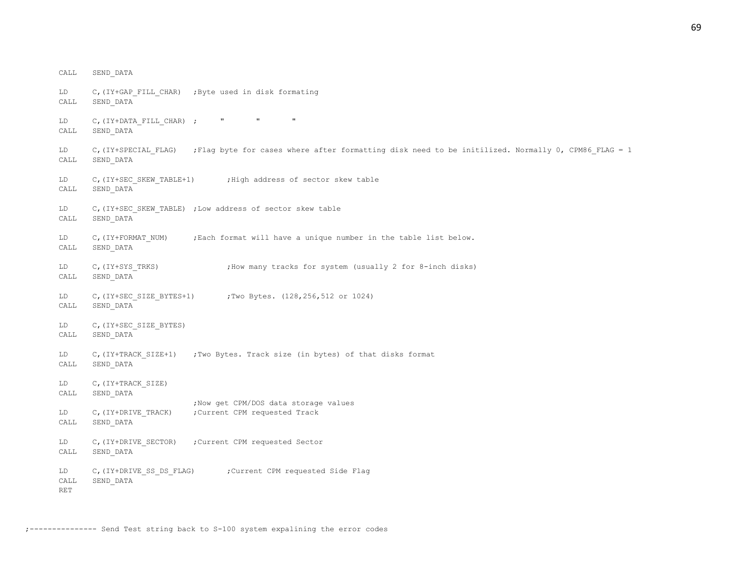CALL SEND\_DATA LD C,(IY+GAP\_FILL\_CHAR) ;Byte used in disk formating CALL SEND\_DATA LD C, (IY+DATA\_FILL\_CHAR) ; " " " CALL SEND\_DATA LD C,(IY+SPECIAL FLAG) ;Flag byte for cases where after formatting disk need to be initilized. Normally 0, CPM86 FLAG = 1 CALL SEND\_DATA LD C, (IY+SEC SKEW TABLE+1) ;High address of sector skew table CALL SEND\_DATA LD C, (IY+SEC SKEW TABLE) ;Low address of sector skew table CALL SEND\_DATA LD C, (IY+FORMAT\_NUM) ; Each format will have a unique number in the table list below. CALL SEND\_DATA LD C, (IY+SYS\_TRKS) ;How many tracks for system (usually 2 for 8-inch disks) CALL SEND\_DATA LD C,(IY+SEC SIZE BYTES+1) ;Two Bytes. (128,256,512 or 1024) CALL SEND\_DATA LD C, (IY+SEC SIZE BYTES) CALL SEND\_DATA LD C, (IY+TRACK SIZE+1) ;Two Bytes. Track size (in bytes) of that disks format CALL SEND\_DATA LD C, (IY+TRACK SIZE) CALL SEND\_DATA ;Now get CPM/DOS data storage values LD C, (IY+DRIVE TRACK) ; Current CPM requested Track CALL SEND\_DATA LD C,(IY+DRIVE\_SECTOR) ;Current CPM requested Sector CALL SEND\_DATA LD C, (IY+DRIVE SS DS FLAG) ; Current CPM requested Side Flag CALL SEND\_DATA RET

;--------------- Send Test string back to S-100 system expalining the error codes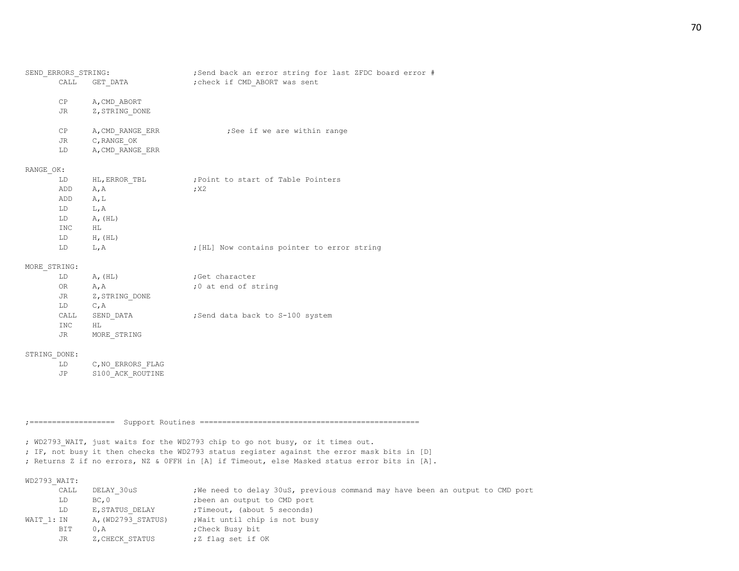| SEND ERRORS STRING: |                  | ;Send back an error string for last ZFDC board error # |
|---------------------|------------------|--------------------------------------------------------|
| CALL                | GET DATA         | ; check if CMD ABORT was sent                          |
|                     | CP A, CMD ABORT  |                                                        |
| JR                  | Z, STRING DONE   |                                                        |
| CP                  | A, CMD RANGE ERR | ;See if we are within range                            |
|                     | JR C, RANGE OK   |                                                        |
| LD                  | A, CMD RANGE ERR |                                                        |
| RANGE OK:           |                  |                                                        |
| LD                  | HL, ERROR TBL    | Point to start of Table Pointers,                      |
| ADD                 | A, A             | ; X2                                                   |
| ADD A, L            |                  |                                                        |
| LD L, A             |                  |                                                        |
| LD                  | A, (HL)          |                                                        |
| INC                 | HL.              |                                                        |
|                     | LD H, (HL)       |                                                        |
| LD                  | L, A             | ; [HL] Now contains pointer to error string            |
|                     |                  |                                                        |

## MORE\_STRING:

| LD   | A, (HL)        | :Get character                  |
|------|----------------|---------------------------------|
| 0R   | A, A           | ;0 at end of string             |
| JR   | Z, STRING DONE |                                 |
| LD   | $C$ . A        |                                 |
| CALL | SEND DATA      | Send data back to S-100 system; |
| INC  | HT.            |                                 |
| JR.  | MORE STRING    |                                 |

### STRING\_DONE:

| T.D |  | C, NO ERRORS FLAG |
|-----|--|-------------------|
| JP. |  | S100 ACK ROUTINE  |

;=================== Support Routines =================================================

; WD2793 WAIT, just waits for the WD2793 chip to go not busy, or it times out.

; IF, not busy it then checks the WD2793 status register against the error mask bits in [D]

; Returns Z if no errors, NZ & 0FFH in [A] if Timeout, else Masked status error bits in [A].

WD2793\_WAIT:

|            | CALL | DELAY 30uS         | ; We need to delay 30uS, previous command may have been an output to CMD port |
|------------|------|--------------------|-------------------------------------------------------------------------------|
|            | LD   | BC, 0              | ; been an output to CMD port                                                  |
|            | LD   | E, STATUS DELAY    | ; Timeout, (about 5 seconds)                                                  |
| WAIT 1: IN |      | A, (WD2793 STATUS) | ; Wait until chip is not busy                                                 |
|            | BIT  | 0.A                | Check Busy bit,                                                               |
|            | JR   | Z, CHECK STATUS    | ;Z flag set if OK                                                             |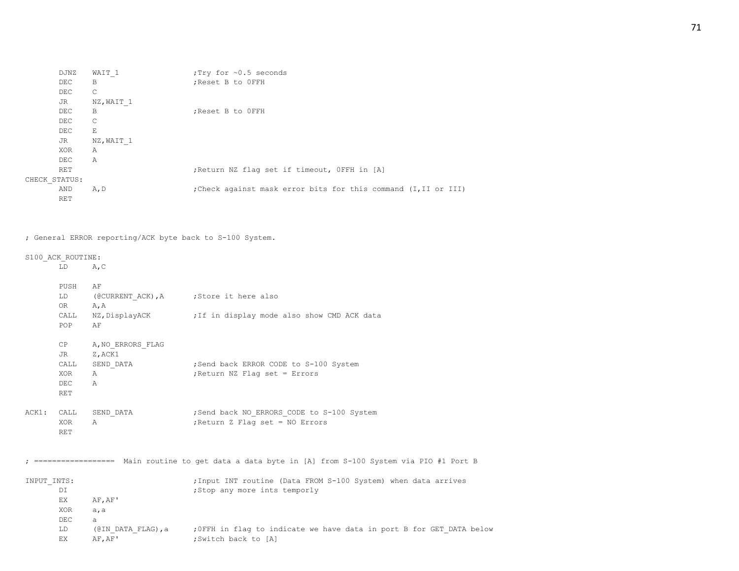| DJNZ          | WAIT 1     | :Try for ~0.5 seconds                                           |
|---------------|------------|-----------------------------------------------------------------|
| DEC           | B          | ; Reset B to OFFH                                               |
| DEC           | C          |                                                                 |
| JR            | NZ, WAIT 1 |                                                                 |
| DEC           | В          | ; Reset B to OFFH                                               |
| DEC           | C          |                                                                 |
| DEC           | Е          |                                                                 |
| JR            | NZ, WAIT 1 |                                                                 |
| XOR           | Α          |                                                                 |
| DEC           | Α          |                                                                 |
| RET           |            | ; Return NZ flag set if timeout, OFFH in [A]                    |
| CHECK STATUS: |            |                                                                 |
| AND           | A, D       | ; Check against mask error bits for this command (I, II or III) |
| RET           |            |                                                                 |

# ; General ERROR reporting/ACK byte back to S-100 System.

# S100\_ACK\_ROUTINE:

LD A,C

|             | PUSH<br>LD                | AF<br>(@CURRENT ACK), A ; Store it here also |                                                                                                    |
|-------------|---------------------------|----------------------------------------------|----------------------------------------------------------------------------------------------------|
|             | OR D<br>CALL<br>POP       | A, A<br>AF                                   | NZ, DisplayACK ; If in display mode also show CMD ACK data                                         |
|             | CP<br>JR                  | A, NO ERRORS FLAG<br>Z, ACK1                 |                                                                                                    |
|             | CALL<br>XOR<br>DEC<br>RET | SEND DATA<br>Α<br>$\mathbb{A}$               | ; Send back ERROR CODE to S-100 System<br>; Return NZ Flag set = Errors                            |
| ACK1:       | CALL<br>XOR<br><b>RET</b> | SEND DATA<br>A                               | ; Send back NO ERRORS CODE to S-100 System<br>; Return Z Flag set = NO Errors                      |
|             |                           |                                              | ================== Main routine to get data a data byte in [A] from S-100 System via PIO #1 Port B |
| INPUT INTS: | DI<br>EX.<br>XOR<br>DEC   | AF, AF'<br>a, a<br>a                         | ; Input INT routine (Data FROM S-100 System) when data arrives<br>;Stop any more ints temporly     |
|             | LD<br>EX.                 | (@IN DATA FLAG), a<br>AF, AF'                | ; OFFH in flag to indicate we have data in port B for GET DATA below<br>;Switch back to [A]        |
|             |                           |                                              |                                                                                                    |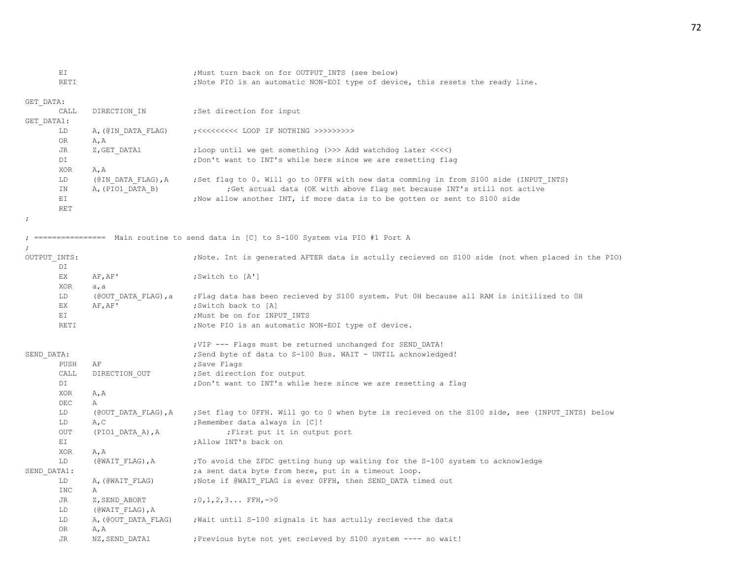EI :  $\mu$  ; Must turn back on for OUTPUT INTS (see below) RETI  $;$  Note PIO is an automatic NON-EOI type of device, this resets the ready line. GET\_DATA: CALL DIRECTION IN ; Set direction for input GET\_DATA1: LD A,(@IN\_DATA\_FLAG) ;<<<<<<<<< LOOP IF NOTHING >>>>>>>>> OR A,A JR Z, GET\_DATA1 ;Loop until we get something (>>> Add watchdog later <<<<) DI  $\bigcup$  ,  $\bigcup$   $\bigcup$   $\bigcup$   $\bigcup$   $\bigcup$   $\bigcup$   $\bigcup$   $\bigcup$   $\bigcup$   $\bigcup$   $\bigcup$   $\bigcup$   $\bigcup$   $\bigcup$   $\bigcup$   $\bigcup$   $\bigcup$   $\bigcup$   $\bigcup$   $\bigcup$   $\bigcup$   $\bigcup$   $\bigcup$   $\bigcap$   $\bigcap$   $\bigcap$   $\bigcap$   $\bigcap$   $\bigcap$   $\bigcap$   $\bigcap$   $\bigcap$   $\bigcap$   $\bigcap$   $\bigcap$ 

XOR A,A LD (@IN\_DATA\_FLAG),A ;Set flag to 0. Will go to 0FFH with new data comming in from S100 side (INPUT\_INTS) IN A,(PIO1\_DATA\_B) ;Get actual data (OK with above flag set because INT's still not active EI :Now allow another INT, if more data is to be gotten or sent to S100 side

;

; ================ Main routine to send data in [C] to S-100 System via PIO #1 Port A

;

RET

| OUTPUT INTS: |                     | Note. Int is generated AFTER data is actully recieved on S100 side (not when placed in the PIO) |
|--------------|---------------------|-------------------------------------------------------------------------------------------------|
| DI           |                     |                                                                                                 |
| EX           | AF, AF'             | ;Switch to [A']                                                                                 |
| <b>XOR</b>   | a, a                |                                                                                                 |
| LD           | (@OUT DATA FLAG), a | Flag data has been recieved by S100 system. Put OH because all RAM is initilized to OH          |
| EX.          | AF, AF'             | ;Switch back to [A]                                                                             |
| EI           |                     | ; Must be on for INPUT INTS                                                                     |
| <b>RETI</b>  |                     | ;Note PIO is an automatic NON-EOI type of device.                                               |
|              |                     | ; VIP --- Flags must be returned unchanged for SEND DATA!                                       |
| SEND DATA:   |                     | ; Send byte of data to S-100 Bus. WAIT - UNTIL acknowledged!                                    |
| PUSH         | AF                  | ;Save Flags                                                                                     |
| CALL         | DIRECTION OUT       | ;Set direction for output                                                                       |
| DI           |                     | ; Don't want to INT's while here since we are resetting a flag                                  |
| XOR          | A, A                |                                                                                                 |
| <b>DEC</b>   | Α                   |                                                                                                 |
| LD           | (@OUT DATA FLAG), A | ;Set flag to OFFH. Will go to 0 when byte is recieved on the S100 side, see (INPUT INTS) below  |
| LD           | A, C                | ; Remember data always in [C]!                                                                  |
| OUT          | (PIO1_DATA_A), A    | ; First put it in output port                                                                   |
| EI           |                     | ;Allow INT's back on                                                                            |
| XOR          | A, A                |                                                                                                 |
| LD           | (@WAIT FLAG), A     | ; To avoid the ZFDC getting hung up waiting for the S-100 system to acknowledge                 |
| SEND DATA1:  |                     | ; a sent data byte from here, put in a timeout loop.                                            |
| LD           | A, (@WAIT FLAG)     | ; Note if @WAIT FLAG is ever OFFH, then SEND DATA timed out                                     |
| <b>INC</b>   | Α                   |                                                                                                 |
| JR           | Z, SEND ABORT       | $:0,1,2,3$ FFH, ->0                                                                             |
| LD           | (@WAIT FLAG), A     |                                                                                                 |
| LD           | A, (@OUT DATA FLAG) | ; Wait until S-100 signals it has actully recieved the data                                     |
| OR.          | A, A                |                                                                                                 |

JR NZ, SEND DATA1 ;Previous byte not yet recieved by S100 system ---- so wait!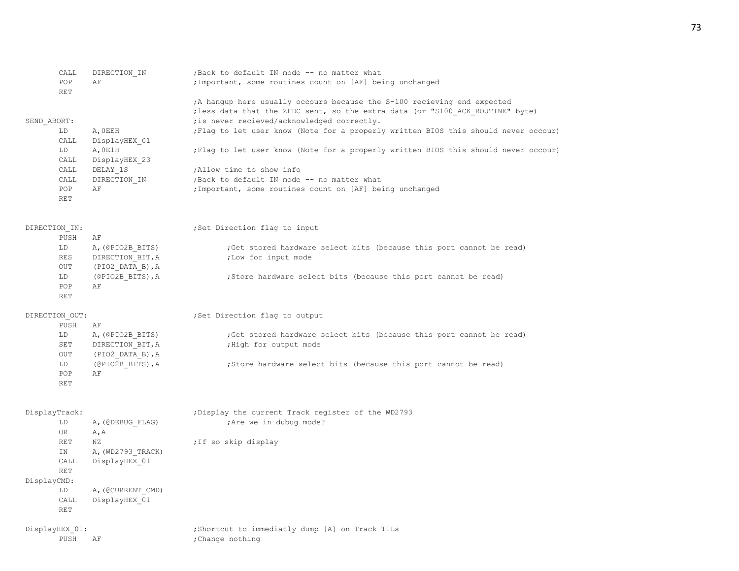|             | CALL              | DIRECTION IN       | ; Back to default IN mode -- no matter what                                         |
|-------------|-------------------|--------------------|-------------------------------------------------------------------------------------|
|             | POP<br><b>RET</b> | ΑF                 | ; Important, some routines count on [AF] being unchanged                            |
|             |                   |                    | A hangup here usually occours because the S-100 recieving end expected              |
|             |                   |                    | ; less data that the ZFDC sent, so the extra data (or "S100 ACK ROUTINE" byte)      |
| SEND ABORT: |                   |                    | ; is never recieved/acknowledged correctly.                                         |
|             | LD.               | A, OEEH            | ; Flag to let user know (Note for a properly written BIOS this should never occour) |
|             | CALL              | DisplayHEX 01      |                                                                                     |
|             | LD                | A, OE1H            | ; Flag to let user know (Note for a properly written BIOS this should never occour) |
|             | CALL              | DisplayHEX 23      |                                                                                     |
|             | CALL              | DELAY 1S           | Allow time to show info                                                             |
|             | CALL              | DIRECTION IN       | ; Back to default IN mode -- no matter what                                         |
|             | POP               | ΑF                 | ; Important, some routines count on [AF] being unchanged                            |
|             | <b>RET</b>        |                    |                                                                                     |
|             | DIRECTION IN:     |                    | ;Set Direction flag to input                                                        |
|             | PUSH              | ΑF                 |                                                                                     |
|             | LD                | A, (@PIO2B_BITS)   | ; Get stored hardware select bits (because this port cannot be read)                |
|             | <b>RES</b>        | DIRECTION BIT, A   | ; Low for input mode                                                                |
|             | OUT               | $(PIO2$ DATA B), A |                                                                                     |
|             | LD                | (@PIO2B BITS), A   | ; Store hardware select bits (because this port cannot be read)                     |
|             | POP               | AF                 |                                                                                     |
|             | <b>RET</b>        |                    |                                                                                     |
|             | DIRECTION OUT:    |                    | ; Set Direction flag to output                                                      |
|             | PUSH              | AF                 |                                                                                     |
|             | LD                | A, (@PIO2B BITS)   | ; Get stored hardware select bits (because this port cannot be read)                |
|             | SET               | DIRECTION BIT, A   | ; High for output mode                                                              |
|             | OUT               | (PIO2 DATA B), A   |                                                                                     |
|             | LD                | (@PIO2B BITS), A   | ; Store hardware select bits (because this port cannot be read)                     |
|             | POP               | AF                 |                                                                                     |
|             | RET               |                    |                                                                                     |
|             | DisplayTrack:     |                    | ; Display the current Track register of the WD2793                                  |
|             | LD                | A, (@DEBUG FLAG)   | ; Are we in dubug mode?                                                             |
|             | 0R                | A, A               |                                                                                     |
|             | <b>RET</b>        | ΝZ                 | ; If so skip display                                                                |
|             | ΙN                | A, (WD2793_TRACK)  |                                                                                     |
|             | CALL              | DisplayHEX 01      |                                                                                     |
|             | <b>RET</b>        |                    |                                                                                     |
| DisplayCMD: |                   |                    |                                                                                     |
|             | LD.               | A, (@CURRENT CMD)  |                                                                                     |
|             | CALL              | DisplayHEX 01      |                                                                                     |
|             | <b>RET</b>        |                    |                                                                                     |
|             | DisplayHEX 01:    |                    | ; Shortcut to immediatly dump [A] on Track TILs                                     |
|             | PUSH              | ΑF                 | ; Change nothing                                                                    |
|             |                   |                    |                                                                                     |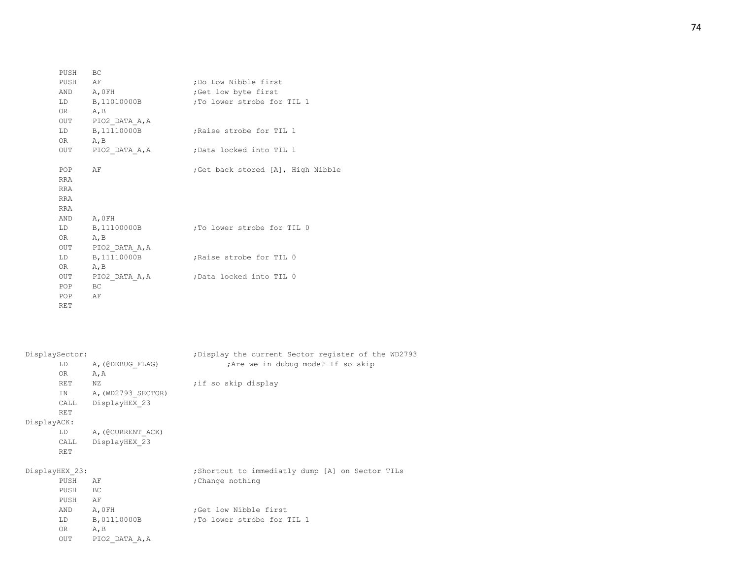| PUSH BC    |                    |                                   |
|------------|--------------------|-----------------------------------|
| PUSH AF    |                    | ; Do Low Nibble first             |
| AND A, OFH |                    | Get low byte first;               |
|            | LD B, 11010000B    | To lower strobe for TIL 1,        |
| OR A, B    |                    |                                   |
|            | OUT PIO2 DATA A, A |                                   |
|            | LD B, 11110000B    | ;Raise strobe for TIL 1           |
| OR A, B    |                    |                                   |
|            | OUT PIO2 DATA A, A | Data locked into TIL 1,           |
|            |                    |                                   |
| POP        | AF                 | Get back stored [A], High Nibble; |
| <b>RRA</b> |                    |                                   |
| RRA        |                    |                                   |
| <b>RRA</b> |                    |                                   |
| RRA        |                    |                                   |
| AND A, OFH |                    |                                   |
|            | LD B, 11100000B    | ;To lower strobe for TIL 0        |
| OR A, B    |                    |                                   |
|            | OUT PIO2_DATA_A, A |                                   |
|            | LD B, 11110000B    | Raise strobe for TIL 0            |
| OR A, B    |                    |                                   |
|            | OUT PIO2 DATA A, A | Data locked into TIL 0;           |
| POP        | BC                 |                                   |
| POP        | AF                 |                                   |
| RET        |                    |                                   |

| DisplaySector: |                                                                                                                                                                                                                                        | ; Display the current Sector register of the WD2793 |
|----------------|----------------------------------------------------------------------------------------------------------------------------------------------------------------------------------------------------------------------------------------|-----------------------------------------------------|
|                | LD A, (@DEBUG FLAG)                                                                                                                                                                                                                    | ; Are we in dubug mode? If so skip                  |
|                | OR<br>A, A                                                                                                                                                                                                                             |                                                     |
|                | RET<br>ΝZ                                                                                                                                                                                                                              | ;if so skip display                                 |
|                | IN A, (WD2793 SECTOR)                                                                                                                                                                                                                  |                                                     |
|                | DisplayHEX 23<br>CALL                                                                                                                                                                                                                  |                                                     |
|                | RET                                                                                                                                                                                                                                    |                                                     |
| DisplayACK:    |                                                                                                                                                                                                                                        |                                                     |
|                | LD A, (@CURRENT ACK)                                                                                                                                                                                                                   |                                                     |
|                | CALL DisplayHEX 23                                                                                                                                                                                                                     |                                                     |
|                | <b>RET</b>                                                                                                                                                                                                                             |                                                     |
| DisplayHEX 23: |                                                                                                                                                                                                                                        | ; Shortcut to immediatly dump [A] on Sector TILs    |
|                | PUSH<br>AF                                                                                                                                                                                                                             | ; Change nothing                                    |
|                | PUSH<br>BC <sub>1</sub>                                                                                                                                                                                                                |                                                     |
|                | PUSH<br>AF                                                                                                                                                                                                                             |                                                     |
|                | A,0FH<br>AND                                                                                                                                                                                                                           | Get low Nibble first;                               |
|                | LD B, 01110000B                                                                                                                                                                                                                        | To lower strobe for TIL 1                           |
|                | OR and the set of the set of the set of the set of the set of the set of the set of the set of the set of the set of the set of the set of the set of the set of the set of the set of the set of the set of the set of the se<br>A, B |                                                     |
|                | <b>OUT</b><br>PIO2 DATA A, A                                                                                                                                                                                                           |                                                     |
|                |                                                                                                                                                                                                                                        |                                                     |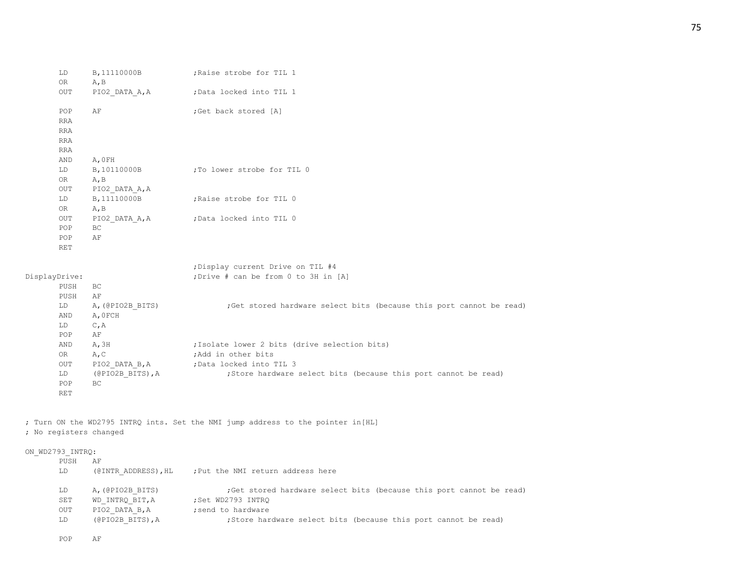|               | LD<br>0R     | $A$ , $B$        | B, 11110000B ; Raise strobe for TIL 1                                |
|---------------|--------------|------------------|----------------------------------------------------------------------|
|               | OUT          | PIO2_DATA_A, A   | ;Data locked into TIL 1                                              |
|               | POP          | AF               | ;Get back stored [A]                                                 |
|               | <b>RRA</b>   |                  |                                                                      |
|               | <b>RRA</b>   |                  |                                                                      |
|               | <b>RRA</b>   |                  |                                                                      |
|               | <b>RRA</b>   |                  |                                                                      |
|               | AND          | A, OFH           |                                                                      |
|               | LD           | B, 10110000B     | To lower strobe for TIL 0                                            |
|               | OR           | A, B             |                                                                      |
|               | $_{\rm OUT}$ | PIO2_DATA_A, A   |                                                                      |
|               | LD           | B, 11110000B     | Raise strobe for TIL 0                                               |
|               | OR           | A, B             |                                                                      |
|               | OUT          | PIO2_DATA_A, A   | ;Data locked into TIL 0                                              |
|               | POP          | BC               |                                                                      |
|               | POP          | AF               |                                                                      |
|               | <b>RET</b>   |                  |                                                                      |
|               |              |                  | ; Display current Drive on TIL #4                                    |
| DisplayDrive: |              |                  | ; Drive # can be from 0 to 3H in [A]                                 |
|               | PUSH         | BC               |                                                                      |
|               | PUSH         | AF               |                                                                      |
|               | LD           | A, (@PIO2B_BITS) | ; Get stored hardware select bits (because this port cannot be read) |
|               | AND          | A, OFCH          |                                                                      |
|               | LD           | C, A             |                                                                      |
|               | POP          | AF               |                                                                      |
|               | AND          | A, 3H            | ; Isolate lower 2 bits (drive selection bits)                        |
|               | OR           | A, C             | ;Add in other bits                                                   |
|               | OUT          |                  | PIO2_DATA_B, A (Data locked into TIL 3                               |
|               | LD           | (@PIO2B_BITS),A  | ; Store hardware select bits (because this port cannot be read)      |
|               | POP          | BC               |                                                                      |
|               | <b>RET</b>   |                  |                                                                      |
|               |              |                  |                                                                      |

; Turn ON the WD2795 INTRQ ints. Set the NMI jump address to the pointer in[HL] ; No registers changed

## ON\_WD2793\_INTRQ:

| PUSH | ΑF                  |                                                                      |
|------|---------------------|----------------------------------------------------------------------|
| LD   | (@INTR ADDRESS), HL | ; Put the NMI return address here                                    |
|      |                     |                                                                      |
| LD   | A, (@PIO2B BITS)    | ; Get stored hardware select bits (because this port cannot be read) |
| SET  | WD INTRO BIT, A     | ;Set WD2793 INTRO                                                    |
| OUT  | PIO2 DATA B, A      | : send to hardware                                                   |
| LD   | (@PIO2B BITS), A    | ; Store hardware select bits (because this port cannot be read)      |

POP AF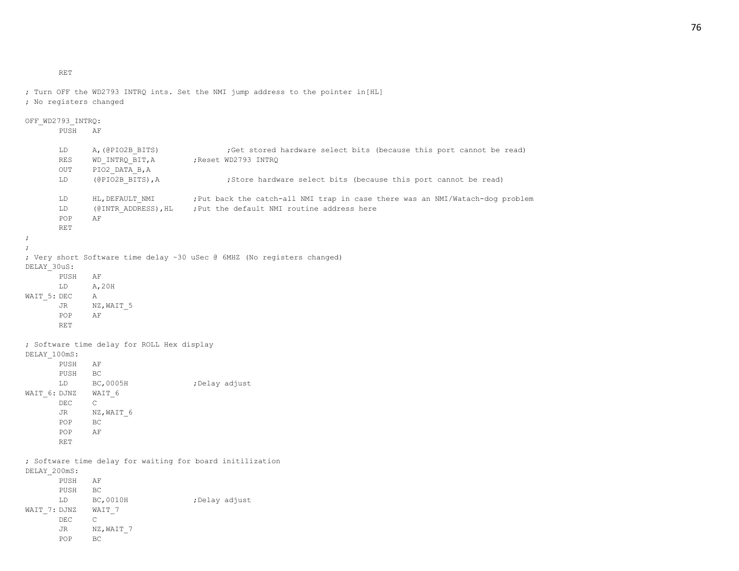RET

```
; No registers changed
OFF_WD2793_INTRQ:
      PUSH AF
      LD A, (@PIO2B_BITS) ;Get stored hardware select bits (because this port cannot be read)
      RES WD_INTRQ_BIT, A ;Reset WD2793 INTRQ
      OUT PIO2_DATA_B,A
      LD (@PIO2B_BITS),A ;Store hardware select bits (because this port cannot be read)
      LD HL, DEFAULT NMI ;Put back the catch-all NMI trap in case there was an NMI/Watach-dog problem
      LD (@INTR_ADDRESS), HL ; Put the default NMI routine address here
      POP AF
      RET
;
;
; Very short Software time delay ~30 uSec @ 6MHZ (No registers changed)
DELAY_30uS:
      PUSH AF
      LD A,20H
WAIT 5: DEC A
      JR NZ, WAIT 5
      POP AF
      RET
; Software time delay for ROLL Hex display
DELAY_100mS:
      PUSH AF
      PUSH BC
      LD BC, 0005H ;Delay adjust
WAIT_6: DJNZ WAIT_6
      DEC C
      JR NZ, WAIT 6
      POP BC
      POP AF
      RET
; Software time delay for waiting for board initilization
DELAY_200mS:
      PUSH AF
      PUSH BC
      LD BC, 0010H ;Delay adjust
WAIT 7: DJNZ WAIT 7
      DEC C
      JR NZ, WAIT 7
      POP BC
```
; Turn OFF the WD2793 INTRQ ints. Set the NMI jump address to the pointer in[HL]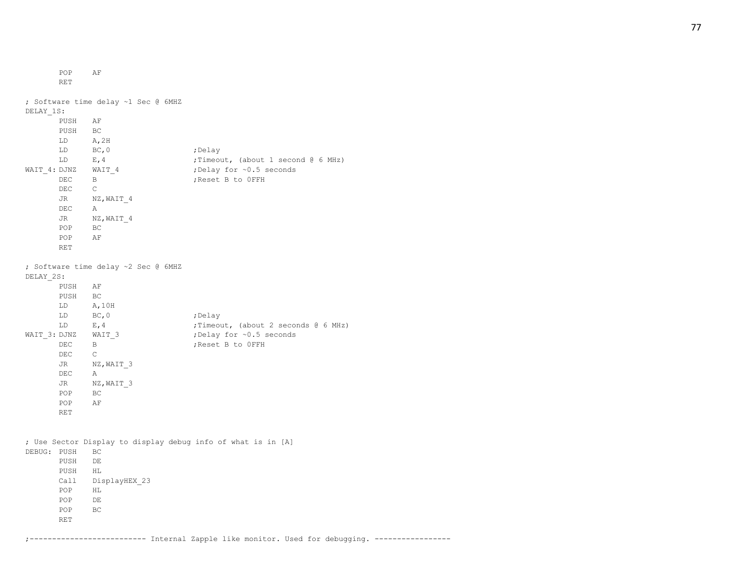POP AF RET ; Software time delay ~1 Sec @ 6MHZ DELAY\_1S: PUSH AF PUSH BC LD A,2H LD BC, 0 ;Delay LD E, 4 ;Timeout, (about 1 second @ 6 MHz) WAIT 4: DJNZ WAIT 4 ;Delay for ~0.5 seconds DEC B ;Reset B to 0FFH DEC C JR NZ, WAIT 4 DEC A JR NZ, WAIT 4 POP BC POP AF RET ; Software time delay ~2 Sec @ 6MHZ DELAY\_2S: PUSH AF PUSH BC LD A,10H LD BC, 0 ;Delay LD E, 4 : Timeout, (about 2 seconds @ 6 MHz) WAIT 3: DJNZ WAIT 3 ;Delay for ~0.5 seconds DEC B ;Reset B to 0FFH DEC C JR NZ, WAIT 3 DEC A JR NZ, WAIT 3 POP BC POP AF RET ; Use Sector Display to display debug info of what is in [A] DEBUG: PUSH BC PUSH DE PUSH HL Call DisplayHEX\_23 POP HL POP DE POP BC RET

;-------------------------- Internal Zapple like monitor. Used for debugging. -----------------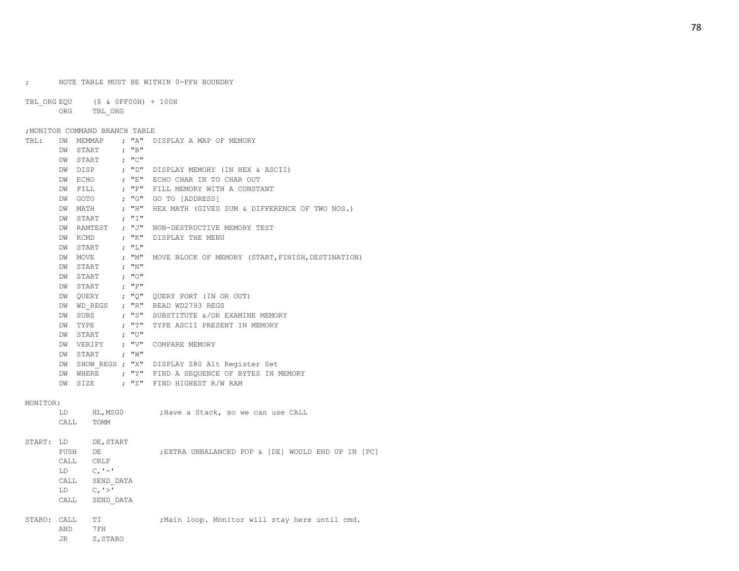; NOTE TABLE MUST BE WITHIN 0-FFH BOUNDRY

TBL\_ORG EQU (\$ & 0FF00H) + 100H ORG TBL\_ORG

#### ;MONITOR COMMAND BRANCH TABLE

| TBL : | DW        | MEMMAP        |       | ; "A" DISPLAY A MAP OF MEMORY                     |
|-------|-----------|---------------|-------|---------------------------------------------------|
|       | <b>DM</b> | START         | : "B" |                                                   |
|       | DW        | START         | : "C" |                                                   |
|       | DW        | DISP          | ; "D" | DISPLAY MEMORY (IN HEX & ASCII)                   |
|       | DW        | ECHO          | ; "E" | ECHO CHAR IN TO CHAR OUT                          |
|       | DW        | FILL          | : "F" | FILL MEMORY WITH A CONSTANT                       |
|       | DW        | GOTO          | ; "G" | GO TO [ADDRESS]                                   |
|       | DW        | MATH          | ; "H" | HEX MATH (GIVES SUM & DIFFERENCE OF TWO NOS.)     |
|       | DW        | START         | ; "I" |                                                   |
|       | DW        | RAMTEST ; "J" |       | NON-DESTRUCTIVE MEMORY TEST                       |
|       | DW        | KCMD          | ; "K" | DISPLAY THE MENU                                  |
|       | DW        | START         | : "L" |                                                   |
|       | DW        | MOVE          | ; "M" | MOVE BLOCK OF MEMORY (START, FINISH, DESTINATION) |
|       | <b>DM</b> | START         | : "N" |                                                   |
|       | DW        | START         | : "0" |                                                   |
|       | DW        | START         | ; "P" |                                                   |
|       | DW        |               |       | QUERY ; "Q" QUERY PORT (IN OR OUT)                |
|       | DW        | WD REGS ; "R" |       | READ WD2793 REGS                                  |
|       | DW        | SUBS          | ; "S" | SUBSTITUTE &/OR EXAMINE MEMORY                    |
|       | DW        | TYPE          | ; "T" | TYPE ASCII PRESENT IN MEMORY                      |
|       | DW        | START         | ; "∪" |                                                   |
|       | DW        | VERIFY ; "V"  |       | COMPARE MEMORY                                    |
|       | DW        | START : "W"   |       |                                                   |
|       | DW        |               |       | SHOW REGS ; "X" DISPLAY Z80 Alt Register Set      |
|       | <b>DM</b> | WHERE $, "Y"$ |       | FIND A SEQUENCE OF BYTES IN MEMORY                |
|       | DW        | SIZE          | : "Z" | FIND HIGHEST R/W RAM                              |

#### MONITOR:

|        | LD<br>CALL                                       | HL, MSG0<br>TOMM                                                               | ; Have a Stack, so we can use CALL                |
|--------|--------------------------------------------------|--------------------------------------------------------------------------------|---------------------------------------------------|
| START: | LD.<br>PUSH<br>CALL<br>LD.<br>CALL<br>LD<br>CALL | DE, START<br>DE<br>CRLF<br>$C_{r}$ ' $-$ '<br>SEND DATA<br>C, '>'<br>SEND DATA | EXTRA UNBALANCED POP & [DE] WOULD END UP IN [PC]; |
| STARO: | CALL<br>AND<br>JR.                               | TI.<br>7FH<br>Z, STARO                                                         | ; Main loop. Monitor will stay here until cmd.    |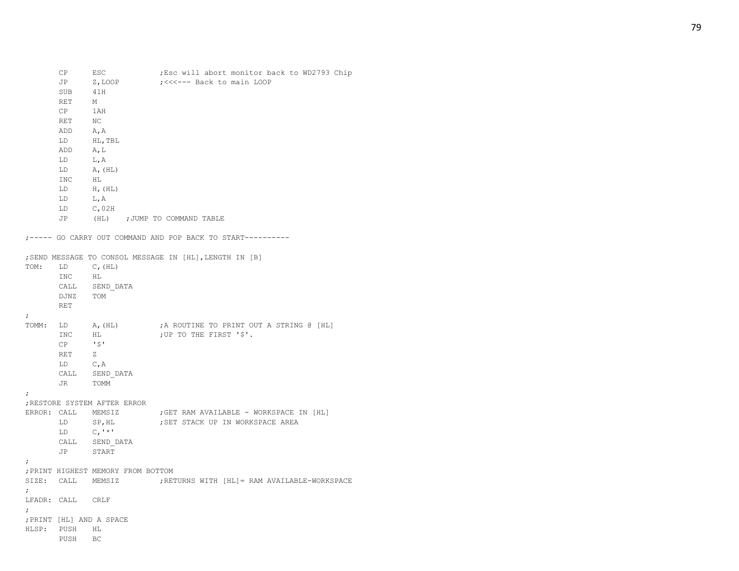|             | JP               | Z,LOOP                                       | ;<<<--- Back to main LOOP                                        |
|-------------|------------------|----------------------------------------------|------------------------------------------------------------------|
|             | SUB              | 41H                                          |                                                                  |
|             | RET              | M                                            |                                                                  |
|             | CP               | 1AH                                          |                                                                  |
|             | RET              | NC                                           |                                                                  |
|             | ADD              | A, A                                         |                                                                  |
|             | LD               | HL, TBL                                      |                                                                  |
|             | ADD              | A, L                                         |                                                                  |
|             | LD               | L, A                                         |                                                                  |
|             | LD               | A, (HL)                                      |                                                                  |
|             | INC              | HL                                           |                                                                  |
|             | LD               | $H$ , $(HL)$                                 |                                                                  |
|             | LD               | L, A                                         |                                                                  |
|             | LD               | C,02H                                        |                                                                  |
|             | JP               | (HL) ; JUMP TO COMMAND TABLE                 |                                                                  |
|             |                  |                                              | ;----- GO CARRY OUT COMMAND AND POP BACK TO START----------      |
|             |                  |                                              | ; SEND MESSAGE TO CONSOL MESSAGE IN [HL], LENGTH IN [B]          |
| TOM:        | LD               | $C$ , (HL)                                   |                                                                  |
|             | INC              | HL                                           |                                                                  |
|             |                  | $\verb CALL   = \verb SEND_DATA $            |                                                                  |
|             | DJNZ             | TOM                                          |                                                                  |
|             | RET              |                                              |                                                                  |
| ÷           |                  |                                              |                                                                  |
| TOMM:       | LD               | $A$ , $(HL)$                                 | ;A ROUTINE TO PRINT OUT A STRING @ [HL]                          |
|             | INC              | HL                                           | ; UP TO THE FIRST '\$'.                                          |
|             | CP               | - 1 \$ 1                                     |                                                                  |
|             | RET              | z.                                           |                                                                  |
|             | LD               | C, A                                         |                                                                  |
|             | CALL             | SEND DATA                                    |                                                                  |
|             | JR               | TOMM                                         |                                                                  |
| ÷           |                  |                                              |                                                                  |
|             |                  | ; RESTORE SYSTEM AFTER ERROR                 |                                                                  |
| ERROR: CALL |                  | MEMSIZ                                       | ; GET RAM AVAILABLE - WORKSPACE IN [HL]                          |
|             | LD               | SP,HL                                        | ; SET STACK UP IN WORKSPACE AREA                                 |
|             | LD               | $C_{\ell}$ <sup>1</sup> $\star$ <sup>1</sup> |                                                                  |
|             | CALL             | SEND DATA                                    |                                                                  |
|             | JP               | START                                        |                                                                  |
| ÷           |                  |                                              |                                                                  |
|             |                  | ; PRINT HIGHEST MEMORY FROM BOTTOM           |                                                                  |
|             |                  |                                              | SIZE: CALL MEMSIZ : ; RETURNS WITH [HL]= RAM AVAILABLE-WORKSPACE |
| ;           |                  |                                              |                                                                  |
|             | LFADR: CALL CRLF |                                              |                                                                  |
| $\ddot{ }$  |                  |                                              |                                                                  |
|             |                  | ; PRINT [HL] AND A SPACE                     |                                                                  |
| HLSP: PUSH  |                  | HL                                           |                                                                  |
|             | PUSH BC          |                                              |                                                                  |
|             |                  |                                              |                                                                  |

CP ESC : Esc will abort monitor back to WD2793 Chip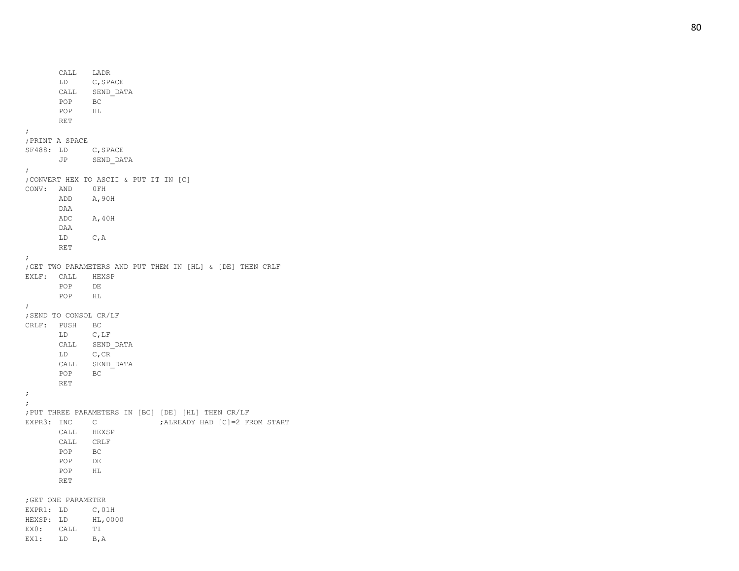CALL LADR LD C,SPACE CALL SEND\_DATA POP BC POP HL RET ; ;PRINT A SPACE SF488: LD C,SPACE JP SEND\_DATA ; ;CONVERT HEX TO ASCII & PUT IT IN [C] CONV: AND 0FH ADD A,90H DAA ADC A,40H DAA LD C,A RET ; ;GET TWO PARAMETERS AND PUT THEM IN [HL] & [DE] THEN CRLF EXLF: CALL HEXSP POP DE POP HL ; ;SEND TO CONSOL CR/LF CRLF: PUSH BC LD C,LF CALL SEND\_DATA LD C,CR CALL SEND\_DATA POP BC RET ;; ;PUT THREE PARAMETERS IN [BC] [DE] [HL] THEN CR/LF EXPR3: INC C ; ALREADY HAD [C]=2 FROM START CALL HEXSP CALL CRLF POP BC POP DE POP HL RET ;GET ONE PARAMETER EXPR1: LD C,01H HEXSP: LD HL,0000 EX0: CALL TI

EX1: LD B, A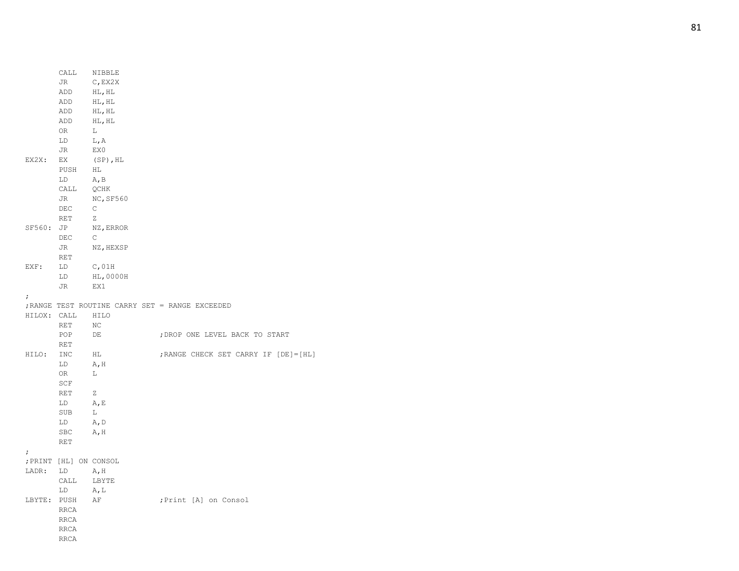|             | $\verb CALL ~~\verb NIBBLE $ |              |                                                 |
|-------------|------------------------------|--------------|-------------------------------------------------|
|             | JR                           | C, EX2X      |                                                 |
|             | ADD                          | HL, HL       |                                                 |
|             | ADD                          | HL, HL       |                                                 |
|             | ADD                          | HL, HL       |                                                 |
|             | ADD                          | HL, HL       |                                                 |
|             | 0R                           | L            |                                                 |
|             | LD                           | L, A         |                                                 |
|             | JR                           | EX0          |                                                 |
| EX2X:       | EX                           | $(SP)$ , HL  |                                                 |
|             | PUSH                         | HL           |                                                 |
|             | LD                           | A, B         |                                                 |
|             | CALL                         | QCHK         |                                                 |
|             | JR                           | NC, SF560    |                                                 |
|             | DEC                          | $\mathsf{C}$ |                                                 |
|             | RET                          | Z            |                                                 |
| SF560: JP   |                              | NZ, ERROR    |                                                 |
|             | DEC                          | $\mathbb{C}$ |                                                 |
|             | JR                           | NZ, HEXSP    |                                                 |
|             | RET                          |              |                                                 |
| EXF:        | LD                           | C,01H        |                                                 |
|             | LD                           | HL,0000H     |                                                 |
|             | JR                           | EX1          |                                                 |
| $\ddot{ }$  |                              |              |                                                 |
|             |                              |              | ; RANGE TEST ROUTINE CARRY SET = RANGE EXCEEDED |
| HILOX: CALL |                              | HILO         |                                                 |
|             | <b>RET</b>                   | NC           |                                                 |
|             | POP                          | DE           | ; DROP ONE LEVEL BACK TO START                  |
|             | RET                          |              |                                                 |
| HILO:       | INC                          | HL           | ; RANGE CHECK SET CARRY IF [DE] = [HL]          |
|             | LD                           | A, H         |                                                 |
|             | OR                           | L.           |                                                 |
|             | SCF                          |              |                                                 |
|             | RET                          | Z            |                                                 |
|             | LD                           | A, E         |                                                 |
|             | SUB                          | L            |                                                 |
|             | LD                           | A, D         |                                                 |
|             | <b>SBC</b>                   | A, H         |                                                 |
|             | <b>RET</b>                   |              |                                                 |
| $\ddot{ }$  |                              |              |                                                 |
|             | ; PRINT [HL] ON CONSOL       |              |                                                 |
| LADR:       | LD                           | A, H         |                                                 |
|             | CALL                         | LBYTE        |                                                 |
|             | LD                           | A, L         |                                                 |
| LBYTE: PUSH |                              | AF           | ; Print [A] on Consol                           |
|             | <b>RRCA</b>                  |              |                                                 |
|             | <b>RRCA</b>                  |              |                                                 |
|             | <b>RRCA</b>                  |              |                                                 |
|             | <b>RRCA</b>                  |              |                                                 |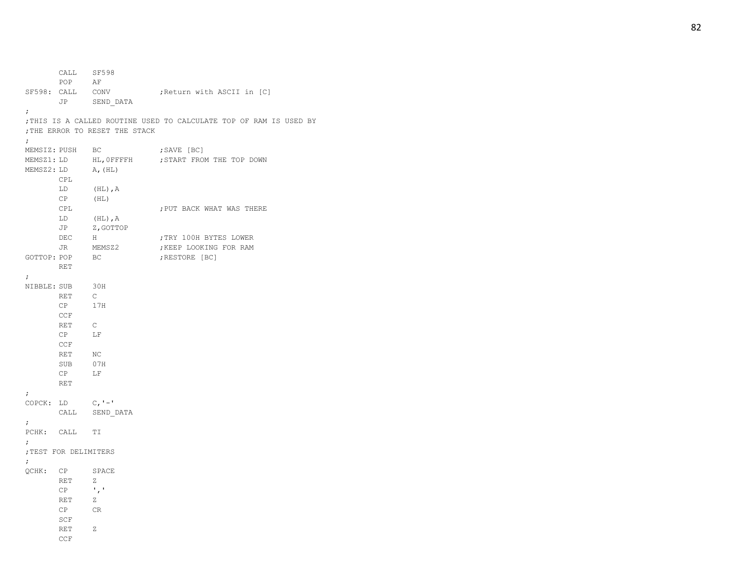CALL SF598 POP AF SF598: CALL CONV ; Return with ASCII in [C] JP SEND\_DATA ; ;THIS IS A CALLED ROUTINE USED TO CALCULATE TOP OF RAM IS USED BY ;THE ERROR TO RESET THE STACK ; MEMSIZ: PUSH BC ; SAVE [BC] MEMSZ1: LD HL, OFFFFH ; START FROM THE TOP DOWN MEMSZ2: LD A, (HL) CPL LD (HL),A CP (HL) CPL **;PUT BACK WHAT WAS THERE** LD (HL),A JP Z,GOTTOP DEC H ;TRY 100H BYTES LOWER JR MEMSZ2 ; KEEP LOOKING FOR RAM GOTTOP: POP BC ; RESTORE [BC] RET ; NIBBLE: SUB 30H RET C CP 17H CCF RET C CP LF CCF RET NC SUB 07H CP LF RET ; COPCK: LD - ' CALL SEND\_DATA ; PCHK: CALL TI ; ;TEST FOR DELIMITERS ; QCHK: CP SPACE RET Z  $CP$   $, '$ RET Z CP CR SCF RET Z CCF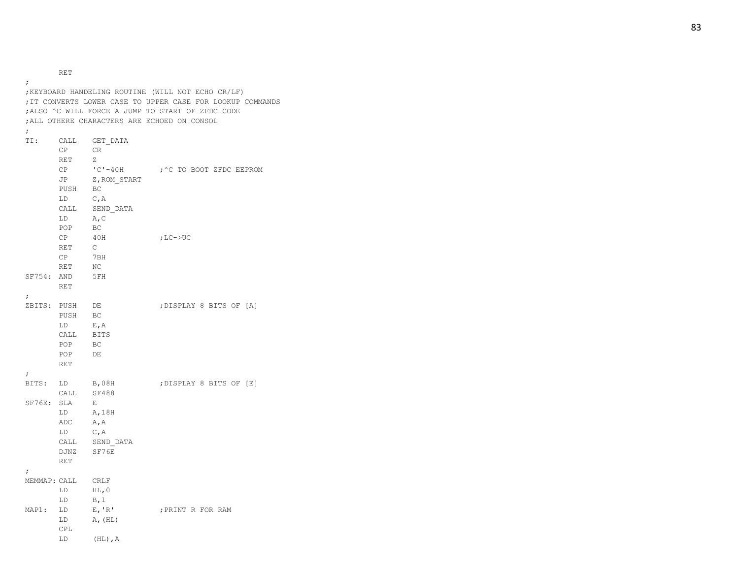RET

LD (HL),A

; ;KEYBOARD HANDELING ROUTINE (WILL NOT ECHO CR/LF) ;IT CONVERTS LOWER CASE TO UPPER CASE FOR LOOKUP COMMANDS ;ALSO ^C WILL FORCE A JUMP TO START OF ZFDC CODE ;ALL OTHERE CHARACTERS ARE ECHOED ON CONSOL ; TI: CALL GET\_DATA CP CR RET Z  $CP$   $°C$   $-40H$ ; ^C TO BOOT ZFDC EEPROM JP Z, ROM START PUSH BC LD C,A CALL SEND\_DATA LD A,C POP BC CP 40H  $;$  LC- $>$ UC RET C CP 7BH RET NC SF754: AND 5FH RET ; ZBITS: PUSH DE ; DISPLAY 8 BITS OF [A] PUSH BC LD E,A CALL BITS POP BC POP DE RET ; BITS: LD B,08H ; DISPLAY 8 BITS OF [E] CALL SF488 SF76E: SLA  $E$ LD A,18H ADC A,A LD C,A CALL SEND\_DATA DJNZ SF76E RET ; MEMMAP: CALL CRLF LD HL,0 LD B,1 MAP1: LD E,'R' ;PRINT R FOR RAM  $LD$   $A, (HL)$ CPL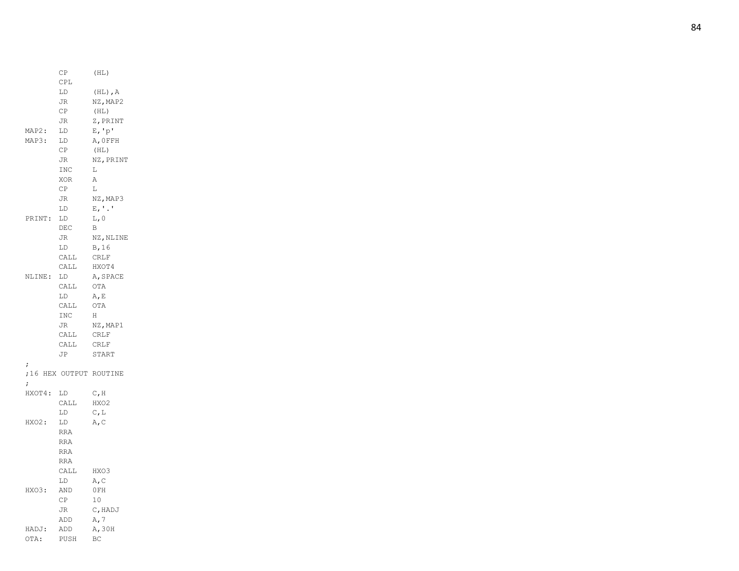|        | СP         | (HL)                                       |
|--------|------------|--------------------------------------------|
|        | CPL        |                                            |
|        | LD         | $(HL)$ , A                                 |
|        | JR         | NZ, MAP2                                   |
|        | СP         | (HL)                                       |
|        | JR         | Z, PRINT                                   |
| MAP2:  | LD         | E, 'p'                                     |
| MAP3:  | LD         | A, OFFH                                    |
|        | СP         | (HL)                                       |
|        | JR         | NZ, PRINT                                  |
|        | INC        | L                                          |
|        | XOR        | Α                                          |
|        | СP         | L                                          |
|        | JR         | NZ, MAP3                                   |
|        | LD         | $\mathbb{E}$ , $\mathbb{I}$ . $\mathbb{I}$ |
| PRINT: | LD         | L, 0                                       |
|        | DEC        | B                                          |
|        | JR         | NZ, NLINE                                  |
|        | LD         | B, 16                                      |
|        | CALL       | CRLF                                       |
|        | CALL       | HXOT4                                      |
| NLINE: | LD         | A, SPACE                                   |
|        | CALL       | OTA                                        |
|        | LD         | A, E                                       |
|        | CALL       | OTA                                        |
|        | INC        | H                                          |
|        | JR         | NZ, MAP1                                   |
|        | CALL       | CRLF                                       |
|        | CALL       | CRLF                                       |
|        | JP         | START                                      |
| ;      |            |                                            |
|        |            | ;16 HEX OUTPUT ROUTINE                     |
| ;      |            |                                            |
| HXOT4: | LD         | C, H                                       |
|        | CALL       | HXO2                                       |
|        | LD         | $C$ , L                                    |
| HXO2:  | LD         | A, C                                       |
|        | <b>RRA</b> |                                            |
|        | <b>RRA</b> |                                            |
|        | RRA        |                                            |
|        | <b>RRA</b> |                                            |
|        | CALL       | HXO3                                       |
|        | LD         | $\mathbb{A}_r \, \mathbb{C}$               |
| HXO3:  | AND        | OFH                                        |
|        | <b>CP</b>  | 10 <sup>°</sup>                            |
|        | JR         | C, HADJ                                    |
|        | ADD        | A, 7                                       |
| HADJ:  | ADD        | A, 30H                                     |
| OTA:   | PUSH       | ВC                                         |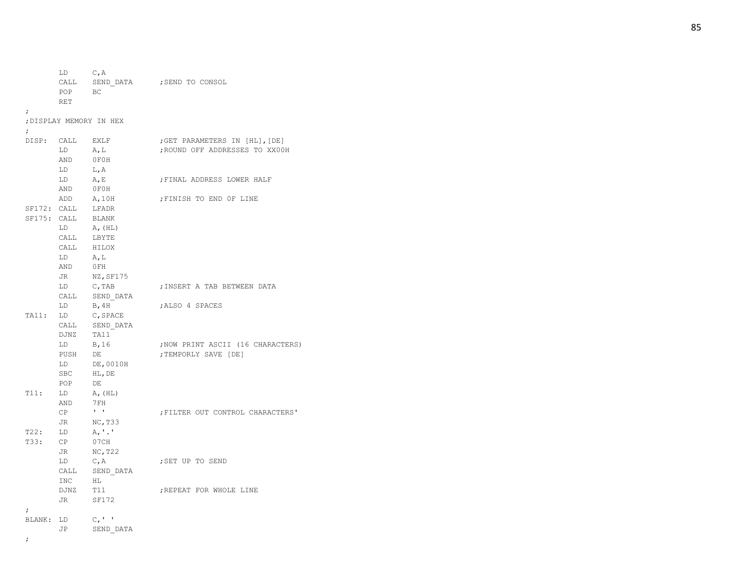LD C,A CALL SEND DATA ; SEND TO CONSOL POP BC RET ; ;DISPLAY MEMORY IN HEX ; DISP: CALL EXLF ; GET PARAMETERS IN [HL], [DE] LD A, L ;ROUND OFF ADDRESSES TO XX00H AND 0F0H LD L,A LD A, E ; FINAL ADDRESS LOWER HALF AND 0F0H ADD A, 10H ; FINISH TO END OF LINE SF172: CALL LFADR SF175: CALL BLANK  $LD$   $A, (HL)$ CALL LBYTE CALL HILOX LD A,L AND 0FH JR NZ, SF175 LD C, TAB ; INSERT A TAB BETWEEN DATA CALL SEND\_DATA LD B, 4H ; ALSO 4 SPACES TA11: LD C,SPACE CALL SEND\_DATA DJNZ TA11 LD B, 16 ;NOW PRINT ASCII (16 CHARACTERS) PUSH DE ;TEMPORLY SAVE [DE] LD DE,0010H SBC HL,DE POP DE T11: LD A,(HL) AND 7FH CP ' ' ; FILTER OUT CONTROL CHARACTERS' JR NC,T33 T22: LD A,'.' T33: CP 07CH JR NC,T22 LD C, A ; SET UP TO SEND CALL SEND\_DATA INC HL DJNZ T11 ;REPEAT FOR WHOLE LINE JR SF172 ; BLANK: LD C,' ' JP SEND\_DATA

;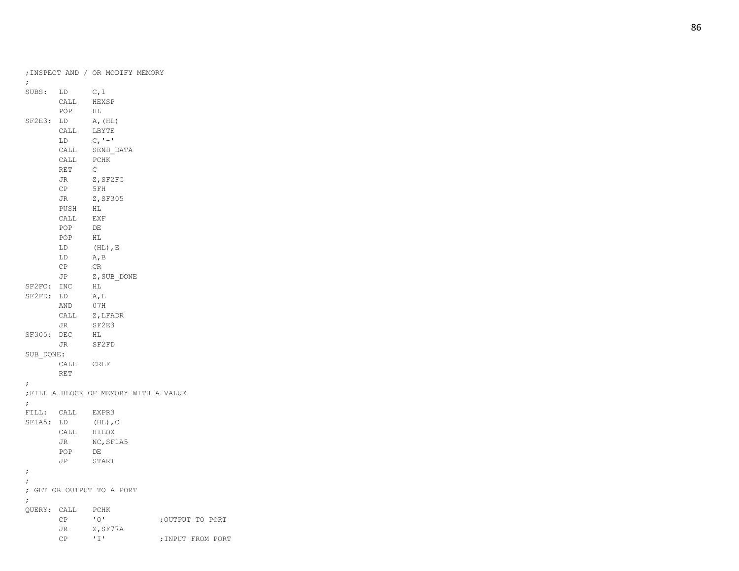| $\ddot{ }$  |                  | ; INSPECT AND / OR MODIFY MEMORY      |                   |
|-------------|------------------|---------------------------------------|-------------------|
| SUBS:       | LD               | C, 1                                  |                   |
|             | CALL             | HEXSP                                 |                   |
|             | POP              | HL                                    |                   |
| SF2E3: LD   |                  | A, (HL)                               |                   |
|             | CALL             | LBYTE                                 |                   |
|             | LD               | $C, -1$                               |                   |
|             | CALL             | SEND DATA                             |                   |
|             | CALL             | PCHK                                  |                   |
|             | RET              | $\mathbb{C}$                          |                   |
|             | JR               | Z, SF2FC                              |                   |
|             | CP               | 5FH                                   |                   |
|             | JR               | Z, SF305                              |                   |
|             | PUSH             | HL                                    |                   |
|             | CALL             | EXF                                   |                   |
|             | POP              | DE                                    |                   |
|             | POP              | HL                                    |                   |
|             | LD               | $(HL)$ , E                            |                   |
|             | LD               | A, B                                  |                   |
|             | CP               | CR                                    |                   |
|             | JP               | Z, SUB DONE                           |                   |
| SF2FC: INC  |                  | HL                                    |                   |
| SF2FD:      | LD               | A, L                                  |                   |
|             | AND              | 07H                                   |                   |
|             | CALL             | Z,LFADR                               |                   |
|             | JR               | SF2E3                                 |                   |
| SF305: DEC  |                  | HL                                    |                   |
|             | JR               | SF2FD                                 |                   |
| SUB DONE:   |                  |                                       |                   |
|             | CALL CRLF        |                                       |                   |
|             | RET              |                                       |                   |
| ;           |                  |                                       |                   |
|             |                  | ; FILL A BLOCK OF MEMORY WITH A VALUE |                   |
| $\ddot{ }$  |                  |                                       |                   |
|             | FILL: CALL EXPR3 |                                       |                   |
| $SFIA5$ :   | LD               | $(HL)$ , C                            |                   |
|             | CALL             | HILOX                                 |                   |
|             | JR               | NC, SF1A5                             |                   |
|             | POP              | DE                                    |                   |
|             | JP               | START                                 |                   |
| $\ddot{ }$  |                  |                                       |                   |
| ;           |                  |                                       |                   |
|             |                  | ; GET OR OUTPUT TO A PORT             |                   |
| $\ddot{ }$  |                  |                                       |                   |
| QUERY: CALL |                  | PCHK<br>"0"                           |                   |
|             | CP<br>JR         | Z, SF77A                              | ; OUTPUT TO PORT  |
|             | СP               | 'I'                                   | ; INPUT FROM PORT |
|             |                  |                                       |                   |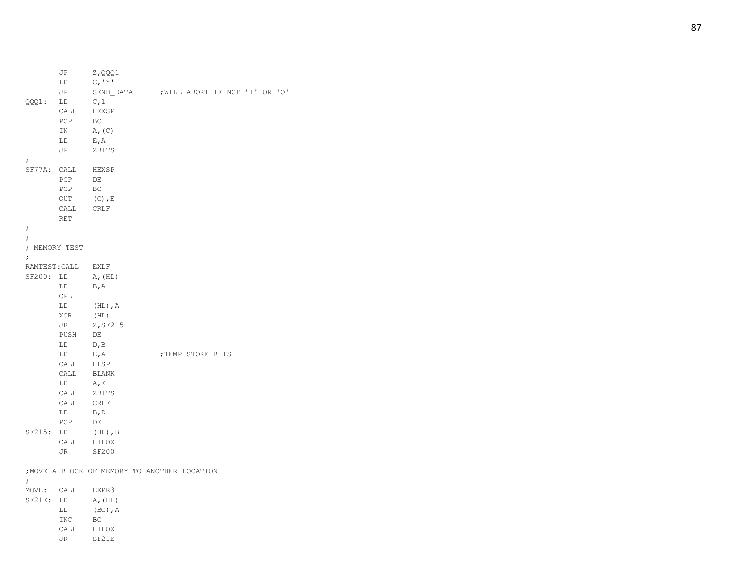|            | LD            | $C_{I}$ ' $*$ '                              |                   |  |  |  |
|------------|---------------|----------------------------------------------|-------------------|--|--|--|
|            | JP            | SEND_DATA ; WILL ABORT IF NOT 'I' OR 'O'     |                   |  |  |  |
| QQQ1:      | LD            | C, 1                                         |                   |  |  |  |
|            | CALL          | HEXSP                                        |                   |  |  |  |
|            | POP           | BC                                           |                   |  |  |  |
|            | IN            | A, (C)                                       |                   |  |  |  |
|            | LD            | E, A                                         |                   |  |  |  |
|            | JP            | ZBITS                                        |                   |  |  |  |
| $\ddot{ }$ |               |                                              |                   |  |  |  |
| SF77A:     | CALL          | HEXSP                                        |                   |  |  |  |
|            | POP           | DE                                           |                   |  |  |  |
|            | POP           | BC                                           |                   |  |  |  |
|            | OUT           | $(C)$ , E                                    |                   |  |  |  |
|            | CALL          | CRLF                                         |                   |  |  |  |
|            | RET           |                                              |                   |  |  |  |
| $\ddot{ }$ |               |                                              |                   |  |  |  |
| $\ddot{ }$ |               |                                              |                   |  |  |  |
|            | ; MEMORY TEST |                                              |                   |  |  |  |
| $\ddot{ }$ |               |                                              |                   |  |  |  |
|            | RAMTEST: CALL | EXLF                                         |                   |  |  |  |
| SF200: LD  |               | A, (HL)                                      |                   |  |  |  |
|            | LD            | B, A                                         |                   |  |  |  |
|            | CPL           |                                              |                   |  |  |  |
|            | LD            | $(HL)$ , A                                   |                   |  |  |  |
|            | XOR           | (HL)                                         |                   |  |  |  |
|            | JR            | Z, SF215                                     |                   |  |  |  |
|            | PUSH          | DE                                           |                   |  |  |  |
|            | LD            | D, B                                         |                   |  |  |  |
|            | LD            | E, A                                         | ; TEMP STORE BITS |  |  |  |
|            | CALL          | HLSP                                         |                   |  |  |  |
|            | CALL          | BLANK                                        |                   |  |  |  |
|            | LD            | A, E                                         |                   |  |  |  |
|            | CALL          | ZBITS                                        |                   |  |  |  |
|            | CALL          | CRLF                                         |                   |  |  |  |
|            | LD            | B, D                                         |                   |  |  |  |
|            | POP           | DE                                           |                   |  |  |  |
| SF215:     | LD            | $(HL)$ , B                                   |                   |  |  |  |
|            | CALL          | HILOX                                        |                   |  |  |  |
|            | JR            | <b>SF200</b>                                 |                   |  |  |  |
|            |               |                                              |                   |  |  |  |
|            |               | ; MOVE A BLOCK OF MEMORY TO ANOTHER LOCATION |                   |  |  |  |
| $\ddot{ }$ |               |                                              |                   |  |  |  |
| MOVE: CALL |               | EXPR3                                        |                   |  |  |  |
| SF21E: LD  |               | A, (HL)                                      |                   |  |  |  |
|            | LD            | $(BC)$ , $A$                                 |                   |  |  |  |
|            | INC           | BC                                           |                   |  |  |  |
|            | CALL          | HILOX                                        |                   |  |  |  |
|            | JR            | SF21E                                        |                   |  |  |  |
|            |               |                                              |                   |  |  |  |

JP Z,QQQ1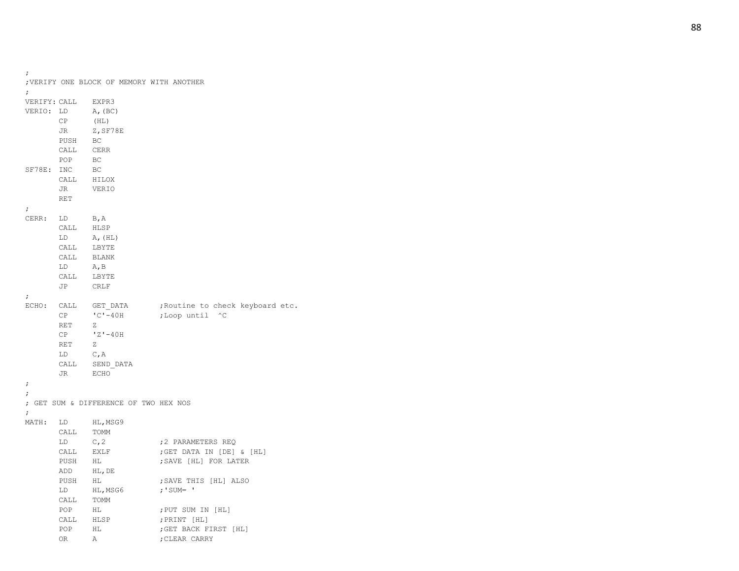```
;VERIFY ONE BLOCK OF MEMORY WITH ANOTHER
; 
VERIFY: CALL EXPR3
VERIO: LD A,(BC)
     CP (HL)
     JR Z,SF78E
     PUSH BC
     CALL CERR
     POP BC
SF78E: INC BC
     CALL HILOX
     JR VERIO
     RET
;
CERR: LD B,A
     CALL HLSP
     LD A, (HL)CALL LBYTE
     CALL BLANK
     LD A,B
     CALL LBYTE
     JP CRLF
;
ECHO: CALL GET_DATA ; Routine to check keyboard etc.
     CP ^{\circ}C^{\bullet} -40H; Loop until ^C
     RET
           Z
      CP 'Z'
-40H
     RET
           Z
     LD C,A
     CALL SEND_DATA
     JR ECHO
;;
; GET SUM & DIFFERENCE OF TWO HEX NOS ;
MATH: LD HL, MSG9
     CALL TOMM
     LD C, 2 : 2 PARAMETERS REQ
     CALL EXLF ; GET DATA IN [DE] & [HL]
     PUSH HL ; SAVE [HL] FOR LATER
     ADD HL,DE
     PUSH HL ; SAVE THIS [HL] ALSO
     LD HL, MSG6 ; 'SUM= '
     CALL TOMM
     POP HL ; PUT SUM IN [HL]
     CALL HLSP ; PRINT [HL]
     POP HL ; GET BACK FIRST [HL]
     OR
           A ; CLEAR CARRY
```
;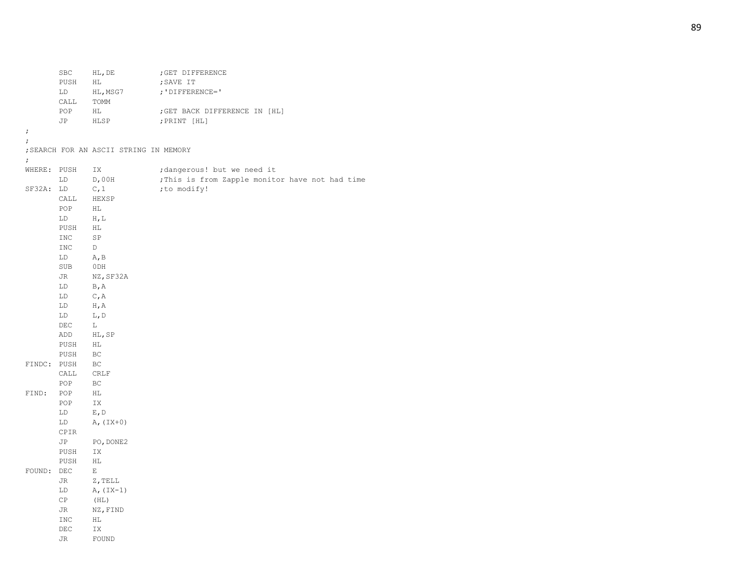SBC HL, DE ; GET DIFFERENCE PUSH HL ; SAVE IT LD HL, MSG7 ; 'DIFFERENCE=' CALL TOMM POP HL ; GET BACK DIFFERENCE IN [HL] JP HLSP ;PRINT [HL] ; ; ;SEARCH FOR AN ASCII STRING IN MEMORY ; WHERE: PUSH IX ;dangerous! but we need it LD D,00H ;This is from Zapple monitor have not had time SF32A: LD C, 1 (to modify! CALL HEXSP POP HL LD H,L PUSH HL INC SP INC D LD A,B SUB 0DH JR NZ, SF32A LD B,A LD C,A LD H,A LD L,D DEC L ADD HL,SP PUSH HL PUSH BC FINDC: PUSH BC CALL CRLF POP BC FIND: POP HL POP IX LD E,D LD  $A, (IX+0)$ CPIR JP PO, DONE2 PUSH IX PUSH HL FOUND: DEC E JR Z,TELL LD  $A, (IX-1)$ CP (HL) JR NZ,FIND INC HL DEC IX JR FOUND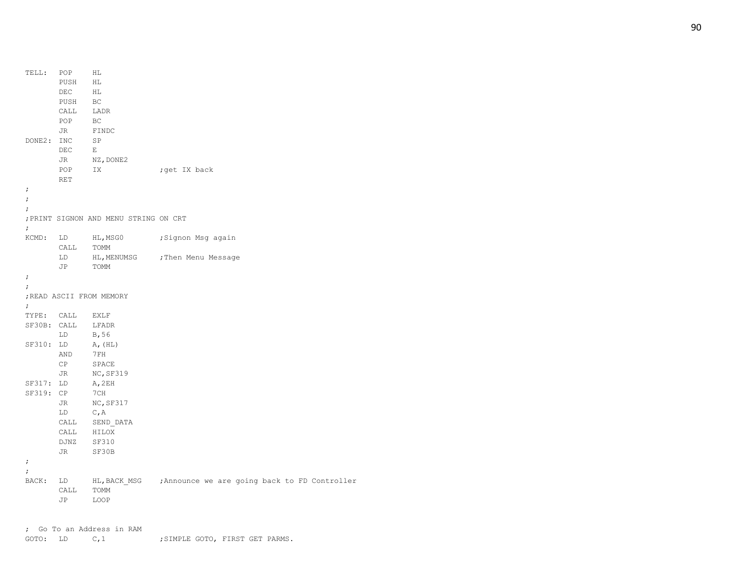| TELL:      | POP                                                                                                                                                                                                                            | ΗL                                    |                                                            |
|------------|--------------------------------------------------------------------------------------------------------------------------------------------------------------------------------------------------------------------------------|---------------------------------------|------------------------------------------------------------|
|            | PUSH                                                                                                                                                                                                                           | HL                                    |                                                            |
|            | DEC                                                                                                                                                                                                                            | HL                                    |                                                            |
|            | PUSH                                                                                                                                                                                                                           | BC                                    |                                                            |
|            | CALL                                                                                                                                                                                                                           | LADR                                  |                                                            |
|            | POP                                                                                                                                                                                                                            | BC                                    |                                                            |
|            | JR                                                                                                                                                                                                                             | FINDC                                 |                                                            |
| DONE2: INC |                                                                                                                                                                                                                                | SP                                    |                                                            |
|            | DEC                                                                                                                                                                                                                            | E                                     |                                                            |
|            | JR                                                                                                                                                                                                                             | NZ, DONE2                             |                                                            |
|            | POP                                                                                                                                                                                                                            | IX                                    | ;get IX back                                               |
|            | RET                                                                                                                                                                                                                            |                                       |                                                            |
| $\ddot{ }$ |                                                                                                                                                                                                                                |                                       |                                                            |
| $\ddot{ }$ |                                                                                                                                                                                                                                |                                       |                                                            |
| $\ddot{ }$ |                                                                                                                                                                                                                                |                                       |                                                            |
|            |                                                                                                                                                                                                                                | ; PRINT SIGNON AND MENU STRING ON CRT |                                                            |
| $\ddot{ }$ |                                                                                                                                                                                                                                |                                       |                                                            |
| KCMD:      | LD                                                                                                                                                                                                                             | HL,MSG0                               | ;Signon Msg again                                          |
|            | CALL                                                                                                                                                                                                                           | TOMM                                  |                                                            |
|            | LD                                                                                                                                                                                                                             |                                       | HL, MENUMSG ; Then Menu Message                            |
|            | JP                                                                                                                                                                                                                             | TOMM                                  |                                                            |
| $\ddot{ }$ |                                                                                                                                                                                                                                |                                       |                                                            |
| $\ddot{ }$ |                                                                                                                                                                                                                                |                                       |                                                            |
|            |                                                                                                                                                                                                                                | ; READ ASCII FROM MEMORY              |                                                            |
| $\ddot{ }$ |                                                                                                                                                                                                                                |                                       |                                                            |
|            | TYPE: CALL                                                                                                                                                                                                                     | EXLF                                  |                                                            |
|            |                                                                                                                                                                                                                                | SF30B: CALL LFADR                     |                                                            |
|            | LD                                                                                                                                                                                                                             | B, 56                                 |                                                            |
| SF310: LD  |                                                                                                                                                                                                                                | A, (HL)                               |                                                            |
|            | AND                                                                                                                                                                                                                            | 7 F H                                 |                                                            |
|            | CP                                                                                                                                                                                                                             | SPACE                                 |                                                            |
|            | JR                                                                                                                                                                                                                             | NC, SF319                             |                                                            |
| SF317: LD  |                                                                                                                                                                                                                                | A,2EH                                 |                                                            |
| SF319: CP  |                                                                                                                                                                                                                                | 7CH                                   |                                                            |
|            | JR                                                                                                                                                                                                                             | NC, SF317                             |                                                            |
|            | LD                                                                                                                                                                                                                             | C, A                                  |                                                            |
|            | CALL                                                                                                                                                                                                                           | SEND DATA                             |                                                            |
|            | CALL                                                                                                                                                                                                                           | HILOX                                 |                                                            |
|            | DJNZ                                                                                                                                                                                                                           | <b>SF310</b>                          |                                                            |
|            | JR                                                                                                                                                                                                                             | SF30B                                 |                                                            |
| $\ddot{ }$ |                                                                                                                                                                                                                                |                                       |                                                            |
| $\ddot{ }$ |                                                                                                                                                                                                                                |                                       |                                                            |
| BACK:      | LD and the set of the set of the set of the set of the set of the set of the set of the set of the set of the set of the set of the set of the set of the set of the set of the set of the set of the set of the set of the se |                                       | HL, BACK MSG ; Announce we are going back to FD Controller |
|            | CALL                                                                                                                                                                                                                           | TOMM                                  |                                                            |
|            | JP.                                                                                                                                                                                                                            | LOOP                                  |                                                            |
|            |                                                                                                                                                                                                                                |                                       |                                                            |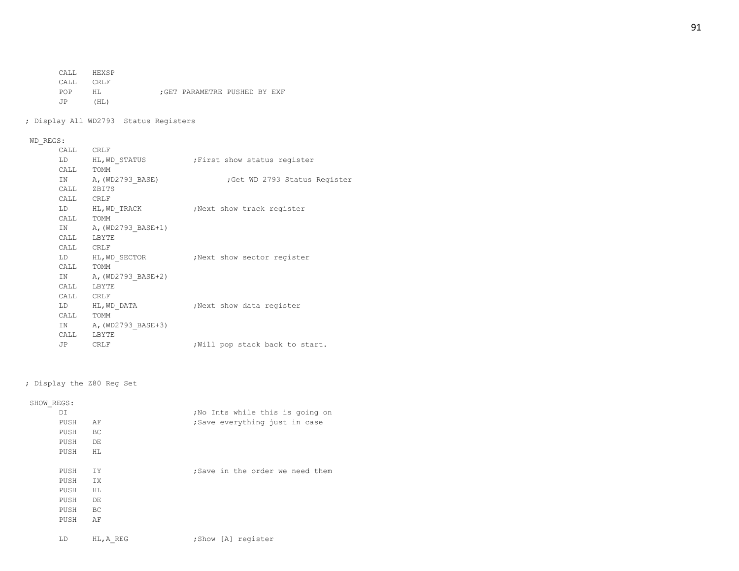CALL HEXSP

CALL CRLF

- POP HL ; GET PARAMETRE PUSHED BY EXF JP (HL)
- ; Display All WD2793 Status Registers

# WD\_REGS:

| . .       |                        |                                               |
|-----------|------------------------|-----------------------------------------------|
| CALL CRLF |                        |                                               |
|           |                        | LD HL, WD STATUS : First show status register |
|           | CALL TOMM              |                                               |
|           | IN $A$ , (WD2793 BASE) | ; Get WD 2793 Status Register                 |
|           | CALL ZBITS             |                                               |
| CALL CRLF |                        |                                               |
|           | LD HL, WD TRACK        | Next show track reqister,                     |
|           | CALL TOMM              |                                               |
|           | IN A, (WD2793 BASE+1)  |                                               |
|           | CALL LBYTE             |                                               |
| CALL CRLF |                        |                                               |
|           | LD HL, WD SECTOR       | Next show sector register                     |
| CALL TOMM |                        |                                               |
|           | IN A, (WD2793 BASE+2)  |                                               |
|           | CALL LBYTE             |                                               |
| CALL CRLF |                        |                                               |
|           | LD HL, WD DATA         | Next show data reqister,                      |
| CALL TOMM |                        |                                               |
|           | IN A, (WD2793 BASE+3)  |                                               |
|           | CALL LBYTE             |                                               |
|           | JP CRLF                | ; Will pop stack back to start.               |
|           |                        |                                               |

## ; Display the Z80 Reg Set

## SHOW\_REGS:

| DI            |           | ; No Ints while this is going on                                                                                                                                                                                               |
|---------------|-----------|--------------------------------------------------------------------------------------------------------------------------------------------------------------------------------------------------------------------------------|
| PUSH          | AF        | ;Save everything just in case                                                                                                                                                                                                  |
| PUSH          | <b>BC</b> |                                                                                                                                                                                                                                |
| PUSH          | DE        |                                                                                                                                                                                                                                |
| PUSH          | HL.       |                                                                                                                                                                                                                                |
|               |           |                                                                                                                                                                                                                                |
| PUSH          | IY.       | ; Save in the order we need them                                                                                                                                                                                               |
| PUSH          | IX.       |                                                                                                                                                                                                                                |
| PUSH          | HL.       |                                                                                                                                                                                                                                |
| PUSH          | DE        |                                                                                                                                                                                                                                |
| PUSH          | BC        |                                                                                                                                                                                                                                |
| PUSH          | AF        |                                                                                                                                                                                                                                |
|               |           |                                                                                                                                                                                                                                |
| $\tau$ $\sim$ | 117.577   | and the second common the second contract of the second contract of the second contract of the second contract of the second contract of the second contract of the second contract of the second contract of the second contr |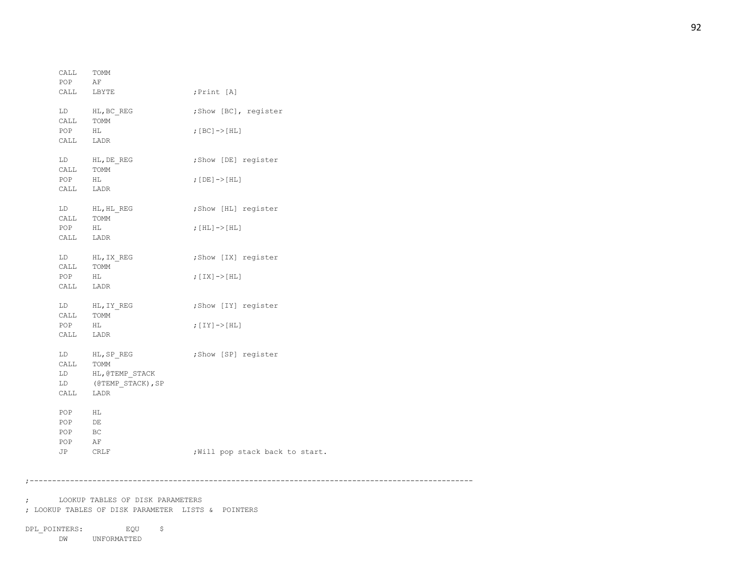DPL\_POINTERS: EQU \$ DW UNFORMATTED

; LOOKUP TABLES OF DISK PARAMETER LISTS & POINTERS

; LOOKUP TABLES OF DISK PARAMETERS

;---------------------------------------------------------------------------------------------------

| CALL<br>POP                                                    | TOMM<br>AF         |                                 |
|----------------------------------------------------------------|--------------------|---------------------------------|
|                                                                | CALL LBYTE         | ; Print [A]                     |
|                                                                | LD HL, BC_REG      | ;Show [BC], register            |
| CALL TOMM<br>POP                                               | ΗL                 |                                 |
| CALL LADR                                                      |                    | ; $[BC]$ -> $[HL]$              |
|                                                                |                    |                                 |
| LD                                                             | HL, DE REG         | ;Show [DE] register             |
| CALL                                                           | TOMM               |                                 |
| POP                                                            | HL                 | ; [DE] -> [HL]                  |
| $\verb CALL  = \verb LADR $                                    |                    |                                 |
|                                                                | LD HL, HL REG      | ;Show [HL] register             |
| CALL TOMM                                                      |                    |                                 |
| $\begin{tabular}{ll} \bf POP & \tt HL \\ \end{tabular}$        |                    | ; $[HL]$ -> $[HL]$              |
| CALL LADR                                                      |                    |                                 |
|                                                                | LD HL, IX REG      | ;Show [IX] register             |
| $\begin{minipage}{0.9\linewidth} \texttt{COMM} \end{minipage}$ |                    |                                 |
| POP                                                            | HL                 | ; $[IX]$ -> $[HL]$              |
| CALL                                                           | LADR               |                                 |
|                                                                | LD HL, IY REG      | ;Show [IY] register             |
| CALL                                                           | TOMM               |                                 |
| POP                                                            | HL                 | ; $[IY]$ -> $[HL]$              |
| CALL                                                           | LADR               |                                 |
|                                                                | LD HL, SP REG      | ;Show [SP] register             |
| CALL TOMM                                                      |                    |                                 |
|                                                                | LD HL, @TEMP STACK |                                 |
| LD                                                             | (@TEMP STACK), SP  |                                 |
| CALL                                                           | LADR               |                                 |
| POP                                                            | НL                 |                                 |
| POP                                                            | DE                 |                                 |
| POP                                                            | BC                 |                                 |
| POP                                                            | ΑF                 |                                 |
| JP                                                             | CRLF               | ; Will pop stack back to start. |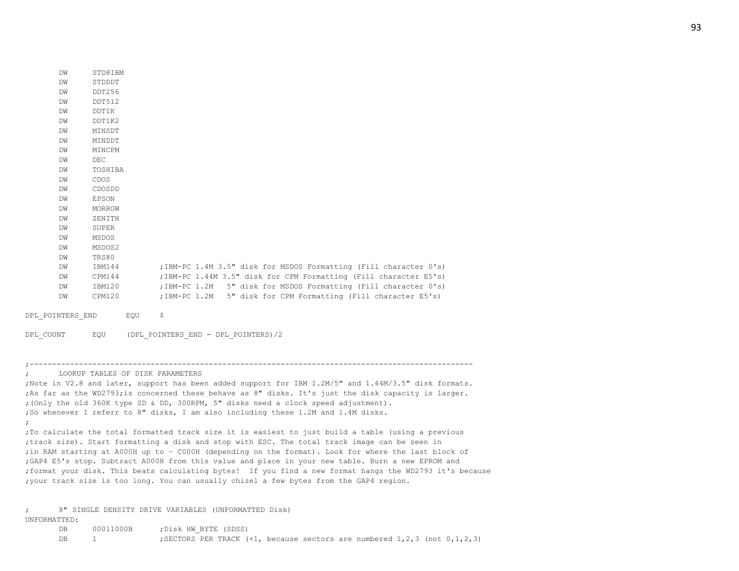| DW | STD8IBM      |                                                                    |
|----|--------------|--------------------------------------------------------------------|
| DW | STDDDT       |                                                                    |
| DW | DDT256       |                                                                    |
| DW | DDT512       |                                                                    |
| DW | DDT1K        |                                                                    |
| DW | DDT1K2       |                                                                    |
| DW | MINSDT       |                                                                    |
| DM | MINDDT       |                                                                    |
| DW | MINCPM       |                                                                    |
| DW | DEC          |                                                                    |
| DW | TOSHIBA      |                                                                    |
| DW | CDOS         |                                                                    |
| DW | CDOSDD       |                                                                    |
| DW | <b>EPSON</b> |                                                                    |
| DW | MORROW       |                                                                    |
| DW | ZENITH       |                                                                    |
| DW | SUPER        |                                                                    |
| DW | MSDOS        |                                                                    |
| DW | MSDOS2       |                                                                    |
| DW | TRS80        |                                                                    |
| DW | IBM144       | ; IBM-PC 1.4M 3.5" disk for MSDOS Formatting (Fill character 0's)  |
| DW | CPM144       | ; IBM-PC 1.44M 3.5" disk for CPM Formatting (Fill character E5's)  |
| DM | IBM120       | 5" disk for MSDOS Formatting (Fill character 0's)<br>; IBM-PC 1.2M |
| DW | CPM120       | 5" disk for CPM Formatting (Fill character E5's)<br>; IBM-PC 1.2M  |
|    |              |                                                                    |

DPL POINTERS END EQU \$

DPL\_COUNT EQU (DPL\_POINTERS\_END - DPL\_POINTERS)/2

#### ;---------------------------------------------------------------------------------------------------

; LOOKUP TABLES OF DISK PARAMETERS

;Note in V2.8 and later, support has been added support for IBM 1.2M/5" and 1.44M/3.5" disk formats. ;As far as the WD2793;is concerned these behave as 8" disks. It's just the disk capacity is larger. ;(Only the old 360K type SD & DD, 300RPM, 5" disks need a clock speed adjustment). ;So whenever I referr to 8" disks, I am also including these 1.2M and 1.4M disks. ; ;To calculate the total formatted track size it is easiest to just build a table (using a previous ;track size). Start formatting a disk and stop with ESC. The total track image can be seen in ;in RAM starting at A000H up to ~ C000H (depending on the format). Look for where the last block of ;GAP4 E5's stop. Subtract A000H from this value and place in your new table. Burn a new EPROM and ;format your disk. This beats calculating bytes! If you find a new format hangs the WD2793 it's because ;your track size is too long. You can usually chizel a few bytes from the GAP4 region.

; 8" SINGLE DENSITY DRIVE VARIABLES (UNFORMATTED Disk) UNFORMATTED:

| DB        | 00011000B | :Disk HW BYTE (SDSS)                                                          |
|-----------|-----------|-------------------------------------------------------------------------------|
| <b>DB</b> |           | ; SECTORS PER TRACK $(+1)$ , because sectors are numbered 1,2,3 (not 0,1,2,3) |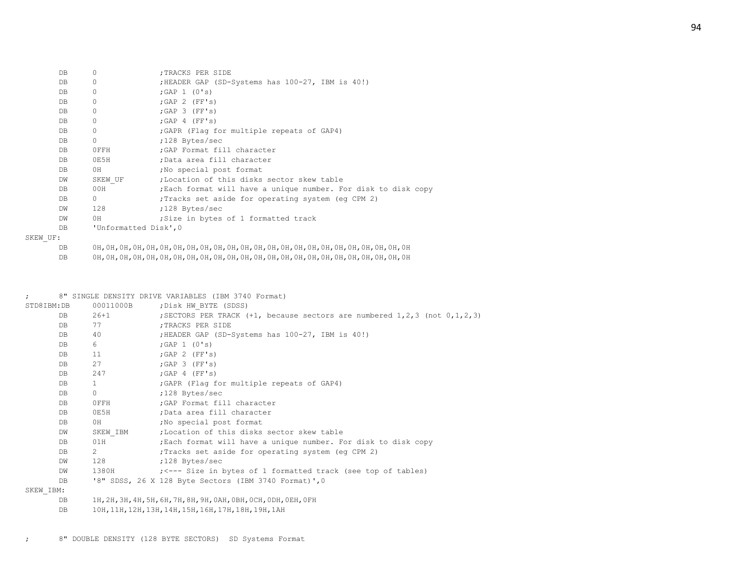| DB  | 0                     | ; TRACKS PER SIDE                                              |
|-----|-----------------------|----------------------------------------------------------------|
| DB  | 0                     | ; HEADER GAP (SD-Systems has 100-27, IBM is 40!)               |
| DB  | 0                     | ; GAP $1$ (0's)                                                |
| DB  | 0                     | $;$ GAP 2 (FF's)                                               |
| DB  | 0                     | $;$ GAP 3 (FF's)                                               |
| DB  | 0                     | ; GAP 4 (FF's)                                                 |
| DB. | 0                     | ; GAPR (Flag for multiple repeats of GAP4)                     |
| DB  | $\Omega$              | ;128 Bytes/sec                                                 |
| DB  | OFFH                  | ; GAP Format fill character                                    |
| DB  | OE5H                  | ;Data area fill character                                      |
| DB  | 0H                    | No special post format                                         |
| DW  | SKEW UF               | :Location of this disks sector skew table                      |
| DB  | 00H                   | ; Each format will have a unique number. For disk to disk copy |
| DB  | $\Omega$              | Tracks set aside for operating system (eq CPM 2)               |
| DW  | 128                   | ;128 Bytes/sec                                                 |
| DW  | 0H                    | Size in bytes of 1 formatted track                             |
| DB  | 'Unformatted Disk', 0 |                                                                |
| JF: |                       |                                                                |

SKEW U

DB 0H,0H,0H,0H,0H,0H,0H,0H,0H,0H,0H,0H,0H,0H,0H,0H,0H,0H,0H,0H,0H,0H,0H,0H

DB 0H,0H,0H,0H,0H,0H,0H,0H,0H,0H,0H,0H,0H,0H,0H,0H,0H,0H,0H,0H,0H,0H,0H,0H

## ; 8" SINGLE DENSITY DRIVE VARIABLES (IBM 3740 Format) STD8IBM:DB 00011000B ;Disk HW BYTE (SDSS) DB 26+1 ; SECTORS PER TRACK (+1, because sectors are numbered 1,2,3 (not 0,1,2,3) DB 77 ;TRACKS PER SIDE DB 40 ;HEADER GAP (SD-Systems has 100-27, IBM is 40!) DB 6 ;GAP 1 (0's) DB 11 ; GAP 2 (FF's) DB 27 ; GAP 3 (FF's) DB 247 ;GAP 4 (FF's) DB 1 :GAPR (Flag for multiple repeats of GAP4) DB 0 ;128 Bytes/sec DB 0FFH ;GAP Format fill character DB 0E5H ;Data area fill character DB 0H ;No special post format DW SKEW IBM ; Location of this disks sector skew table DB 01H ; Each format will have a unique number. For disk to disk copy DB 2 ; Tracks set aside for operating system (eg CPM 2)

DW 128 ;128 Bytes/sec

DW 1380H ; <--- Size in bytes of 1 formatted track (see top of tables)

DB '8" SDSS, 26 X 128 Byte Sectors (IBM 3740 Format)', 0

#### SKEW\_IBM:

DB 1H,2H,3H,4H,5H,6H,7H,8H,9H,0AH,0BH,0CH,0DH,0EH,0FH

DB 10H,11H,12H,13H,14H,15H,16H,17H,18H,19H,1AH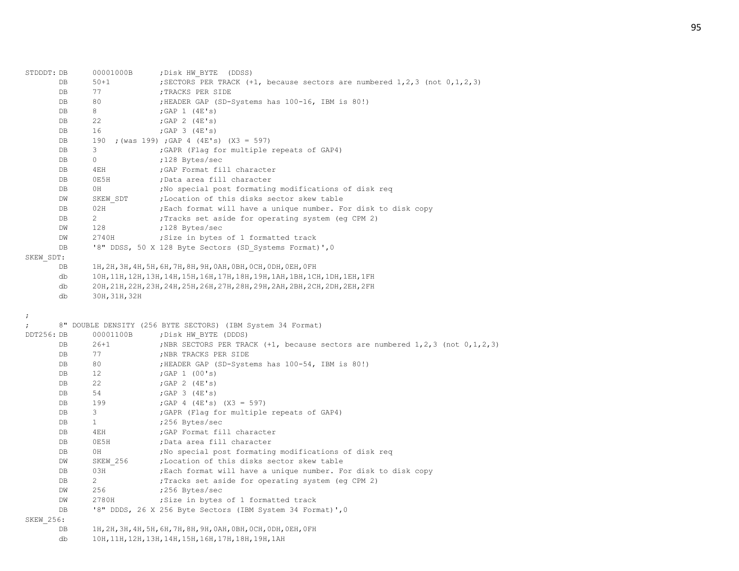| STDDDT: DB       | 00001000B             | ; Disk HW BYTE (DDSS)                                                                     |
|------------------|-----------------------|-------------------------------------------------------------------------------------------|
| DB               | $50 + 1$              | ; SECTORS PER TRACK $(+1,$ because sectors are numbered $1, 2, 3$ (not $0, 1, 2, 3$ )     |
| DB               | 77                    | ; TRACKS PER SIDE                                                                         |
| DB               | 80                    | ; HEADER GAP (SD-Systems has 100-16, IBM is 80!)                                          |
| DB               | 8                     | ; GAP $1$ (4E's)                                                                          |
| DB               | 22                    | ; GAP $2$ (4E's)                                                                          |
| DB               | 16                    | ; GAP $3$ (4E's)                                                                          |
| DB               | 190                   | ; (was 199) ; GAP 4 (4E's) (X3 = 597)                                                     |
| DB               | 3                     | ; GAPR (Flag for multiple repeats of GAP4)                                                |
| DB               | $\circ$               | ;128 Bytes/sec                                                                            |
| DB               | 4EH                   | ; GAP Format fill character                                                               |
| DB               | 0E5H                  | ;Data area fill character                                                                 |
| DB               | 0H                    | ; No special post formating modifications of disk reg                                     |
| DW               | SKEW SDT              | ; Location of this disks sector skew table                                                |
| DB               | 02H                   | ; Each format will have a unique number. For disk to disk copy                            |
| DB               | $\mathbf{2}^{\prime}$ | ; Tracks set aside for operating system (eg CPM 2)                                        |
| DW               | 128                   | ;128 Bytes/sec                                                                            |
| DW               | 2740H                 | Size in bytes of 1 formatted track                                                        |
| $\mathbf{DB}$    |                       | '8" DDSS, 50 X 128 Byte Sectors (SD Systems Format)', 0                                   |
| SKEW SDT:        |                       |                                                                                           |
| DB               |                       | 1Н, 2Н, 3Н, 4Н, 5Н, 6Н, 7Н, 8Н, 9Н, 0АН, 0ВН, 0СН, 0DН, 0ЕН, 0 FН                         |
| db               |                       | 10Н, 11Н, 12Н, 13Н, 14Н, 15Н, 16Н, 17Н, 18Н, 19Н, 1АН, 1ВН, 1СН, 1DН, 1ЕН, 1FН            |
| db               |                       | 20Н, 21Н, 22Н, 23Н, 24Н, 25Н, 26Н, 27Н, 28Н, 29Н, 2АН, 2ВН, 2СН, 2DН, 2ЕН, 2FН            |
| db               | 30H, 31H, 32H         |                                                                                           |
|                  |                       |                                                                                           |
|                  |                       |                                                                                           |
| $\ddot{ }$       |                       |                                                                                           |
| $\ddot{ }$       |                       |                                                                                           |
| DDT256: DB       | 00001100B             | 8" DOUBLE DENSITY (256 BYTE SECTORS) (IBM System 34 Format)<br>; Disk HW BYTE (DDDS)      |
| DB               | $26 + 1$              | ; NBR SECTORS PER TRACK $(+1,$ because sectors are numbered $1, 2, 3$ (not $0, 1, 2, 3$ ) |
| DB               | 77                    | ; NBR TRACKS PER SIDE                                                                     |
| DB               | 80                    | ; HEADER GAP (SD-Systems has 100-54, IBM is 80!)                                          |
| DB               | 12                    | ;GAP 1 $(00's)$                                                                           |
| DB               | 22                    | ; GAP 2 $(4E's)$                                                                          |
| DB               | 54                    | ; GAP $3$ (4E's)                                                                          |
| DB               | 199                   | ; GAP 4 (4E's) $(X3 = 597)$                                                               |
| DB               | 3                     | ; GAPR (Flag for multiple repeats of GAP4)                                                |
| DB               | $\mathbf{1}$          |                                                                                           |
| DB               | 4EH                   | ;256 Bytes/sec<br>; GAP Format fill character                                             |
| DB               | 0E5H                  | ;Data area fill character                                                                 |
| DB               | 0H                    | ; No special post formating modifications of disk req                                     |
| DW               | SKEW 256              | ; Location of this disks sector skew table                                                |
| DB               | 03H                   | ; Each format will have a unique number. For disk to disk copy                            |
| DB               | $\overline{2}$        | ; Tracks set aside for operating system (eq CPM 2)                                        |
| DW               | 256                   | ;256 Bytes/sec                                                                            |
| DW               | 2780H                 | ; Size in bytes of 1 formatted track                                                      |
| DВ               |                       | '8" DDDS, 26 X 256 Byte Sectors (IBM System 34 Format)', 0                                |
| <b>SKEW 256:</b> |                       |                                                                                           |

db 10H,11H,12H,13H,14H,15H,16H,17H,18H,19H,1AH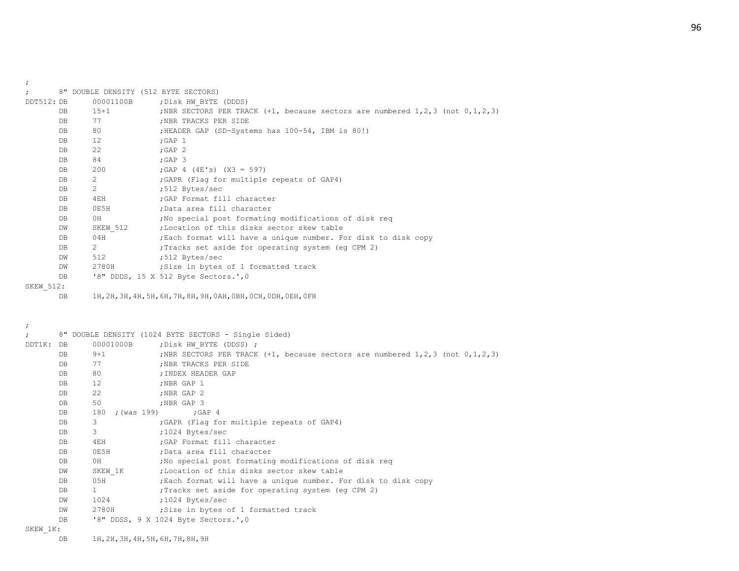;

| DDT512: DB       |                                |           | ; Disk HW BYTE (DDDS)                                                                       |
|------------------|--------------------------------|-----------|---------------------------------------------------------------------------------------------|
| DB.              | $15 + 1$                       |           | ; NBR SECTORS PER TRACK $(+1, +2)$ because sectors are numbered 1, 2, 3 (not $0, 1, 2, 3$ ) |
| DB               | 77                             |           | :NBR TRACKS PER SIDE                                                                        |
| DB               | 80                             |           | ;HEADER GAP (SD-Systems has 100-54, IBM is 80!)                                             |
| DB               | 12                             |           | ;GAP $1$                                                                                    |
| DB               | 22                             |           | ; $GAP$ 2                                                                                   |
| DB               | 84                             |           | $;$ GAP 3                                                                                   |
| DB               | 200                            |           | ; GAP 4 (4E's) $(X3 = 597)$                                                                 |
| DB               | $\overline{2}$                 |           | ; GAPR (Flag for multiple repeats of GAP4)                                                  |
| DB               | $2 \left( \frac{1}{2} \right)$ |           | ;512 Bytes/sec                                                                              |
| DB               | 4EH                            |           | GAP Format fill character;                                                                  |
| DB               | 0E5H                           |           | :Data area fill character                                                                   |
| DB               | 0H                             |           | No special post formating modifications of disk req                                         |
| DW               |                                |           | SKEW 512 ; Location of this disks sector skew table                                         |
| DB               | 04H                            |           | ; Each format will have a unique number. For disk to disk copy                              |
| DB               | $2^{\circ}$                    |           | ; Tracks set aside for operating system (eq CPM 2)                                          |
| DW               | 512                            |           | ;512 Bytes/sec                                                                              |
| DW               | 2780H                          |           | ; Size in bytes of 1 formatted track                                                        |
| DB               |                                |           | '8" DDDS, 15 X 512 Byte Sectors.', 0                                                        |
| <b>SKEW 512:</b> |                                |           |                                                                                             |
| DB               |                                |           | 1H, 2H, 3H, 4H, 5H, 6H, 7H, 8H, 9H, 0AH, 0BH, 0CH, 0DH, 0EH, 0FH                            |
|                  |                                |           |                                                                                             |
|                  |                                | 00001100B | 8" DOUBLE DENSITY (512 BYTE SECTORS)                                                        |

### ;

|           |     |                   | 8" DOUBLE DENSITY (1024 BYTE SECTORS - Single Sided)                                          |
|-----------|-----|-------------------|-----------------------------------------------------------------------------------------------|
| DDT1K: DB |     | 00001000B         | ; Disk HW BYTE (DDSS) ;                                                                       |
|           | DB  | $9 + 1$           | ; NBR SECTORS PER TRACK $(+1, +1)$ because sectors are numbered $1, 2, 3$ (not $0, 1, 2, 3$ ) |
|           | DB  | 77                | ; NBR TRACKS PER SIDE                                                                         |
|           | DB  | 80                | ; INDEX HEADER GAP                                                                            |
|           | DB  | $12 \overline{ }$ | ;NBR GAP 1                                                                                    |
|           | DB  | 22                | ;NBR GAP 2                                                                                    |
|           | DB  | 50                | ;NBR GAP 3                                                                                    |
|           | DB. | 180               | ; (was 199) ; GAP 4                                                                           |
|           | DB  | 3                 | ; GAPR (Flag for multiple repeats of GAP4)                                                    |
|           | DB  | 3                 | ;1024 Bytes/sec                                                                               |
|           | DB  | 4EH               | ; GAP Format fill character                                                                   |
|           | DB  | OE5H              | ;Data area fill character                                                                     |
|           | DB  | 0H                | No special post formating modifications of disk reg                                           |
|           | DW  |                   | SKEW 1K :Location of this disks sector skew table                                             |
|           | DB  | 05H               | ; Each format will have a unique number. For disk to disk copy                                |
|           | DB. | $1 \quad \Box$    | ; Tracks set aside for operating system (eq CPM 2)                                            |
|           | DW  | 1024              | :1024 Bytes/sec                                                                               |
|           | DW  | 2780H             | Size in bytes of 1 formatted track                                                            |
|           | DB  |                   | '8" DDSS, 9 X 1024 Byte Sectors.', 0                                                          |
| SKEW 1K:  |     |                   |                                                                                               |

DB 1H,2H,3H,4H,5H,6H,7H,8H,9H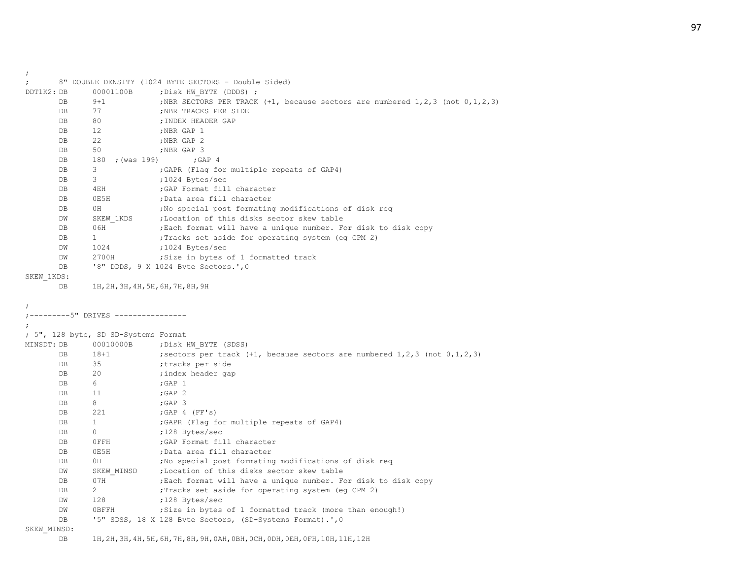; 8" DOUBLE DENSITY (1024 BYTE SECTORS - Double Sided) DDT1K2: DB 00001100B ; Disk HW BYTE (DDDS) ; DB 9+1 ;NBR SECTORS PER TRACK (+1, because sectors are numbered 1,2,3 (not 0,1,2,3) DB 77 ;NBR TRACKS PER SIDE DB 80 ;INDEX HEADER GAP DB 12 ;NBR GAP 1 DB 22 ;NBR GAP 2 DB 50 ;NBR GAP 3 DB 180 ; (was 199) ; GAP 4 DB 3 ;GAPR (Flag for multiple repeats of GAP4) DB 3 ;1024 Bytes/sec DB 4EH ;GAP Format fill character DB 0E5H ;Data area fill character DB 0H ;No special post formating modifications of disk req DW SKEW 1KDS ; Location of this disks sector skew table DB 06H ; Each format will have a unique number. For disk to disk copy DB 1  $\blacksquare$  Tracks set aside for operating system (eq CPM 2) DW 1024 ;1024 Bytes/sec DW 2700H ; Size in bytes of 1 formatted track DB '8" DDDS, 9 X 1024 Byte Sectors.',0 SKEW\_1KDS: DB 1H,2H,3H,4H,5H,6H,7H,8H,9H ; ;---------5" DRIVES ---------------- ; ; 5", 128 byte, SD SD-Systems Format MINSDT: DB 00010000B ; Disk HW BYTE (SDSS) DB 18+1 ; sectors per track (+1, because sectors are numbered 1,2,3 (not 0,1,2,3) DB 35 ;tracks per side DB 20 ;index header gap DB 6 ;GAP 1 DB 11 ; GAP 2 DB 8 ;GAP 3 DB 221 ; GAP 4 (FF's) DB 1 :GAPR (Flag for multiple repeats of GAP4) DB 0 ;128 Bytes/sec DB 0FFH : GAP Format fill character DB 0E5H ;Data area fill character DB 0H ;No special post formating modifications of disk req DW SKEW MINSD ;Location of this disks sector skew table DB 07H ; Each format will have a unique number. For disk to disk copy DB 2 ; Tracks set aside for operating system (eq CPM 2) DW 128 ;128 Bytes/sec DW 0BFFH ;Size in bytes of 1 formatted track (more than enough!) DB '5" SDSS, 18 X 128 Byte Sectors, (SD-Systems Format).', 0 SKEW\_MINSD:

DB 1H,2H,3H,4H,5H,6H,7H,8H,9H,0AH,0BH,0CH,0DH,0EH,0FH,10H,11H,12H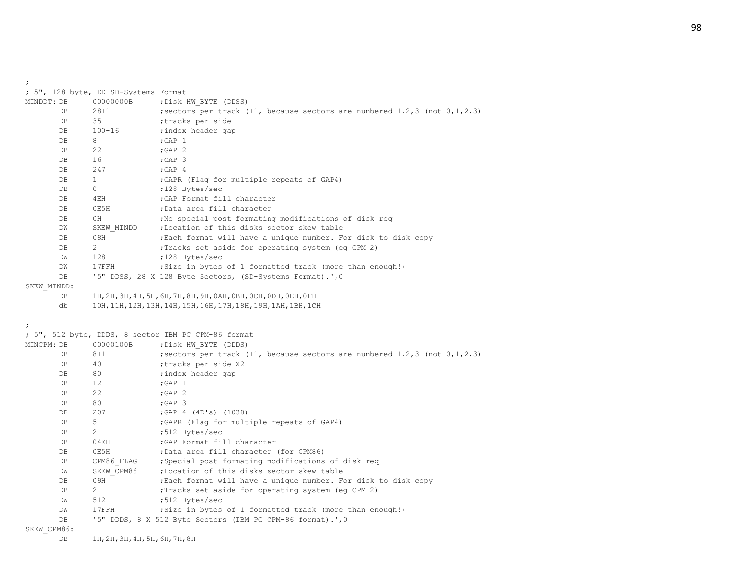| MINDDT: DB  | 00000000B    | ; Disk HW BYTE (DDSS)                                                              |
|-------------|--------------|------------------------------------------------------------------------------------|
| DB          | $28 + 1$     | ; sectors per track $(+1)$ , because sectors are numbered $1,2,3$ (not $0,1,2,3$ ) |
| DB          | 35           | ;tracks per side                                                                   |
| DB          | $100 - 16$   | ; index header gap                                                                 |
| DB          | 8            | ; GAP $1$                                                                          |
| DB          | 22           | ; GAP $2$                                                                          |
| DB          | 16           | $;$ GAP $3$                                                                        |
| DB          | 247          | ; GAP 4                                                                            |
| DB          | $\mathbf{1}$ | ; GAPR (Flag for multiple repeats of GAP4)                                         |
| DB          | $\circ$      | ;128 Bytes/sec                                                                     |
| DB          | 4EH          | ; GAP Format fill character                                                        |
| DB          | 0E5H         | ;Data area fill character                                                          |
| DB          | 0H           | ; No special post formating modifications of disk req                              |
| DW          | SKEW MINDD   | ;Location of this disks sector skew table                                          |
| DB          | 08H          | ; Each format will have a unique number. For disk to disk copy                     |
| DB          | 2            | Tracks set aside for operating system (eg CPM 2)                                   |
| DW          | 128          | ;128 Bytes/sec                                                                     |
| DW          | 17FFH        | ; Size in bytes of 1 formatted track (more than enough!)                           |
| DB          |              | '5" DDSS, 28 X 128 Byte Sectors, (SD-Systems Format).', 0                          |
| SKEW MINDD: |              |                                                                                    |
| DB          |              | 1н, 2н, 3н, 4н, 5н, 6н, 7н, 8н, 9н, 0ан, 0вн, 0сн, 0рн, 0ен, 0гн                   |
| db          |              | 10H, 11H, 12H, 13H, 14H, 15H, 16H, 17H, 18H, 19H, 1AH, 1BH, 1CH                    |
|             |              |                                                                                    |
| $\ddot{ }$  |              |                                                                                    |
|             |              | ; 5", 512 byte, DDDS, 8 sector IBM PC CPM-86 format                                |
| MINCPM: DB  | 00000100B    | ; Disk HW BYTE (DDDS)                                                              |
| DB          | $8 + 1$      | ; sectors per track $(+1)$ , because sectors are numbered $1,2,3$ (not $0,1,2,3$ ) |
| DB          | 40           | ;tracks per side X2                                                                |
| DB          | 80           | ; index header gap                                                                 |
| DB          | 12           |                                                                                    |
| DB          |              | ; GAP $1$                                                                          |
| DB          | 22           | ;GAP 2                                                                             |
|             | 80           | $;$ GAP $3$                                                                        |
| DB          | 207          | ; GAP $4$ (4E's) (1038)                                                            |
| DB          | 5            | ; GAPR (Flag for multiple repeats of GAP4)                                         |
| DB          | 2            | ;512 Bytes/sec                                                                     |
| DB          | 04EH         | ; GAP Format fill character                                                        |
| DB          | 0E5H         | ;Data area fill character (for CPM86)                                              |
| DB          | CPM86 FLAG   | ; Special post formating modifications of disk req                                 |
| DW          | SKEW CPM86   | ; Location of this disks sector skew table                                         |
| DB          | 09H          | ; Each format will have a unique number. For disk to disk copy                     |
| DB          | 2            | Tracks set aside for operating system (eg CPM 2);                                  |
| DW          | 512          | ;512 Bytes/sec                                                                     |
| DW          | 17FFH        | ; Size in bytes of 1 formatted track (more than enough!)                           |
| DB          |              | '5" DDDS, 8 X 512 Byte Sectors (IBM PC CPM-86 format).', 0                         |
| SKEW_CPM86: |              |                                                                                    |

;

; 5", 128 byte, DD SD-Systems Format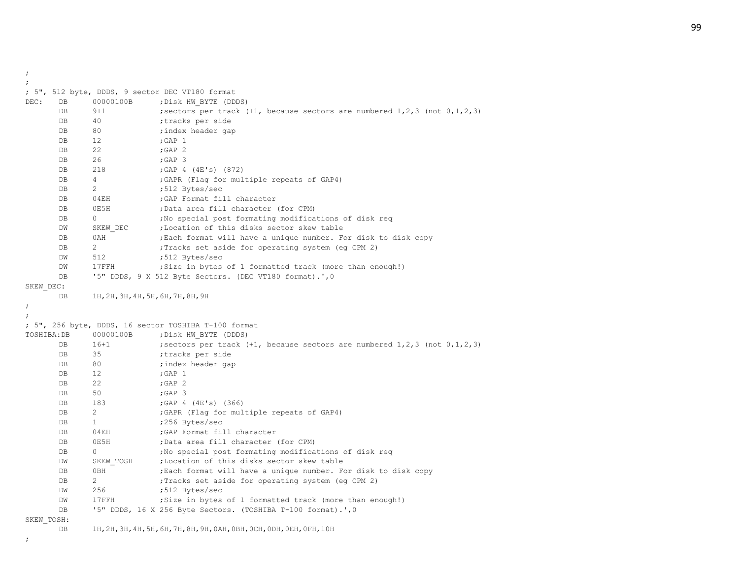;

|             |    |                                    | ; 5", 512 byte, DDDS, 9 sector DEC VT180 format                                         |
|-------------|----|------------------------------------|-----------------------------------------------------------------------------------------|
| DEC:        | DB | 00000100B                          | ; Disk HW BYTE (DDDS)                                                                   |
|             | DB | $9 + 1$                            | ; sectors per track $(+1)$ , because sectors are numbered $1,2,3$ (not $0,1,2,3$ )      |
|             | DB | 40                                 | ;tracks per side                                                                        |
|             | DB | 80                                 | ; index header gap                                                                      |
|             | DB | 12                                 | $;$ GAP $1$                                                                             |
|             | DB | 22                                 | ; GAP $2$                                                                               |
|             | DB | 26                                 | $;$ GAP $3$                                                                             |
|             | DB | 218                                | ; GAP $4$ (4E's) (872)                                                                  |
|             | DB | $\overline{4}$                     | ; GAPR (Flag for multiple repeats of GAP4)                                              |
|             | DB | 2                                  | ;512 Bytes/sec                                                                          |
|             | DB | 04EH                               | ; GAP Format fill character                                                             |
|             | DB | 0E5H                               | ;Data area fill character (for CPM)                                                     |
|             | DB | $\circ$                            | ; No special post formating modifications of disk reg                                   |
|             | DW | SKEW DEC                           | ; Location of this disks sector skew table                                              |
|             | DB | 0AH                                | ; Each format will have a unique number. For disk to disk copy                          |
|             | DB | 2                                  | ; Tracks set aside for operating system (eg CPM 2)                                      |
|             | DW | 512                                | ;512 Bytes/sec                                                                          |
|             | DW | $17$ $FFH$                         | ; Size in bytes of 1 formatted track (more than enough!)                                |
|             | DB |                                    | '5" DDDS, 9 X 512 Byte Sectors. (DEC VT180 format).', 0                                 |
| SKEW DEC:   |    |                                    |                                                                                         |
|             | DB | 1H, 2H, 3H, 4H, 5H, 6H, 7H, 8H, 9H |                                                                                         |
| $\ddot{ }$  |    |                                    |                                                                                         |
|             |    |                                    |                                                                                         |
|             |    |                                    | ; 5", 256 byte, DDDS, 16 sector TOSHIBA T-100 format                                    |
| TOSHIBA: DB |    | 00000100B                          | ; Disk HW BYTE (DDDS)                                                                   |
|             | DB | $16 + 1$                           | ; sectors per track $(+1)$ , because sectors are numbered $1, 2, 3$ (not $0, 1, 2, 3$ ) |
|             | DB | 35                                 |                                                                                         |
|             | DB |                                    | ;tracks per side                                                                        |
|             |    | 80                                 | ; index header gap                                                                      |
|             | DB | 12                                 | ; GAP $1$                                                                               |
|             | DB | 22                                 | ; GAP $2$                                                                               |
|             | DB | 50                                 | $;$ GAP $3$                                                                             |
|             | DB | 183                                | ; GAP $4$ (4E's) (366)                                                                  |
|             | DB | 2                                  | ; GAPR (Flag for multiple repeats of GAP4)                                              |
|             | DB | $\mathbf{1}$                       | ;256 Bytes/sec                                                                          |
|             | DB | 04EH                               | ; GAP Format fill character                                                             |
|             | DB | 0E5H                               | ;Data area fill character (for CPM)                                                     |
|             | DB | 0                                  | ; No special post formating modifications of disk req                                   |
|             | DW | SKEW TOSH                          | ;Location of this disks sector skew table                                               |
|             | DB | 0BH                                | ; Each format will have a unique number. For disk to disk copy                          |
|             | DB | 2                                  | ; Tracks set aside for operating system (eq CPM 2)                                      |
|             | DW | 256                                | ;512 Bytes/sec                                                                          |
|             | DW | 17FFH                              | ; Size in bytes of 1 formatted track (more than enough!)                                |
|             | DB |                                    | '5" DDDS, 16 X 256 Byte Sectors. (TOSHIBA T-100 format).', 0                            |

DB 1H,2H,3H,4H,5H,6H,7H,8H,9H,0AH,0BH,0CH,0DH,0EH,0FH,10H

;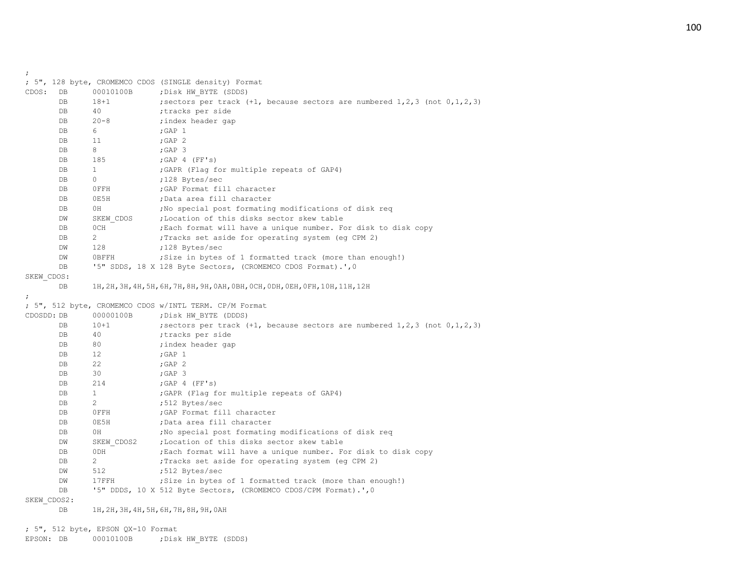|             |    |                       | ; 5", 128 byte, CROMEMCO CDOS (SINGLE density) Format                                                                                       |
|-------------|----|-----------------------|---------------------------------------------------------------------------------------------------------------------------------------------|
| CDOS:       | DB | 00010100B             | ; Disk HW BYTE (SDDS)                                                                                                                       |
|             | DB | $18 + 1$              | ; sectors per track $(+1)$ , because sectors are numbered $1, 2, 3$ (not $0, 1, 2, 3$ )                                                     |
|             | DB | 40                    | ;tracks per side                                                                                                                            |
|             | DB | $20 - 8$              | ; index header gap                                                                                                                          |
|             | DB | 6                     | ; GAP $1$                                                                                                                                   |
|             | DB | 11                    | ;GAP 2                                                                                                                                      |
|             | DB | 8                     | $;$ GAP 3                                                                                                                                   |
|             | DB | 185                   | ; GAP 4 (FF's)                                                                                                                              |
|             | DB | $\mathbf{1}$          | ; GAPR (Flag for multiple repeats of GAP4)                                                                                                  |
|             | DB | 0                     | ;128 Bytes/sec                                                                                                                              |
|             | DB | OFFH                  | ; GAP Format fill character                                                                                                                 |
|             | DB | 0E5H                  | ;Data area fill character                                                                                                                   |
|             | DB | 0H                    | ; No special post formating modifications of disk req                                                                                       |
|             | DW | SKEW CDOS             | ;Location of this disks sector skew table                                                                                                   |
|             | DB | 0CH                   | ; Each format will have a unique number. For disk to disk copy                                                                              |
|             | DB | $\mathbf{2}^{\prime}$ | ; Tracks set aside for operating system (eg CPM 2)                                                                                          |
|             | DW | 128                   | ;128 Bytes/sec                                                                                                                              |
|             | DW | 0BFFH                 | ; Size in bytes of 1 formatted track (more than enough!)                                                                                    |
|             | DB |                       | '5" SDDS, 18 X 128 Byte Sectors, (CROMEMCO CDOS Format).', 0                                                                                |
| SKEW CDOS:  |    |                       |                                                                                                                                             |
|             | DB |                       | 1Н, 2Н, 3Н, 4Н, 5Н, 6Н, 7Н, 8Н, 9Н, 0АН, 0ВН, 0СН, 0DН, 0ЕН, 0FН, 10Н, 11Н, 12Н                                                             |
|             |    |                       |                                                                                                                                             |
|             |    |                       | ; 5", 512 byte, CROMEMCO CDOS w/INTL TERM. CP/M Format                                                                                      |
| CDOSDD: DB  |    | 00000100B             | ; Disk HW BYTE (DDDS)                                                                                                                       |
|             | DB | $10+1$                | ; sectors per track (+1, because sectors are numbered $1, 2, 3$ (not $0, 1, 2, 3$ )                                                         |
|             | DB | 40                    | ;tracks per side                                                                                                                            |
|             | DB | 80                    | ; index header gap                                                                                                                          |
|             | DB | 12                    | $;$ GAP $1$                                                                                                                                 |
|             | DB | 22                    | ; GAP $2$                                                                                                                                   |
|             | DB | 30                    | $;$ GAP $3$                                                                                                                                 |
|             | DB | 214                   | ; GAP $4$ (FF's)                                                                                                                            |
|             | DB | $\mathbf{1}$          | ; GAPR (Flag for multiple repeats of GAP4)                                                                                                  |
|             | DB | 2                     | ;512 Bytes/sec                                                                                                                              |
|             | DB | OFFH                  | ; GAP Format fill character                                                                                                                 |
|             | DB | 0E5H                  | ;Data area fill character                                                                                                                   |
|             | DB | 0H                    | ; No special post formating modifications of disk req                                                                                       |
|             | DW | SKEW CDOS2            | ;Location of this disks sector skew table                                                                                                   |
|             | DB | 0DH                   | ; Each format will have a unique number. For disk to disk copy                                                                              |
|             | DB | $\mathbf{2}^{\prime}$ | ; Tracks set aside for operating system (eg CPM 2)                                                                                          |
|             | DW | 512                   | ;512 Bytes/sec                                                                                                                              |
|             | DW | 17FFH                 | ; Size in bytes of 1 formatted track (more than enough!)                                                                                    |
|             | DB |                       | '5" DDDS, 10 X 512 Byte Sectors, (CROMEMCO CDOS/CPM Format).', 0                                                                            |
| SKEW CDOS2: |    |                       |                                                                                                                                             |
|             |    |                       | $1 \text{ } \alpha$ and $1 \text{ } \alpha$ and $2 \text{ } \alpha$ and $2 \text{ } \alpha$ and $2 \text{ } \alpha$ and $2 \text{ } \alpha$ |

DB 1H,2H,3H,4H,5H,6H,7H,8H,9H,0AH

; 5", 512 byte, EPSON QX-10 Format

;

EPSON: DB 00010100B ; Disk HW\_BYTE (SDDS)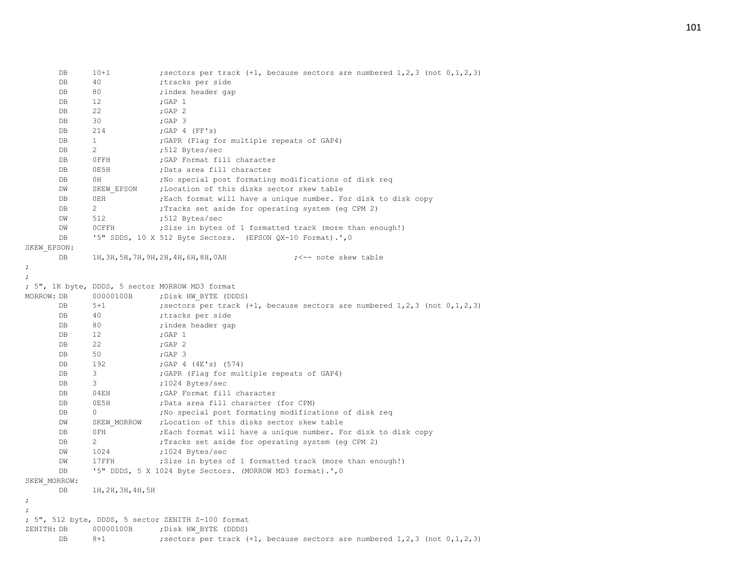| DB             | $10 + 1$           | ; sectors per track $(+1)$ , because sectors are numbered $1, 2, 3$ (not $0, 1, 2, 3$ ) |
|----------------|--------------------|-----------------------------------------------------------------------------------------|
| DB             | 40                 | ;tracks per side                                                                        |
| DB             | 80                 | ; index header gap                                                                      |
| DB             | 12                 | ; GAP $1$                                                                               |
| DB             | 22                 | ; GAP $2$                                                                               |
| DB             | 30                 | $;$ GAP 3                                                                               |
| DB             | 214                | ; GAP 4 (FF's)                                                                          |
| DB             | $\mathbf{1}$       | ; GAPR (Flag for multiple repeats of GAP4)                                              |
| DB             | $\overline{2}$     | ;512 Bytes/sec                                                                          |
| DB             | OFFH               | ; GAP Format fill character                                                             |
| DB             | 0E5H               | ;Data area fill character                                                               |
| DB             | 0H                 | ; No special post formating modifications of disk reg                                   |
| DW             | SKEW EPSON         | ;Location of this disks sector skew table                                               |
| DB             | 0EH                | ; Each format will have a unique number. For disk to disk copy                          |
| DB             | $\overline{2}$     | ; Tracks set aside for operating system (eg CPM 2)                                      |
| DW             | 512                | ;512 Bytes/sec                                                                          |
| DW             | <b>OCFFH</b>       | ; Size in bytes of 1 formatted track (more than enough!)                                |
| DB             |                    | '5" SDDS, 10 X 512 Byte Sectors. (EPSON QX-10 Format).', 0                              |
| SKEW EPSON:    |                    |                                                                                         |
| DB             |                    | 1Н, 3Н, 5Н, 7Н, 9Н, 2Н, 4Н, 6Н, 8Н, 0АН<br>; <-- note skew table                        |
| ;              |                    |                                                                                         |
| $\ddot{ }$     |                    |                                                                                         |
|                |                    | ; 5", 1K byte, DDDS, 5 sector MORROW MD3 format                                         |
| MORROW: DB     | 00000100B          | ; Disk HW BYTE (DDDS)                                                                   |
| DB             | $5 + 1$            | ; sectors per track $(+1)$ , because sectors are numbered $1, 2, 3$ (not $0, 1, 2, 3$ ) |
| DB             | 40                 | ;tracks per side                                                                        |
| DB             | 80                 | ; index header gap                                                                      |
| DB             | 12                 | ; GAP $1$                                                                               |
| DB             | 22                 | ; GAP $2$                                                                               |
| DB             | 50                 | ; GAP 3                                                                                 |
| DB             | 192                | ; GAP $4$ (4E's) (574)                                                                  |
| DB             | 3                  | ; GAPR (Flag for multiple repeats of GAP4)                                              |
| DB             | 3                  | ;1024 Bytes/sec                                                                         |
| DB             | 04EH               | ; GAP Format fill character                                                             |
| DB             | 0E5H               | ;Data area fill character (for CPM)                                                     |
| DB             | 0                  | ; No special post formating modifications of disk req                                   |
| DM             | SKEW MORROW        | ;Location of this disks sector skew table                                               |
| DB             | 0FH                | ; Each format will have a unique number. For disk to disk copy                          |
| DB             | $\overline{2}$     | Tracks set aside for operating system (eg CPM 2)                                        |
| DW             | 1024               | ;1024 Bytes/sec                                                                         |
| DW             | 17FFH              | ; Size in bytes of 1 formatted track (more than enough!)                                |
| DB             |                    | '5" DDDS, 5 X 1024 Byte Sectors. (MORROW MD3 format).', 0                               |
| SKEW MORROW:   |                    |                                                                                         |
| DB             | 1H, 2H, 3H, 4H, 5H |                                                                                         |
| ÷              |                    |                                                                                         |
|                |                    |                                                                                         |
|                |                    | ; 5", 512 byte, DDDS, 5 sector ZENITH Z-100 format                                      |
| ZENITH: DB     | 00000100B          | ; Disk HW BYTE (DDDS)                                                                   |
| D <sub>B</sub> | $8 + 1$            | ; sectors per track $(+1)$ , because sectors are numbered $1, 2, 3$ (not $0, 1, 2, 3$ ) |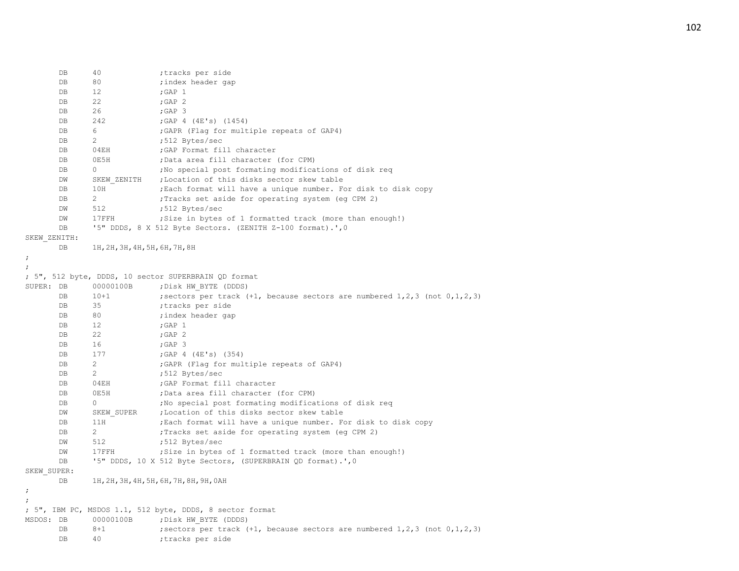| DB                   | 40                             | ;tracks per side                                                                        |
|----------------------|--------------------------------|-----------------------------------------------------------------------------------------|
| DB                   | 80                             | ; index header gap                                                                      |
| DB                   | $12 \,$                        | $;$ GAP $1$                                                                             |
| DB                   | 22                             | ; GAP $2$                                                                               |
| DB                   | 26                             | ;GAP 3                                                                                  |
| DB                   | 242                            | ; GAP 4 (4E's) (1454)                                                                   |
| DB                   | 6                              | ; GAPR (Flag for multiple repeats of GAP4)                                              |
| DB                   | $\overline{2}$                 | ;512 Bytes/sec                                                                          |
| DB                   | 04EH                           | ; GAP Format fill character                                                             |
| DB                   | 0E5H                           | ;Data area fill character (for CPM)                                                     |
| DB                   | 0                              | ; No special post formating modifications of disk reg                                   |
| DW                   | SKEW ZENITH                    | ;Location of this disks sector skew table                                               |
| DB                   | 10H                            | ; Each format will have a unique number. For disk to disk copy                          |
| DB                   | $\overline{2}$                 | ; Tracks set aside for operating system (eg CPM 2)                                      |
| DW                   | 512                            | ;512 Bytes/sec                                                                          |
| DW                   | 17FFH                          | ; Size in bytes of 1 formatted track (more than enough!)                                |
| DB                   |                                | '5" DDDS, 8 X 512 Byte Sectors. (ZENITH Z-100 format).', 0                              |
| SKEW ZENITH:         |                                |                                                                                         |
| DB                   | 1Н, 2Н, 3Н, 4Н, 5Н, 6Н, 7Н, 8Н |                                                                                         |
| $\ddot{ }$           |                                |                                                                                         |
|                      |                                |                                                                                         |
|                      |                                | ; 5", 512 byte, DDDS, 10 sector SUPERBRAIN QD format                                    |
| SUPER: DB            | 00000100B                      | ; Disk HW BYTE (DDDS)                                                                   |
| DB                   | $10 + 1$                       | ; sectors per track $(+1)$ , because sectors are numbered $1, 2, 3$ (not $0, 1, 2, 3$ ) |
| DB                   | 35                             | ;tracks per side                                                                        |
| DB                   | 80                             | ; index header gap                                                                      |
| DB                   | 12 <sup>°</sup>                | $;$ GAP $1$                                                                             |
| DB                   | 22                             | ; GAP $2$                                                                               |
| DB                   | 16                             | $;$ GAP 3                                                                               |
| DB                   | 177                            | ; GAP $4$ (4E's) (354)                                                                  |
| DB                   | $\overline{2}$                 | ; GAPR (Flag for multiple repeats of GAP4)                                              |
| DB                   | $\overline{2}$                 | ;512 Bytes/sec                                                                          |
| DB                   | 04EH                           | ; GAP Format fill character                                                             |
| DB                   | 0E5H                           | ;Data area fill character (for CPM)                                                     |
| DB                   | 0                              | ; No special post formating modifications of disk req                                   |
| DW                   | SKEW SUPER                     | ; Location of this disks sector skew table                                              |
| DB                   | 11H                            | ; Each format will have a unique number. For disk to disk copy                          |
| DB                   | $\overline{2}$                 | ; Tracks set aside for operating system (eq CPM 2)                                      |
| DW                   | 512                            | ;512 Bytes/sec                                                                          |
| DW                   | 17FFH                          | ; Size in bytes of 1 formatted track (more than enough!)                                |
| DB                   |                                | '5" DDDS, 10 X 512 Byte Sectors, (SUPERBRAIN QD format).', 0                            |
| SKEW SUPER:          |                                |                                                                                         |
| DB                   |                                | 1Н, 2Н, 3Н, 4Н, 5Н, 6Н, 7Н, 8Н, 9Н, 0АН                                                 |
| $\ddot{\phantom{0}}$ |                                |                                                                                         |
|                      |                                |                                                                                         |
|                      |                                | ; 5", IBM PC, MSDOS 1.1, 512 byte, DDDS, 8 sector format                                |
| MSDOS: DB            | 00000100B                      | ; Disk HW BYTE (DDDS)                                                                   |
| DB                   | $8 + 1$                        | ; sectors per track $(+1)$ , because sectors are numbered $1, 2, 3$ (not $0, 1, 2, 3$ ) |
| DB                   | 40                             | ;tracks per side                                                                        |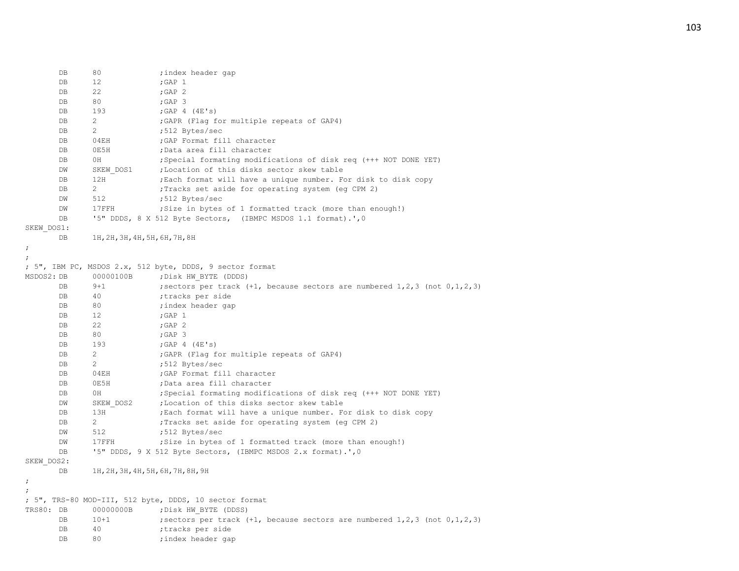|            | DB | 80                             | ;index header gap                                                                       |
|------------|----|--------------------------------|-----------------------------------------------------------------------------------------|
|            | DB | 12                             | ; GAP $1$                                                                               |
|            | DB | 22                             | $;$ GAP $2$                                                                             |
|            | DB | 80                             | $;$ GAP 3                                                                               |
|            | DB | 193                            | ; GAP $4$ (4E's)                                                                        |
|            | DB | 2                              | ; GAPR (Flag for multiple repeats of GAP4)                                              |
|            | DB | 2                              | ;512 Bytes/sec                                                                          |
|            | DB | 04EH                           | ; GAP Format fill character                                                             |
|            | DB | 0E5H                           | ; Data area fill character                                                              |
|            | DB | 0H                             | ; Special formating modifications of disk req (+++ NOT DONE YET)                        |
|            | DW | SKEW DOS1                      | ; Location of this disks sector skew table                                              |
|            | DB | 12H                            | ; Each format will have a unique number. For disk to disk copy                          |
|            | DB | $\mathbf{2}$                   | ; Tracks set aside for operating system (eq CPM 2)                                      |
|            | DW | 512                            | ;512 Bytes/sec                                                                          |
|            | DW | 17FFH                          | ; Size in bytes of 1 formatted track (more than enough!)                                |
|            | DB |                                | '5" DDDS, 8 X 512 Byte Sectors, (IBMPC MSDOS 1.1 format).', 0                           |
| SKEW DOS1: |    |                                |                                                                                         |
|            | DB | 1H, 2H, 3H, 4H, 5H, 6H, 7H, 8H |                                                                                         |
| ;          |    |                                |                                                                                         |
|            |    |                                |                                                                                         |
|            |    |                                | ; 5", IBM PC, MSDOS 2.x, 512 byte, DDDS, 9 sector format                                |
| MSDOS2: DB |    | 00000100B                      | ; Disk HW BYTE (DDDS)                                                                   |
|            | DB | $9 + 1$                        | ; sectors per track $(+1)$ , because sectors are numbered $1, 2, 3$ (not $0, 1, 2, 3$ ) |
|            | DB | 40                             | ;tracks per side                                                                        |
|            | DB | 80                             | ; index header gap                                                                      |
|            | DB | 12                             | $;$ GAP $1$                                                                             |
|            | DB | 22                             | $;$ GAP $2$                                                                             |
|            | DB | 80                             | $;$ GAP 3                                                                               |
|            | DB | 193                            | ; GAP $4$ $(4E's)$                                                                      |
|            | DB | 2                              | ; GAPR (Flag for multiple repeats of GAP4)                                              |
|            | DB | 2                              | ;512 Bytes/sec                                                                          |
|            | DB | 04EH                           | ; GAP Format fill character                                                             |
|            | DB | 0E5H                           | ;Data area fill character                                                               |
|            | DB | 0H                             | ; Special formating modifications of disk req (+++ NOT DONE YET)                        |
|            | DW | SKEW DOS2                      | ; Location of this disks sector skew table                                              |
|            | DB | 13H                            | ; Each format will have a unique number. For disk to disk copy                          |
|            | DB | 2                              | ; Tracks set aside for operating system (eg CPM 2)                                      |
|            | DW | 512                            | ;512 Bytes/sec                                                                          |
|            | DW | 17FFH                          | ; Size in bytes of 1 formatted track (more than enough!)                                |
|            | DB |                                | '5" DDDS, 9 X 512 Byte Sectors, (IBMPC MSDOS 2.x format).', 0                           |
| SKEW DOS2: |    |                                |                                                                                         |
|            | DB |                                | 1Н, 2Н, 3Н, 4Н, 5Н, 6Н, 7Н, 8Н, 9Н                                                      |
| $\ddot{ }$ |    |                                |                                                                                         |
|            |    |                                |                                                                                         |
|            |    |                                | ; 5", TRS-80 MOD-III, 512 byte, DDDS, 10 sector format                                  |
| TRS80: DB  |    | 00000000B                      | ; Disk HW BYTE (DDSS)                                                                   |
|            | DB | $10+1$                         | ; sectors per track $(+1)$ , because sectors are numbered $1, 2, 3$ (not $0, 1, 2, 3$ ) |
|            | DB | 40                             | ;tracks per side                                                                        |
|            | DB | 80                             | ;index header qap                                                                       |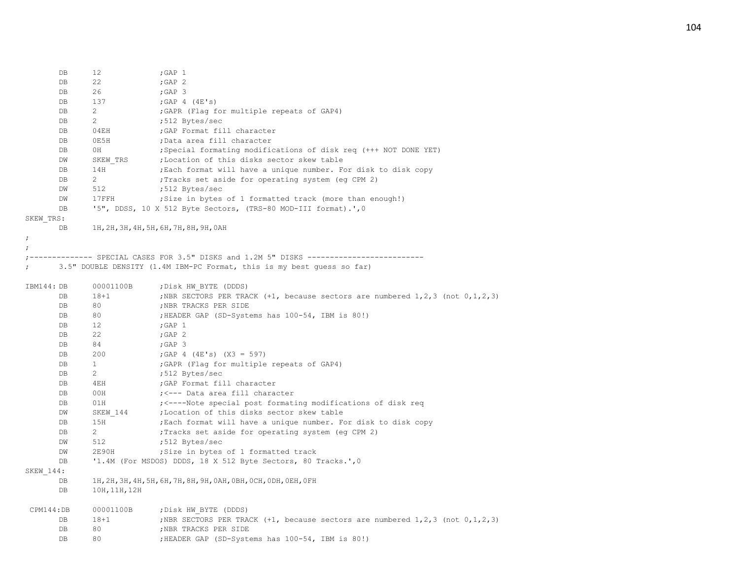| DB                   | 12                                                                     | ; GAP $1$                                                                                                          |  |  |  |
|----------------------|------------------------------------------------------------------------|--------------------------------------------------------------------------------------------------------------------|--|--|--|
| <b>DB</b>            | 22                                                                     | ;GAP 2                                                                                                             |  |  |  |
| DB                   | 26                                                                     | $;$ GAP 3                                                                                                          |  |  |  |
| <b>DB</b>            | 137                                                                    | ; GAP $4$ (4E's)                                                                                                   |  |  |  |
| DB                   | 2                                                                      | ; GAPR (Flag for multiple repeats of GAP4)                                                                         |  |  |  |
| DB                   | 2                                                                      | ;512 Bytes/sec                                                                                                     |  |  |  |
| DB                   | 04EH                                                                   | ; GAP Format fill character                                                                                        |  |  |  |
| DB                   | ;Data area fill character<br>0E5H                                      |                                                                                                                    |  |  |  |
| DB                   | 0H<br>; Special formating modifications of disk req (+++ NOT DONE YET) |                                                                                                                    |  |  |  |
| DW                   | SKEW TRS                                                               | ; Location of this disks sector skew table                                                                         |  |  |  |
| DB                   | 14H                                                                    | ; Each format will have a unique number. For disk to disk copy                                                     |  |  |  |
| DB                   | 2                                                                      | ; Tracks set aside for operating system (eg CPM 2)                                                                 |  |  |  |
| DW                   | 512                                                                    | ;512 Bytes/sec                                                                                                     |  |  |  |
| DW                   | 17FFH                                                                  | ; Size in bytes of 1 formatted track (more than enough!)                                                           |  |  |  |
| DB                   |                                                                        | '5", DDSS, 10 X 512 Byte Sectors, (TRS-80 MOD-III format).', 0                                                     |  |  |  |
| SKEW TRS:            |                                                                        |                                                                                                                    |  |  |  |
| DB                   |                                                                        | 1Н, 2Н, 3Н, 4Н, 5Н, 6Н, 7Н, 8Н, 9Н, 0АН                                                                            |  |  |  |
| $\ddot{\phantom{0}}$ |                                                                        |                                                                                                                    |  |  |  |
|                      |                                                                        |                                                                                                                    |  |  |  |
|                      |                                                                        | ---- SPECIAL CASES FOR 3.5" DISKS and 1.2M 5" DISKS ------------                                                   |  |  |  |
|                      |                                                                        | 3.5" DOUBLE DENSITY (1.4M IBM-PC Format, this is my best quess so far)                                             |  |  |  |
|                      |                                                                        |                                                                                                                    |  |  |  |
| IBM144: DB           | 00001100B                                                              | ; Disk HW BYTE (DDDS)                                                                                              |  |  |  |
| DB                   | $18 + 1$                                                               | ; NBR SECTORS PER TRACK $(+1,$ because sectors are numbered $1, 2, 3$ (not $0, 1, 2, 3$ )                          |  |  |  |
| DB                   | 80                                                                     | ; NBR TRACKS PER SIDE                                                                                              |  |  |  |
| DB                   | 80                                                                     | ; HEADER GAP (SD-Systems has 100-54, IBM is 80!)                                                                   |  |  |  |
| DB                   | 12                                                                     | $;$ GAP $1$                                                                                                        |  |  |  |
| DB                   | 22                                                                     | ; GAP $2$                                                                                                          |  |  |  |
| <b>DB</b>            | 84                                                                     | $;$ GAP 3                                                                                                          |  |  |  |
| DB                   | 200                                                                    | ; GAP 4 $(4E's)$ $(X3 = 597)$                                                                                      |  |  |  |
| <b>DB</b>            | $\mathbf{1}$                                                           | ; GAPR (Flag for multiple repeats of GAP4)                                                                         |  |  |  |
| DB                   | 2                                                                      | ;512 Bytes/sec                                                                                                     |  |  |  |
| DB                   | 4EH                                                                    | ; GAP Format fill character                                                                                        |  |  |  |
| DB                   | 00H                                                                    | ; <--- Data area fill character                                                                                    |  |  |  |
| DB                   | 01H                                                                    | ; <----Note special post formating modifications of disk req                                                       |  |  |  |
| DW                   | SKEW 144                                                               | ; Location of this disks sector skew table                                                                         |  |  |  |
| DB                   | 15H                                                                    | ; Each format will have a unique number. For disk to disk copy                                                     |  |  |  |
| DB                   | 2                                                                      | ; Tracks set aside for operating system (eg CPM 2)                                                                 |  |  |  |
| DW                   | 512                                                                    | ;512 Bytes/sec                                                                                                     |  |  |  |
| DW                   | 2E90H                                                                  | ; Size in bytes of 1 formatted track                                                                               |  |  |  |
| DB                   |                                                                        | '1.4M (For MSDOS) DDDS, 18 X 512 Byte Sectors, 80 Tracks.', 0                                                      |  |  |  |
| SKEW 144:            |                                                                        |                                                                                                                    |  |  |  |
| DB                   |                                                                        | 1Н, 2Н, 3Н, 4Н, 5Н, 6Н, 7Н, 8Н, 9Н, 0АН, 0ВН, 0СН, 0DН, 0ЕН, 0FН                                                   |  |  |  |
| <b>DB</b>            | 10H, 11H, 12H                                                          |                                                                                                                    |  |  |  |
|                      |                                                                        |                                                                                                                    |  |  |  |
| CPM144:DB<br>DB      | 00001100B<br>$18 + 1$                                                  | ; Disk HW BYTE (DDDS)<br>; NBR SECTORS PER TRACK $(+1,$ because sectors are numbered $1, 2, 3$ (not $0, 1, 2, 3$ ) |  |  |  |
| DB                   | 80                                                                     |                                                                                                                    |  |  |  |
| DB                   | 80                                                                     | ; NBR TRACKS PER SIDE                                                                                              |  |  |  |
|                      |                                                                        | ; HEADER GAP (SD-Systems has 100-54, IBM is 80!)                                                                   |  |  |  |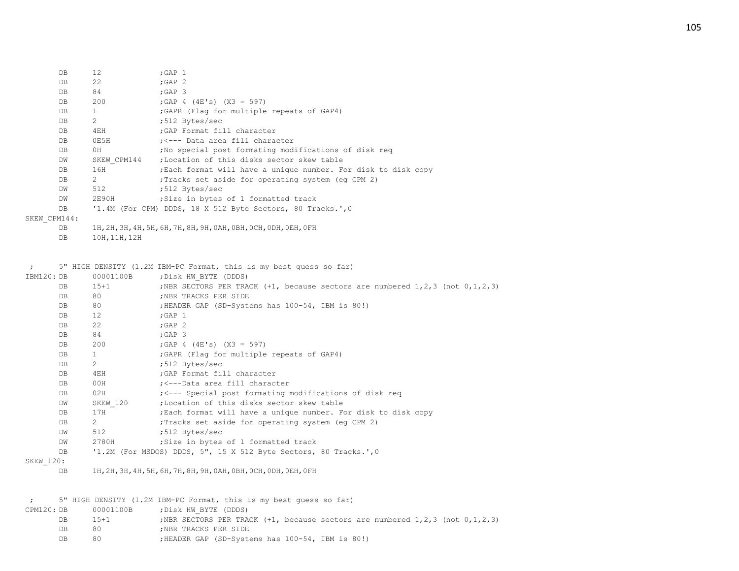| DB           | 12             | $;$ GAP $\,1$                                                 |
|--------------|----------------|---------------------------------------------------------------|
| DB.          | 22             | $;$ GAP $2$                                                   |
| DB           | 84             | $;$ GAP $\,$ 3                                                |
| DB           | 200            | ; GAP 4 (4E's) $(X3 = 597)$                                   |
| DB           | $\mathbf{1}$   | ; GAPR (Flag for multiple repeats of GAP4)                    |
| DB           | 2              | :512 Bytes/sec                                                |
| DB           | 4EH            | : GAP Format fill character                                   |
| DB.          | 0E5H           | ; <--- Data area fill character                               |
| DB           | 0H             | No special post formating modifications of disk reg           |
| DW           | SKEW CPM144    | ;Location of this disks sector skew table                     |
| DB           | 16H            | Each format will have a unique number. For disk to disk copy, |
| DB           | $\overline{2}$ | Tracks set aside for operating system (eg CPM 2);             |
| DW           | 512            | :512 Bytes/sec                                                |
| DW           | 2E90H          | Size in bytes of 1 formatted track                            |
| DB           |                | '1.4M (For CPM) DDDS, 18 X 512 Byte Sectors, 80 Tracks.', 0   |
| SKEW CPM144: |                |                                                               |
|              |                |                                                               |

DB 1H,2H,3H,4H,5H,6H,7H,8H,9H,0AH,0BH,0CH,0DH,0EH,0FH

DB 10H,11H,12H

; 5" HIGH DENSITY (1.2M IBM-PC Format, this is my best guess so far)

| IBM120: DB     | 00001100B                      | ; Disk HW BYTE (DDDS)                                                                     |
|----------------|--------------------------------|-------------------------------------------------------------------------------------------|
| DB             | $15 + 1$                       | ; NBR SECTORS PER TRACK $(+1,$ because sectors are numbered $1, 2, 3$ (not $0, 1, 2, 3$ ) |
| DB             | 80                             | ; NBR TRACKS PER SIDE                                                                     |
| DB             | 80                             | ; HEADER GAP (SD-Systems has 100-54, IBM is 80!)                                          |
| DB             | 12                             | $;$ GAP $1$                                                                               |
| DB             | 22                             | $;$ GAP $2$                                                                               |
| DB             | 84                             | $;$ GAP 3                                                                                 |
| DB             | 200                            | ; GAP 4 (4E's) $(X3 = 597)$                                                               |
| DB             | $\mathbf{1}$                   | ; GAPR (Flag for multiple repeats of GAP4)                                                |
| DB             | $2^{\circ}$                    | ;512 Bytes/sec                                                                            |
| DB             | 4EH                            | ; GAP Format fill character                                                               |
| DB             | 00H                            | ; <---Data area fill character                                                            |
| DB             | 02H                            | ; <--- Special post formating modifications of disk req                                   |
| DW             | SKEW 120                       | Location of this disks sector skew table,                                                 |
| DB             | 17H                            | Each format will have a unique number. For disk to disk copy,                             |
| D <sub>B</sub> | $2 \left( \frac{1}{2} \right)$ | : Tracks set aside for operating system (eq CPM 2)                                        |
| DW             | 512                            | ;512 Bytes/sec                                                                            |
| DW             | 2780H                          | ; Size in bytes of 1 formatted track                                                      |
| DB             |                                | '1.2M (For MSDOS) DDDS, 5", 15 X 512 Byte Sectors, 80 Tracks.', 0                         |
| SKEW 120:      |                                |                                                                                           |
| DB             |                                | 1H, 2H, 3H, 4H, 5H, 6H, 7H, 8H, 9H, 0AH, 0BH, 0CH, 0DH, 0EH, 0FH                          |
|                |                                |                                                                                           |
|                |                                |                                                                                           |
|                |                                | 5" HIGH DENSITY (1.2M IBM-PC Format, this is my best quess so far)                        |
| CPM120: DB     | 00001100B                      | ; Disk HW BYTE (DDDS)                                                                     |
| DB             | $15 + 1$                       | ; NBR SECTORS PER TRACK $(+1,$ because sectors are numbered $1, 2, 3$ (not $0, 1, 2, 3$ ) |

| :NBR TRACKS PER SIDE<br><b>DB</b> |  |
|-----------------------------------|--|
|-----------------------------------|--|

DB 80 ;HEADER GAP (SD-Systems has 100-54, IBM is 80!)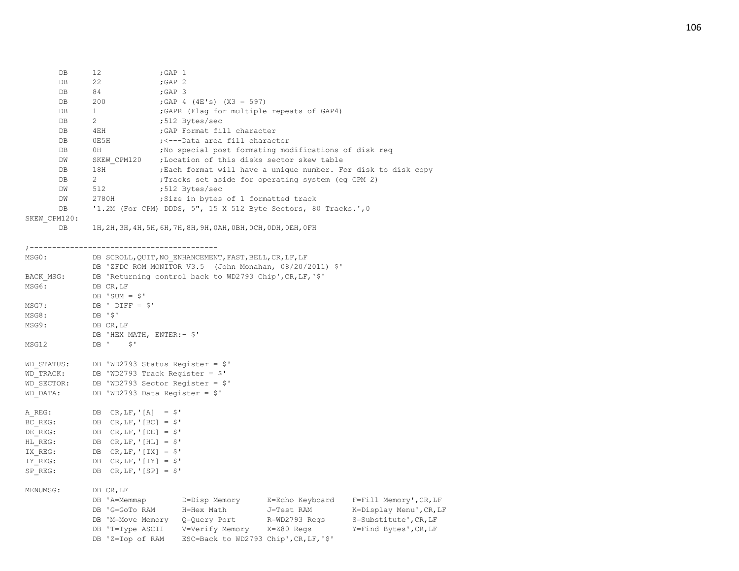| DB.     | 12             | $;$ GAP $1$                                                     |
|---------|----------------|-----------------------------------------------------------------|
| DB.     | 22             | $;GAP$ 2                                                        |
| DB.     | 84             | $;$ GAP $\,$ 3                                                  |
| DB.     | 200            | ;GAP 4 (4E's) $(X3 = 597)$                                      |
| DB      | $\mathbf{1}$   | GAPR (Flag for multiple repeats of GAP4)                        |
| DB.     | $\overline{2}$ | :512 Bytes/sec                                                  |
| DB.     | 4EH            | GAP Format fill character.                                      |
| DB      | OE5H           | : <---Data area fill character                                  |
| DB.     | 0H             | No special post formating modifications of disk reg             |
| DW      | SKEW CPM120    | ;Location of this disks sector skew table                       |
| DB      | 18H            | ; Each format will have a unique number. For disk to disk copy  |
| DB.     | $\overline{2}$ | Tracks set aside for operating system (eg CPM 2);               |
| DW      | 512            | :512 Bytes/sec                                                  |
| DW      | 2780H          | Size in bytes of 1 formatted track                              |
| DB.     |                | '1.2M (For CPM) DDDS, 5", 15 X 512 Byte Sectors, 80 Tracks.', 0 |
| CPM120: |                |                                                                 |

 ${\tt SKEW}$ 

DB 1H,2H,3H,4H,5H,6H,7H,8H,9H,0AH,0BH,0CH,0DH,0EH,0FH

;------------------------------------------

| MSG0:     | DB SCROLL, QUIT, NO ENHANCEMENT, FAST, BELL, CR, LF, LF               |  |  |  |  |
|-----------|-----------------------------------------------------------------------|--|--|--|--|
|           | DB 'ZFDC ROM MONITOR V3.5 (John Monahan, 08/20/2011) \$'              |  |  |  |  |
| BACK MSG: | DB 'Returning control back to WD2793 Chip', CR, LF, '\$'              |  |  |  |  |
| MSG6:     | DB CR, LF                                                             |  |  |  |  |
|           | DB 'SUM = $$'$                                                        |  |  |  |  |
| MSG7:     | DB ' DIFF = $$'$                                                      |  |  |  |  |
| MSG8:     | DB '\$'                                                               |  |  |  |  |
| MSG9:     | DB CR, LF                                                             |  |  |  |  |
|           | DB 'HEX MATH, ENTER:- \$'                                             |  |  |  |  |
| MSG12     | DB ' \$'                                                              |  |  |  |  |
|           |                                                                       |  |  |  |  |
|           | WD STATUS: DB 'WD2793 Status Register = \$'                           |  |  |  |  |
|           | WD TRACK: DB 'WD2793 Track Register = \$'                             |  |  |  |  |
|           | WD SECTOR: DB 'WD2793 Sector Register = \$'                           |  |  |  |  |
| WD DATA:  | DB 'WD2793 Data Register = $$'$                                       |  |  |  |  |
|           |                                                                       |  |  |  |  |
|           | A REG: DB CR, LF, '[A] = \$'                                          |  |  |  |  |
|           | BC REG: DB CR, LF, '[BC] = $\hat{S}$ '                                |  |  |  |  |
| DE REG:   | $DB$ CR, LF, '[DE] = $$'$                                             |  |  |  |  |
|           | HL REG: DB CR, LF, '[HL] = \$'                                        |  |  |  |  |
|           | IX REG: DB CR, LF, '[IX] = $\hat{S}$ '                                |  |  |  |  |
|           | IY REG: DB CR, LF, '[IY] = $$'$                                       |  |  |  |  |
| SP REG:   | DB $CR, LF, 'SPI = $'$                                                |  |  |  |  |
|           |                                                                       |  |  |  |  |
| MENUMSG:  | DB CR, LF                                                             |  |  |  |  |
|           | DB 'A=Memmap D=Disp Memory E=Echo Keyboard F=Fill Memory', CR, LF     |  |  |  |  |
|           | DB 'G=GoTo RAM M=Hex Math J=Test RAM<br>K=Display Menu', CR, LF       |  |  |  |  |
|           | DB 'M=Move Memory Q=Query Port R=WD2793 Regs<br>S=Substitute', CR, LF |  |  |  |  |
|           | DB 'T=Type ASCII V=Verify Memory X=Z80 Regs<br>Y=Find Bytes', CR, LF  |  |  |  |  |
|           | DB 'Z=Top of RAM ESC=Back to WD2793 Chip', CR, LF, '\$'               |  |  |  |  |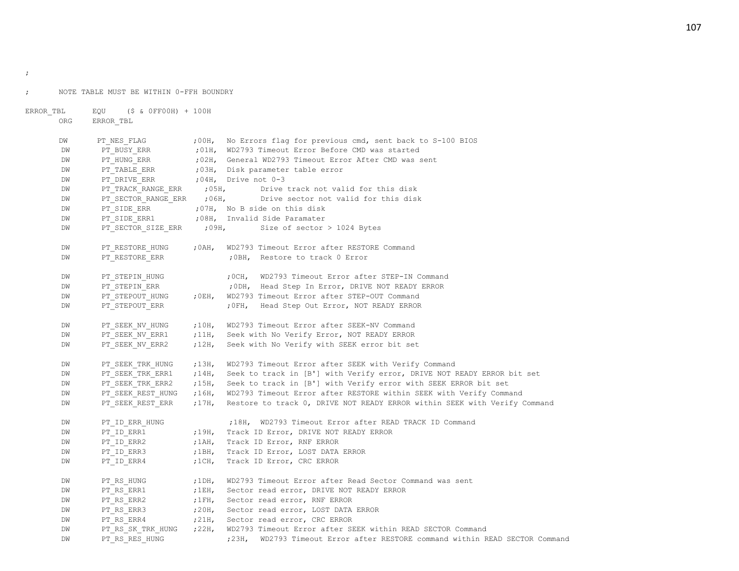;

```
; NOTE TABLE MUST BE WITHIN 0-FFH BOUNDRY
```

```
ERROR TBL EQU ($ & 0FF00H) + 100H
      ORG ERROR_TBL
      DW PT_NES_FLAG : 00H, No Errors flag for previous cmd, sent back to S-100 BIOS
      DW PT_BUSY_ERR : 01H, WD2793 Timeout Error Before CMD was started
      DW PT_HUNG_ERR : 02H, General WD2793 Timeout Error After CMD was sent
      DW PT_TABLE_ERR ;03H, Disk parameter table error
      DW PT_DRIVE_ERR ;04H, Drive not 0-3
      DW PT_TRACK_RANGE_ERR : 05H, Drive track not valid for this disk
      DW PT_SECTOR_RANGE_ERR : 06H, Drive sector not valid for this disk
      DW PT_SIDE_ERR ;07H, No B side on this disk
      DW PT_SIDE_ERR1 ;08H, Invalid Side Paramater
      DW PT_SECTOR_SIZE_ERR ;09H, Size of sector > 1024 Bytes
      DW PT_RESTORE_HUNG : 0AH, WD2793 Timeout Error after RESTORE Command
      DW PT_RESTORE_ERR ;0BH, Restore to track 0 Error
      DW PT_STEPIN_HUNG : 0CH, WD2793 Timeout Error after STEP-IN Command
      DW PT_STEPIN_ERR \cdot ;0DH, Head Step In Error, DRIVE NOT READY ERROR
      DW PT_STEPOUT_HUNG ;0EH, WD2793 Timeout Error after STEP-OUT Command
      DW PT_STEPOUT_ERR \qquad ;0FH, Head Step Out Error, NOT READY ERROR
      DW PT_SEEK_NV_HUNG ;10H, WD2793 Timeout Error after SEEK-NV Command
      DW PT_SEEK_NV_ERR1 :11H, Seek with No Verify Error, NOT READY ERROR
      DW PT_SEEK_NV_ERR2 ;12H, Seek with No Verify with SEEK error bit set
      DW PT_SEEK_TRK_HUNG ;13H, WD2793 Timeout Error after SEEK with Verify Command
      DW PT_SEEK_TRK_ERR1 ;14H, Seek to track in [B'] with Verify error, DRIVE NOT READY ERROR bit set
      DW PT_SEEK_TRK_ERR2 ;15H, Seek to track in [B'] with Verify error with SEEK ERROR bit set
      DW PT_SEEK_REST_HUNG ;16H, WD2793 Timeout Error after RESTORE within SEEK with Verify Command
      DW PT_SEEK_REST_ERR ;17H, Restore to track 0, DRIVE NOT READY ERROR within SEEK with Verify Command
      DW PT_ID_ERR_HUNG :18H, WD2793 Timeout Error after READ TRACK ID Command
      DW PT_ID_ERR1 \qquad j19H, Track ID Error, DRIVE NOT READY ERROR
      DW PT_ID_ERR2 ,1AH, Track ID Error, RNF ERROR
      DW PT_ID_ERR3 ;1BH, Track ID_Error, LOST DATA ERROR
      DW PT_ID_ERR4 ;1CH, Track ID_Error, CRC ERROR
      DW PT_RS_HUNG ;1DH, WD2793 Timeout Error after Read Sector Command was sent
      DW PT_RS_ERR1 \qquad ;1EH, Sector read error, DRIVE NOT READY ERROR
      DW PT_RS_ERR2 ;1FH, Sector read error, RNF ERROR
      DW PT_RS_ERR3 :20H, Sector read error, LOST DATA ERROR
      DW PT_RS_ERR4 j21H, Sector read error, CRC ERROR
      DW PT_RS_SK_TRK_HUNG ;22H, WD2793 Timeout Error after SEEK within READ SECTOR Command
      DW PT_RS_RES_HUNG :23H, WD2793 Timeout Error after RESTORE command within READ SECTOR Command
```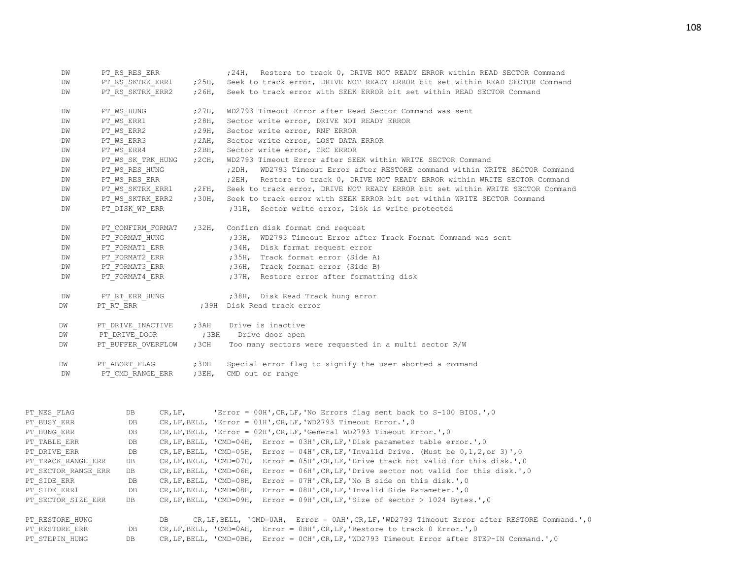| DW<br>DM<br>DW      | PT RS RES ERR<br>PT RS SKTRK ERR1<br>PT RS SKTRK ERR2 |         | ;25H,<br>;26H, | ;24H, Restore to track 0, DRIVE NOT READY ERROR within READ SECTOR Command<br>Seek to track error, DRIVE NOT READY ERROR bit set within READ SECTOR Command<br>Seek to track error with SEEK ERROR bit set within READ SECTOR Command |
|---------------------|-------------------------------------------------------|---------|----------------|---------------------------------------------------------------------------------------------------------------------------------------------------------------------------------------------------------------------------------------|
|                     |                                                       |         |                |                                                                                                                                                                                                                                       |
| DM                  | PT WS HUNG                                            |         | 727H           | WD2793 Timeout Error after Read Sector Command was sent                                                                                                                                                                               |
| DM                  | PT WS ERR1                                            |         | ;28H,          | Sector write error, DRIVE NOT READY ERROR                                                                                                                                                                                             |
| DW                  | PT WS ERR2                                            |         | ;29H,          | Sector write error, RNF ERROR                                                                                                                                                                                                         |
| DM                  | PT WS ERR3                                            |         | ; $2AH$ ,      | Sector write error, LOST DATA ERROR                                                                                                                                                                                                   |
| DM                  | PT WS ERR4                                            |         | ,2BH,          | Sector write error, CRC ERROR                                                                                                                                                                                                         |
| DW                  | PT WS SK TRK HUNG                                     |         | $,2$ CH,       | WD2793 Timeout Error after SEEK within WRITE SECTOR Command                                                                                                                                                                           |
| DW                  | PT WS RES HUNG                                        |         |                | ; 2DH, WD2793 Timeout Error after RESTORE command within WRITE SECTOR Command                                                                                                                                                         |
| DM                  | PT WS RES ERR                                         |         |                | ; 2EH, Restore to track 0, DRIVE NOT READY ERROR within WRITE SECTOR Command                                                                                                                                                          |
| DM                  | PT WS SKTRK ERR1                                      |         | ;2FH           | Seek to track error, DRIVE NOT READY ERROR bit set within WRITE SECTOR Command                                                                                                                                                        |
| DW                  | PT WS SKTRK ERR2                                      |         | ;30H,          | Seek to track error with SEEK ERROR bit set within WRITE SECTOR Command                                                                                                                                                               |
| DM                  | PT DISK WP ERR                                        |         |                | ;31H, Sector write error, Disk is write protected                                                                                                                                                                                     |
| DW                  | PT CONFIRM FORMAT                                     |         | ;32H,          | Confirm disk format cmd request                                                                                                                                                                                                       |
| DM                  | PT FORMAT HUNG                                        |         |                | ;33H, WD2793 Timeout Error after Track Format Command was sent                                                                                                                                                                        |
| DM                  | PT FORMAT1 ERR                                        |         |                | ;34H, Disk format request error                                                                                                                                                                                                       |
| DW                  | PT FORMAT2_ERR                                        |         |                | ;35H, Track format error (Side A)                                                                                                                                                                                                     |
| DW                  | PT FORMAT3 ERR                                        |         |                | ;36H, Track format error (Side B)                                                                                                                                                                                                     |
| DM                  | PT FORMAT4 ERR                                        |         |                | ;37H, Restore error after formatting disk                                                                                                                                                                                             |
| DM                  | PT RT ERR HUNG                                        |         |                | ;38H, Disk Read Track hung error                                                                                                                                                                                                      |
| DW                  | PT RT ERR                                             |         |                | ;39H Disk Read track error                                                                                                                                                                                                            |
| DW                  | PT DRIVE INACTIVE                                     |         | $, 3$ AH       | Drive is inactive                                                                                                                                                                                                                     |
| DW                  | PT DRIVE DOOR                                         |         | ;3BH           | Drive door open                                                                                                                                                                                                                       |
| DW                  | PT BUFFER OVERFLOW                                    |         | ;3CH           | Too many sectors were requested in a multi sector R/W                                                                                                                                                                                 |
| DW                  | PT ABORT FLAG                                         |         | ;3DH           | Special error flag to signify the user aborted a command                                                                                                                                                                              |
| DW                  | PT CMD RANGE ERR                                      |         | ; 3EH,         | CMD out or range                                                                                                                                                                                                                      |
|                     |                                                       |         |                |                                                                                                                                                                                                                                       |
| PT NES FLAG         | DB                                                    | CR, LF, |                | 'Error = 00H', CR, LF, 'No Errors flag sent back to S-100 BIOS.', 0                                                                                                                                                                   |
| PT BUSY ERR         | DB                                                    |         |                | CR, LF, BELL, 'Error = 01H', CR, LF, 'WD2793 Timeout Error.', 0                                                                                                                                                                       |
| PT HUNG ERR         | DB                                                    |         |                | $CR, LF, BELL, 'Error = 02H', CR, LF, 'General WD2793 Timeout Error.'$ , 0                                                                                                                                                            |
| PT TABLE ERR        | DB                                                    |         |                | $CR, LF, BELL, 'CMD=04H, Error = 03H', CR, LF, 'Disk parameter table error.'$ , 0                                                                                                                                                     |
| PT DRIVE_ERR        | DB                                                    |         |                | CR, LF, BELL, 'CMD=05H, Error = 04H', CR, LF, 'Invalid Drive. (Must be $0, 1, 2,$ or 3)', 0                                                                                                                                           |
| PT TRACK RANGE ERR  | DB                                                    |         |                | CR, LF, BELL, 'CMD=07H, Error = 05H', CR, LF, 'Drive track not valid for this disk.', 0                                                                                                                                               |
| PT SECTOR RANGE ERR | DB                                                    |         |                | CR, LF, BELL, 'CMD=06H, Error = 06H', CR, LF, 'Drive sector not valid for this disk.', 0                                                                                                                                              |
| PT SIDE ERR         | DB                                                    |         |                | CR, LF, BELL, 'CMD=08H, Error = 07H', CR, LF, 'No B side on this disk.', 0                                                                                                                                                            |
| PT SIDE ERR1        | DB                                                    |         |                | CR, LF, BELL, 'CMD=08H, Error = 08H', CR, LF, 'Invalid Side Parameter.', 0                                                                                                                                                            |
| PT SECTOR_SIZE_ERR  | DB                                                    |         |                | $CR, LF, BELL, 'CMD=09H, Error = 09H', CR, LF, 'Size of sector > 1024Bytes.'$ , 0                                                                                                                                                     |
| PT RESTORE HUNG     |                                                       | DB      |                | CR, LF, BELL, 'CMD=0AH, Error = 0AH', CR, LF, 'WD2793 Timeout Error after RESTORE Command.', 0                                                                                                                                        |
| PT RESTORE ERR      | DB                                                    |         |                | $CR, LF, BELL, 'CMD=0AH, Error = OBH', CR, LF, 'Restore to track 0 Error.'$ , 0                                                                                                                                                       |
| PT STEPIN HUNG      | DB                                                    |         |                | CR, LF, BELL, 'CMD=0BH, Error = 0CH', CR, LF, 'WD2793 Timeout Error after STEP-IN Command.', 0                                                                                                                                        |
|                     |                                                       |         |                |                                                                                                                                                                                                                                       |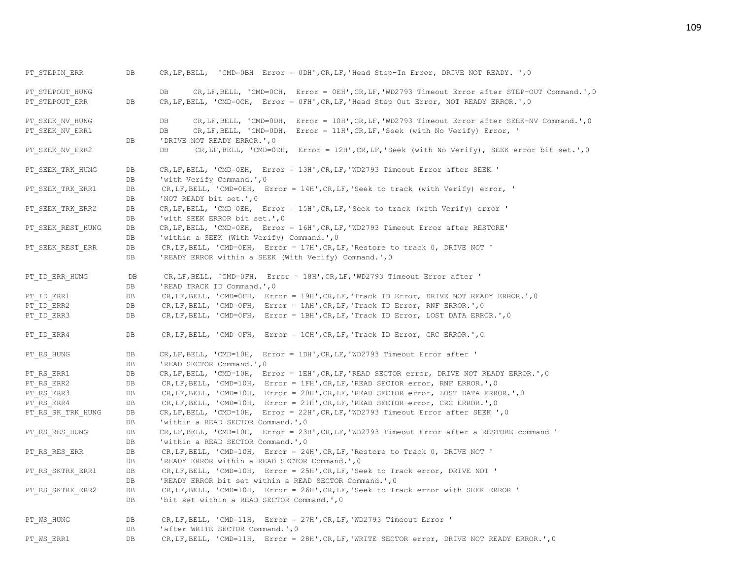PT\_STEPIN\_ERR DB CR,LF,BELL, 'CMD=0BH Error = 0DH',CR,LF,'Head Step-In Error, DRIVE NOT READY. ',0 PT\_STEPOUT\_HUNG  $DB$  DB CR, LF, BELL, 'CMD=0CH, Error = 0EH',CR, LF,'WD2793 Timeout Error after STEP-OUT Command.',0 PT\_STEPOUT\_ERR DB CR,LF,BELL, 'CMD=0CH, Error = 0FH',CR,LF,'Head Step Out Error, NOT READY ERROR.',0 PT\_SEEK\_NV\_HUNG \_\_\_\_\_\_\_\_\_\_\_\_\_DB CR,LF,BELL, 'CMD=0DH, Error = 10H',CR,LF,'WD2793 Timeout Error after SEEK-NV Command.',0 PT\_SEEK\_NV\_ERR1 DB DB CR,LF,BELL, 'CMD=0DH, Error = 11H',CR,LF,'Seek (with No Verify) Error, ' DB 'DRIVE NOT READY ERROR.', 0 PT\_SEEK\_NV\_ERR2 DB CR,LF,BELL, 'CMD=0DH, Error = 12H',CR,LF,'Seek (with No Verify), SEEK error bit set.',0 PT\_SEEK\_TRK\_HUNG DB CR, LF, BELL, 'CMD=0EH, Error = 13H',CR, LF, 'WD2793 Timeout Error after SEEK ' DB 'with Verify Command.', 0 PT\_SEEK\_TRK\_ERR1 DB CR,LF,BELL, 'CMD=0EH, Error = 14H',CR,LF,'Seek to track (with Verify) error, ' DB 'NOT READY bit set.', 0 PT\_SEEK\_TRK\_ERR2 DB CR, LF, BELL, 'CMD=0EH, Error = 15H', CR, LF, 'Seek to track (with Verify) error ' DB 'with SEEK ERROR bit set.', 0 PT\_SEEK\_REST\_HUNG DB CR, LF, BELL, 'CMD=0EH, Error = 16H', CR, LF, 'WD2793 Timeout Error after RESTORE' DB 'within a SEEK (With Verify) Command.', 0 PT\_SEEK\_REST\_ERR DB CR, LF, BELL, 'CMD=0EH, Error = 17H', CR, LF, 'Restore to track 0, DRIVE NOT ' DB 'READY ERROR within a SEEK (With Verify) Command.',0 PT\_ID\_ERR\_HUNG DB CR,LF,BELL, 'CMD=0FH, Error = 18H',CR,LF,'WD2793 Timeout Error after ' DB 'READ TRACK ID Command.', 0 PT\_ID\_ERR1 DB CR,LF,BELL, 'CMD=0FH, Error = 19H',CR,LF,'Track ID\_Error, DRIVE NOT READY\_ERROR.',0 PT\_ID\_ERR2 DB CR,LF,BELL, 'CMD=0FH, Error = 1AH',CR,LF,'Track ID\_Error, RNF ERROR.',0 PT\_ID\_ERR3 DB CR,LF,BELL, 'CMD=0FH, Error = 1BH',CR,LF,'Track ID\_Error, LOST DATA ERROR.',0 PT\_ID\_ERR4 DB CR,LF,BELL, 'CMD=0FH, Error = 1CH',CR,LF,'Track ID\_Error, CRC ERROR.',0 PT\_RS\_HUNG DB CR, LF, BELL, 'CMD=10H, Error = 1DH', CR, LF, 'WD2793 Timeout Error after ' DB 'READ SECTOR Command.', 0 PT\_RS\_ERR1 DB CR,LF,BELL, 'CMD=10H, Error = 1EH',CR,LF,'READ SECTOR error, DRIVE NOT READY ERROR.',0 PT\_RS\_ERR2 DB CR,LF,BELL, 'CMD=10H, Error = 1FH',CR,LF,'READ SECTOR error, RNF ERROR.',0 PT\_RS\_ERR3 DB CR, LF, BELL, 'CMD=10H, Error = 20H',CR, LF, 'READ SECTOR error, LOST DATA ERROR.', 0 PT\_RS\_ERR4 DB CR,LF,BELL, 'CMD=10H, Error = 21H',CR,LF,'READ SECTOR error, CRC ERROR.',0 PT\_RS\_SK\_TRK\_HUNG DB CR,LF,BELL, 'CMD=10H, Error = 22H',CR,LF,'WD2793 Timeout Error after SEEK ',0 DB 'within a READ SECTOR Command.'.0 PT\_RS\_RES\_HUNG DB CR,LF,BELL, 'CMD=10H, Error = 23H',CR,LF,'WD2793 Timeout Error after a RESTORE command ' DB 'within a READ SECTOR Command.', 0 PT\_RS\_RES\_ERR DB CR,LF,BELL, 'CMD=10H, Error = 24H',CR,LF, 'Restore to Track 0, DRIVE NOT ' DB 'READY ERROR within a READ SECTOR Command.', 0 PT\_RS\_SKTRK\_ERR1 DB CR,LF,BELL, 'CMD=10H, Error = 25H',CR,LF,'Seek to Track error, DRIVE NOT ' DB 'READY ERROR bit set within a READ SECTOR Command.', 0 PT\_RS\_SKTRK\_ERR2 DB CR,LF,BELL, 'CMD=10H, Error = 26H',CR,LF,'Seek to Track error with SEEK ERROR ' DB 'bit set within a READ SECTOR Command.', 0 PT\_WS\_HUNG DB CR,LF,BELL, 'CMD=11H, Error = 27H',CR,LF,'WD2793 Timeout Error ' DB 'after WRITE SECTOR Command.', 0 PT\_WS\_ERR1 DB CR,LF,BELL, 'CMD=11H, Error = 28H',CR,LF,'WRITE SECTOR error, DRIVE NOT READY ERROR.', 0